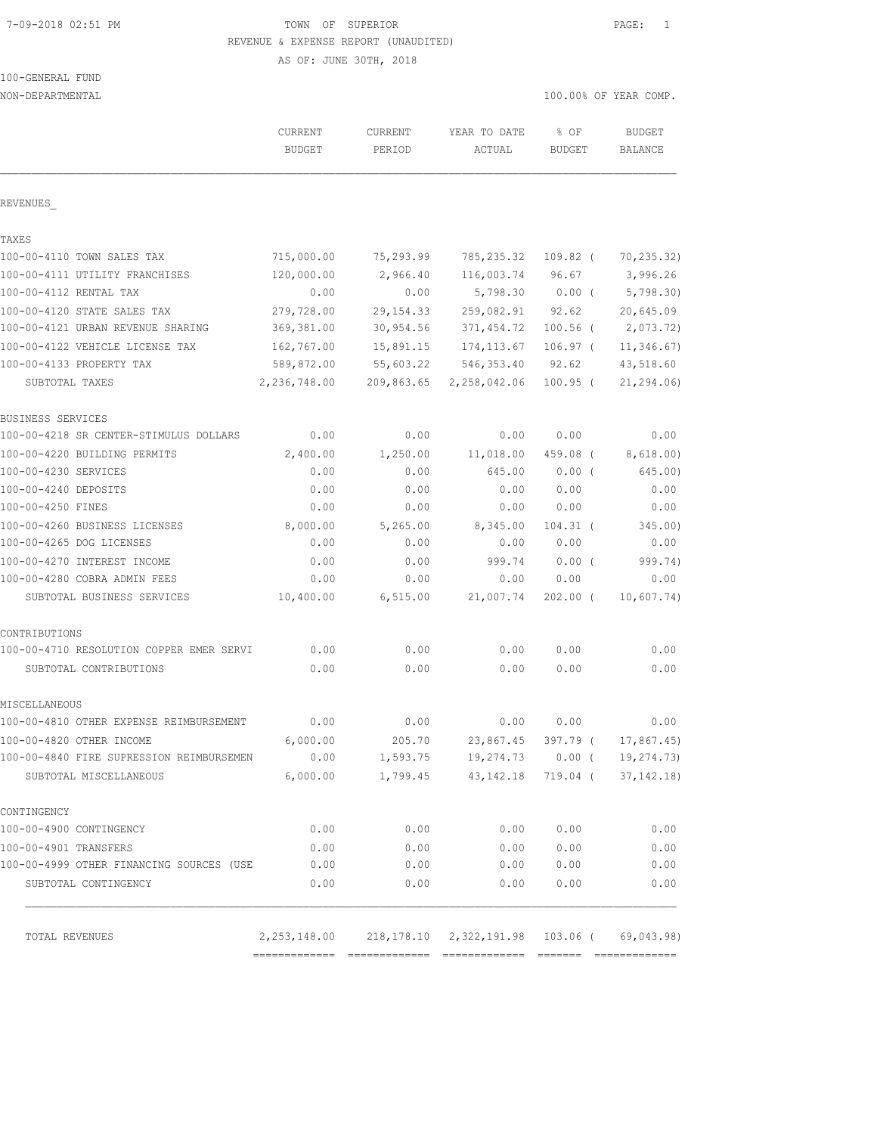# 7-09-2018 02:51 PM TOWN OF SUPERIOR PAGE: 1 REVENUE & EXPENSE REPORT (UNAUDITED)

AS OF: JUNE 30TH, 2018

| 100-GENERAL FUND |  |
|------------------|--|
|                  |  |

NON-DEPARTMENTAL 100.00% OF YEAR COMP.

|                                          | CURRENT<br><b>BUDGET</b> | CURRENT<br>PERIOD | YEAR TO DATE<br>ACTUAL                                         | % OF<br><b>BUDGET</b> | <b>BUDGET</b><br><b>BALANCE</b> |
|------------------------------------------|--------------------------|-------------------|----------------------------------------------------------------|-----------------------|---------------------------------|
| REVENUES                                 |                          |                   |                                                                |                       |                                 |
| TAXES                                    |                          |                   |                                                                |                       |                                 |
| 100-00-4110 TOWN SALES TAX               | 715,000.00               | 75,293.99         | 785,235.32                                                     | $109.82$ (            | 70, 235.32)                     |
| 100-00-4111 UTILITY FRANCHISES           | 120,000.00               | 2,966.40          | 116,003.74                                                     | 96.67                 | 3,996.26                        |
| 100-00-4112 RENTAL TAX                   | 0.00                     | 0.00              | 5,798.30                                                       | $0.00$ (              | 5,798.30                        |
| 100-00-4120 STATE SALES TAX              | 279,728.00               | 29, 154. 33       | 259,082.91                                                     | 92.62                 | 20,645.09                       |
| 100-00-4121 URBAN REVENUE SHARING        | 369, 381.00              | 30,954.56         | 371,454.72                                                     | $100.56$ (            | 2,073.72)                       |
| 100-00-4122 VEHICLE LICENSE TAX          | 162,767.00               | 15,891.15         | 174, 113.67                                                    | $106.97$ (            | 11, 346.67)                     |
| 100-00-4133 PROPERTY TAX                 | 589,872.00               | 55,603.22         | 546,353.40                                                     | 92.62                 | 43,518.60                       |
| SUBTOTAL TAXES                           | 2,236,748.00             | 209,863.65        | 2,258,042.06                                                   | $100.95$ (            | 21, 294.06                      |
| BUSINESS SERVICES                        |                          |                   |                                                                |                       |                                 |
| 100-00-4218 SR CENTER-STIMULUS DOLLARS   | 0.00                     | 0.00              | 0.00                                                           | 0.00                  | 0.00                            |
| 100-00-4220 BUILDING PERMITS             | 2,400.00                 | 1,250.00          | 11,018.00                                                      | 459.08 (              | 8,618.00)                       |
| 100-00-4230 SERVICES                     | 0.00                     | 0.00              | 645.00                                                         | 0.00(                 | 645.00)                         |
| 100-00-4240 DEPOSITS                     | 0.00                     | 0.00              | 0.00                                                           | 0.00                  | 0.00                            |
| 100-00-4250 FINES                        | 0.00                     | 0.00              | 0.00                                                           | 0.00                  | 0.00                            |
| 100-00-4260 BUSINESS LICENSES            | 8,000.00                 | 5,265.00          | 8,345.00                                                       | $104.31$ (            | 345.00)                         |
| 100-00-4265 DOG LICENSES                 | 0.00                     | 0.00              | 0.00                                                           | 0.00                  | 0.00                            |
| 100-00-4270 INTEREST INCOME              | 0.00                     | 0.00              | 999.74                                                         | 0.00(                 | 999.74)                         |
| 100-00-4280 COBRA ADMIN FEES             | 0.00                     | 0.00              | 0.00                                                           | 0.00                  | 0.00                            |
| SUBTOTAL BUSINESS SERVICES               | 10,400.00                | 6, 515.00         | 21,007.74                                                      | $202.00$ (            | 10,607.74)                      |
| CONTRIBUTIONS                            |                          |                   |                                                                |                       |                                 |
| 100-00-4710 RESOLUTION COPPER EMER SERVI | 0.00                     | 0.00              | 0.00                                                           | 0.00                  | 0.00                            |
| SUBTOTAL CONTRIBUTIONS                   | 0.00                     | 0.00              | 0.00                                                           | 0.00                  | 0.00                            |
| MISCELLANEOUS                            |                          |                   |                                                                |                       |                                 |
| 100-00-4810 OTHER EXPENSE REIMBURSEMENT  | 0.00                     | 0.00              | 0.00                                                           | 0.00                  | 0.00                            |
| 100-00-4820 OTHER INCOME                 | 6,000.00                 | 205.70            | 23,867.45                                                      | 397.79 (              | 17,867.45)                      |
| 100-00-4840 FIRE SUPRESSION REIMBURSEMEN | 0.00                     | 1,593.75          | 19,274.73 0.00 (                                               |                       | 19,274.73)                      |
| SUBTOTAL MISCELLANEOUS                   | 6,000.00                 |                   | 1,799.45 43,142.18 719.04 (                                    |                       | 37, 142.18)                     |
| CONTINGENCY                              |                          |                   |                                                                |                       |                                 |
| 100-00-4900 CONTINGENCY                  | 0.00                     | 0.00              | 0.00                                                           | 0.00                  | 0.00                            |
| 100-00-4901 TRANSFERS                    | 0.00                     | 0.00              | 0.00                                                           | 0.00                  | 0.00                            |
| 100-00-4999 OTHER FINANCING SOURCES (USE | 0.00                     | 0.00              | 0.00                                                           | 0.00                  | 0.00                            |
| SUBTOTAL CONTINGENCY                     | 0.00                     | 0.00              | 0.00                                                           | 0.00                  | 0.00                            |
| TOTAL REVENUES                           |                          |                   | 2, 253, 148.00 218, 178.10 2, 322, 191.98 103.06 ( 69, 043.98) |                       |                                 |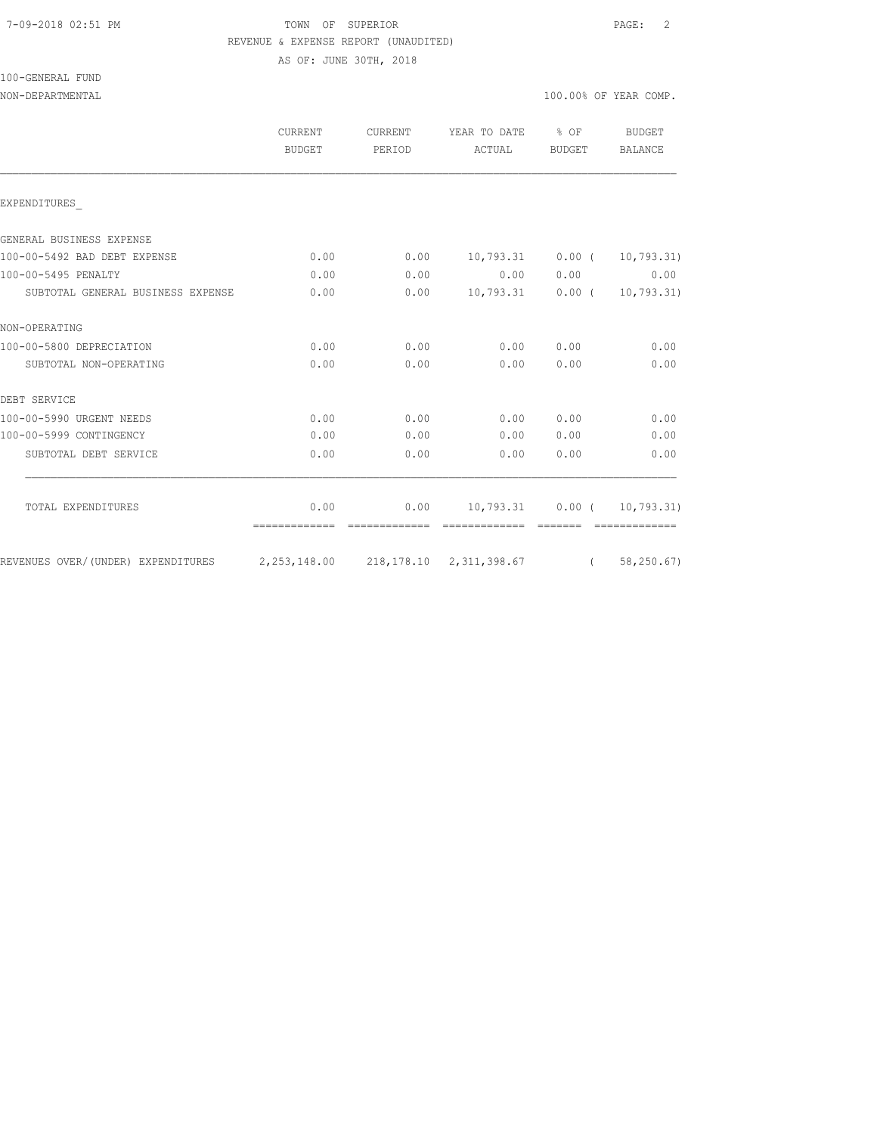# 7-09-2018 02:51 PM TOWN OF SUPERIOR PAGE: 2 REVENUE & EXPENSE REPORT (UNAUDITED)

AS OF: JUNE 30TH, 2018

|  |  | 100-GENERAL FUND |  |
|--|--|------------------|--|
|  |  |                  |  |

|                                                                           | CURRENT<br>BUDGET     | CURRENT<br>PERIOD | YEAR TO DATE % OF<br>ACTUAL        | BUDGET    | BUDGET<br><b>BALANCE</b>      |
|---------------------------------------------------------------------------|-----------------------|-------------------|------------------------------------|-----------|-------------------------------|
| EXPENDITURES                                                              |                       |                   |                                    |           |                               |
| GENERAL BUSINESS EXPENSE                                                  |                       |                   |                                    |           |                               |
| 100-00-5492 BAD DEBT EXPENSE                                              | 0.00                  | 0.00              | 10,793.31   0.00 $(10,793.31)$     |           |                               |
| 100-00-5495 PENALTY                                                       | 0.00                  | 0.00              |                                    | 0.00 0.00 | 0.00                          |
| SUBTOTAL GENERAL BUSINESS EXPENSE                                         | 0.00                  | 0.00              | $10,793.31$ $0.00$ ( $10,793.31$ ) |           |                               |
| NON-OPERATING                                                             |                       |                   |                                    |           |                               |
| 100-00-5800 DEPRECIATION                                                  | 0.00                  | 0.00              |                                    | 0.00 0.00 | 0.00                          |
| SUBTOTAL NON-OPERATING                                                    | 0.00                  | 0.00              | 0.00                               | 0.00      | 0.00                          |
| DEBT SERVICE                                                              |                       |                   |                                    |           |                               |
| 100-00-5990 URGENT NEEDS                                                  | 0.00                  | 0.00              | 0.00                               | 0.00      | 0.00                          |
| 100-00-5999 CONTINGENCY                                                   | 0.00                  | 0.00              | 0.00                               | 0.00      | 0.00                          |
| SUBTOTAL DEBT SERVICE                                                     | 0.00                  | 0.00              | 0.00                               | 0.00      | 0.00                          |
|                                                                           |                       |                   |                                    |           |                               |
| TOTAL EXPENDITURES                                                        | 0.00<br>============= | 0.00              |                                    |           | 10,793.31   0.00   10,793.31) |
| REVENUES OVER/(UNDER) EXPENDITURES 2,253,148.00 218,178.10 2,311,398.67 ( |                       |                   |                                    |           | 58,250.67)                    |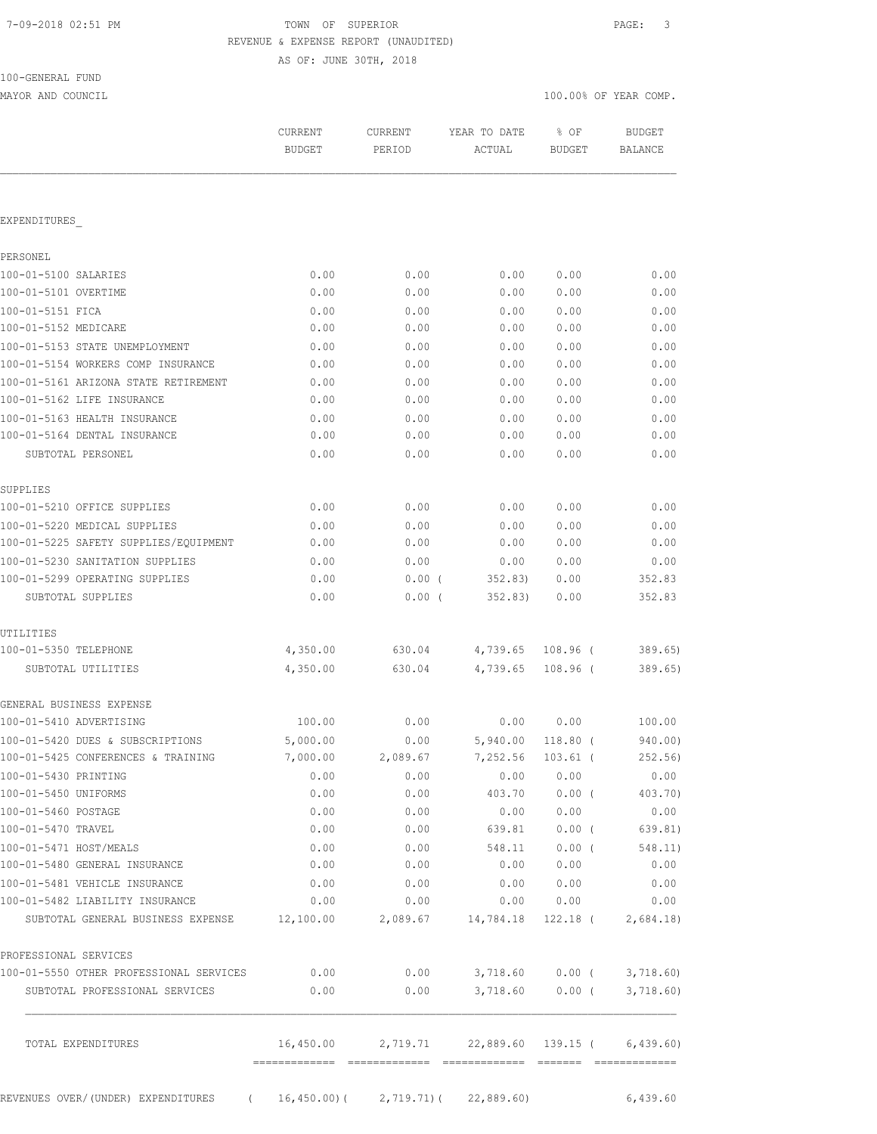|  |  | 7-09-2018 02:51 PM |  |
|--|--|--------------------|--|
|--|--|--------------------|--|

# TOWN OF SUPERIOR **Example 2018** PAGE: 3 REVENUE & EXPENSE REPORT (UNAUDITED)

AS OF: JUNE 30TH, 2018

| 100-GENERAL FUND |  |
|------------------|--|
|                  |  |

MAYOR AND COUNCIL COUNCIL COMP.

|                                             | <b>CURRENT</b><br><b>BUDGET</b> | CURRENT<br>PERIOD | YEAR TO DATE<br>ACTUAL                | % OF<br><b>BUDGET</b> | <b>BUDGET</b><br><b>BALANCE</b> |
|---------------------------------------------|---------------------------------|-------------------|---------------------------------------|-----------------------|---------------------------------|
|                                             |                                 |                   |                                       |                       |                                 |
| <b>EXPENDITURES</b>                         |                                 |                   |                                       |                       |                                 |
|                                             |                                 |                   |                                       |                       |                                 |
| PERSONEL                                    |                                 |                   |                                       |                       |                                 |
| 100-01-5100 SALARIES                        | 0.00                            | 0.00              | 0.00                                  | 0.00                  | 0.00                            |
| 100-01-5101 OVERTIME                        | 0.00                            | 0.00              | 0.00                                  | 0.00                  | 0.00                            |
| 100-01-5151 FICA                            | 0.00                            | 0.00              | 0.00                                  | 0.00                  | 0.00                            |
| 100-01-5152 MEDICARE                        | 0.00                            | 0.00              | 0.00                                  | 0.00                  | 0.00                            |
| 100-01-5153 STATE UNEMPLOYMENT              | 0.00                            | 0.00              | 0.00                                  | 0.00                  | 0.00                            |
| 100-01-5154 WORKERS COMP INSURANCE          | 0.00                            | 0.00              | 0.00                                  | 0.00                  | 0.00                            |
| 100-01-5161 ARIZONA STATE RETIREMENT        | 0.00                            | 0.00              | 0.00                                  | 0.00                  | 0.00                            |
| 100-01-5162 LIFE INSURANCE                  | 0.00                            | 0.00              | 0.00                                  | 0.00                  | 0.00                            |
| 100-01-5163 HEALTH INSURANCE                | 0.00                            | 0.00              | 0.00                                  | 0.00                  | 0.00                            |
| 100-01-5164 DENTAL INSURANCE                | 0.00                            | 0.00              | 0.00                                  | 0.00                  | 0.00                            |
| SUBTOTAL PERSONEL                           | 0.00                            | 0.00              | 0.00                                  | 0.00                  | 0.00                            |
| SUPPLIES                                    |                                 |                   |                                       |                       |                                 |
| 100-01-5210 OFFICE SUPPLIES                 | 0.00                            | 0.00              | 0.00                                  | 0.00                  | 0.00                            |
| 100-01-5220 MEDICAL SUPPLIES                | 0.00                            | 0.00              | 0.00                                  | 0.00                  | 0.00                            |
| 100-01-5225 SAFETY SUPPLIES/EQUIPMENT       | 0.00                            | 0.00              | 0.00                                  | 0.00                  | 0.00                            |
| 100-01-5230 SANITATION SUPPLIES             | 0.00                            | 0.00              | 0.00                                  | 0.00                  | 0.00                            |
| 100-01-5299 OPERATING SUPPLIES              | 0.00                            | $0.00$ (          | 352.83)                               | 0.00                  | 352.83                          |
| SUBTOTAL SUPPLIES                           | 0.00                            | $0.00$ (          | 352.83)                               | 0.00                  | 352.83                          |
| UTILITIES                                   |                                 |                   |                                       |                       |                                 |
| 100-01-5350 TELEPHONE                       | 4,350.00                        | 630.04            | 4,739.65                              | 108.96 (              | 389.65                          |
| SUBTOTAL UTILITIES                          | 4,350.00                        | 630.04            | 4,739.65                              | $108.96$ (            | 389.65)                         |
| GENERAL BUSINESS EXPENSE                    |                                 |                   |                                       |                       |                                 |
| 100-01-5410 ADVERTISING                     | 100.00                          | 0.00              | 0.00                                  | 0.00                  | 100.00                          |
| 100-01-5420 DUES & SUBSCRIPTIONS            | 5,000.00                        | 0.00              | 5,940.00                              | $118.80$ (            | 940.00)                         |
| 100-01-5425 CONFERENCES & TRAINING          | 7,000.00                        | 2,089.67          | 7,252.56                              | $103.61$ (            | 252.56)                         |
| 100-01-5430 PRINTING                        | 0.00                            | 0.00              | 0.00                                  | 0.00                  | 0.00                            |
| 100-01-5450 UNIFORMS                        | 0.00                            | 0.00              | 403.70                                | $0.00$ (              | 403.70)                         |
| 100-01-5460 POSTAGE                         | 0.00                            | 0.00              | 0.00                                  | 0.00                  | 0.00                            |
| 100-01-5470 TRAVEL                          | 0.00                            | 0.00              | 639.81                                | $0.00$ (              | 639.81)                         |
| 100-01-5471 HOST/MEALS                      | 0.00                            | 0.00              | 548.11                                | $0.00$ (              | 548.11)                         |
| 100-01-5480 GENERAL INSURANCE               | 0.00                            | 0.00              | 0.00                                  | 0.00                  | 0.00                            |
| 100-01-5481 VEHICLE INSURANCE               | 0.00                            | 0.00              | 0.00                                  | 0.00                  | 0.00                            |
| 100-01-5482 LIABILITY INSURANCE             | 0.00                            | 0.00              | 0.00                                  | 0.00                  | 0.00                            |
| SUBTOTAL GENERAL BUSINESS EXPENSE 12,100.00 |                                 | 2,089.67          | 14,784.18                             | 122.18 (              | 2,684.18                        |
| PROFESSIONAL SERVICES                       |                                 |                   |                                       |                       |                                 |
| 100-01-5550 OTHER PROFESSIONAL SERVICES     | 0.00                            | 0.00              |                                       | 3,718.60 0.00 (       | 3,718.60                        |
| SUBTOTAL PROFESSIONAL SERVICES              | 0.00                            | 0.00              | 3,718.60                              | $0.00$ (              | 3,718.60)                       |
| TOTAL EXPENDITURES                          | 16,450.00                       |                   | 2,719.71 22,889.60 139.15 ( 6,439.60) |                       |                                 |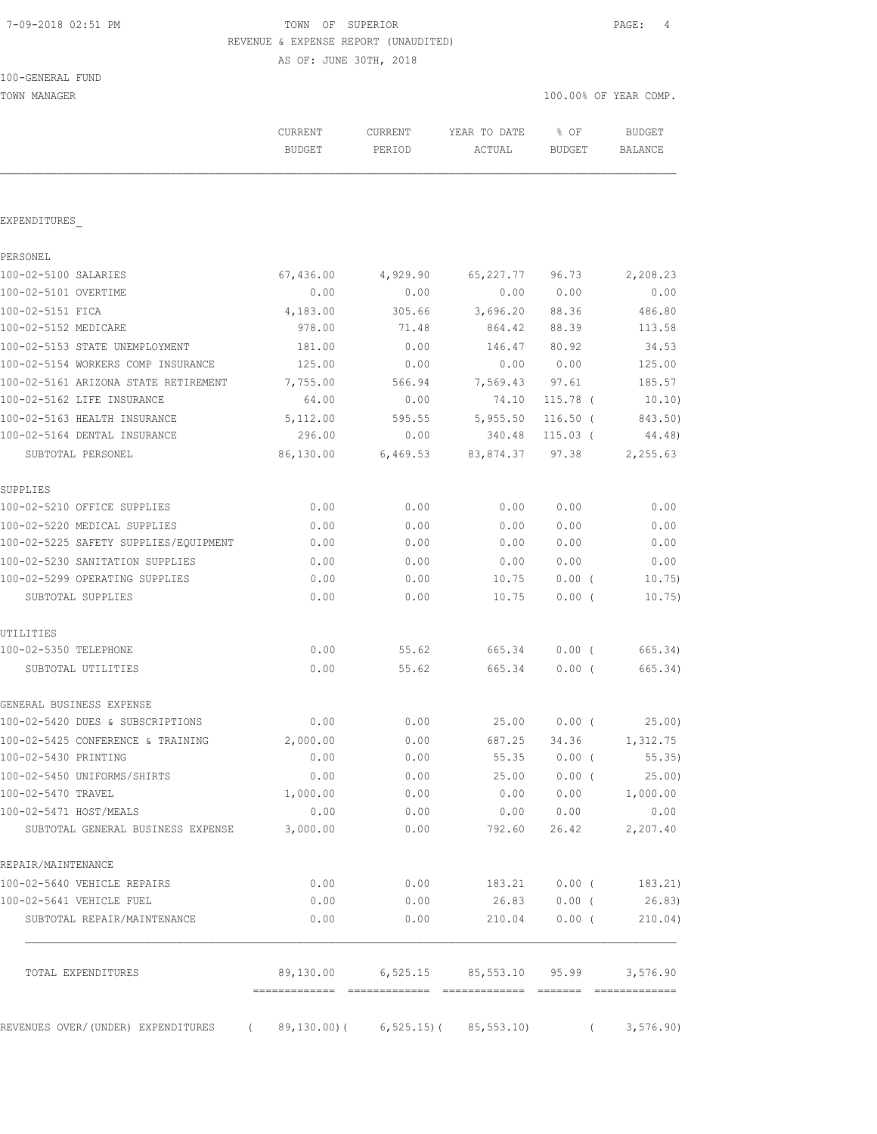# 7-09-2018 02:51 PM TOWN OF SUPERIOR PAGE: 4 REVENUE & EXPENSE REPORT (UNAUDITED)

AS OF: JUNE 30TH, 2018

TOWN MANAGER 100.00% OF YEAR COMP.

|                                                                       | CURRENT<br><b>BUDGET</b> | <b>CURRENT</b><br>PERIOD        | YEAR TO DATE<br>ACTUAL             | % OF<br><b>BUDGET</b> | <b>BUDGET</b><br>BALANCE |
|-----------------------------------------------------------------------|--------------------------|---------------------------------|------------------------------------|-----------------------|--------------------------|
|                                                                       |                          |                                 |                                    |                       |                          |
| EXPENDITURES                                                          |                          |                                 |                                    |                       |                          |
| PERSONEL                                                              |                          |                                 |                                    |                       |                          |
| 100-02-5100 SALARIES                                                  | 67,436.00                | 4,929.90                        | 65,227.77 96.73                    |                       | 2,208.23                 |
| 100-02-5101 OVERTIME                                                  | 0.00                     | 0.00                            | 0.00                               | 0.00                  | 0.00                     |
| 100-02-5151 FICA                                                      | 4,183.00                 | 305.66                          | 3,696.20                           | 88.36                 | 486.80                   |
| 100-02-5152 MEDICARE                                                  | 978.00                   | 71.48                           | 864.42                             | 88.39                 | 113.58                   |
| 100-02-5153 STATE UNEMPLOYMENT                                        | 181.00                   | 0.00                            | 146.47                             | 80.92                 | 34.53                    |
| 100-02-5154 WORKERS COMP INSURANCE                                    | 125.00                   | 0.00                            | 0.00                               | 0.00                  | 125.00                   |
| 100-02-5161 ARIZONA STATE RETIREMENT                                  | 7,755.00                 | 566.94                          | 7,569.43                           | 97.61                 | 185.57                   |
| 100-02-5162 LIFE INSURANCE                                            | 64.00                    | 0.00                            | 74.10                              | $115.78$ (            | 10.10)                   |
| 100-02-5163 HEALTH INSURANCE                                          | 5,112.00                 | 595.55                          | 5,955.50                           | $116.50$ (            | 843.50)                  |
| 100-02-5164 DENTAL INSURANCE                                          | 296.00                   | 0.00                            | 340.48                             | $115.03$ (            | 44.48)                   |
| SUBTOTAL PERSONEL                                                     | 86,130.00                | 6,469.53                        | 83,874.37 97.38                    |                       | 2,255.63                 |
| SUPPLIES                                                              |                          |                                 |                                    |                       |                          |
| 100-02-5210 OFFICE SUPPLIES                                           | 0.00                     | 0.00                            | 0.00                               | 0.00                  | 0.00                     |
| 100-02-5220 MEDICAL SUPPLIES                                          | 0.00                     | 0.00                            | 0.00                               | 0.00                  | 0.00                     |
| 100-02-5225 SAFETY SUPPLIES/EQUIPMENT                                 | 0.00                     | 0.00                            | 0.00                               | 0.00                  | 0.00                     |
| 100-02-5230 SANITATION SUPPLIES                                       | 0.00                     | 0.00                            | 0.00                               | 0.00                  | 0.00                     |
| 100-02-5299 OPERATING SUPPLIES                                        | 0.00                     | 0.00                            | 10.75                              | $0.00$ (              | 10.75)                   |
| SUBTOTAL SUPPLIES                                                     | 0.00                     | 0.00                            | 10.75                              | 0.00(                 | 10.75)                   |
| UTILITIES                                                             |                          |                                 |                                    |                       |                          |
| 100-02-5350 TELEPHONE                                                 | 0.00                     | 55.62                           | 665.34                             | $0.00$ (              | 665.34)                  |
| SUBTOTAL UTILITIES                                                    | 0.00                     | 55.62                           | 665.34                             | $0.00$ (              | 665.34)                  |
| GENERAL BUSINESS EXPENSE                                              |                          |                                 |                                    |                       |                          |
| 100-02-5420 DUES & SUBSCRIPTIONS                                      | 0.00                     | 0.00                            |                                    | 25.00 0.00 (          | 25.00                    |
| 100-02-5425 CONFERENCE & TRAINING                                     | 2,000.00                 | 0.00                            | 687.25                             | 34.36                 | 1,312.75                 |
| 100-02-5430 PRINTING                                                  | 0.00                     | ${\bf 0}$ . ${\bf 0}$ ${\bf 0}$ | 55.35                              | $0.00$ (              | 55.35)                   |
| 100-02-5450 UNIFORMS/SHIRTS                                           | 0.00                     | 0.00                            | 25.00                              | $0.00$ (              | 25.00)                   |
| 100-02-5470 TRAVEL                                                    | 1,000.00                 | 0.00                            | 0.00                               | 0.00                  | 1,000.00                 |
| 100-02-5471 HOST/MEALS                                                | 0.00                     | 0.00                            |                                    | 0.00 0.00             | 0.00                     |
| SUBTOTAL GENERAL BUSINESS EXPENSE                                     | 3,000.00                 | 0.00                            | 792.60                             | 26.42                 | 2,207.40                 |
| REPAIR/MAINTENANCE                                                    |                          |                                 |                                    |                       |                          |
| 100-02-5640 VEHICLE REPAIRS                                           | 0.00                     | 0.00                            | 183.21                             |                       | $0.00$ ( $183.21$ )      |
| 100-02-5641 VEHICLE FUEL                                              | 0.00                     | 0.00                            |                                    | 26.83 0.00 (          | 26.83)                   |
| SUBTOTAL REPAIR/MAINTENANCE                                           | 0.00                     | 0.00                            | 210.04                             | $0.00$ (              | 210.04)                  |
| TOTAL EXPENDITURES                                                    |                          |                                 | 89,130.00 6,525.15 85,553.10 95.99 |                       | 3,576.90                 |
|                                                                       |                          |                                 |                                    |                       |                          |
| REVENUES OVER/(UNDER) EXPENDITURES (89,130.00) (6,525.15) (85,553.10) |                          |                                 |                                    | $\sqrt{2}$            | 3,576.90                 |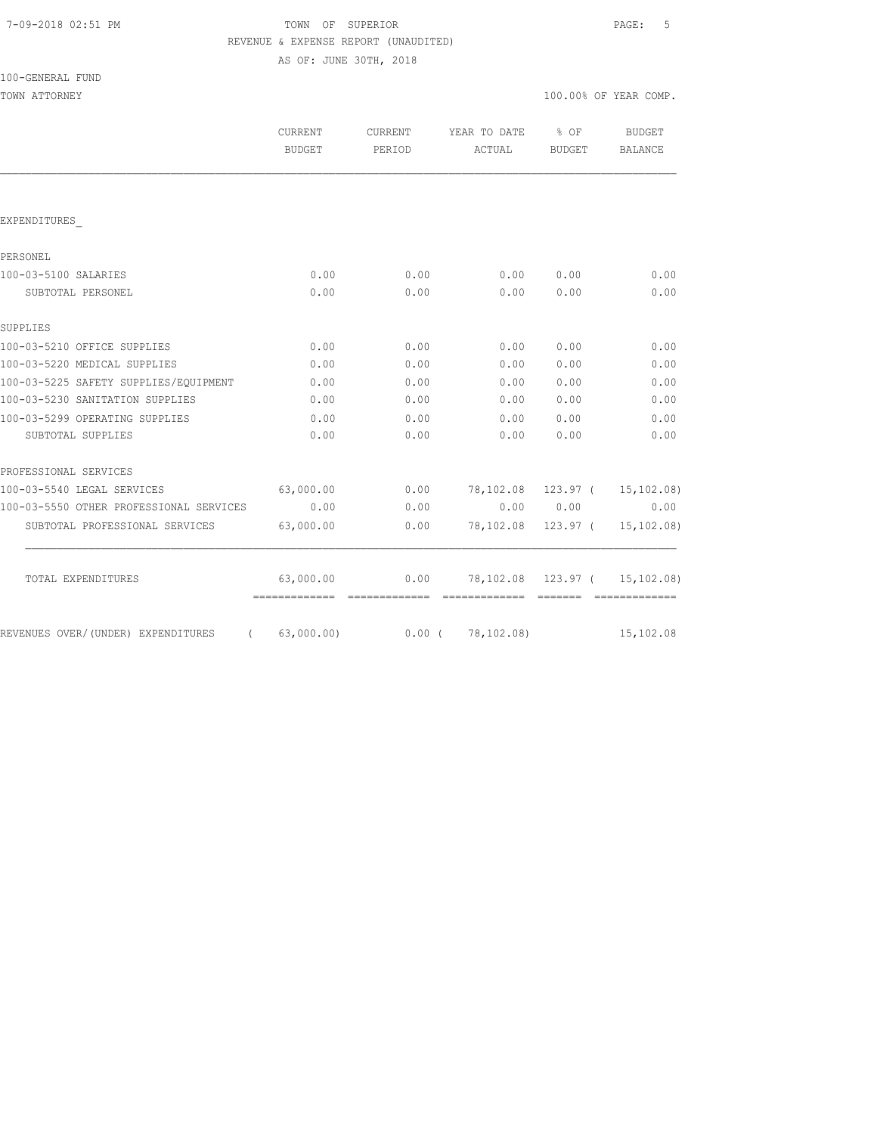# TOWN OF SUPERIOR **PAGE:** 5 REVENUE & EXPENSE REPORT (UNAUDITED)

AS OF: JUNE 30TH, 2018

| 100-GENERAL FUND |  |
|------------------|--|
|------------------|--|

| TOWN ATTORNEY                                  |                   |                   |                                      |                    | 100.00% OF YEAR COMP. |
|------------------------------------------------|-------------------|-------------------|--------------------------------------|--------------------|-----------------------|
|                                                | CURRENT<br>BUDGET | CURRENT<br>PERIOD | YEAR TO DATE % OF<br>ACTUAL          | BUDGET             | BUDGET<br>BALANCE     |
|                                                |                   |                   |                                      |                    |                       |
| EXPENDITURES                                   |                   |                   |                                      |                    |                       |
| PERSONEL                                       |                   |                   |                                      |                    |                       |
| 100-03-5100 SALARIES                           | 0.00              | 0.00              | 0.00                                 | 0.00               | 0.00                  |
| SUBTOTAL PERSONEL                              | 0.00              | 0.00              | 0.00                                 | 0.00               | 0.00                  |
| SUPPLIES                                       |                   |                   |                                      |                    |                       |
| 100-03-5210 OFFICE SUPPLIES                    | 0.00              | 0.00              | 0.00                                 | 0.00               | 0.00                  |
| 100-03-5220 MEDICAL SUPPLIES                   | 0.00              | 0.00              | 0.00                                 | 0.00               | 0.00                  |
| 100-03-5225 SAFETY SUPPLIES/EQUIPMENT          | 0.00              | 0.00              | 0.00                                 | 0.00               | 0.00                  |
| 100-03-5230 SANITATION SUPPLIES                | 0.00              | 0.00              | 0.00                                 | 0.00               | 0.00                  |
| 100-03-5299 OPERATING SUPPLIES                 | 0.00              | 0.00              | 0.00                                 | 0.00               | 0.00                  |
| SUBTOTAL SUPPLIES                              | 0.00              | 0.00              | 0.00                                 | 0.00               | 0.00                  |
| PROFESSIONAL SERVICES                          |                   |                   |                                      |                    |                       |
| 100-03-5540 LEGAL SERVICES                     | 63,000.00         |                   | $0.00$ 78,102.08 123.97 ( 15,102.08) |                    |                       |
| 100-03-5550 OTHER PROFESSIONAL SERVICES        | 0.00              | 0.00              |                                      | 0.00 0.00          | 0.00                  |
| SUBTOTAL PROFESSIONAL SERVICES                 | 63,000.00         | 0.00              |                                      | 78,102.08 123.97 ( | 15, 102.08)           |
| TOTAL EXPENDITURES                             | 63,000.00         |                   | $0.00$ 78,102.08 123.97 ( 15,102.08) |                    |                       |
| REVENUES OVER/(UNDER) EXPENDITURES (63,000.00) |                   |                   | $0.00$ ( $78,102.08$ )               |                    | 15,102.08             |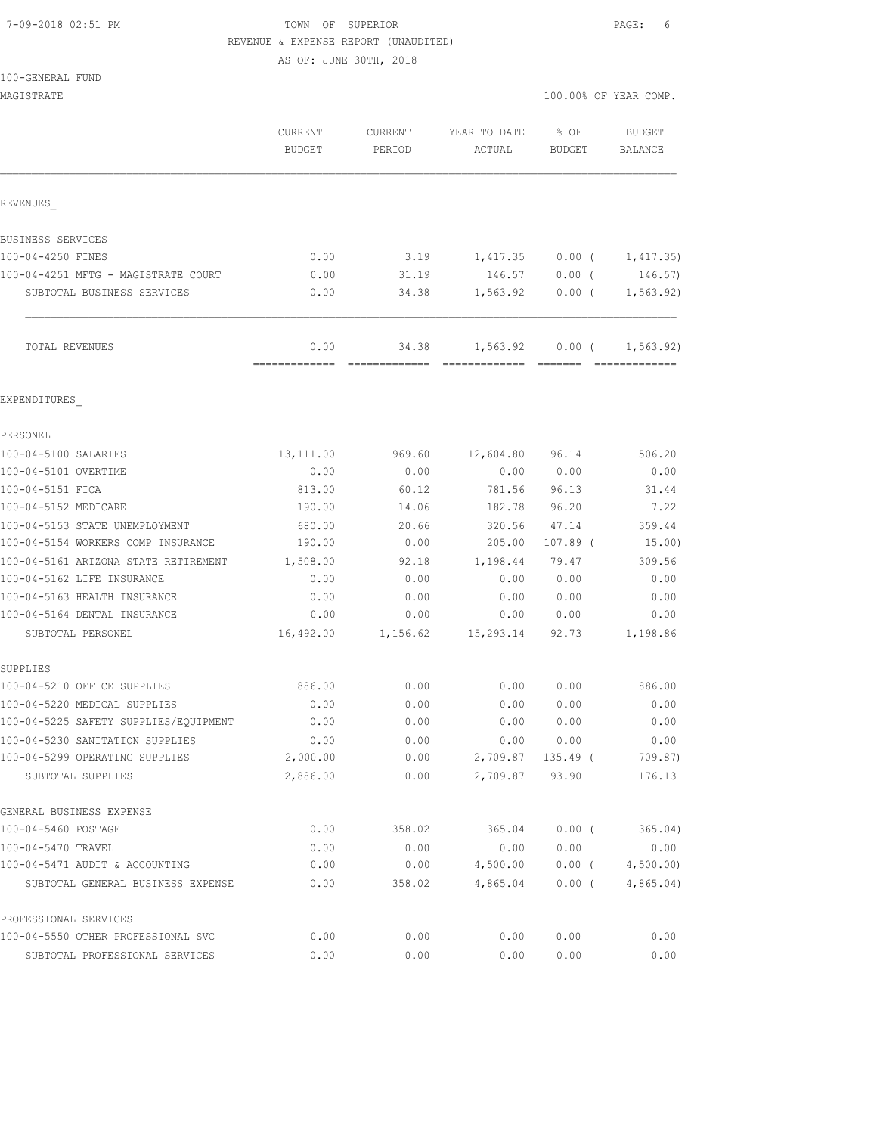# 7-09-2018 02:51 PM TOWN OF SUPERIOR PAGE: 6 REVENUE & EXPENSE REPORT (UNAUDITED)

AS OF: JUNE 30TH, 2018

|  | 100-GENERAL FUND |  |
|--|------------------|--|
|  |                  |  |

| TOO-GEMEKAT LOMD                                            |                       |                        |                                      |               |                             |
|-------------------------------------------------------------|-----------------------|------------------------|--------------------------------------|---------------|-----------------------------|
| MAGISTRATE                                                  |                       |                        |                                      |               | 100.00% OF YEAR COMP.       |
|                                                             | CURRENT               | <b>CURRENT</b>         | YEAR TO DATE                         | % OF          | BUDGET                      |
|                                                             | <b>BUDGET</b>         | PERIOD                 | ACTUAL                               | <b>BUDGET</b> | BALANCE                     |
|                                                             |                       |                        |                                      |               |                             |
| REVENUES                                                    |                       |                        |                                      |               |                             |
| BUSINESS SERVICES                                           |                       |                        |                                      |               |                             |
| 100-04-4250 FINES                                           | 0.00                  | 3.19                   | 1,417.35                             | $0.00$ (      | 1,417.35)                   |
| 100-04-4251 MFTG - MAGISTRATE COURT                         | 0.00                  | 31.19                  | 146.57                               | $0.00$ (      | 146.57)                     |
| SUBTOTAL BUSINESS SERVICES                                  | 0.00                  | 34.38                  | 1,563.92                             | $0.00$ (      | 1, 563.92)                  |
| TOTAL REVENUES                                              | 0.00<br>============= | 34.38<br>============= | 1,563.92<br>======================== | $0.00$ (      | 1, 563.92)<br>============= |
| EXPENDITURES                                                |                       |                        |                                      |               |                             |
| PERSONEL                                                    |                       |                        |                                      |               |                             |
| 100-04-5100 SALARIES                                        | 13, 111.00            | 969.60                 | 12,604.80                            | 96.14         | 506.20                      |
| 100-04-5101 OVERTIME                                        | 0.00                  | 0.00                   | 0.00                                 | 0.00          | 0.00                        |
| 100-04-5151 FICA                                            | 813.00                | 60.12                  | 781.56                               | 96.13         | 31.44                       |
| 100-04-5152 MEDICARE                                        | 190.00                | 14.06                  | 182.78                               | 96.20         | 7.22                        |
| 100-04-5153 STATE UNEMPLOYMENT                              | 680.00                | 20.66                  | 320.56                               | 47.14         | 359.44                      |
| 100-04-5154 WORKERS COMP INSURANCE                          | 190.00                | 0.00                   | 205.00                               | $107.89$ (    | 15.00)                      |
| 100-04-5161 ARIZONA STATE RETIREMENT                        | 1,508.00              | 92.18                  | 1,198.44                             | 79.47         | 309.56                      |
| 100-04-5162 LIFE INSURANCE                                  | 0.00                  | 0.00                   | 0.00                                 | 0.00          | 0.00                        |
| 100-04-5163 HEALTH INSURANCE                                | 0.00                  | 0.00                   | 0.00                                 | 0.00          | 0.00                        |
| 100-04-5164 DENTAL INSURANCE                                | 0.00                  | 0.00                   | 0.00                                 | 0.00          | 0.00                        |
| SUBTOTAL PERSONEL                                           | 16,492.00             | 1,156.62               | 15,293.14                            | 92.73         | 1,198.86                    |
| SUPPLIES                                                    |                       |                        |                                      |               |                             |
| 100-04-5210 OFFICE SUPPLIES                                 | 886.00                | 0.00                   | 0.00                                 | 0.00          | 886.00                      |
| 100-04-5220 MEDICAL SUPPLIES                                | 0.00                  | 0.00                   | 0.00                                 | 0.00          | 0.00                        |
| 100-04-5225 SAFETY SUPPLIES/EQUIPMENT                       | 0.00                  | 0.00                   | 0.00                                 | 0.00          | 0.00                        |
| 100-04-5230 SANITATION SUPPLIES                             | 0.00                  | 0.00                   | 0.00                                 | 0.00          | 0.00                        |
| 100-04-5299 OPERATING SUPPLIES                              | 2,000.00              | 0.00                   | 2,709.87                             | $135.49$ (    | 709.87)                     |
| SUBTOTAL SUPPLIES                                           | 2,886.00              | 0.00                   | 2,709.87                             | 93.90         | 176.13                      |
| GENERAL BUSINESS EXPENSE                                    |                       |                        |                                      |               |                             |
| 100-04-5460 POSTAGE                                         | 0.00                  | 358.02                 | 365.04                               | $0.00$ (      | 365.04)                     |
| 100-04-5470 TRAVEL                                          | 0.00                  | 0.00                   | 0.00                                 | 0.00          | 0.00                        |
| 100-04-5471 AUDIT & ACCOUNTING                              | 0.00                  | 0.00                   | 4,500.00                             | $0.00$ (      | 4,500.00                    |
| SUBTOTAL GENERAL BUSINESS EXPENSE                           | 0.00                  | 358.02                 | 4,865.04                             | $0.00$ (      | 4,865.04)                   |
| PROFESSIONAL SERVICES<br>100-04-5550 OTHER PROFESSIONAL SVC | 0.00                  | 0.00                   | 0.00                                 | 0.00          | 0.00                        |
| SUBTOTAL PROFESSIONAL SERVICES                              | 0.00                  | 0.00                   | 0.00                                 | 0.00          | 0.00                        |
|                                                             |                       |                        |                                      |               |                             |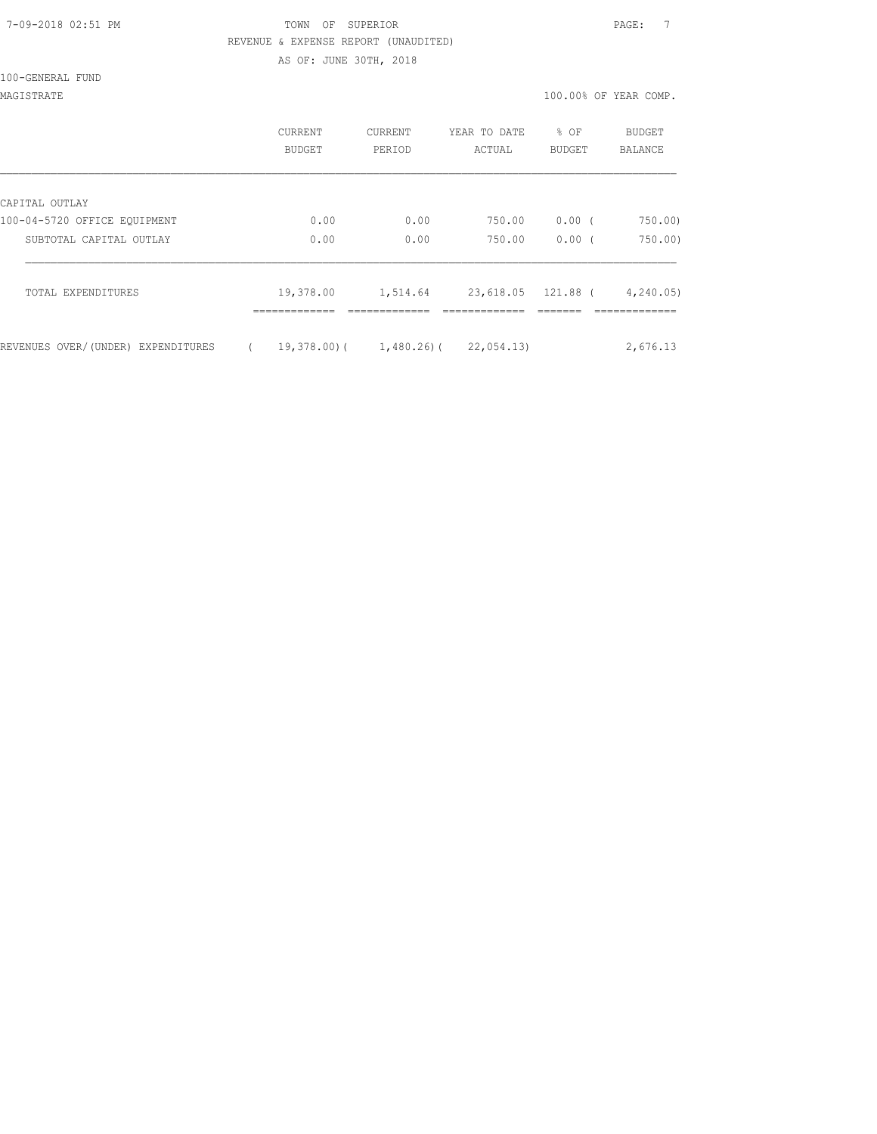# 7-09-2018 02:51 PM TOWN OF SUPERIOR PAGE: 7 REVENUE & EXPENSE REPORT (UNAUDITED) AS OF: JUNE 30TH, 2018

100-GENERAL FUND

MAGISTRATE 100.00% OF YEAR COMP.

|                                    | <b>CURRENT</b><br>BUDGET   | <b>CURRENT</b><br>PERIOD | YEAR TO DATE<br>ACTUAL             | % OF<br>BUDGET | BUDGET<br>BALANCE          |
|------------------------------------|----------------------------|--------------------------|------------------------------------|----------------|----------------------------|
| CAPITAL OUTLAY                     |                            |                          |                                    |                |                            |
| 100-04-5720 OFFICE EQUIPMENT       | 0.00                       | 0.00                     | 750.00                             | $0.00$ (       | 750.00)                    |
| SUBTOTAL CAPITAL OUTLAY            | 0.00                       | 0.00                     | 750.00                             | 0.00(          | 750.00                     |
| TOTAL EXPENDITURES                 | 19,378.00<br>------------- | 1,514.64<br>------------ | 23,618.05 121.88 (<br>------------ |                | 4, 240.05<br>------------- |
| REVENUES OVER/(UNDER) EXPENDITURES | 19,378.00)(                | 1,480.26)(               | 22,054.13)                         |                | 2,676.13                   |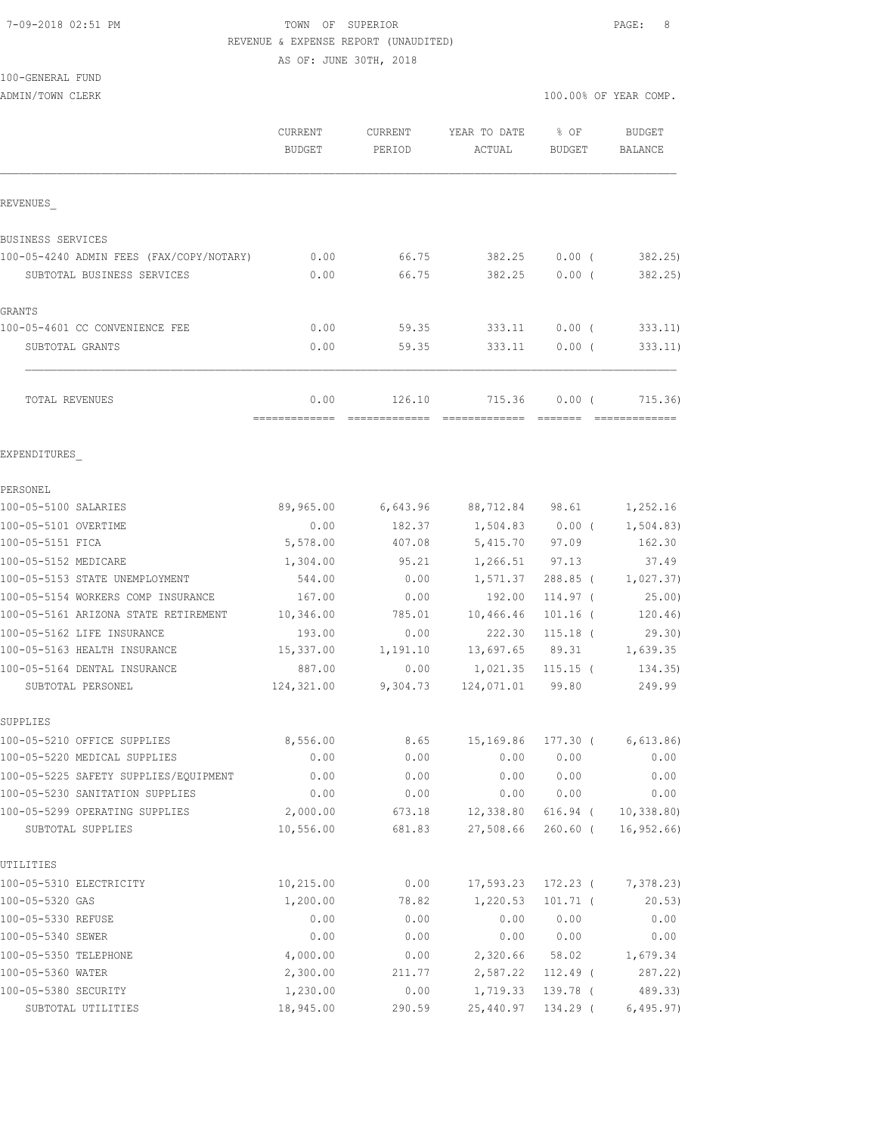# 7-09-2018 02:51 PM TOWN OF SUPERIOR PAGE: 8 REVENUE & EXPENSE REPORT (UNAUDITED)

AS OF: JUNE 30TH, 2018

100-GENERAL FUND

ADMIN/TOWN CLERK 100.00% OF YEAR COMP.

|                                                   | CURRENT<br><b>BUDGET</b> | CURRENT<br>PERIOD | YEAR TO DATE<br>ACTUAL   | % OF<br><b>BUDGET</b> | <b>BUDGET</b><br><b>BALANCE</b> |
|---------------------------------------------------|--------------------------|-------------------|--------------------------|-----------------------|---------------------------------|
| REVENUES                                          |                          |                   |                          |                       |                                 |
| BUSINESS SERVICES                                 |                          |                   |                          |                       |                                 |
| 100-05-4240 ADMIN FEES (FAX/COPY/NOTARY)          | 0.00                     | 66.75             | 382.25                   | $0.00$ (              | 382.25)                         |
| SUBTOTAL BUSINESS SERVICES                        | 0.00                     | 66.75             | 382.25                   | 0.00(                 | 382.25)                         |
| <b>GRANTS</b>                                     |                          |                   |                          |                       |                                 |
| 100-05-4601 CC CONVENIENCE FEE                    | 0.00                     | 59.35             | 333.11                   | 0.00(                 | 333.11)                         |
| SUBTOTAL GRANTS                                   | 0.00                     | 59.35             | 333.11                   | $0.00$ (              | 333.11)                         |
| TOTAL REVENUES                                    | 0.00<br>=============    | 126.10            | 715.36                   | 0.00(                 | 715.36)                         |
| EXPENDITURES                                      |                          |                   |                          |                       |                                 |
| PERSONEL                                          |                          |                   |                          |                       |                                 |
| 100-05-5100 SALARIES                              | 89,965.00                |                   | 6,643.96 88,712.84 98.61 |                       | 1,252.16                        |
| 100-05-5101 OVERTIME                              | 0.00                     | 182.37            | $1,504.83$ 0.00 (        |                       | 1,504.83)                       |
| 100-05-5151 FICA                                  | 5,578.00                 | 407.08            | 5,415.70                 | 97.09                 | 162.30                          |
| 100-05-5152 MEDICARE                              | 1,304.00                 | 95.21             | 1,266.51                 | 97.13                 | 37.49                           |
| 100-05-5153 STATE UNEMPLOYMENT                    | 544.00                   | 0.00              | 1,571.37                 | $288.85$ (            | 1,027.37)                       |
| 100-05-5154 WORKERS COMP INSURANCE                | 167.00                   | 0.00              | 192.00                   | 114.97 (              | 25.00)                          |
| 100-05-5161 ARIZONA STATE RETIREMENT              | 10,346.00                | 785.01            | 10,466.46                | $101.16$ (            | 120.46)                         |
| 100-05-5162 LIFE INSURANCE                        | 193.00                   | 0.00              | 222.30                   | $115.18$ (            | 29.30)                          |
| 100-05-5163 HEALTH INSURANCE                      | 15,337.00                | 1,191.10          | 13,697.65                | 89.31                 | 1,639.35                        |
| 100-05-5164 DENTAL INSURANCE<br>SUBTOTAL PERSONEL | 887.00<br>124,321.00     | 0.00<br>9,304.73  | 1,021.35<br>124,071.01   | $115.15$ (<br>99.80   | 134.35)<br>249.99               |
| SUPPLIES                                          |                          |                   |                          |                       |                                 |
| 100-05-5210 OFFICE SUPPLIES                       | 8,556.00                 |                   | 8.65 15,169.86           |                       | $177.30$ ( 6,613.86)            |
| 100-05-5220 MEDICAL SUPPLIES                      | 0.00                     | 0.00              | 0.00                     | 0.00                  | 0.00                            |
| 100-05-5225 SAFETY SUPPLIES/EQUIPMENT             | 0.00                     | 0.00              | 0.00                     | 0.00                  | 0.00                            |
| 100-05-5230 SANITATION SUPPLIES                   | 0.00                     | 0.00              | 0.00                     | 0.00                  | 0.00                            |
| 100-05-5299 OPERATING SUPPLIES                    | 2,000.00                 | 673.18            | 12,338.80                | 616.94 (              | 10, 338.80                      |
| SUBTOTAL SUPPLIES                                 | 10,556.00                | 681.83            | 27,508.66                | $260.60$ (            | 16, 952.66                      |
| UTILITIES                                         |                          |                   |                          |                       |                                 |
| 100-05-5310 ELECTRICITY                           | 10,215.00                | 0.00              | 17,593.23                | 172.23 (              | 7,378.23)                       |
| 100-05-5320 GAS                                   | 1,200.00                 | 78.82             | 1,220.53                 | $101.71$ (            | 20.53)                          |
| 100-05-5330 REFUSE                                | 0.00                     | 0.00              | 0.00                     | 0.00                  | 0.00                            |
| 100-05-5340 SEWER                                 | 0.00                     | 0.00              | 0.00                     | 0.00                  | 0.00                            |
| 100-05-5350 TELEPHONE                             | 4,000.00                 | 0.00              | 2,320.66                 | 58.02                 | 1,679.34                        |
| 100-05-5360 WATER                                 | 2,300.00                 | 211.77            | 2,587.22                 | 112.49 (              | 287.22)                         |
| 100-05-5380 SECURITY                              | 1,230.00                 | 0.00              | 1,719.33                 | 139.78 (              | 489.33)                         |
| SUBTOTAL UTILITIES                                | 18,945.00                | 290.59            | 25,440.97                | 134.29 (              | 6,495.97)                       |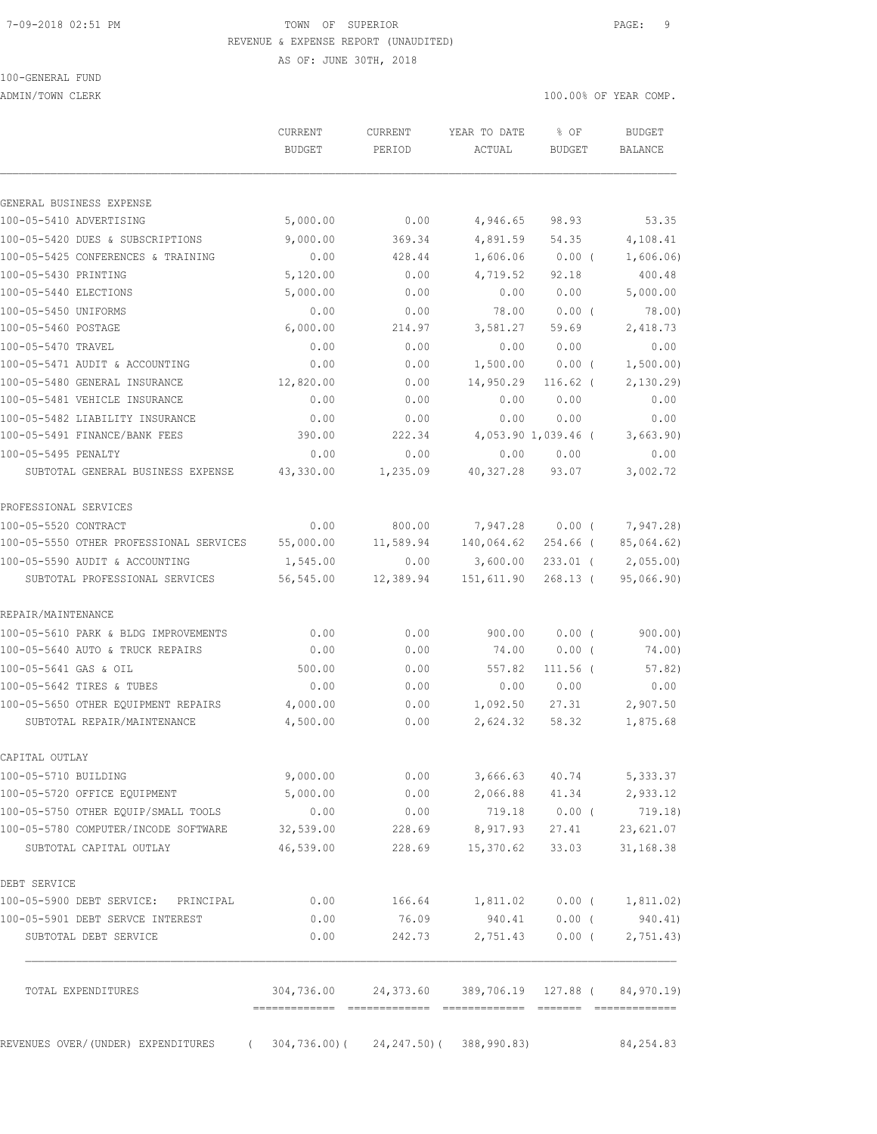#### 7-09-2018 02:51 PM TOWN OF SUPERIOR PAGE: 9 REVENUE & EXPENSE REPORT (UNAUDITED)

AS OF: JUNE 30TH, 2018

100-GENERAL FUND

ADMIN/TOWN CLERK 100.00% OF YEAR COMP.

|                                         | CURRENT<br><b>BUDGET</b> | CURRENT<br>PERIOD                                       | YEAR TO DATE<br>ACTUAL | % OF<br><b>BUDGET</b> | <b>BUDGET</b><br><b>BALANCE</b> |
|-----------------------------------------|--------------------------|---------------------------------------------------------|------------------------|-----------------------|---------------------------------|
| GENERAL BUSINESS EXPENSE                |                          |                                                         |                        |                       |                                 |
| 100-05-5410 ADVERTISING                 | 5,000.00                 | 0.00                                                    | 4,946.65               | 98.93                 | 53.35                           |
| 100-05-5420 DUES & SUBSCRIPTIONS        | 9,000.00                 | 369.34                                                  | 4,891.59               | 54.35                 | 4,108.41                        |
| 100-05-5425 CONFERENCES & TRAINING      | 0.00                     | 428.44                                                  | 1,606.06               | $0.00$ (              | 1,606.06)                       |
| 100-05-5430 PRINTING                    | 5,120.00                 | 0.00                                                    | 4,719.52               | 92.18                 | 400.48                          |
| 100-05-5440 ELECTIONS                   | 5,000.00                 | 0.00                                                    | 0.00                   | 0.00                  | 5,000.00                        |
| 100-05-5450 UNIFORMS                    | 0.00                     | 0.00                                                    | 78.00                  | $0.00$ (              | 78.00)                          |
| 100-05-5460 POSTAGE                     | 6,000.00                 | 214.97                                                  | 3,581.27               | 59.69                 | 2,418.73                        |
| 100-05-5470 TRAVEL                      | 0.00                     | 0.00                                                    | 0.00                   | 0.00                  | 0.00                            |
| 100-05-5471 AUDIT & ACCOUNTING          | 0.00                     | 0.00                                                    | 1,500.00               | $0.00$ (              | 1,500.00)                       |
| 100-05-5480 GENERAL INSURANCE           | 12,820.00                | 0.00                                                    | 14,950.29              | $116.62$ (            | 2,130.29                        |
| 100-05-5481 VEHICLE INSURANCE           | 0.00                     | 0.00                                                    | 0.00                   | 0.00                  | 0.00                            |
| 100-05-5482 LIABILITY INSURANCE         | 0.00                     | 0.00                                                    | 0.00                   | 0.00                  | 0.00                            |
| 100-05-5491 FINANCE/BANK FEES           | 390.00                   | 222.34                                                  |                        | 4,053.90 1,039.46 (   | 3,663.90)                       |
| 100-05-5495 PENALTY                     | 0.00                     | 0.00                                                    | 0.00                   | 0.00                  | 0.00                            |
| SUBTOTAL GENERAL BUSINESS EXPENSE       | 43,330.00                | 1,235.09                                                | 40, 327.28             | 93.07                 | 3,002.72                        |
| PROFESSIONAL SERVICES                   |                          |                                                         |                        |                       |                                 |
| 100-05-5520 CONTRACT                    | 0.00                     | 800.00                                                  | 7,947.28               | $0.00$ (              | 7,947.28)                       |
| 100-05-5550 OTHER PROFESSIONAL SERVICES | 55,000.00                | 11,589.94                                               | 140,064.62             | 254.66 (              | 85,064.62)                      |
| 100-05-5590 AUDIT & ACCOUNTING          | 1,545.00                 | 0.00                                                    | 3,600.00               | $233.01$ (            | 2,055.00)                       |
| SUBTOTAL PROFESSIONAL SERVICES          | 56,545.00                | 12,389.94                                               | 151,611.90             | $268.13$ (            | 95,066.90)                      |
| REPAIR/MAINTENANCE                      |                          |                                                         |                        |                       |                                 |
| 100-05-5610 PARK & BLDG IMPROVEMENTS    | 0.00                     | 0.00                                                    | 900.00                 | 0.00(                 | 900.00)                         |
| 100-05-5640 AUTO & TRUCK REPAIRS        | 0.00                     | 0.00                                                    | 74.00                  | $0.00$ (              | 74.00)                          |
| 100-05-5641 GAS & OIL                   | 500.00                   | 0.00                                                    | 557.82                 | $111.56$ (            | 57.82)                          |
| 100-05-5642 TIRES & TUBES               | 0.00                     | 0.00                                                    | 0.00                   | 0.00                  | 0.00                            |
| 100-05-5650 OTHER EQUIPMENT REPAIRS     | 4,000.00                 | 0.00                                                    | 1,092.50               | 27.31                 | 2,907.50                        |
| SUBTOTAL REPAIR/MAINTENANCE             | 4,500.00                 | 0.00                                                    | 2,624.32               | 58.32                 | 1,875.68                        |
| CAPITAL OUTLAY                          |                          |                                                         |                        |                       |                                 |
| 100-05-5710 BUILDING                    | 9,000.00                 | 0.00                                                    |                        | 3,666.63 40.74        | 5, 333.37                       |
| 100-05-5720 OFFICE EQUIPMENT            | 5,000.00                 | 0.00                                                    | 2,066.88               | 41.34                 | 2,933.12                        |
| 100-05-5750 OTHER EQUIP/SMALL TOOLS     | 0.00                     | 0.00                                                    | 719.18                 | $0.00$ (              | 719.18)                         |
| 100-05-5780 COMPUTER/INCODE SOFTWARE    | 32,539.00                | 228.69                                                  | 8,917.93               | 27.41                 | 23,621.07                       |
| SUBTOTAL CAPITAL OUTLAY                 | 46,539.00                | 228.69                                                  | 15,370.62              | 33.03                 | 31,168.38                       |
| DEBT SERVICE                            |                          |                                                         |                        |                       |                                 |
| 100-05-5900 DEBT SERVICE: PRINCIPAL     | 0.00                     |                                                         |                        |                       |                                 |
| 100-05-5901 DEBT SERVCE INTEREST        | 0.00                     | 76.09                                                   | 940.41                 |                       | 0.00(940.41)                    |
| SUBTOTAL DEBT SERVICE                   | 0.00                     | 242.73                                                  | 2,751.43               | $0.00$ (              | 2,751.43)                       |
| TOTAL EXPENDITURES                      |                          | 304,736.00  24,373.60  389,706.19  127.88  ( 84,970.19) |                        |                       |                                 |
| REVENUES OVER/ (UNDER) EXPENDITURES     |                          | $304, 736.00$ ( $24, 247.50$ ( $388, 990.83$ )          |                        |                       | 84, 254.83                      |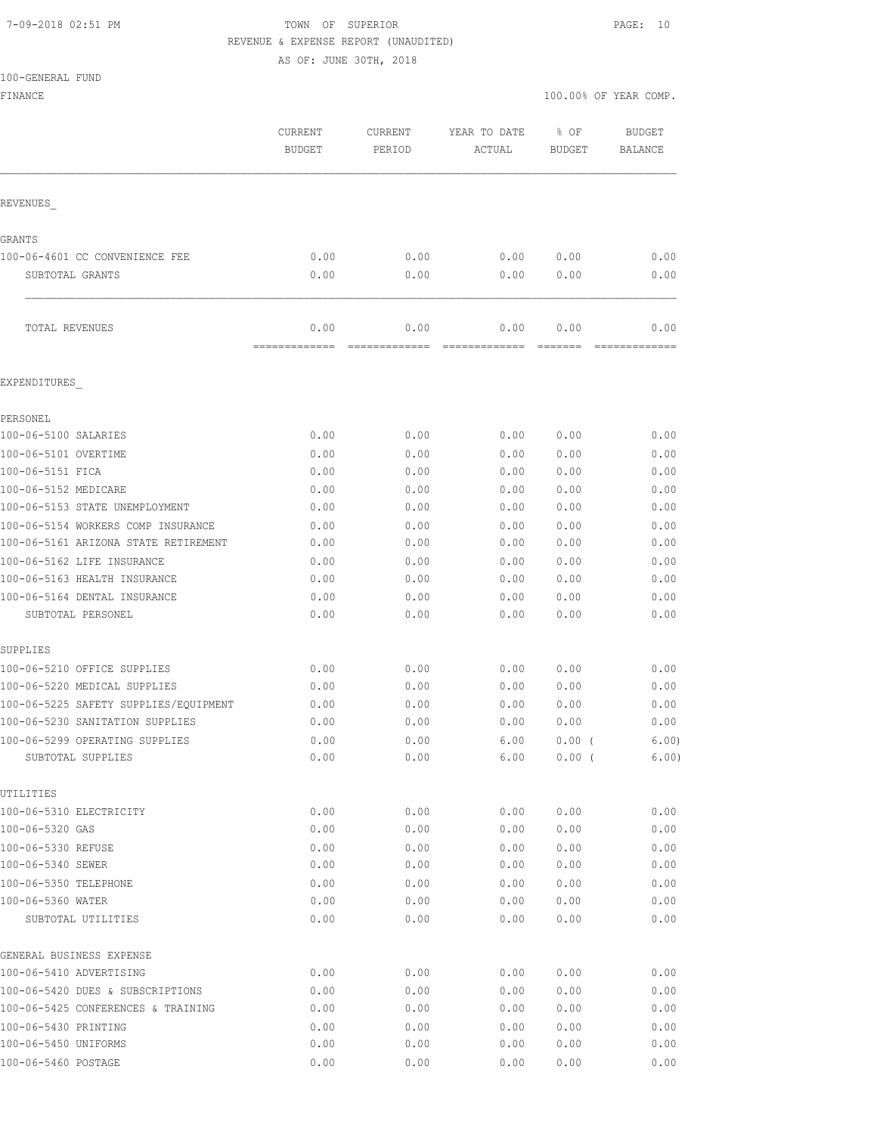# 7-09-2018 02:51 PM TOWN OF SUPERIOR PAGE: 10 REVENUE & EXPENSE REPORT (UNAUDITED)

AS OF: JUNE 30TH, 2018

| 100-GENERAL FUND                                    |                          |                   |                        |                       |                          |
|-----------------------------------------------------|--------------------------|-------------------|------------------------|-----------------------|--------------------------|
| FINANCE                                             |                          |                   |                        |                       | 100.00% OF YEAR COMP.    |
|                                                     | CURRENT<br><b>BUDGET</b> | CURRENT<br>PERIOD | YEAR TO DATE<br>ACTUAL | % OF<br><b>BUDGET</b> | <b>BUDGET</b><br>BALANCE |
| REVENUES                                            |                          |                   |                        |                       |                          |
| GRANTS                                              |                          |                   |                        |                       |                          |
| 100-06-4601 CC CONVENIENCE FEE                      | 0.00                     | 0.00              | 0.00                   | 0.00                  | 0.00                     |
| SUBTOTAL GRANTS                                     | 0.00                     | 0.00              | 0.00                   | 0.00                  | 0.00                     |
| TOTAL REVENUES                                      | 0.00                     | 0.00              | 0.00                   | 0.00                  | 0.00                     |
| EXPENDITURES                                        |                          |                   |                        |                       |                          |
| PERSONEL                                            |                          |                   |                        |                       |                          |
| 100-06-5100 SALARIES                                | 0.00                     | 0.00              | 0.00                   | 0.00                  | 0.00                     |
| 100-06-5101 OVERTIME                                | 0.00                     | 0.00              | 0.00                   | 0.00                  | 0.00                     |
| 100-06-5151 FICA                                    | 0.00                     | 0.00              | 0.00                   | 0.00                  | 0.00                     |
| 100-06-5152 MEDICARE                                | 0.00                     | 0.00              | 0.00                   | 0.00                  | 0.00                     |
| 100-06-5153 STATE UNEMPLOYMENT                      | 0.00                     | 0.00              | 0.00                   | 0.00                  | 0.00                     |
| 100-06-5154 WORKERS COMP INSURANCE                  | 0.00                     | 0.00              | 0.00                   | 0.00                  | 0.00                     |
| 100-06-5161 ARIZONA STATE RETIREMENT                | 0.00                     | 0.00              | 0.00                   | 0.00                  | 0.00                     |
| 100-06-5162 LIFE INSURANCE                          | 0.00                     | 0.00              | 0.00                   | 0.00                  | 0.00                     |
| 100-06-5163 HEALTH INSURANCE                        | 0.00                     | 0.00              | 0.00                   | 0.00                  | 0.00                     |
| 100-06-5164 DENTAL INSURANCE                        | 0.00                     | 0.00              | 0.00                   | 0.00                  | 0.00                     |
| SUBTOTAL PERSONEL                                   | 0.00                     | 0.00              | 0.00                   | 0.00                  | 0.00                     |
| SUPPLIES                                            |                          |                   |                        |                       |                          |
| 100-06-5210 OFFICE SUPPLIES                         | 0.00                     | 0.00              | 0.00                   | 0.00                  | 0.00                     |
| 100-06-5220 MEDICAL SUPPLIES                        | 0.00                     | 0.00              | 0.00                   | 0.00                  | 0.00                     |
| 100-06-5225 SAFETY SUPPLIES/EQUIPMENT               | 0.00                     | 0.00              | 0.00                   | 0.00                  | 0.00                     |
| 100-06-5230 SANITATION SUPPLIES                     | 0.00                     | 0.00              | 0.00                   | 0.00                  | 0.00                     |
| 100-06-5299 OPERATING SUPPLIES<br>SUBTOTAL SUPPLIES | 0.00<br>0.00             | 0.00<br>0.00      | 6.00<br>6.00           | $0.00$ (<br>0.00(     | 6.00)<br>6.00)           |
| UTILITIES                                           |                          |                   |                        |                       |                          |
| 100-06-5310 ELECTRICITY                             | 0.00                     | 0.00              | 0.00                   | 0.00                  | 0.00                     |
| 100-06-5320 GAS                                     | 0.00                     | 0.00              | 0.00                   | 0.00                  | 0.00                     |
| 100-06-5330 REFUSE                                  | 0.00                     | 0.00              | 0.00                   | 0.00                  | 0.00                     |
| 100-06-5340 SEWER                                   | 0.00                     | 0.00              | 0.00                   | 0.00                  | 0.00                     |
| 100-06-5350 TELEPHONE                               | 0.00                     | 0.00              | 0.00                   | 0.00                  | 0.00                     |
| 100-06-5360 WATER                                   | 0.00                     | 0.00              | 0.00                   | 0.00                  | 0.00                     |
| SUBTOTAL UTILITIES                                  | 0.00                     | 0.00              | 0.00                   | 0.00                  | 0.00                     |
| GENERAL BUSINESS EXPENSE                            |                          |                   |                        |                       |                          |
| 100-06-5410 ADVERTISING                             | 0.00                     | 0.00              | 0.00                   | 0.00                  | 0.00                     |
| 100-06-5420 DUES & SUBSCRIPTIONS                    | 0.00                     | 0.00              | 0.00                   | 0.00                  | 0.00                     |
| 100-06-5425 CONFERENCES & TRAINING                  | 0.00                     | 0.00              | 0.00                   | 0.00                  | 0.00                     |
| 100-06-5430 PRINTING                                | 0.00                     | 0.00              | 0.00                   | 0.00                  | 0.00                     |

100-06-5450 UNIFORMS 0.00 0.00 0.00 0.00 0.00 100-06-5460 POSTAGE 0.00 0.00 0.00 0.00 0.00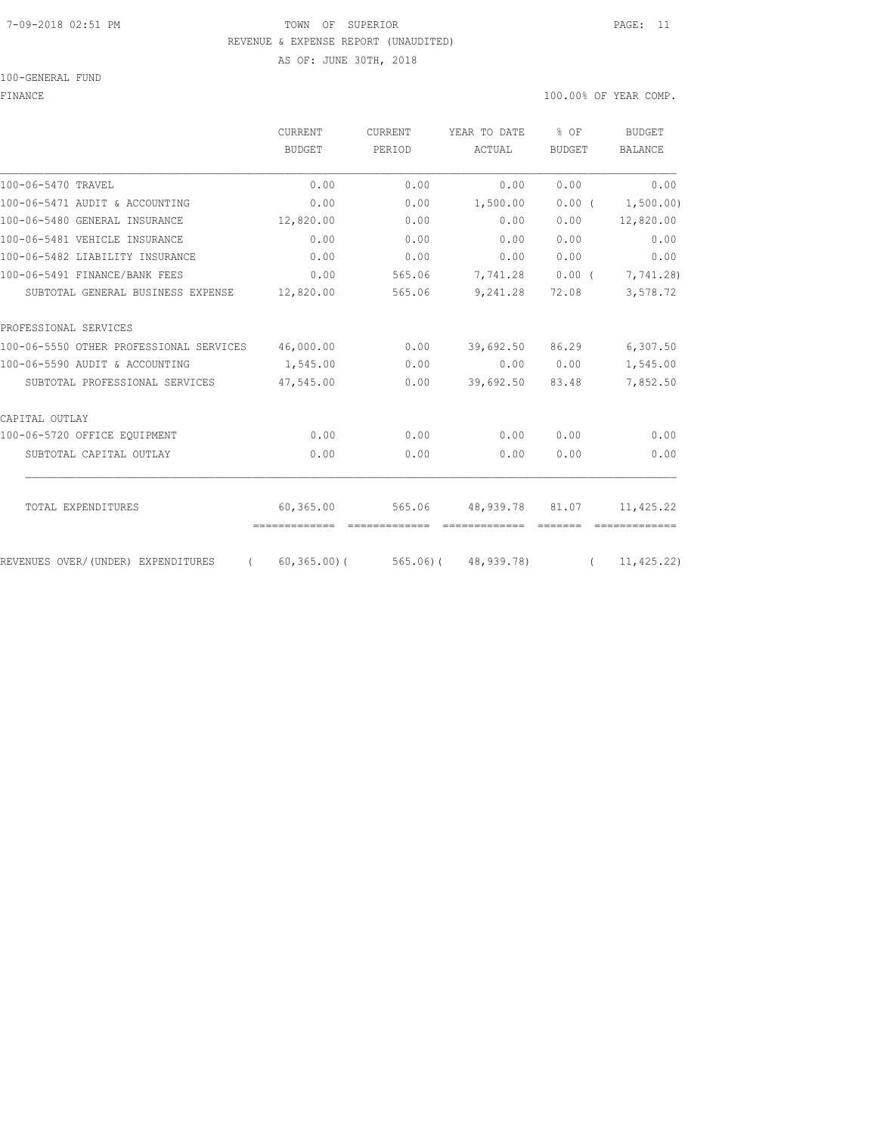#### 7-09-2018 02:51 PM TOWN OF SUPERIOR PAGE: 11 REVENUE & EXPENSE REPORT (UNAUDITED)

AS OF: JUNE 30TH, 2018

### 100-GENERAL FUND

# FINANCE 100.00% OF YEAR COMP.

|                                                  | <b>CURRENT</b>             | <b>CURRENT</b> | YEAR TO DATE                       | $%$ OF        | <b>BUDGET</b>  |
|--------------------------------------------------|----------------------------|----------------|------------------------------------|---------------|----------------|
|                                                  | <b>BUDGET</b>              | PERIOD         | ACTUAL                             | <b>BUDGET</b> | <b>BALANCE</b> |
| 100-06-5470 TRAVEL                               | 0.00                       | 0.00           | 0.00                               | 0.00          | 0.00           |
| 100-06-5471 AUDIT & ACCOUNTING                   | 0.00                       | 0.00           | 1,500.00                           | $0.00$ (      | 1,500.00)      |
| 100-06-5480 GENERAL INSURANCE                    | 12,820.00                  | 0.00           | 0.00                               | 0.00          | 12,820.00      |
| 100-06-5481 VEHICLE INSURANCE                    | 0.00                       | 0.00           | 0.00                               | 0.00          | 0.00           |
| 100-06-5482 LIABILITY INSURANCE                  | 0.00                       | 0.00           | 0.00                               | 0.00          | 0.00           |
| 100-06-5491 FINANCE/BANK FEES                    | 0.00                       | 565.06         | 7,741.28                           | $0.00$ (      | 7,741.28)      |
| SUBTOTAL GENERAL BUSINESS EXPENSE                | 12,820.00                  | 565.06         | 9,241.28                           | 72.08         | 3,578.72       |
| PROFESSIONAL SERVICES                            |                            |                |                                    |               |                |
| 100-06-5550 OTHER PROFESSIONAL SERVICES          | 46,000.00                  | 0.00           | 39,692.50                          | 86.29         | 6,307.50       |
| 100-06-5590 AUDIT & ACCOUNTING                   | 1,545.00                   | 0.00           | 0.00                               | 0.00          | 1,545.00       |
| SUBTOTAL PROFESSIONAL SERVICES                   | 47,545.00                  | 0.00           | 39,692.50                          | 83.48         | 7,852.50       |
| CAPITAL OUTLAY                                   |                            |                |                                    |               |                |
| 100-06-5720 OFFICE EOUIPMENT                     | 0.00                       | 0.00           | 0.00                               | 0.00          | 0.00           |
| SUBTOTAL CAPITAL OUTLAY                          | 0.00                       | 0.00           | 0.00                               | 0.00          | 0.00           |
|                                                  |                            |                |                                    |               |                |
| TOTAL EXPENDITURES                               | 60,365.00<br>============= | 565.06         | 48,939.78<br>=============         | 81.07         | 11,425.22      |
| REVENUES OVER/(UNDER) EXPENDITURES<br>$\sqrt{2}$ |                            |                | $60, 365, 00$ (565,06) (48,939,78) | $\sqrt{2}$    | 11, 425.22)    |
|                                                  |                            |                |                                    |               |                |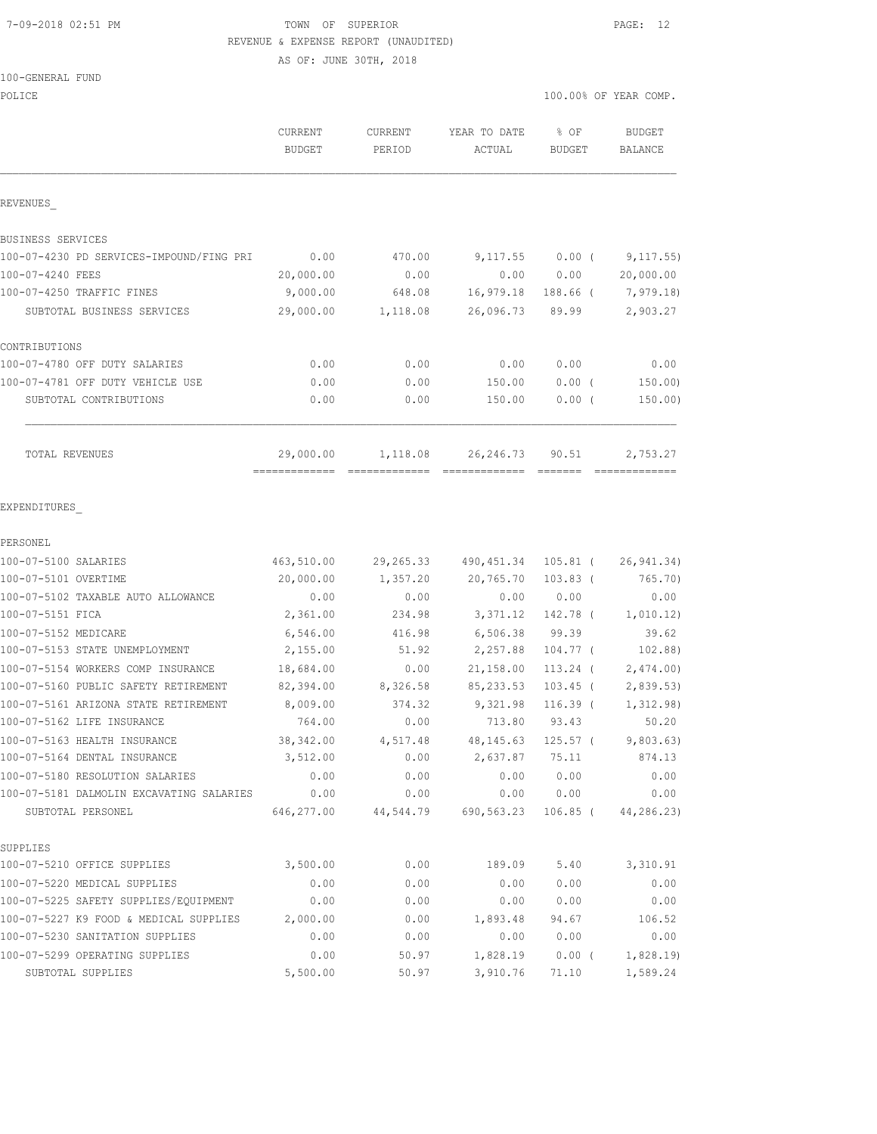# 7-09-2018 02:51 PM TOWN OF SUPERIOR PAGE: 12 REVENUE & EXPENSE REPORT (UNAUDITED)

AS OF: JUNE 30TH, 2018

#### 100-GENERAL FUND

| POLICE                                                 |                          |                   |                        |                       | 100.00% OF YEAR COMP.    |
|--------------------------------------------------------|--------------------------|-------------------|------------------------|-----------------------|--------------------------|
|                                                        | CURRENT<br><b>BUDGET</b> | CURRENT<br>PERIOD | YEAR TO DATE<br>ACTUAL | % OF<br><b>BUDGET</b> | <b>BUDGET</b><br>BALANCE |
| REVENUES                                               |                          |                   |                        |                       |                          |
| BUSINESS SERVICES                                      |                          |                   |                        |                       |                          |
| 100-07-4230 PD SERVICES-IMPOUND/FING PRI               | 0.00                     | 470.00            | 9,117.55               | $0.00$ (              | 9,117.55)                |
| 100-07-4240 FEES                                       | 20,000.00                | 0.00              | 0.00                   | 0.00                  | 20,000.00                |
| 100-07-4250 TRAFFIC FINES                              | 9,000.00                 | 648.08            | 16,979.18              |                       | 188.66 ( 7,979.18)       |
| SUBTOTAL BUSINESS SERVICES                             | 29,000.00                | 1,118.08          | 26,096.73              | 89.99                 | 2,903.27                 |
| CONTRIBUTIONS                                          |                          |                   |                        |                       |                          |
| 100-07-4780 OFF DUTY SALARIES                          | 0.00                     | 0.00              | 0.00                   | 0.00                  | 0.00                     |
| 100-07-4781 OFF DUTY VEHICLE USE                       | 0.00                     | 0.00              | 150.00                 | 0.00(                 | 150.00                   |
| SUBTOTAL CONTRIBUTIONS                                 | 0.00                     | 0.00              | 150.00                 | $0.00$ (              | 150.00)                  |
| TOTAL REVENUES                                         | 29,000.00                |                   | 1, 118.08 26, 246.73   | 90.51                 | 2,753.27                 |
|                                                        |                          |                   |                        |                       |                          |
| EXPENDITURES                                           |                          |                   |                        |                       |                          |
| PERSONEL                                               |                          |                   |                        |                       |                          |
| 100-07-5100 SALARIES                                   | 463,510.00               | 29,265.33         | 490,451.34             | 105.81 (              | 26, 941.34)              |
| 100-07-5101 OVERTIME                                   | 20,000.00                | 1,357.20          | 20,765.70              | $103.83$ (            | 765.70)                  |
| 100-07-5102 TAXABLE AUTO ALLOWANCE                     | 0.00                     | 0.00              | 0.00                   | 0.00                  | 0.00                     |
| 100-07-5151 FICA                                       | 2,361.00                 | 234.98            | 3,371.12               | 142.78 (              | 1,010.12)                |
| 100-07-5152 MEDICARE<br>100-07-5153 STATE UNEMPLOYMENT | 6,546.00                 | 416.98            | 6,506.38               | 99.39                 | 39.62                    |
|                                                        | 2,155.00                 | 51.92             | 2,257.88               | $104.77$ (            | 102.88)                  |
| 100-07-5154 WORKERS COMP INSURANCE                     | 18,684.00<br>82,394.00   | 0.00              | 21,158.00              | 113.24 (              | 2,474.00)                |
| 100-07-5160 PUBLIC SAFETY RETIREMENT                   |                          | 8,326.58          | 85, 233.53             | $103.45$ (            | 2,839.53)                |
| 100-07-5161 ARIZONA STATE RETIREMENT                   | 8,009.00                 | 374.32            | 9,321.98               | $116.39$ (            | 1, 312.98)               |
| 100-07-5162 LIFE INSURANCE                             | 764.00                   | 0.00              | 713.80                 | 93.43                 | 50.20                    |
| 100-07-5163 HEALTH INSURANCE                           | 38, 342.00               |                   | 4,517.48 48,145.63     |                       | $125.57$ ( $9,803.63$ )  |
| 100-07-5164 DENTAL INSURANCE                           | 3,512.00                 | 0.00              | 2,637.87               | 75.11                 | 874.13                   |
| 100-07-5180 RESOLUTION SALARIES                        | 0.00                     | 0.00              | 0.00                   | 0.00                  | 0.00                     |
| 100-07-5181 DALMOLIN EXCAVATING SALARIES               | 0.00                     | 0.00              | 0.00                   | 0.00                  | 0.00                     |
| SUBTOTAL PERSONEL                                      | 646,277.00               |                   | 44,544.79 690,563.23   | $106.85$ (            | 44,286.23)               |
| SUPPLIES                                               |                          |                   |                        |                       |                          |
| 100-07-5210 OFFICE SUPPLIES                            | 3,500.00                 | 0.00              | 189.09                 | 5.40                  | 3,310.91                 |
| 100-07-5220 MEDICAL SUPPLIES                           | 0.00                     | 0.00              | 0.00                   | 0.00                  | 0.00                     |
| 100-07-5225 SAFETY SUPPLIES/EQUIPMENT                  | 0.00                     | 0.00              | 0.00                   | 0.00                  | 0.00                     |
| 100-07-5227 K9 FOOD & MEDICAL SUPPLIES                 | 2,000.00                 | 0.00              | 1,893.48               | 94.67                 | 106.52                   |
| 100-07-5230 SANITATION SUPPLIES                        | 0.00                     | 0.00              | 0.00                   | 0.00                  | 0.00                     |
| 100-07-5299 OPERATING SUPPLIES                         | 0.00                     | 50.97             | 1,828.19               |                       | $0.00$ ( $1,828.19$ )    |

SUBTOTAL SUPPLIES 5,500.00 50.97 3,910.76 71.10 1,589.24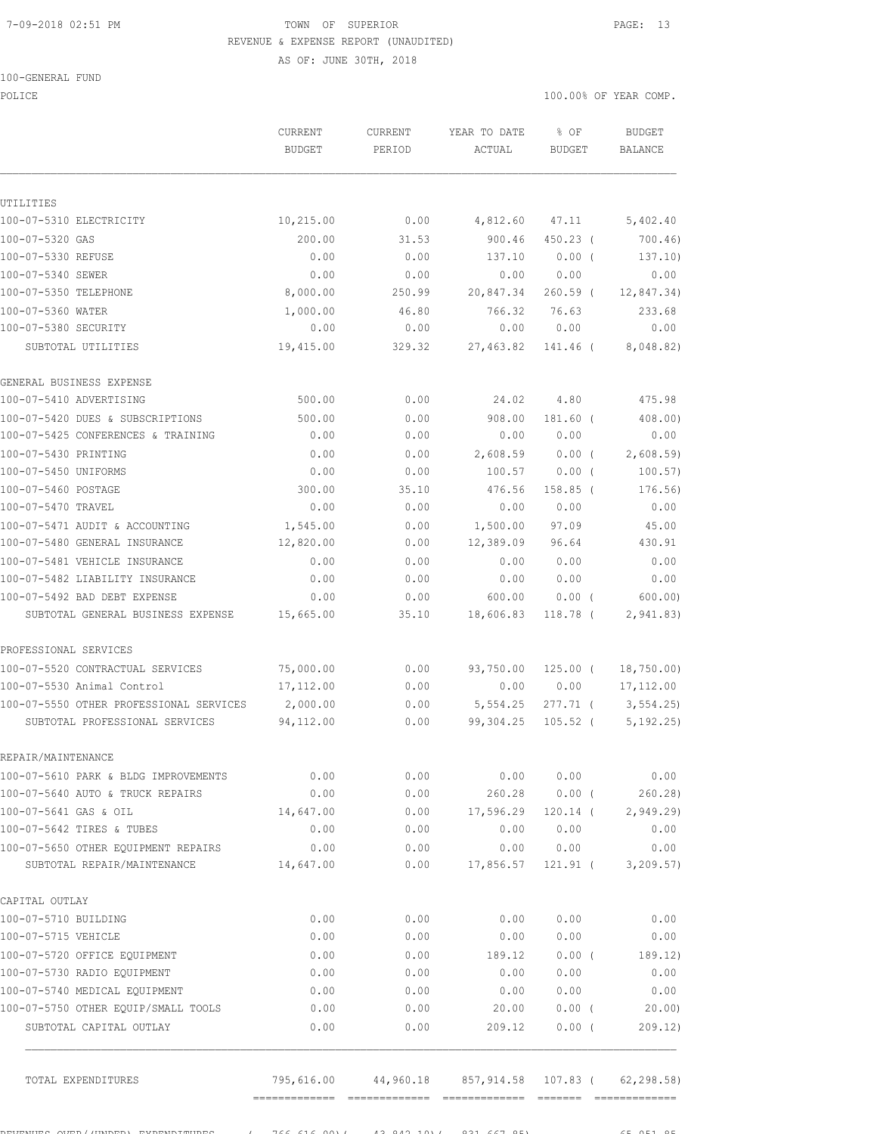# 7-09-2018 02:51 PM TOWN OF SUPERIOR PAGE: 13 REVENUE & EXPENSE REPORT (UNAUDITED)

AS OF: JUNE 30TH, 2018

#### 100-GENERAL FUND

POLICE THE RIGHT OF POLICE THE RIGHT OF STREET ON THE SERVICE OF STREET ONLY A SERVICE OF STREET ONLY A SERVICE

|                                            | CURRENT           | CURRENT        | YEAR TO DATE      | % OF             | <b>BUDGET</b>      |
|--------------------------------------------|-------------------|----------------|-------------------|------------------|--------------------|
|                                            | <b>BUDGET</b>     | PERIOD         | ACTUAL            | <b>BUDGET</b>    | <b>BALANCE</b>     |
|                                            |                   |                |                   |                  |                    |
| UTILITIES<br>100-07-5310 ELECTRICITY       | 10,215.00         | 0.00           | 4,812.60          | 47.11            | 5,402.40           |
| 100-07-5320 GAS                            | 200.00            | 31.53          | 900.46            | $450.23$ (       | 700.46)            |
| 100-07-5330 REFUSE                         | 0.00              | 0.00           | 137.10            | 0.00(            | 137.10)            |
|                                            |                   |                |                   |                  |                    |
| 100-07-5340 SEWER                          | 0.00<br>8,000.00  | 0.00<br>250.99 | 0.00              | 0.00             | 0.00               |
| 100-07-5350 TELEPHONE                      |                   |                | 20,847.34         | $260.59$ (       | 12,847.34)         |
| 100-07-5360 WATER                          | 1,000.00          | 46.80          | 766.32            | 76.63            | 233.68             |
| 100-07-5380 SECURITY<br>SUBTOTAL UTILITIES | 0.00<br>19,415.00 | 0.00<br>329.32 | 0.00<br>27,463.82 | 0.00<br>141.46 ( | 0.00<br>8,048.82)  |
|                                            |                   |                |                   |                  |                    |
| GENERAL BUSINESS EXPENSE                   |                   |                |                   |                  |                    |
| 100-07-5410 ADVERTISING                    | 500.00            | 0.00           | 24.02             | 4.80             | 475.98             |
| 100-07-5420 DUES & SUBSCRIPTIONS           | 500.00            | 0.00           | 908.00            | 181.60 (         | 408.00)            |
| 100-07-5425 CONFERENCES & TRAINING         | 0.00              | 0.00           | 0.00              | 0.00             | 0.00               |
| 100-07-5430 PRINTING                       | 0.00              | 0.00           | 2,608.59          | $0.00$ (         | 2,608.59           |
| 100-07-5450 UNIFORMS                       | 0.00              | 0.00           | 100.57            | 0.00(            | 100.57)            |
| 100-07-5460 POSTAGE                        | 300.00            | 35.10          | 476.56            | $158.85$ (       | 176.56)            |
| 100-07-5470 TRAVEL                         | 0.00              | 0.00           | 0.00              | 0.00             | 0.00               |
| 100-07-5471 AUDIT & ACCOUNTING             | 1,545.00          | 0.00           | 1,500.00          | 97.09            | 45.00              |
| 100-07-5480 GENERAL INSURANCE              | 12,820.00         | 0.00           | 12,389.09         | 96.64            | 430.91             |
| 100-07-5481 VEHICLE INSURANCE              | 0.00              | 0.00           | 0.00              | 0.00             | 0.00               |
| 100-07-5482 LIABILITY INSURANCE            | 0.00              | 0.00           | 0.00              | 0.00             | 0.00               |
| 100-07-5492 BAD DEBT EXPENSE               | 0.00              | 0.00           | 600.00            | $0.00$ (         | 600.00             |
| SUBTOTAL GENERAL BUSINESS EXPENSE          | 15,665.00         | 35.10          | 18,606.83         | 118.78 (         | 2,941.83)          |
| PROFESSIONAL SERVICES                      |                   |                |                   |                  |                    |
| 100-07-5520 CONTRACTUAL SERVICES           | 75,000.00         | 0.00           | 93,750.00         | $125.00$ (       | 18, 750.00         |
| 100-07-5530 Animal Control                 | 17,112.00         | 0.00           | 0.00              | 0.00             | 17, 112.00         |
| 100-07-5550 OTHER PROFESSIONAL SERVICES    | 2,000.00          | 0.00           | 5, 554.25         | $277.71$ (       | 3, 554.25          |
| SUBTOTAL PROFESSIONAL SERVICES             | 94,112.00         | 0.00           | 99,304.25         | $105.52$ (       | 5, 192.25)         |
| REPAIR/MAINTENANCE                         |                   |                |                   |                  |                    |
| 100-07-5610 PARK & BLDG IMPROVEMENTS       | 0.00              | 0.00           | 0.00              | 0.00             | 0.00               |
| 100-07-5640 AUTO & TRUCK REPAIRS           | 0.00              | 0.00           | 260.28            | $0.00$ (         | 260.28)            |
| 100-07-5641 GAS & OIL                      | 14,647.00         | 0.00           | 17,596.29         | 120.14 (         | 2,949.29           |
| 100-07-5642 TIRES & TUBES                  | 0.00              | 0.00           | 0.00              | 0.00             | 0.00               |
| 100-07-5650 OTHER EQUIPMENT REPAIRS        |                   | 0.00           |                   |                  |                    |
| SUBTOTAL REPAIR/MAINTENANCE                | 0.00<br>14,647.00 | 0.00           | 0.00<br>17,856.57 | 0.00<br>121.91 ( | 0.00<br>3, 209.57) |
|                                            |                   |                |                   |                  |                    |
| CAPITAL OUTLAY                             |                   |                |                   |                  |                    |
| 100-07-5710 BUILDING                       | 0.00              | 0.00           | 0.00              | 0.00             | 0.00               |
| 100-07-5715 VEHICLE                        | 0.00              | 0.00           | 0.00              | 0.00             | 0.00               |
| 100-07-5720 OFFICE EQUIPMENT               | 0.00              | 0.00           | 189.12            | $0.00$ (         | 189.12)            |
| 100-07-5730 RADIO EQUIPMENT                | 0.00              | 0.00           | 0.00              | 0.00             | 0.00               |
| 100-07-5740 MEDICAL EQUIPMENT              | 0.00              | 0.00           | 0.00              | 0.00             | 0.00               |
| 100-07-5750 OTHER EQUIP/SMALL TOOLS        | 0.00              | 0.00           | 20.00             | $0.00$ (         | 20.00              |
| SUBTOTAL CAPITAL OUTLAY                    | 0.00              | 0.00           | 209.12            | $0.00$ (         | 209.12)            |
|                                            | 795,616.00        | 44,960.18      | 857, 914.58       |                  | 62, 298.58)        |
| TOTAL EXPENDITURES                         |                   |                |                   | 107.83 (         |                    |

REVENUES OVER/(UNDER) EXPENDITURES ( 766,616.00)( 43,842.10)( 831,667.85) 65,051.85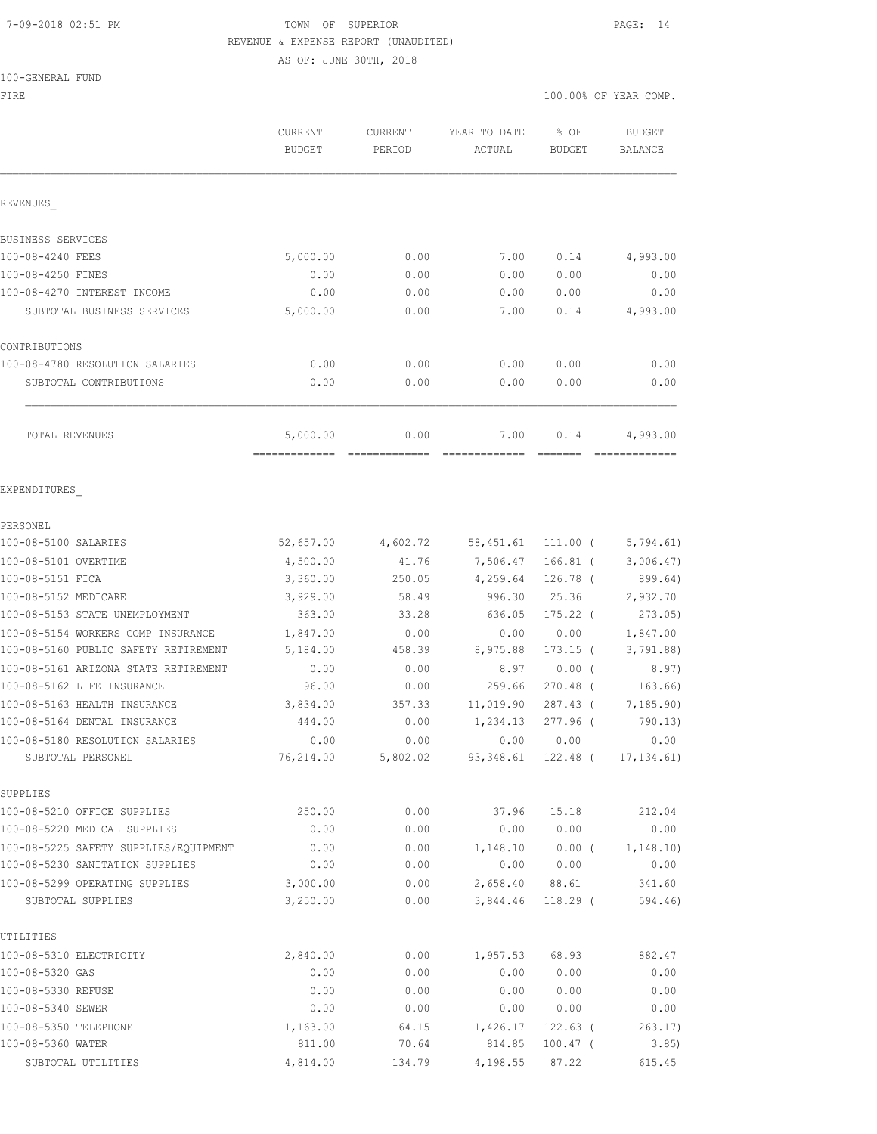# 7-09-2018 02:51 PM TOWN OF SUPERIOR PAGE: 14 REVENUE & EXPENSE REPORT (UNAUDITED) AS OF: JUNE 30TH, 2018

100-GENERAL FUND

FIRE THE SERIES AND THE SERIES OF THE SERIES OF THE SERIES OF THE SERIES OF THE SERIES OF THE SERIES OF THE SERIES OF THE SERIES OF THE SERIES OF THE SERIES OF THE SERIES OF THE SERIES OF THE SERIES OF THE SERIES OF THE SE

|                                                      | CURRENT<br><b>BUDGET</b>  | CURRENT<br>PERIOD | YEAR TO DATE<br>ACTUAL | % OF<br><b>BUDGET</b>      | <b>BUDGET</b><br>BALANCE |
|------------------------------------------------------|---------------------------|-------------------|------------------------|----------------------------|--------------------------|
| REVENUES                                             |                           |                   |                        |                            |                          |
| BUSINESS SERVICES                                    |                           |                   |                        |                            |                          |
| 100-08-4240 FEES                                     | 5,000.00                  | 0.00              | 7.00                   | 0.14                       | 4,993.00                 |
| 100-08-4250 FINES                                    | 0.00                      | 0.00              | 0.00                   | 0.00                       | 0.00                     |
| 100-08-4270 INTEREST INCOME                          | 0.00                      | 0.00              | 0.00                   | 0.00                       | 0.00                     |
| SUBTOTAL BUSINESS SERVICES                           | 5,000.00                  | 0.00              | 7.00                   | 0.14                       | 4,993.00                 |
| CONTRIBUTIONS                                        |                           |                   |                        |                            |                          |
| 100-08-4780 RESOLUTION SALARIES                      | 0.00                      | 0.00              | 0.00                   | 0.00                       | 0.00                     |
| SUBTOTAL CONTRIBUTIONS                               | 0.00                      | 0.00              | 0.00                   | 0.00                       | 0.00                     |
| TOTAL REVENUES                                       | 5,000.00<br>------------- | 0.00              | 7.00                   | 0.14                       | 4,993.00                 |
| EXPENDITURES                                         |                           |                   |                        |                            |                          |
| PERSONEL                                             |                           |                   |                        |                            |                          |
| 100-08-5100 SALARIES                                 | 52,657.00                 | 4,602.72          | 58,451.61              | 111.00 (                   | 5,794.61)                |
| 100-08-5101 OVERTIME                                 | 4,500.00                  | 41.76             | 7,506.47               | $166.81$ (                 | 3,006.47)                |
| 100-08-5151 FICA                                     | 3,360.00                  | 250.05            | 4,259.64               | 126.78 (                   | 899.64)                  |
| 100-08-5152 MEDICARE                                 | 3,929.00                  | 58.49             | 996.30                 | 25.36                      | 2,932.70                 |
| 100-08-5153 STATE UNEMPLOYMENT                       | 363.00                    | 33.28             | 636.05                 | $175.22$ (                 | 273.05                   |
| 100-08-5154 WORKERS COMP INSURANCE                   | 1,847.00                  | 0.00              | 0.00                   | 0.00                       | 1,847.00                 |
| 100-08-5160 PUBLIC SAFETY RETIREMENT                 | 5,184.00                  | 458.39            | 8,975.88               | $173.15$ (                 | 3,791.88)                |
| 100-08-5161 ARIZONA STATE RETIREMENT                 | 0.00                      | 0.00              | 8.97                   | $0.00$ (                   | 8.97)                    |
| 100-08-5162 LIFE INSURANCE                           | 96.00                     | 0.00              | 259.66                 | 270.48 (                   | 163.66)                  |
| 100-08-5163 HEALTH INSURANCE                         | 3,834.00                  | 357.33            | 11,019.90              | $287.43$ (                 | 7, 185.90)               |
| 100-08-5164 DENTAL INSURANCE                         | 444.00                    | 0.00              | 1,234.13               | $277.96$ (                 | 790.13)                  |
| 100-08-5180 RESOLUTION SALARIES<br>SUBTOTAL PERSONEL | 0.00<br>76,214.00         | 0.00<br>5,802.02  | 0.00                   | 0.00<br>93,348.61 122.48 ( | 0.00<br>17, 134.61)      |
| SUPPLIES                                             |                           |                   |                        |                            |                          |
| 100-08-5210 OFFICE SUPPLIES                          | 250.00                    | 0.00              | 37.96                  | 15.18                      | 212.04                   |
| 100-08-5220 MEDICAL SUPPLIES                         | 0.00                      | 0.00              | 0.00                   | 0.00                       | 0.00                     |
| 100-08-5225 SAFETY SUPPLIES/EOUIPMENT                | 0.00                      | 0.00              | 1,148.10               | $0.00$ (                   | 1,148.10)                |
| 100-08-5230 SANITATION SUPPLIES                      | 0.00                      | 0.00              | 0.00                   | 0.00                       | 0.00                     |
| 100-08-5299 OPERATING SUPPLIES                       | 3,000.00                  | 0.00              |                        | 2,658.40 88.61             | 341.60                   |
| SUBTOTAL SUPPLIES                                    | 3,250.00                  | 0.00              | 3,844.46               | 118.29 (                   | 594.46)                  |
| UTILITIES                                            |                           |                   |                        |                            |                          |
| 100-08-5310 ELECTRICITY                              | 2,840.00                  | 0.00              | 1,957.53               | 68.93                      | 882.47                   |
| 100-08-5320 GAS                                      | 0.00                      | 0.00              | 0.00                   | 0.00                       | 0.00                     |
| 100-08-5330 REFUSE                                   | 0.00                      | 0.00              | 0.00                   | 0.00                       | 0.00                     |
| 100-08-5340 SEWER                                    | 0.00                      | 0.00              | 0.00                   | 0.00                       | 0.00                     |
| 100-08-5350 TELEPHONE                                | 1,163.00                  | 64.15             | 1,426.17               | $122.63$ (                 | 263.17)                  |
| 100-08-5360 WATER                                    | 811.00                    | 70.64             | 814.85                 | $100.47$ (                 | 3.85)                    |
| SUBTOTAL UTILITIES                                   | 4,814.00                  | 134.79            | 4,198.55               | 87.22                      | 615.45                   |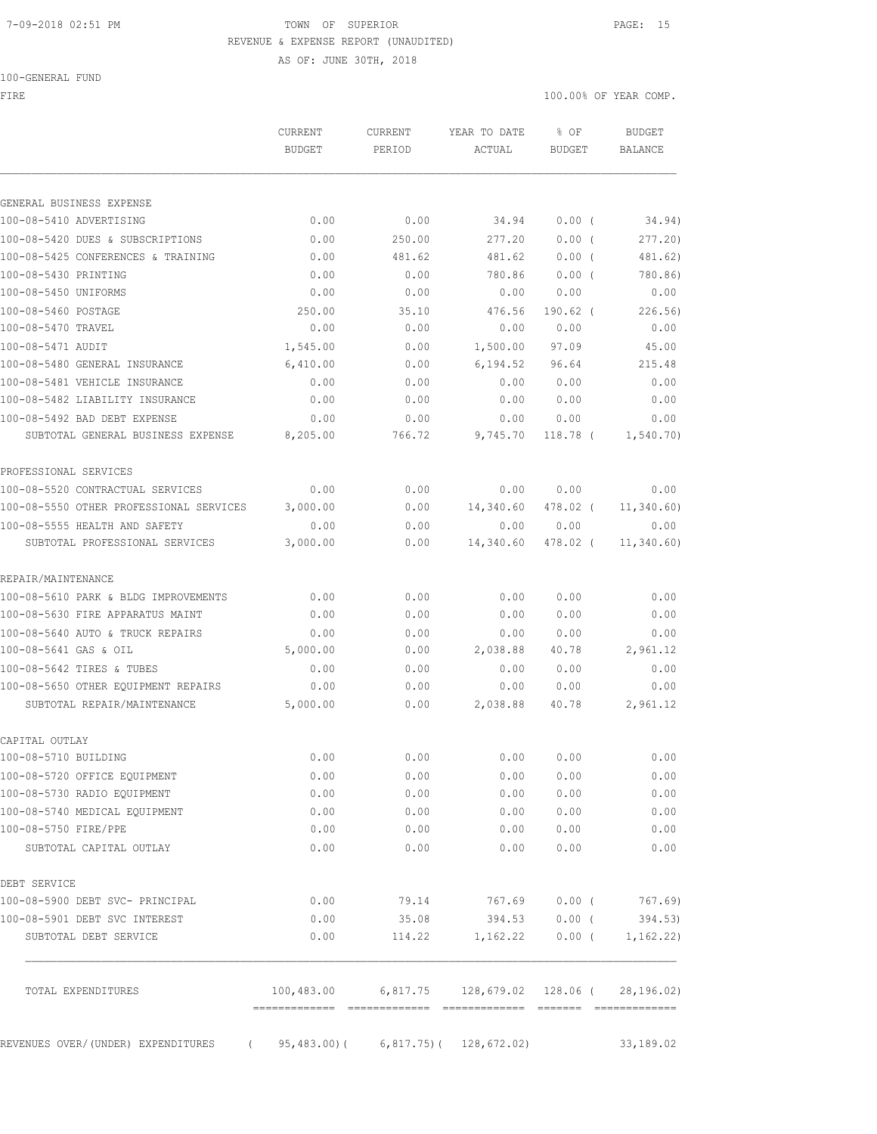#### 7-09-2018 02:51 PM TOWN OF SUPERIOR PAGE: 15 REVENUE & EXPENSE REPORT (UNAUDITED)

AS OF: JUNE 30TH, 2018

|  | 100-GENERAL FUND |  |
|--|------------------|--|
|  |                  |  |

FIRE THE SERIES AND THE SERIES OF THE SERIES OF THE SERIES OF THE SERIES OF THE SERIES OF THE SERIES OF THE SERIES OF THE SERIES OF THE SERIES OF THE SERIES OF THE SERIES OF THE SERIES OF THE SERIES OF THE SERIES OF THE SE

|                                                                   | <b>CURRENT</b><br><b>BUDGET</b>        | <b>CURRENT</b><br>PERIOD | YEAR TO DATE<br>ACTUAL       | % OF<br><b>BUDGET</b> | <b>BUDGET</b><br><b>BALANCE</b> |
|-------------------------------------------------------------------|----------------------------------------|--------------------------|------------------------------|-----------------------|---------------------------------|
|                                                                   |                                        |                          |                              |                       |                                 |
| GENERAL BUSINESS EXPENSE                                          |                                        |                          |                              |                       |                                 |
| 100-08-5410 ADVERTISING                                           | 0.00                                   | 0.00                     | 34.94                        | 0.00(                 | 34.94)                          |
| 100-08-5420 DUES & SUBSCRIPTIONS                                  | 0.00                                   | 250.00<br>481.62         | 277.20<br>481.62             | 0.00(                 | 277.20                          |
| 100-08-5425 CONFERENCES & TRAINING                                | 0.00                                   |                          |                              | 0.00(                 | 481.62)                         |
| 100-08-5430 PRINTING<br>100-08-5450 UNIFORMS                      | 0.00                                   | 0.00                     | 780.86                       | $0.00$ (<br>0.00      | 780.86)                         |
|                                                                   | 0.00                                   | 0.00                     | 0.00                         |                       | 0.00                            |
| 100-08-5460 POSTAGE<br>100-08-5470 TRAVEL                         | 250.00<br>0.00                         | 35.10<br>0.00            | 476.56<br>0.00               | $190.62$ (<br>0.00    | 226.56)<br>0.00                 |
|                                                                   |                                        |                          |                              |                       |                                 |
| 100-08-5471 AUDIT<br>100-08-5480 GENERAL INSURANCE                | 1,545.00<br>6,410.00                   | 0.00                     | 1,500.00<br>6,194.52         | 97.09<br>96.64        | 45.00<br>215.48                 |
|                                                                   |                                        | 0.00                     |                              |                       |                                 |
| 100-08-5481 VEHICLE INSURANCE                                     | 0.00                                   | 0.00                     | 0.00                         | 0.00                  | 0.00                            |
| 100-08-5482 LIABILITY INSURANCE                                   | 0.00                                   | 0.00                     | 0.00                         | 0.00                  | 0.00                            |
| 100-08-5492 BAD DEBT EXPENSE<br>SUBTOTAL GENERAL BUSINESS EXPENSE | 0.00<br>8,205.00                       | 0.00<br>766.72           | 0.00<br>9,745.70             | 0.00<br>$118.78$ (    | 0.00<br>1, 540.70)              |
| PROFESSIONAL SERVICES                                             |                                        |                          |                              |                       |                                 |
| 100-08-5520 CONTRACTUAL SERVICES                                  | 0.00                                   | 0.00                     | 0.00                         | 0.00                  | 0.00                            |
| 100-08-5550 OTHER PROFESSIONAL SERVICES                           | 3,000.00                               | 0.00                     | 14,340.60                    | 478.02 (              | 11, 340.60)                     |
| 100-08-5555 HEALTH AND SAFETY                                     | 0.00                                   | 0.00                     | 0.00                         | 0.00                  | 0.00                            |
| SUBTOTAL PROFESSIONAL SERVICES                                    | 3,000.00                               | 0.00                     | 14,340.60                    | 478.02 (              | 11, 340.60)                     |
| REPAIR/MAINTENANCE                                                |                                        |                          |                              |                       |                                 |
| 100-08-5610 PARK & BLDG IMPROVEMENTS                              | 0.00                                   | 0.00                     | 0.00                         | 0.00                  | 0.00                            |
| 100-08-5630 FIRE APPARATUS MAINT                                  | 0.00                                   | 0.00                     | 0.00                         | 0.00                  | 0.00                            |
| 100-08-5640 AUTO & TRUCK REPAIRS                                  | 0.00                                   | 0.00                     | 0.00                         | 0.00                  | 0.00                            |
| 100-08-5641 GAS & OIL                                             | 5,000.00                               | 0.00                     | 2,038.88                     | 40.78                 | 2,961.12                        |
| 100-08-5642 TIRES & TUBES                                         | 0.00                                   | 0.00                     | 0.00                         | 0.00                  | 0.00                            |
| 100-08-5650 OTHER EQUIPMENT REPAIRS                               | 0.00                                   | 0.00                     | 0.00                         | 0.00                  | 0.00                            |
| SUBTOTAL REPAIR/MAINTENANCE                                       | 5,000.00                               | 0.00                     | 2,038.88                     | 40.78                 | 2,961.12                        |
| CAPITAL OUTLAY                                                    |                                        |                          |                              |                       |                                 |
| 100-08-5710 BUILDING                                              | 0.00                                   | 0.00                     | 0.00                         | 0.00                  | 0.00                            |
| 100-08-5720 OFFICE EQUIPMENT                                      | 0.00                                   | 0.00                     | 0.00                         | 0.00                  | 0.00                            |
| 100-08-5730 RADIO EQUIPMENT                                       | 0.00                                   | 0.00                     | 0.00                         | 0.00                  | 0.00                            |
| 100-08-5740 MEDICAL EQUIPMENT                                     | 0.00                                   | 0.00                     | 0.00                         | 0.00                  | 0.00                            |
| 100-08-5750 FIRE/PPE                                              | 0.00                                   | 0.00                     | 0.00                         | 0.00                  | 0.00                            |
| SUBTOTAL CAPITAL OUTLAY                                           | 0.00                                   | 0.00                     | 0.00                         | 0.00                  | 0.00                            |
| DEBT SERVICE                                                      |                                        |                          |                              |                       |                                 |
| 100-08-5900 DEBT SVC- PRINCIPAL                                   | 0.00                                   | 79.14                    | 767.69                       | $0.00$ (              | 767.69)                         |
| 100-08-5901 DEBT SVC INTEREST                                     | 0.00                                   | 35.08                    | 394.53                       | $0.00$ (              | 394.53)                         |
| SUBTOTAL DEBT SERVICE                                             | 0.00                                   | 114.22                   | 1,162.22                     | $0.00$ (              | 1, 162.22)                      |
| TOTAL EXPENDITURES                                                | 100,483.00                             |                          | 6,817.75 128,679.02 128.06 ( |                       | 28, 196.02)                     |
|                                                                   |                                        |                          |                              |                       |                                 |
| REVENUES OVER/(UNDER) EXPENDITURES                                | $($ 95,483.00)( 6,817.75)( 128,672.02) |                          |                              |                       | 33, 189.02                      |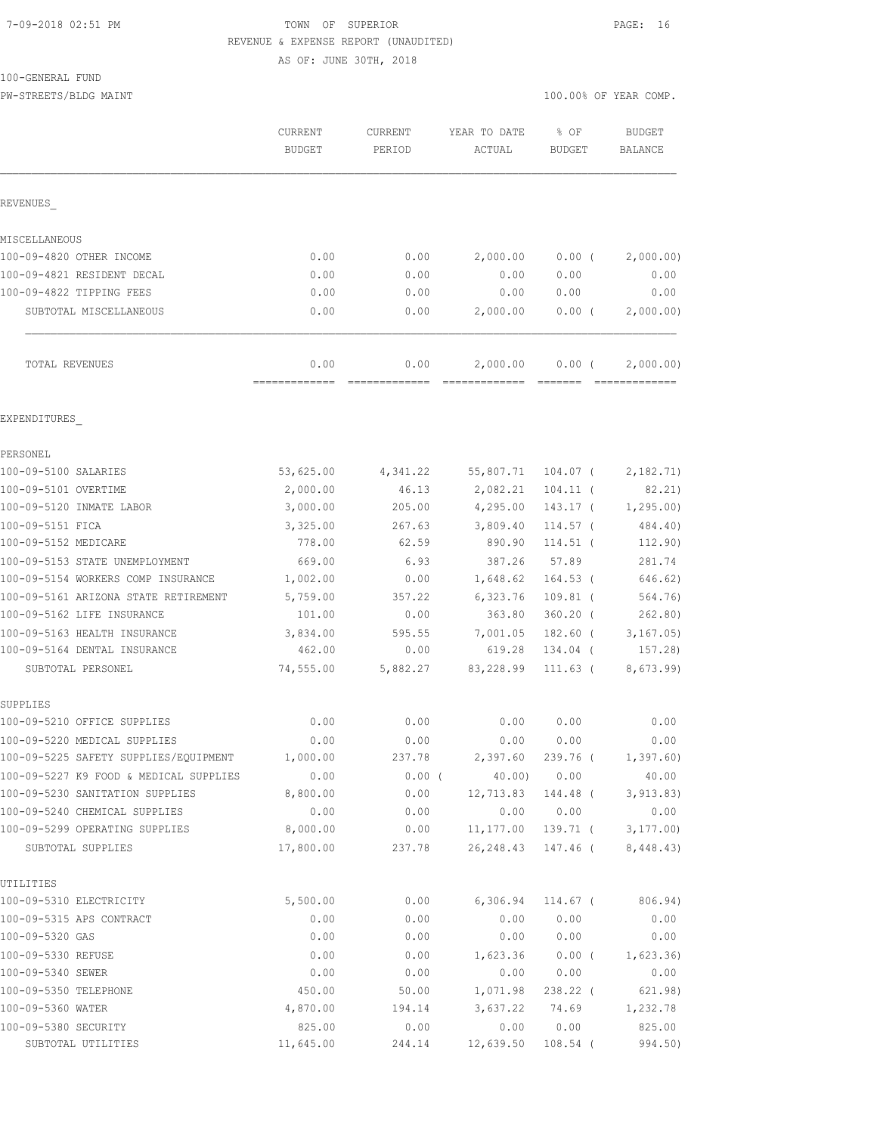#### 7-09-2018 02:51 PM TOWN OF SUPERIOR PAGE: 16 REVENUE & EXPENSE REPORT (UNAUDITED)

AS OF: JUNE 30TH, 2018

100-GENERAL FUND

PW-STREETS/BLDG MAINT 100.00% OF YEAR COMP.

|                                                                                 | CURRENT<br><b>BUDGET</b> | CURRENT<br>PERIOD | YEAR TO DATE<br>ACTUAL    | % OF<br>BUDGET | <b>BUDGET</b><br>BALANCE |
|---------------------------------------------------------------------------------|--------------------------|-------------------|---------------------------|----------------|--------------------------|
| REVENUES                                                                        |                          |                   |                           |                |                          |
| MISCELLANEOUS                                                                   |                          |                   |                           |                |                          |
| 100-09-4820 OTHER INCOME                                                        | 0.00                     | 0.00              | 2,000.00                  | $0.00$ (       | 2,000.00)                |
| 100-09-4821 RESIDENT DECAL                                                      | 0.00                     | 0.00              | 0.00                      | 0.00           | 0.00                     |
| 100-09-4822 TIPPING FEES                                                        | 0.00                     | 0.00              | 0.00                      | 0.00           | 0.00                     |
| SUBTOTAL MISCELLANEOUS                                                          | 0.00                     | 0.00              | 2,000.00                  | 0.00(          | 2,000.00)                |
| TOTAL REVENUES                                                                  | 0.00<br>=============    | 0.00<br>========= | 2,000.00                  | $0.00$ (       | 2,000.00)                |
| EXPENDITURES                                                                    |                          |                   |                           |                |                          |
| PERSONEL                                                                        |                          |                   |                           |                |                          |
| 100-09-5100 SALARIES                                                            | 53,625.00                | 4,341.22          | 55,807.71                 | $104.07$ (     | 2,182.71)                |
| 100-09-5101 OVERTIME                                                            | 2,000.00                 | 46.13             | 2,082.21                  | $104.11$ (     | 82.21)                   |
| 100-09-5120 INMATE LABOR                                                        | 3,000.00                 | 205.00            | 4,295.00                  | $143.17$ (     | 1, 295.00                |
| 100-09-5151 FICA                                                                | 3,325.00                 | 267.63            | 3,809.40                  | 114.57 (       | 484.40)                  |
| 100-09-5152 MEDICARE                                                            | 778.00                   | 62.59             | 890.90                    | $114.51$ (     | 112.90)                  |
| 100-09-5153 STATE UNEMPLOYMENT                                                  | 669.00                   | 6.93              | 387.26                    | 57.89          | 281.74                   |
| 100-09-5154 WORKERS COMP INSURANCE                                              | 1,002.00                 | 0.00              | 1,648.62                  | 164.53 (       | 646.62)                  |
| 100-09-5161 ARIZONA STATE RETIREMENT                                            | 5,759.00                 | 357.22            | 6,323.76                  | $109.81$ (     | 564.76)                  |
| 100-09-5162 LIFE INSURANCE                                                      | 101.00                   | 0.00              | 363.80                    | $360.20$ (     | 262.80)                  |
| 100-09-5163 HEALTH INSURANCE                                                    | 3,834.00                 | 595.55            | 7,001.05                  | $182.60$ (     | 3, 167.05)               |
| 100-09-5164 DENTAL INSURANCE                                                    | 462.00                   | 0.00              | 619.28                    | 134.04 (       | 157.28)                  |
| SUBTOTAL PERSONEL                                                               | 74,555.00                | 5,882.27          | 83,228.99                 | $111.63$ (     | 8,673.99)                |
| SUPPLIES                                                                        |                          |                   |                           |                |                          |
| 100-09-5210 OFFICE SUPPLIES                                                     | 0.00                     | 0.00              | 0.00                      | 0.00           | 0.00                     |
| 100-09-5220 MEDICAL SUPPLIES                                                    | 0.00                     | 0.00<br>237.78    | 0.00<br>2,397.60 239.76 ( | 0.00           | 0.00                     |
| 100-09-5225 SAFETY SUPPLIES/EQUIPMENT<br>100-09-5227 K9 FOOD & MEDICAL SUPPLIES | 1,000.00<br>0.00         | $0.00$ (          | 40.00)                    | 0.00           | 1,397.60)<br>40.00       |
| 100-09-5230 SANITATION SUPPLIES                                                 | 8,800.00                 | 0.00              | 12,713.83                 | 144.48 (       | 3, 913.83)               |
| 100-09-5240 CHEMICAL SUPPLIES                                                   | 0.00                     | 0.00              | 0.00                      | 0.00           | 0.00                     |
| 100-09-5299 OPERATING SUPPLIES                                                  | 8,000.00                 | 0.00              | 11,177.00                 | 139.71 (       | 3, 177.00                |
| SUBTOTAL SUPPLIES                                                               | 17,800.00                | 237.78            | 26, 248.43                | 147.46 (       | 8,448.43)                |
| UTILITIES                                                                       |                          |                   |                           |                |                          |
| 100-09-5310 ELECTRICITY                                                         | 5,500.00                 | 0.00              | 6,306.94                  | 114.67 (       | 806.94)                  |
| 100-09-5315 APS CONTRACT                                                        | 0.00                     | 0.00              | 0.00                      | 0.00           | 0.00                     |
| 100-09-5320 GAS                                                                 | 0.00                     | 0.00              | 0.00                      | 0.00           | 0.00                     |
| 100-09-5330 REFUSE                                                              | 0.00                     | 0.00              | 1,623.36                  | $0.00$ (       | 1,623.36                 |
| 100-09-5340 SEWER                                                               | 0.00                     | 0.00              | 0.00                      | 0.00           | 0.00                     |
| 100-09-5350 TELEPHONE                                                           | 450.00                   | 50.00             | 1,071.98                  | 238.22 (       | 621.98)                  |
| 100-09-5360 WATER                                                               | 4,870.00                 | 194.14            | 3,637.22                  | 74.69          | 1,232.78                 |
| 100-09-5380 SECURITY                                                            | 825.00                   | 0.00              | 0.00                      | 0.00           | 825.00                   |
| SUBTOTAL UTILITIES                                                              | 11,645.00                | 244.14            | 12,639.50                 | $108.54$ (     | 994.50)                  |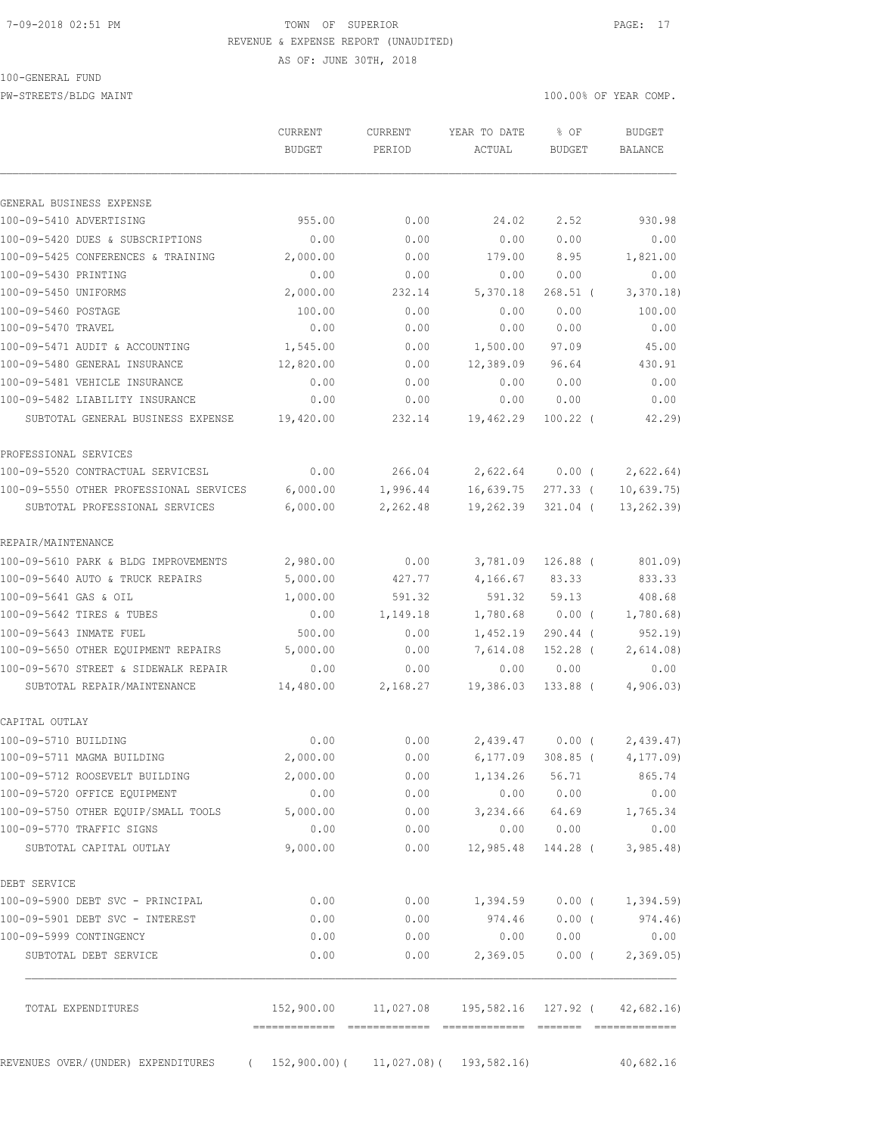# 7-09-2018 02:51 PM TOWN OF SUPERIOR PAGE: 17 REVENUE & EXPENSE REPORT (UNAUDITED)

AS OF: JUNE 30TH, 2018

100-GENERAL FUND

PW-STREETS/BLDG MAINT 100.00% OF YEAR COMP.

|                                         | <b>CURRENT</b><br><b>BUDGET</b>       | CURRENT<br>PERIOD                                             | YEAR TO DATE<br>ACTUAL | % OF<br><b>BUDGET</b> | <b>BUDGET</b><br>BALANCE    |
|-----------------------------------------|---------------------------------------|---------------------------------------------------------------|------------------------|-----------------------|-----------------------------|
| GENERAL BUSINESS EXPENSE                |                                       |                                                               |                        |                       |                             |
| 100-09-5410 ADVERTISING                 | 955.00                                | 0.00                                                          | 24.02                  | 2.52                  | 930.98                      |
| 100-09-5420 DUES & SUBSCRIPTIONS        | 0.00                                  | 0.00                                                          | 0.00                   | 0.00                  | 0.00                        |
| 100-09-5425 CONFERENCES & TRAINING      | 2,000.00                              | 0.00                                                          | 179.00                 | 8.95                  | 1,821.00                    |
| 100-09-5430 PRINTING                    | 0.00                                  | 0.00                                                          | 0.00                   | 0.00                  | 0.00                        |
| 100-09-5450 UNIFORMS                    | 2,000.00                              | 232.14                                                        | 5,370.18               | $268.51$ (            | 3,370.18                    |
| 100-09-5460 POSTAGE                     | 100.00                                | 0.00                                                          | 0.00                   | 0.00                  | 100.00                      |
| 100-09-5470 TRAVEL                      | 0.00                                  | 0.00                                                          | 0.00                   | 0.00                  | 0.00                        |
| 100-09-5471 AUDIT & ACCOUNTING          | 1,545.00                              | 0.00                                                          | 1,500.00               | 97.09                 | 45.00                       |
| 100-09-5480 GENERAL INSURANCE           | 12,820.00                             | 0.00                                                          | 12,389.09              | 96.64                 | 430.91                      |
| 100-09-5481 VEHICLE INSURANCE           | 0.00                                  | 0.00                                                          | 0.00                   | 0.00                  | 0.00                        |
| 100-09-5482 LIABILITY INSURANCE         | 0.00                                  | 0.00                                                          | 0.00                   | 0.00                  | 0.00                        |
| SUBTOTAL GENERAL BUSINESS EXPENSE       | 19,420.00                             | 232.14                                                        | 19,462.29              | $100.22$ (            | 42.29                       |
| PROFESSIONAL SERVICES                   |                                       |                                                               |                        |                       |                             |
| 100-09-5520 CONTRACTUAL SERVICESL       | 0.00                                  | 266.04                                                        | 2,622.64 0.00 (        |                       | 2,622.64)                   |
| 100-09-5550 OTHER PROFESSIONAL SERVICES | 6,000.00                              | 1,996.44                                                      | 16,639.75              | 277.33 (              | 10,639.75                   |
| SUBTOTAL PROFESSIONAL SERVICES          | 6,000.00                              | 2,262.48                                                      | 19,262.39              | 321.04 (              | 13, 262.39                  |
| REPAIR/MAINTENANCE                      |                                       |                                                               |                        |                       |                             |
| 100-09-5610 PARK & BLDG IMPROVEMENTS    | 2,980.00                              | 0.00                                                          | 3,781.09               | $126.88$ (            | 801.09)                     |
| 100-09-5640 AUTO & TRUCK REPAIRS        | 5,000.00                              | 427.77                                                        | 4,166.67               | 83.33                 | 833.33                      |
| 100-09-5641 GAS & OIL                   | 1,000.00                              | 591.32                                                        | 591.32                 | 59.13                 | 408.68                      |
| 100-09-5642 TIRES & TUBES               | 0.00                                  | 1,149.18                                                      | 1,780.68               | $0.00$ (              | 1,780.68                    |
| 100-09-5643 INMATE FUEL                 | 500.00                                | 0.00                                                          | 1,452.19               | 290.44 (              | 952.19)                     |
| 100-09-5650 OTHER EQUIPMENT REPAIRS     | 5,000.00                              | 0.00                                                          | 7,614.08               | $152.28$ (            | 2,614.08)                   |
| 100-09-5670 STREET & SIDEWALK REPAIR    | 0.00                                  | 0.00                                                          | 0.00                   | 0.00                  | 0.00                        |
| SUBTOTAL REPAIR/MAINTENANCE             | 14,480.00                             | 2,168.27                                                      | 19,386.03              | 133.88 (              | 4,906.03                    |
| CAPITAL OUTLAY                          |                                       |                                                               |                        |                       |                             |
| 100-09-5710 BUILDING                    | 0.00                                  | 0.00                                                          | 2,439.47               | $0.00$ (              | 2,439.47                    |
| 100-09-5711 MAGMA BUILDING              | 2,000.00                              | 0.00                                                          |                        | 6,177.09 308.85 (     | 4, 177.09                   |
| 100-09-5712 ROOSEVELT BUILDING          | 2,000.00                              | 0.00                                                          | 1, 134. 26 56. 71      |                       | 865.74                      |
| 100-09-5720 OFFICE EQUIPMENT            | 0.00                                  | 0.00                                                          |                        | 0.00 0.00             | 0.00                        |
| 100-09-5750 OTHER EQUIP/SMALL TOOLS     | 5,000.00                              | 0.00                                                          | 3,234.66 64.69         |                       | 1,765.34                    |
| 100-09-5770 TRAFFIC SIGNS               | 0.00                                  | 0.00                                                          | 0.00                   | 0.00                  | 0.00                        |
| SUBTOTAL CAPITAL OUTLAY                 | 9,000.00                              | 0.00                                                          | 12,985.48              |                       | $144.28$ ( 3,985.48)        |
| DEBT SERVICE                            |                                       |                                                               |                        |                       |                             |
| 100-09-5900 DEBT SVC - PRINCIPAL        | 0.00                                  | 0.00                                                          |                        |                       | $1,394.59$ 0.00 ( 1,394.59) |
| 100-09-5901 DEBT SVC - INTEREST         | 0.00                                  | 0.00                                                          | 974.46                 | $0.00$ (              | 974.46)                     |
| 100-09-5999 CONTINGENCY                 | 0.00                                  | 0.00                                                          | 0.00                   | 0.00                  | 0.00                        |
| SUBTOTAL DEBT SERVICE                   | 0.00                                  | 0.00                                                          | 2,369.05               |                       | $0.00$ ( 2,369.05)          |
| TOTAL EXPENDITURES                      |                                       | 152,900.00   11,027.08   195,582.16   127.92   (   42,682.16) |                        |                       |                             |
| REVENUES OVER/(UNDER) EXPENDITURES      | (152,900.00) (11,027.08) (193,582.16) |                                                               |                        |                       | 40,682.16                   |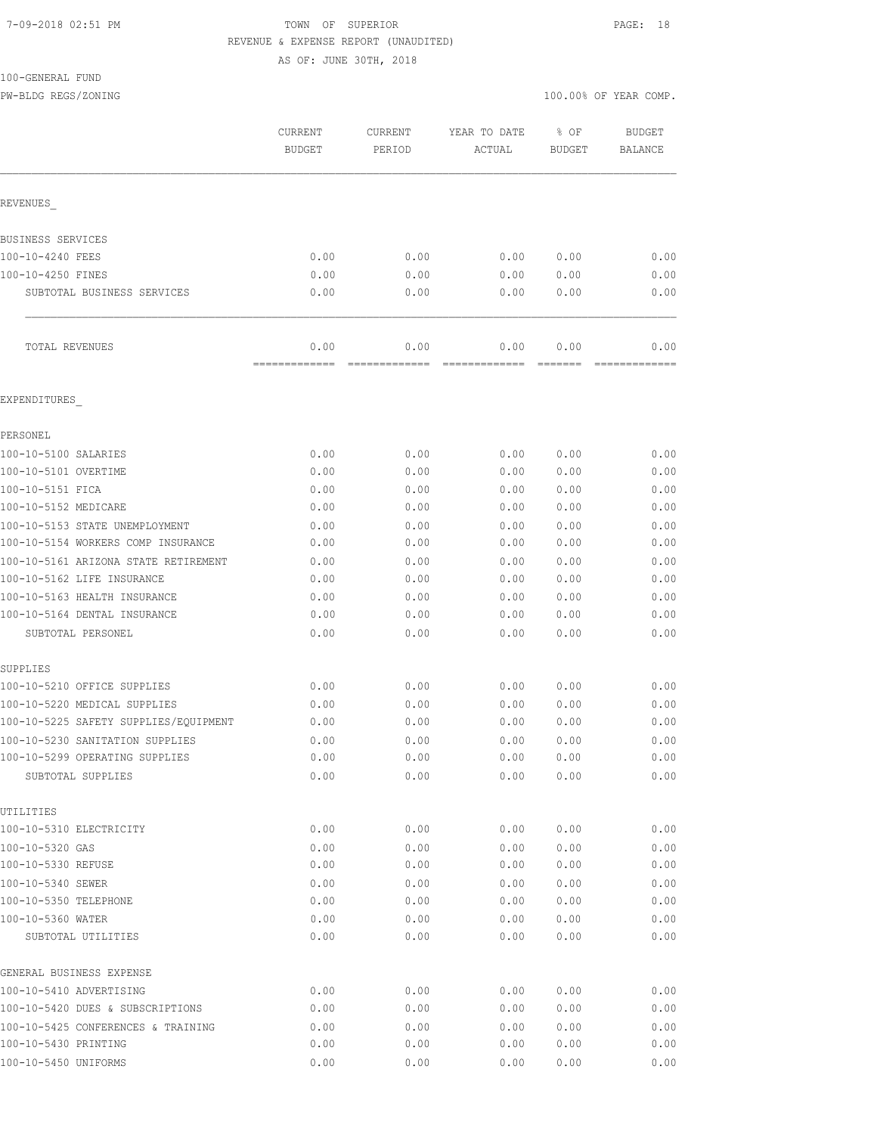#### 7-09-2018 02:51 PM TOWN OF SUPERIOR PAGE: 18 REVENUE & EXPENSE REPORT (UNAUDITED)

AS OF: JUNE 30TH, 2018

100-GENERAL FUND

PW-BLDG REGS/ZONING 100.00% OF YEAR COMP.

|                                                     | CURRENT<br><b>BUDGET</b> | CURRENT<br>PERIOD     | YEAR TO DATE<br>ACTUAL | % OF<br><b>BUDGET</b> | <b>BUDGET</b><br><b>BALANCE</b> |
|-----------------------------------------------------|--------------------------|-----------------------|------------------------|-----------------------|---------------------------------|
| REVENUES                                            |                          |                       |                        |                       |                                 |
| BUSINESS SERVICES                                   |                          |                       |                        |                       |                                 |
| 100-10-4240 FEES                                    | 0.00                     | 0.00                  | 0.00                   | 0.00                  | 0.00                            |
| 100-10-4250 FINES                                   | 0.00                     | 0.00                  | 0.00                   | 0.00                  | 0.00                            |
| SUBTOTAL BUSINESS SERVICES                          | 0.00                     | 0.00                  | 0.00                   | 0.00                  | 0.00                            |
| TOTAL REVENUES                                      | 0.00<br>=============    | 0.00<br>============= | 0.00<br>=============  | 0.00                  | 0.00<br>=============           |
| EXPENDITURES                                        |                          |                       |                        |                       |                                 |
| PERSONEL                                            |                          |                       |                        |                       |                                 |
| 100-10-5100 SALARIES                                | 0.00                     | 0.00                  | 0.00                   | 0.00                  | 0.00                            |
| 100-10-5101 OVERTIME                                | 0.00                     | 0.00                  | 0.00                   | 0.00                  | 0.00                            |
| 100-10-5151 FICA                                    | 0.00                     | 0.00                  | 0.00                   | 0.00                  | 0.00                            |
| 100-10-5152 MEDICARE                                | 0.00                     | 0.00                  | 0.00                   | 0.00                  | 0.00                            |
| 100-10-5153 STATE UNEMPLOYMENT                      | 0.00                     | 0.00                  | 0.00                   | 0.00                  | 0.00                            |
| 100-10-5154 WORKERS COMP INSURANCE                  | 0.00                     | 0.00                  | 0.00                   | 0.00                  | 0.00                            |
| 100-10-5161 ARIZONA STATE RETIREMENT                | 0.00                     | 0.00                  | 0.00                   | 0.00                  | 0.00                            |
| 100-10-5162 LIFE INSURANCE                          | 0.00                     | 0.00                  | 0.00                   | 0.00                  | 0.00                            |
| 100-10-5163 HEALTH INSURANCE                        | 0.00                     | 0.00                  | 0.00                   | 0.00                  | 0.00                            |
| 100-10-5164 DENTAL INSURANCE                        | 0.00                     | 0.00                  | 0.00                   | 0.00                  | 0.00                            |
| SUBTOTAL PERSONEL                                   | 0.00                     | 0.00                  | 0.00                   | 0.00                  | 0.00                            |
| SUPPLIES                                            |                          |                       |                        |                       |                                 |
| 100-10-5210 OFFICE SUPPLIES                         | 0.00                     | 0.00                  | 0.00                   | 0.00                  | 0.00                            |
| 100-10-5220 MEDICAL SUPPLIES                        | 0.00                     | 0.00                  | 0.00                   | 0.00                  | 0.00                            |
| 100-10-5225 SAFETY SUPPLIES/EQUIPMENT               | 0.00                     | 0.00                  | 0.00                   | 0.00                  | 0.00                            |
| 100-10-5230 SANITATION SUPPLIES                     | 0.00                     | 0.00                  | 0.00                   | 0.00                  | 0.00                            |
| 100-10-5299 OPERATING SUPPLIES<br>SUBTOTAL SUPPLIES | 0.00<br>0.00             | 0.00<br>0.00          | 0.00<br>0.00           | 0.00<br>0.00          | 0.00<br>0.00                    |
| UTILITIES                                           |                          |                       |                        |                       |                                 |
| 100-10-5310 ELECTRICITY                             | 0.00                     | 0.00                  | 0.00                   | 0.00                  | 0.00                            |
| 100-10-5320 GAS                                     | 0.00                     | 0.00                  | 0.00                   | 0.00                  | 0.00                            |
| 100-10-5330 REFUSE                                  | 0.00                     | 0.00                  | 0.00                   | 0.00                  | 0.00                            |
| 100-10-5340 SEWER                                   | 0.00                     | 0.00                  | 0.00                   | 0.00                  | 0.00                            |
| 100-10-5350 TELEPHONE                               | 0.00                     | 0.00                  | 0.00                   | 0.00                  | 0.00                            |
| 100-10-5360 WATER                                   | 0.00                     | 0.00                  | 0.00                   | 0.00                  | 0.00                            |
| SUBTOTAL UTILITIES                                  | 0.00                     | 0.00                  | 0.00                   | 0.00                  | 0.00                            |
| GENERAL BUSINESS EXPENSE                            |                          |                       |                        |                       |                                 |
| 100-10-5410 ADVERTISING                             | 0.00                     | 0.00                  | 0.00                   | 0.00                  | 0.00                            |
| 100-10-5420 DUES & SUBSCRIPTIONS                    | 0.00                     | 0.00                  | 0.00                   | 0.00                  | 0.00                            |
| 100-10-5425 CONFERENCES & TRAINING                  | 0.00                     | 0.00                  | 0.00                   | 0.00                  | 0.00                            |
| 100-10-5430 PRINTING                                | 0.00                     | 0.00                  | 0.00                   | 0.00                  | 0.00                            |

100-10-5450 UNIFORMS 0.00 0.00 0.00 0.00 0.00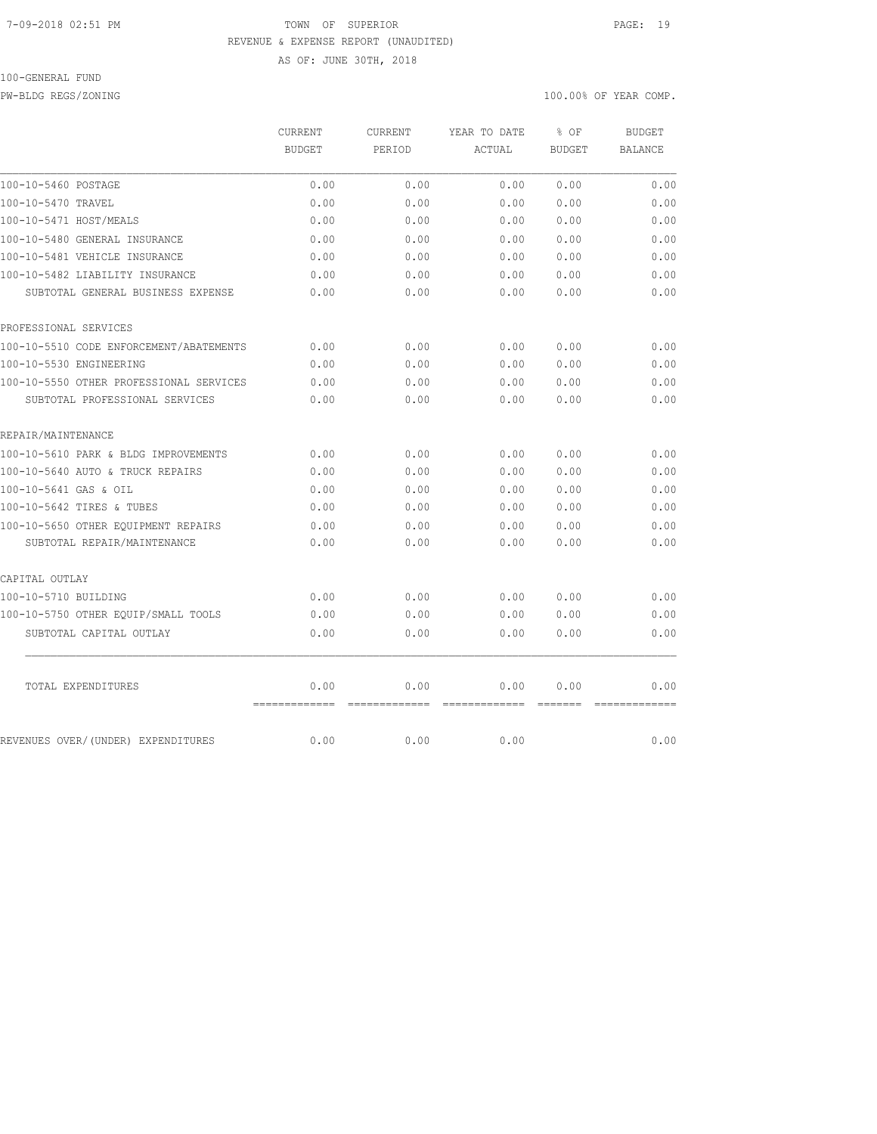#### 7-09-2018 02:51 PM TOWN OF SUPERIOR PAGE: 19 REVENUE & EXPENSE REPORT (UNAUDITED)

AS OF: JUNE 30TH, 2018

# 100-GENERAL FUND

PW-BLDG REGS/ZONING 100.00% OF YEAR COMP.

|                                         | <b>CURRENT</b>        | <b>CURRENT</b>        | YEAR TO DATE          | % OF                                                                                                                                                                                                                                                                                                                                                                                                                                                                                           | <b>BUDGET</b>  |
|-----------------------------------------|-----------------------|-----------------------|-----------------------|------------------------------------------------------------------------------------------------------------------------------------------------------------------------------------------------------------------------------------------------------------------------------------------------------------------------------------------------------------------------------------------------------------------------------------------------------------------------------------------------|----------------|
|                                         | <b>BUDGET</b>         | PERIOD                | ACTUAL                | <b>BUDGET</b>                                                                                                                                                                                                                                                                                                                                                                                                                                                                                  | <b>BALANCE</b> |
| 100-10-5460 POSTAGE                     | 0.00                  | 0.00                  | 0.00                  | 0.00                                                                                                                                                                                                                                                                                                                                                                                                                                                                                           | 0.00           |
| 100-10-5470 TRAVEL                      | 0.00                  | 0.00                  | 0.00                  | 0.00                                                                                                                                                                                                                                                                                                                                                                                                                                                                                           | 0.00           |
| 100-10-5471 HOST/MEALS                  | 0.00                  | 0.00                  | 0.00                  | 0.00                                                                                                                                                                                                                                                                                                                                                                                                                                                                                           | 0.00           |
| 100-10-5480 GENERAL INSURANCE           | 0.00                  | 0.00                  | 0.00                  | 0.00                                                                                                                                                                                                                                                                                                                                                                                                                                                                                           | 0.00           |
| 100-10-5481 VEHICLE INSURANCE           | 0.00                  | 0.00                  | 0.00                  | 0.00                                                                                                                                                                                                                                                                                                                                                                                                                                                                                           | 0.00           |
| 100-10-5482 LIABILITY INSURANCE         | 0.00                  | 0.00                  | 0.00                  | 0.00                                                                                                                                                                                                                                                                                                                                                                                                                                                                                           | 0.00           |
| SUBTOTAL GENERAL BUSINESS EXPENSE       | 0.00                  | 0.00                  | 0.00                  | 0.00                                                                                                                                                                                                                                                                                                                                                                                                                                                                                           | 0.00           |
| PROFESSIONAL SERVICES                   |                       |                       |                       |                                                                                                                                                                                                                                                                                                                                                                                                                                                                                                |                |
| 100-10-5510 CODE ENFORCEMENT/ABATEMENTS | 0.00                  | 0.00                  | 0.00                  | 0.00                                                                                                                                                                                                                                                                                                                                                                                                                                                                                           | 0.00           |
| 100-10-5530 ENGINEERING                 | 0.00                  | 0.00                  | 0.00                  | 0.00                                                                                                                                                                                                                                                                                                                                                                                                                                                                                           | 0.00           |
| 100-10-5550 OTHER PROFESSIONAL SERVICES | 0.00                  | 0.00                  | 0.00                  | 0.00                                                                                                                                                                                                                                                                                                                                                                                                                                                                                           | 0.00           |
| SUBTOTAL PROFESSIONAL SERVICES          | 0.00                  | 0.00                  | 0.00                  | 0.00                                                                                                                                                                                                                                                                                                                                                                                                                                                                                           | 0.00           |
| REPAIR/MAINTENANCE                      |                       |                       |                       |                                                                                                                                                                                                                                                                                                                                                                                                                                                                                                |                |
| 100-10-5610 PARK & BLDG IMPROVEMENTS    | 0.00                  | 0.00                  | 0.00                  | 0.00                                                                                                                                                                                                                                                                                                                                                                                                                                                                                           | 0.00           |
| 100-10-5640 AUTO & TRUCK REPAIRS        | 0.00                  | 0.00                  | 0.00                  | 0.00                                                                                                                                                                                                                                                                                                                                                                                                                                                                                           | 0.00           |
| 100-10-5641 GAS & OIL                   | 0.00                  | 0.00                  | 0.00                  | 0.00                                                                                                                                                                                                                                                                                                                                                                                                                                                                                           | 0.00           |
| 100-10-5642 TIRES & TUBES               | 0.00                  | 0.00                  | 0.00                  | 0.00                                                                                                                                                                                                                                                                                                                                                                                                                                                                                           | 0.00           |
| 100-10-5650 OTHER EOUIPMENT REPAIRS     | 0.00                  | 0.00                  | 0.00                  | 0.00                                                                                                                                                                                                                                                                                                                                                                                                                                                                                           | 0.00           |
| SUBTOTAL REPAIR/MAINTENANCE             | 0.00                  | 0.00                  | 0.00                  | 0.00                                                                                                                                                                                                                                                                                                                                                                                                                                                                                           | 0.00           |
| CAPITAL OUTLAY                          |                       |                       |                       |                                                                                                                                                                                                                                                                                                                                                                                                                                                                                                |                |
| 100-10-5710 BUILDING                    | 0.00                  | 0.00                  | 0.00                  | 0.00                                                                                                                                                                                                                                                                                                                                                                                                                                                                                           | 0.00           |
| 100-10-5750 OTHER EQUIP/SMALL TOOLS     | 0.00                  | 0.00                  | 0.00                  | 0.00                                                                                                                                                                                                                                                                                                                                                                                                                                                                                           | 0.00           |
| SUBTOTAL CAPITAL OUTLAY                 | 0.00                  | 0.00                  | 0.00                  | 0.00                                                                                                                                                                                                                                                                                                                                                                                                                                                                                           | 0.00           |
| TOTAL EXPENDITURES                      | 0.00<br>============= | 0.00<br>============= | 0.00<br>============= | 0.00<br>$\begin{array}{cccccccccc} \multicolumn{2}{c}{} & \multicolumn{2}{c}{} & \multicolumn{2}{c}{} & \multicolumn{2}{c}{} & \multicolumn{2}{c}{} & \multicolumn{2}{c}{} & \multicolumn{2}{c}{} & \multicolumn{2}{c}{} & \multicolumn{2}{c}{} & \multicolumn{2}{c}{} & \multicolumn{2}{c}{} & \multicolumn{2}{c}{} & \multicolumn{2}{c}{} & \multicolumn{2}{c}{} & \multicolumn{2}{c}{} & \multicolumn{2}{c}{} & \multicolumn{2}{c}{} & \multicolumn{2}{c}{} & \multicolumn{2}{c}{} & \mult$ | 0.00           |
| REVENUES OVER/(UNDER) EXPENDITURES      | 0.00                  | 0.00                  | 0.00                  |                                                                                                                                                                                                                                                                                                                                                                                                                                                                                                | 0.00           |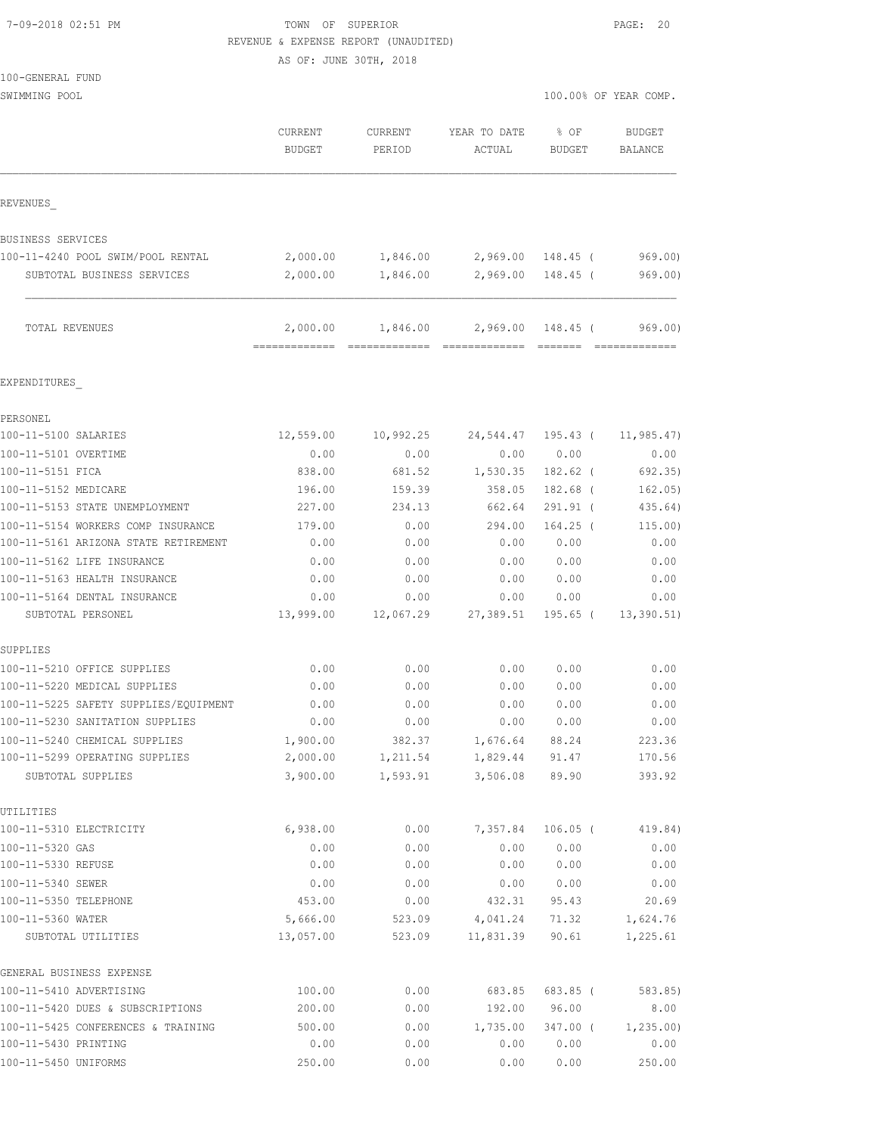| 7-09-2018 02:51 PM |  |
|--------------------|--|
|                    |  |

TOWN OF SUPERIOR **PAGE: 20** REVENUE & EXPENSE REPORT (UNAUDITED)

AS OF: JUNE 30TH, 2018

| 100-GENERAL FUND |
|------------------|
|------------------|

| SWIMMING POOL | 100.00% OF YEAR COMP.<br>$\sim$ $\sim$ |
|---------------|----------------------------------------|
|               |                                        |

|                                         | CURRENT<br><b>BUDGET</b>  | <b>CURRENT</b><br>PERIOD | YEAR TO DATE<br>ACTUAL | % OF<br>BUDGET    | <b>BUDGET</b><br><b>BALANCE</b> |
|-----------------------------------------|---------------------------|--------------------------|------------------------|-------------------|---------------------------------|
| REVENUES                                |                           |                          |                        |                   |                                 |
| <b>BUSINESS SERVICES</b>                |                           |                          |                        |                   |                                 |
| 100-11-4240 POOL SWIM/POOL RENTAL       | 2,000.00                  | 1,846.00                 |                        | 2,969.00 148.45 ( | 969.00                          |
| SUBTOTAL BUSINESS SERVICES              | 2,000.00                  | 1,846.00                 |                        | 2,969.00 148.45 ( | 969.00)                         |
| TOTAL REVENUES                          | 2,000.00<br>============= | 1,846.00                 | 2,969.00               | 148.45 (          | 969.00)                         |
| EXPENDITURES                            |                           |                          |                        |                   |                                 |
| PERSONEL                                |                           |                          |                        |                   |                                 |
| 100-11-5100 SALARIES                    | 12,559.00                 | 10,992.25                | 24,544.47              | 195.43 (          | 11,985.47)                      |
| 100-11-5101 OVERTIME                    | 0.00                      | 0.00                     | 0.00                   | 0.00              | 0.00                            |
| 100-11-5151 FICA                        | 838.00                    | 681.52                   | 1,530.35               | $182.62$ (        | 692.35)                         |
| 100-11-5152 MEDICARE                    | 196.00                    | 159.39                   | 358.05                 | 182.68 (          | 162.05)                         |
| 100-11-5153 STATE UNEMPLOYMENT          | 227.00                    | 234.13                   | 662.64                 | 291.91 (          | 435.64)                         |
| 100-11-5154 WORKERS COMP INSURANCE      | 179.00                    | 0.00                     | 294.00                 | $164.25$ (        | 115.00)                         |
| 100-11-5161 ARIZONA STATE RETIREMENT    | 0.00                      | 0.00                     | 0.00                   | 0.00              | 0.00                            |
| 100-11-5162 LIFE INSURANCE              | 0.00                      | 0.00                     | 0.00                   | 0.00              | 0.00                            |
| 100-11-5163 HEALTH INSURANCE            | 0.00                      | 0.00                     | 0.00                   | 0.00              | 0.00                            |
| 100-11-5164 DENTAL INSURANCE            | 0.00                      | 0.00                     | 0.00                   | 0.00              | 0.00                            |
| SUBTOTAL PERSONEL                       | 13,999.00                 | 12,067.29                | 27,389.51              | 195.65 (          | 13,390.51)                      |
| SUPPLIES                                |                           |                          |                        |                   |                                 |
| 100-11-5210 OFFICE SUPPLIES             | 0.00                      | 0.00                     | 0.00                   | 0.00              | 0.00                            |
| 100-11-5220 MEDICAL SUPPLIES            | 0.00                      | 0.00                     | 0.00                   | 0.00              | 0.00                            |
| 100-11-5225 SAFETY SUPPLIES/EQUIPMENT   | 0.00                      | 0.00                     | 0.00                   | 0.00              | 0.00                            |
| 100-11-5230 SANITATION SUPPLIES         | 0.00                      | 0.00                     | 0.00                   | 0.00              | 0.00                            |
| 100-11-5240 CHEMICAL SUPPLIES           | 1,900.00                  | 382.37                   | 1,676.64               | 88.24             | 223.36                          |
| 100-11-5299 OPERATING SUPPLIES          | 2,000.00                  | 1,211.54                 | 1,829.44               | 91.47             | 170.56                          |
| SUBTOTAL SUPPLIES                       | 3,900.00                  | 1,593.91                 | 3,506.08               | 89.90             | 393.92                          |
| UTILITIES                               |                           |                          |                        |                   |                                 |
| 100-11-5310 ELECTRICITY                 | 6,938.00                  | 0.00                     | 7,357.84               | $106.05$ (        | 419.84)                         |
| 100-11-5320 GAS                         | 0.00                      | 0.00                     | 0.00                   | 0.00              | 0.00                            |
| 100-11-5330 REFUSE                      | 0.00                      | 0.00                     | 0.00                   | 0.00              | 0.00                            |
| 100-11-5340 SEWER                       | 0.00                      | 0.00                     | 0.00                   | 0.00              | 0.00                            |
| 100-11-5350 TELEPHONE                   | 453.00                    | 0.00                     | 432.31                 | 95.43             | 20.69                           |
| 100-11-5360 WATER<br>SUBTOTAL UTILITIES | 5,666.00<br>13,057.00     | 523.09<br>523.09         | 4,041.24<br>11,831.39  | 71.32<br>90.61    | 1,624.76<br>1,225.61            |
| GENERAL BUSINESS EXPENSE                |                           |                          |                        |                   |                                 |
| 100-11-5410 ADVERTISING                 | 100.00                    | 0.00                     | 683.85                 | 683.85 (          | 583.85)                         |
| 100-11-5420 DUES & SUBSCRIPTIONS        | 200.00                    | 0.00                     | 192.00                 | 96.00             | 8.00                            |
| 100-11-5425 CONFERENCES & TRAINING      | 500.00                    | 0.00                     | 1,735.00               | $347.00$ (        | 1, 235.00                       |
| 100-11-5430 PRINTING                    | 0.00                      | 0.00                     | 0.00                   | 0.00              | 0.00                            |
| 100-11-5450 UNIFORMS                    | 250.00                    | 0.00                     | 0.00                   | 0.00              | 250.00                          |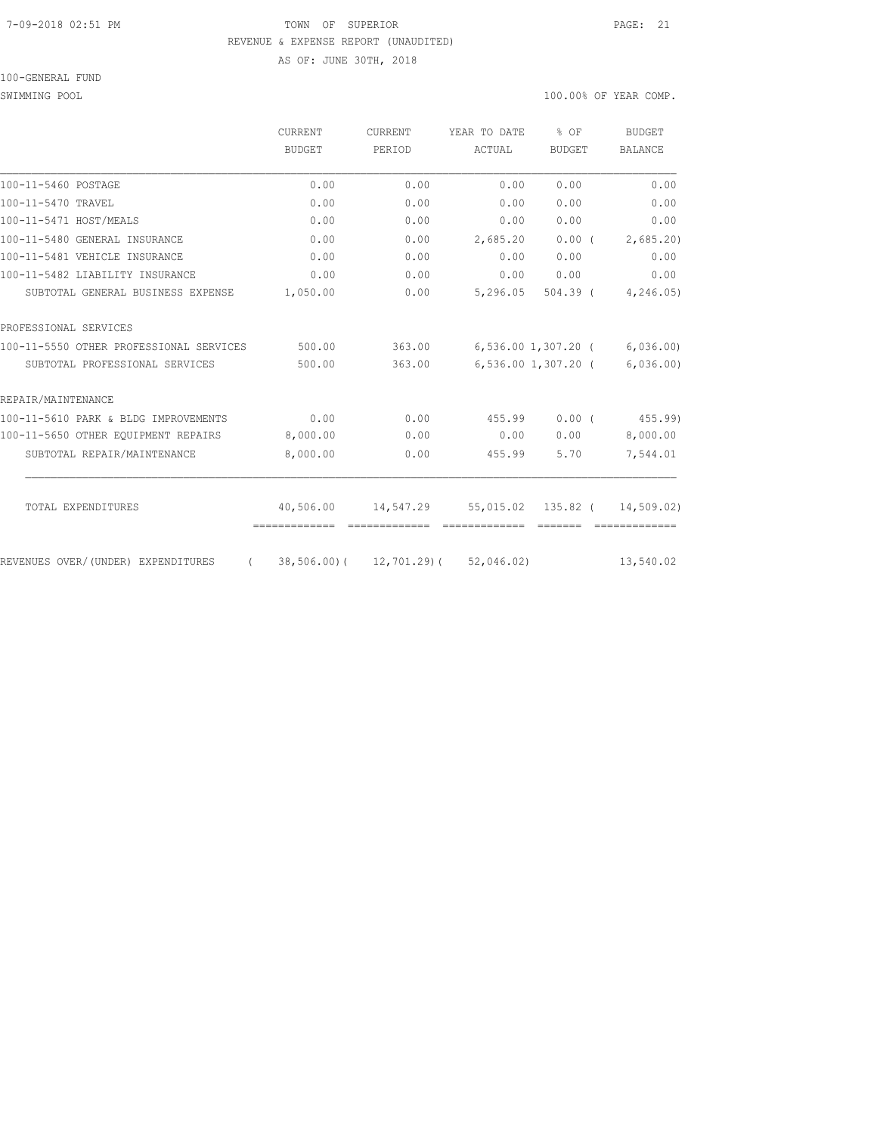#### 7-09-2018 02:51 PM TOWN OF SUPERIOR PAGE: 21 REVENUE & EXPENSE REPORT (UNAUDITED)

AS OF: JUNE 30TH, 2018

100-GENERAL FUND

SWIMMING POOL 3000 100.000 OF YEAR COMP.

|                                         | <b>CURRENT</b> | <b>CURRENT</b> | YEAR TO DATE                         | \$OF                | BUDGET                            |  |
|-----------------------------------------|----------------|----------------|--------------------------------------|---------------------|-----------------------------------|--|
|                                         | <b>BUDGET</b>  | PERIOD         | ACTUAL                               | <b>BUDGET</b>       | <b>BALANCE</b>                    |  |
| 100-11-5460 POSTAGE                     | 0.00           | 0.00           | 0.00                                 | 0.00                | 0.00                              |  |
| 100-11-5470 TRAVEL                      | 0.00           | 0.00           | 0.00                                 | 0.00                | 0.00                              |  |
| 100-11-5471 HOST/MEALS                  | 0.00           | 0.00           | 0.00                                 | 0.00                | 0.00                              |  |
| 100-11-5480 GENERAL INSURANCE           | 0.00           | 0.00           | 2,685.20                             | $0.00$ (            | 2,685.20)                         |  |
| 100-11-5481 VEHICLE INSURANCE           | 0.00           | 0.00           | 0.00                                 | 0.00                | 0.00                              |  |
| 100-11-5482 LIABILITY INSURANCE         | 0.00           | 0.00           | 0.00                                 | 0.00                | 0.00                              |  |
| SUBTOTAL GENERAL BUSINESS EXPENSE       | 1,050.00       | 0.00           | 5,296.05                             | $504.39$ (          | 4, 246.05                         |  |
| PROFESSIONAL SERVICES                   |                |                |                                      |                     |                                   |  |
| 100-11-5550 OTHER PROFESSIONAL SERVICES | 500.00         | 363.00         |                                      |                     | $6, 536.00$ 1, 307.20 (6, 036.00) |  |
| SUBTOTAL PROFESSIONAL SERVICES          | 500.00         | 363.00         |                                      | 6,536.00 1,307.20 ( | 6,036.00                          |  |
| REPAIR/MAINTENANCE                      |                |                |                                      |                     |                                   |  |
| 100-11-5610 PARK & BLDG IMPROVEMENTS    | 0.00           | 0.00           | 455.99                               | $0.00$ (            | 455.99)                           |  |
| 100-11-5650 OTHER EOUIPMENT REPAIRS     | 8,000.00       | 0.00           | 0.00                                 | 0.00                | 8,000.00                          |  |
| SUBTOTAL REPAIR/MAINTENANCE             | 8,000.00       | 0.00           | 455.99                               | 5.70                | 7,544.01                          |  |
| TOTAL EXPENDITURES                      | 40,506.00      | 14,547.29      | 55,015.02 135.82 (                   |                     | 14,509.02)                        |  |
|                                         | =============  |                | -------------                        |                     |                                   |  |
| REVENUES OVER/(UNDER) EXPENDITURES      | $\sqrt{2}$     |                | 38,506.00) ( 12,701.29) ( 52,046.02) |                     | 13,540.02                         |  |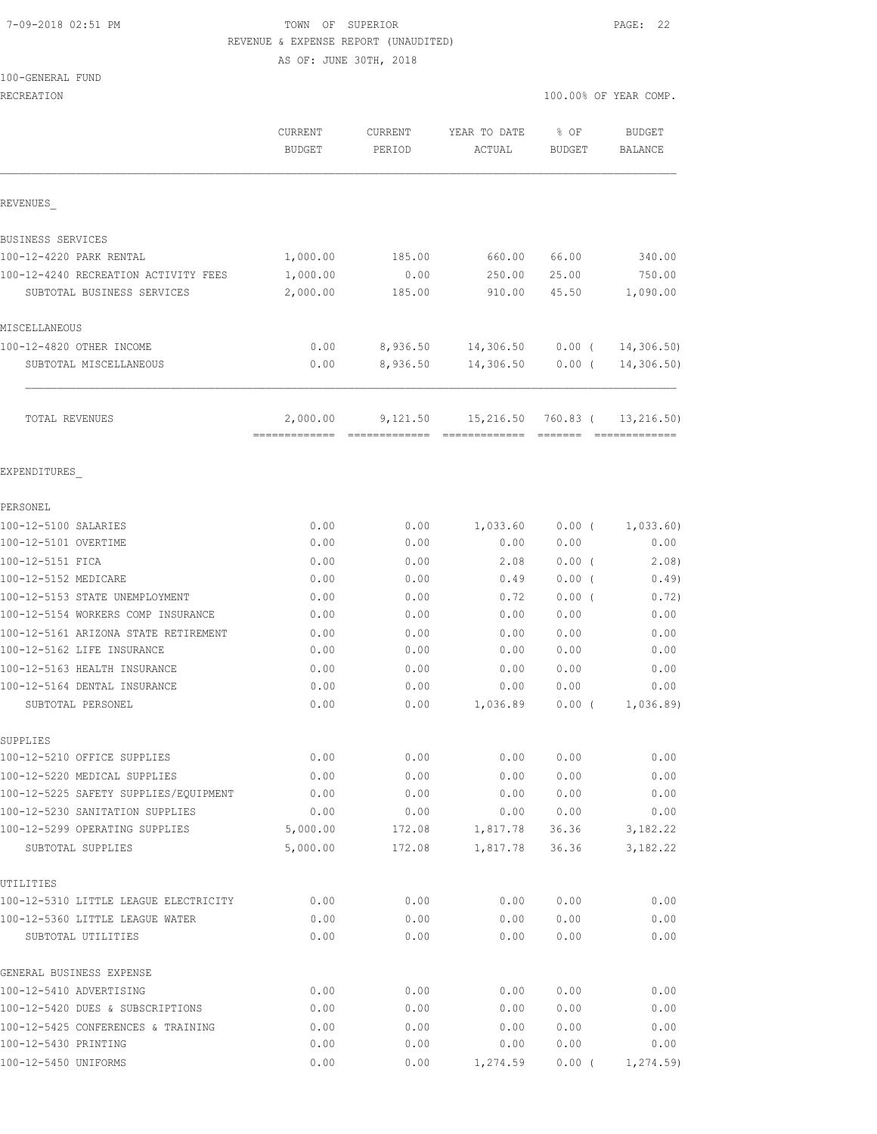#### 7-09-2018 02:51 PM TOWN OF SUPERIOR PAGE: 22 REVENUE & EXPENSE REPORT (UNAUDITED)

AS OF: JUNE 30TH, 2018

100-GENERAL FUND

|                                                       | <b>CURRENT</b><br><b>BUDGET</b> | CURRENT<br>PERIOD | YEAR TO DATE<br>ACTUAL    | % OF<br>BUDGET | BUDGET<br>BALANCE |
|-------------------------------------------------------|---------------------------------|-------------------|---------------------------|----------------|-------------------|
| REVENUES                                              |                                 |                   |                           |                |                   |
| BUSINESS SERVICES                                     |                                 |                   |                           |                |                   |
| 100-12-4220 PARK RENTAL                               | 1,000.00                        | 185.00            | 660.00                    | 66.00          | 340.00            |
| 100-12-4240 RECREATION ACTIVITY FEES                  | 1,000.00                        | 0.00              | 250.00                    | 25.00          | 750.00            |
| SUBTOTAL BUSINESS SERVICES                            | 2,000.00                        | 185.00            | 910.00                    | 45.50          | 1,090.00          |
| MISCELLANEOUS                                         |                                 |                   |                           |                |                   |
| 100-12-4820 OTHER INCOME                              | 0.00                            |                   | 8,936.50 14,306.50 0.00 ( |                | 14,306.50         |
| SUBTOTAL MISCELLANEOUS                                | 0.00                            | 8,936.50          | 14,306.50                 | $0.00$ (       | 14,306.50         |
| TOTAL REVENUES                                        | 2,000.00                        | 9,121.50          | 15,216.50                 | 760.83 (       | 13, 216.50)       |
| EXPENDITURES                                          |                                 |                   |                           |                |                   |
| PERSONEL                                              |                                 |                   |                           |                |                   |
| 100-12-5100 SALARIES                                  | 0.00                            | 0.00              | 1,033.60                  | $0.00$ (       | 1,033.60)         |
| 100-12-5101 OVERTIME                                  | 0.00                            | 0.00              | 0.00                      | 0.00           | 0.00              |
| 100-12-5151 FICA                                      | 0.00                            | 0.00              | 2.08                      | $0.00$ (       | 2.08)             |
| 100-12-5152 MEDICARE                                  | 0.00                            | 0.00              | 0.49                      | $0.00$ (       | 0.49)             |
| 100-12-5153 STATE UNEMPLOYMENT                        | 0.00                            | 0.00              | 0.72                      | $0.00$ (       | 0.72)             |
| 100-12-5154 WORKERS COMP INSURANCE                    | 0.00                            | 0.00              | 0.00                      | 0.00           | 0.00              |
| 100-12-5161 ARIZONA STATE RETIREMENT                  | 0.00                            | 0.00              | 0.00                      | 0.00           | 0.00              |
| 100-12-5162 LIFE INSURANCE                            | 0.00                            | 0.00              | 0.00                      | 0.00           | 0.00              |
| 100-12-5163 HEALTH INSURANCE                          | 0.00                            | 0.00              | 0.00                      | 0.00           | 0.00              |
| 100-12-5164 DENTAL INSURANCE                          | 0.00                            | 0.00              | 0.00                      | 0.00           | 0.00              |
| SUBTOTAL PERSONEL                                     | 0.00                            | 0.00              | 1,036.89                  | $0.00$ (       | 1,036.89          |
| SUPPLIES                                              |                                 |                   |                           |                |                   |
| 100-12-5210 OFFICE SUPPLIES                           | 0.00                            | 0.00              | 0.00                      | 0.00           | 0.00              |
| 100-12-5220 MEDICAL SUPPLIES                          | 0.00                            | 0.00              | 0.00                      | 0.00           | 0.00              |
| 100-12-5225 SAFETY SUPPLIES/EQUIPMENT                 | 0.00                            | 0.00              | 0.00                      | 0.00           | 0.00              |
| 100-12-5230 SANITATION SUPPLIES                       | 0.00                            | 0.00              | 0.00                      | 0.00           | 0.00              |
| 100-12-5299 OPERATING SUPPLIES                        | 5,000.00                        | 172.08            | 1,817.78                  | 36.36          | 3,182.22          |
| SUBTOTAL SUPPLIES                                     | 5,000.00                        | 172.08            | 1,817.78                  | 36.36          | 3, 182. 22        |
| UTILITIES                                             |                                 |                   |                           |                |                   |
| 100-12-5310 LITTLE LEAGUE ELECTRICITY                 | 0.00                            | 0.00              | 0.00                      | 0.00           | 0.00              |
| 100-12-5360 LITTLE LEAGUE WATER<br>SUBTOTAL UTILITIES | 0.00<br>0.00                    | 0.00<br>0.00      | 0.00<br>0.00              | 0.00<br>0.00   | 0.00<br>0.00      |
| GENERAL BUSINESS EXPENSE                              |                                 |                   |                           |                |                   |
| 100-12-5410 ADVERTISING                               | 0.00                            | 0.00              | 0.00                      | 0.00           | 0.00              |
| 100-12-5420 DUES & SUBSCRIPTIONS                      | 0.00                            | 0.00              | 0.00                      | 0.00           | 0.00              |
| 100-12-5425 CONFERENCES & TRAINING                    | 0.00                            | 0.00              | 0.00                      | 0.00           | 0.00              |
| 100-12-5430 PRINTING                                  | 0.00                            | 0.00              | 0.00                      | 0.00           | 0.00              |
| 100-12-5450 UNIFORMS                                  | 0.00                            | 0.00              | 1,274.59                  | $0.00$ (       | 1, 274.59         |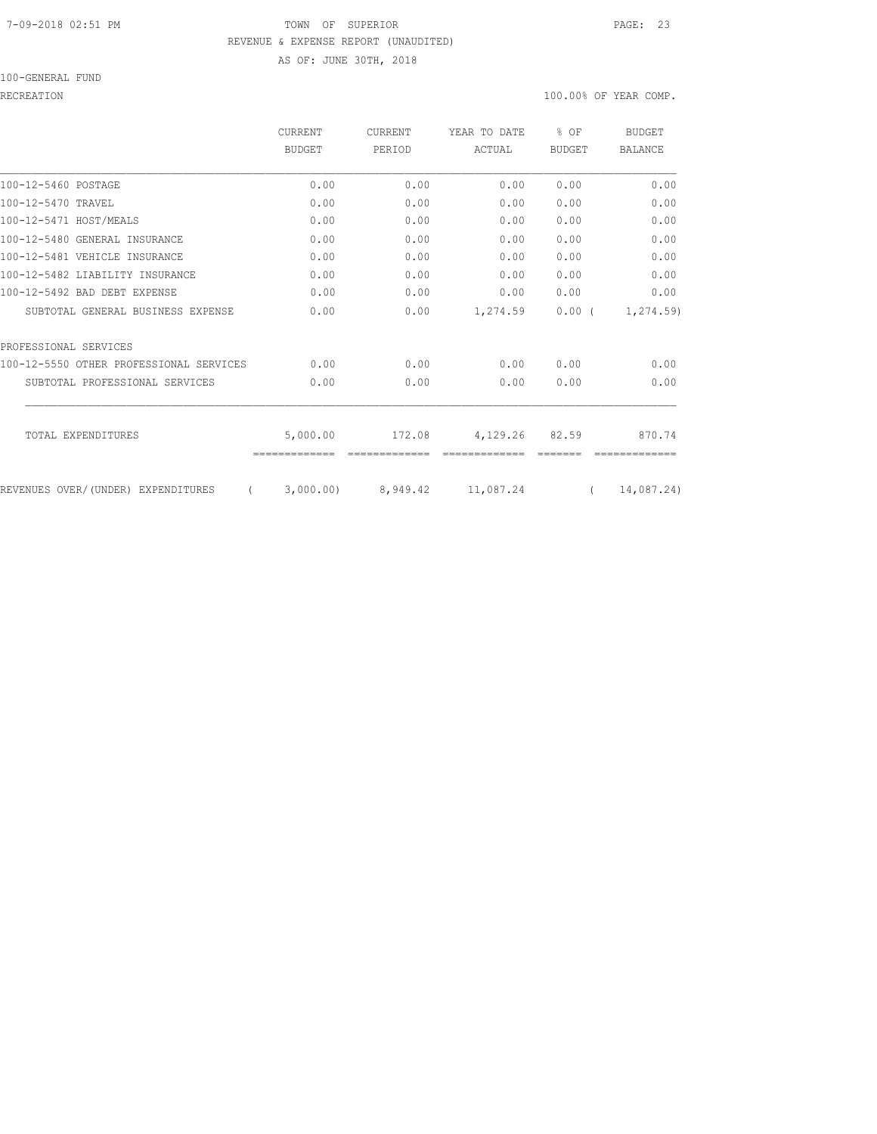# 7-09-2018 02:51 PM TOWN OF SUPERIOR PAGE: 23 REVENUE & EXPENSE REPORT (UNAUDITED) AS OF: JUNE 30TH, 2018

100-GENERAL FUND

#### RECREATION 100.00% OF YEAR COMP.

|                                         | CURRENT       | <b>CURRENT</b> | YEAR TO DATE | % OF          | <b>BUDGET</b>  |
|-----------------------------------------|---------------|----------------|--------------|---------------|----------------|
|                                         | <b>BUDGET</b> | PERIOD         | ACTUAL       | <b>BUDGET</b> | <b>BALANCE</b> |
| 100-12-5460 POSTAGE                     | 0.00          | 0.00           | 0.00         | 0.00          | 0.00           |
| 100-12-5470 TRAVEL                      | 0.00          | 0.00           | 0.00         | 0.00          | 0.00           |
| 100-12-5471 HOST/MEALS                  | 0.00          | 0.00           | 0.00         | 0.00          | 0.00           |
| 100-12-5480 GENERAL INSURANCE           | 0.00          | 0.00           | 0.00         | 0.00          | 0.00           |
| 100-12-5481 VEHICLE INSURANCE           | 0.00          | 0.00           | 0.00         | 0.00          | 0.00           |
| 100-12-5482 LIABILITY INSURANCE         | 0.00          | 0.00           | 0.00         | 0.00          | 0.00           |
| 100-12-5492 BAD DEBT EXPENSE            | 0.00          | 0.00           | 0.00         | 0.00          | 0.00           |
| SUBTOTAL GENERAL BUSINESS EXPENSE       | 0.00          | 0.00           | 1,274.59     | $0.00$ (      | 1,274.59)      |
| PROFESSIONAL SERVICES                   |               |                |              |               |                |
| 100-12-5550 OTHER PROFESSIONAL SERVICES | 0.00          | 0.00           | 0.00         | 0.00          | 0.00           |
| SUBTOTAL PROFESSIONAL SERVICES          | 0.00          | 0.00           | 0.00         | 0.00          | 0.00           |
| TOTAL EXPENDITURES                      | 5,000.00      | 172.08         | 4,129.26     | 82.59         | 870.74         |
| REVENUES OVER/(UNDER) EXPENDITURES      | 3,000.00      | 8,949.42       | 11,087.24    |               | 14,087.24)     |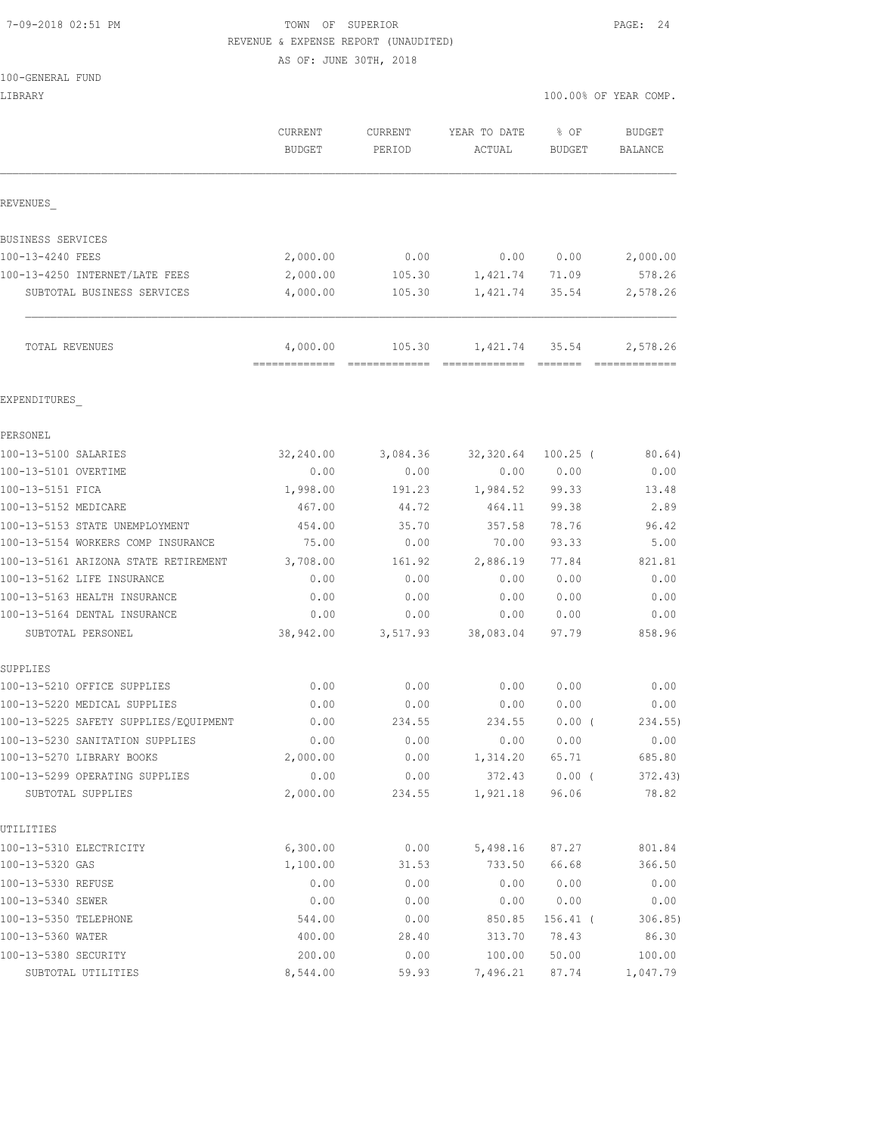# 7-09-2018 02:51 PM TOWN OF SUPERIOR PAGE: 24 REVENUE & EXPENSE REPORT (UNAUDITED)

AS OF: JUNE 30TH, 2018

|  |  |  | 100-GENERAL FUND |  |
|--|--|--|------------------|--|
|--|--|--|------------------|--|

| LIBRARY                                 |                                          |                          |                                  |                       | 100.00% OF YEAR COMP.     |
|-----------------------------------------|------------------------------------------|--------------------------|----------------------------------|-----------------------|---------------------------|
|                                         | <b>CURRENT</b><br>BUDGET                 | <b>CURRENT</b><br>PERIOD | YEAR TO DATE<br>ACTUAL           | % OF<br><b>BUDGET</b> | <b>BUDGET</b><br>BALANCE  |
| REVENUES                                |                                          |                          |                                  |                       |                           |
| BUSINESS SERVICES                       |                                          |                          |                                  |                       |                           |
| 100-13-4240 FEES                        | 2,000.00                                 | 0.00                     | 0.00                             | 0.00                  | 2,000.00                  |
| 100-13-4250 INTERNET/LATE FEES          | 2,000.00                                 | 105.30                   | 1,421.74                         | 71.09                 | 578.26                    |
| SUBTOTAL BUSINESS SERVICES              | 4,000.00                                 | 105.30                   | 1,421.74                         | 35.54                 | 2,578.26                  |
| TOTAL REVENUES                          | 4,000.00<br>============================ | 105.30                   | 1,421.74<br>-------------- ----- | 35.54                 | 2,578.26<br>============= |
| EXPENDITURES                            |                                          |                          |                                  |                       |                           |
| PERSONEL                                |                                          |                          |                                  |                       |                           |
| 100-13-5100 SALARIES                    | 32,240.00                                | 3,084.36                 | 32,320.64                        | $100.25$ (            | 80.64)                    |
| 100-13-5101 OVERTIME                    | 0.00                                     | 0.00                     | 0.00                             | 0.00                  | 0.00                      |
| 100-13-5151 FICA                        | 1,998.00                                 | 191.23                   | 1,984.52                         | 99.33                 | 13.48                     |
| 100-13-5152 MEDICARE                    | 467.00                                   | 44.72                    | 464.11                           | 99.38                 | 2.89                      |
| 100-13-5153 STATE UNEMPLOYMENT          | 454.00                                   | 35.70                    | 357.58                           | 78.76                 | 96.42                     |
| 100-13-5154 WORKERS COMP INSURANCE      | 75.00                                    | 0.00                     | 70.00                            | 93.33                 | 5.00                      |
| 100-13-5161 ARIZONA STATE RETIREMENT    | 3,708.00                                 | 161.92                   | 2,886.19                         | 77.84                 | 821.81                    |
| 100-13-5162 LIFE INSURANCE              | 0.00                                     | 0.00                     | 0.00                             | 0.00                  | 0.00                      |
| 100-13-5163 HEALTH INSURANCE            | 0.00                                     | 0.00                     | 0.00                             | 0.00                  | 0.00                      |
| 100-13-5164 DENTAL INSURANCE            | 0.00                                     | 0.00                     | 0.00                             | 0.00                  | 0.00                      |
| SUBTOTAL PERSONEL                       | 38,942.00                                | 3,517.93                 | 38,083.04                        | 97.79                 | 858.96                    |
| SUPPLIES<br>100-13-5210 OFFICE SUPPLIES | 0.00                                     | 0.00                     | 0.00                             | 0.00                  | 0.00                      |
| 100-13-5220 MEDICAL SUPPLIES            | 0.00                                     | 0.00                     | 0.00                             | 0.00                  | 0.00                      |
| 100-13-5225 SAFETY SUPPLIES/EQUIPMENT   | 0.00                                     | 234.55                   | 234.55                           | $0.00$ (              | 234.55)                   |
| 100-13-5230 SANITATION SUPPLIES         | 0.00                                     | 0.00                     | 0.00                             | 0.00                  | 0.00                      |
| 100-13-5270 LIBRARY BOOKS               | 2,000.00                                 | 0.00                     | 1,314.20                         | 65.71                 | 685.80                    |
| 100-13-5299 OPERATING SUPPLIES          | 0.00                                     | 0.00                     | 372.43                           | $0.00$ (              | 372.43)                   |
| SUBTOTAL SUPPLIES                       | 2,000.00                                 | 234.55                   | 1,921.18                         | 96.06                 | 78.82                     |
| UTILITIES                               |                                          |                          |                                  |                       |                           |
| 100-13-5310 ELECTRICITY                 | 6,300.00                                 | 0.00                     | 5,498.16                         | 87.27                 | 801.84                    |
| 100-13-5320 GAS                         | 1,100.00                                 | 31.53                    | 733.50                           | 66.68                 | 366.50                    |
| 100-13-5330 REFUSE                      | 0.00                                     | 0.00                     | 0.00                             | 0.00                  | 0.00                      |
| 100-13-5340 SEWER                       | 0.00                                     | 0.00                     | 0.00                             | 0.00                  | 0.00                      |
| 100-13-5350 TELEPHONE                   | 544.00                                   | 0.00                     | 850.85                           | 156.41 (              | 306.85)                   |
| 100-13-5360 WATER                       | 400.00                                   | 28.40                    | 313.70                           | 78.43                 | 86.30                     |
| 100-13-5380 SECURITY                    | 200.00                                   | 0.00                     | 100.00                           | 50.00                 | 100.00                    |
| SUBTOTAL UTILITIES                      | 8,544.00                                 | 59.93                    | 7,496.21                         | 87.74                 | 1,047.79                  |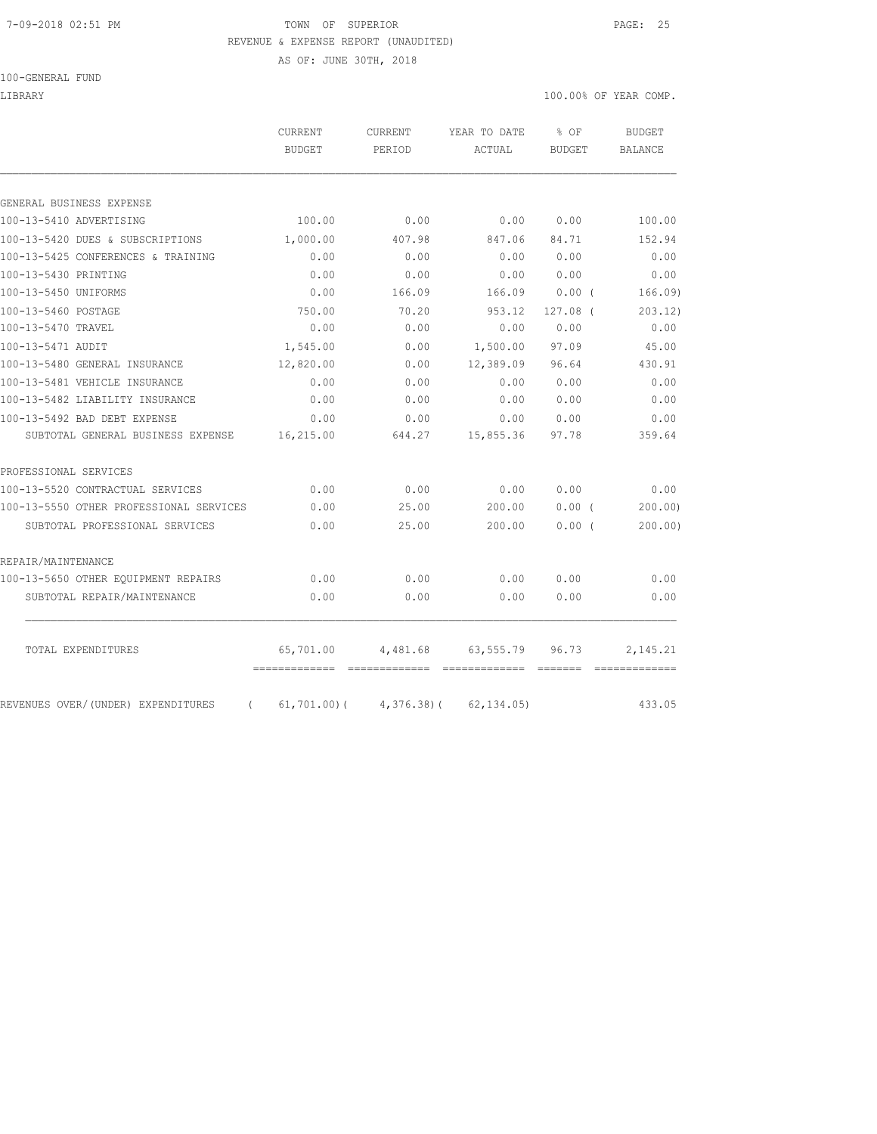#### 7-09-2018 02:51 PM TOWN OF SUPERIOR PAGE: 25 REVENUE & EXPENSE REPORT (UNAUDITED)

AS OF: JUNE 30TH, 2018

100-GENERAL FUND

LIBRARY 100.00% OF YEAR COMP.

|                                                | <b>CURRENT</b><br><b>BUDGET</b> | <b>CURRENT</b><br>PERIOD | YEAR TO DATE<br>ACTUAL | % OF<br><b>BUDGET</b> | <b>BUDGET</b><br><b>BALANCE</b> |
|------------------------------------------------|---------------------------------|--------------------------|------------------------|-----------------------|---------------------------------|
|                                                |                                 |                          |                        |                       |                                 |
| GENERAL BUSINESS EXPENSE                       |                                 |                          |                        |                       |                                 |
| 100-13-5410 ADVERTISING                        | 100.00                          | 0.00                     | 0.00                   | 0.00                  | 100.00                          |
| 100-13-5420 DUES & SUBSCRIPTIONS               | 1,000.00                        | 407.98                   | 847.06                 | 84.71                 | 152.94                          |
| 100-13-5425 CONFERENCES & TRAINING             | 0.00                            | 0.00                     | 0.00                   | 0.00                  | 0.00                            |
| 100-13-5430 PRINTING                           | 0.00                            | 0.00                     | 0.00                   | 0.00                  | 0.00                            |
| 100-13-5450 UNIFORMS                           | 0.00                            | 166.09                   | 166.09                 | 0.00(                 | 166.09                          |
| 100-13-5460 POSTAGE                            | 750.00                          | 70.20                    | 953.12                 | 127.08 (              | 203.12)                         |
| 100-13-5470 TRAVEL                             | 0.00                            | 0.00                     | 0.00                   | 0.00                  | 0.00                            |
| 100-13-5471 AUDIT                              | 1,545.00                        | 0.00                     | 1,500.00               | 97.09                 | 45.00                           |
| 100-13-5480 GENERAL INSURANCE                  | 12,820.00                       | 0.00                     | 12,389.09              | 96.64                 | 430.91                          |
| 100-13-5481 VEHICLE INSURANCE                  | 0.00                            | 0.00                     | 0.00                   | 0.00                  | 0.00                            |
| 100-13-5482 LIABILITY INSURANCE                | 0.00                            | 0.00                     | 0.00                   | 0.00                  | 0.00                            |
| 100-13-5492 BAD DEBT EXPENSE                   | 0.00                            | 0.00                     | 0.00                   | 0.00                  | 0.00                            |
| SUBTOTAL GENERAL BUSINESS EXPENSE              | 16,215.00                       | 644.27                   | 15,855.36              | 97.78                 | 359.64                          |
| PROFESSIONAL SERVICES                          |                                 |                          |                        |                       |                                 |
| 100-13-5520 CONTRACTUAL SERVICES               | 0.00                            | 0.00                     | 0.00                   | 0.00                  | 0.00                            |
| 100-13-5550 OTHER PROFESSIONAL SERVICES        | 0.00                            | 25.00                    | 200.00                 | $0.00$ (              | 200.00                          |
| SUBTOTAL PROFESSIONAL SERVICES                 | 0.00                            | 25.00                    | 200.00                 | 0.00(                 | 200.00)                         |
| REPAIR/MAINTENANCE                             |                                 |                          |                        |                       |                                 |
| 100-13-5650 OTHER EQUIPMENT REPAIRS            | 0.00                            | 0.00                     | 0.00                   | 0.00                  | 0.00                            |
| SUBTOTAL REPAIR/MAINTENANCE                    | 0.00                            | 0.00                     | 0.00                   | 0.00                  | 0.00                            |
| TOTAL EXPENDITURES                             | 65,701.00                       | 4,481.68                 | 63,555.79              | 96.73                 | 2,145.21                        |
|                                                |                                 |                          |                        |                       |                                 |
| REVENUES OVER/(UNDER) EXPENDITURES<br>$\left($ | $61,701.00$ (                   |                          | $4,376.38$ (62,134.05) |                       | 433.05                          |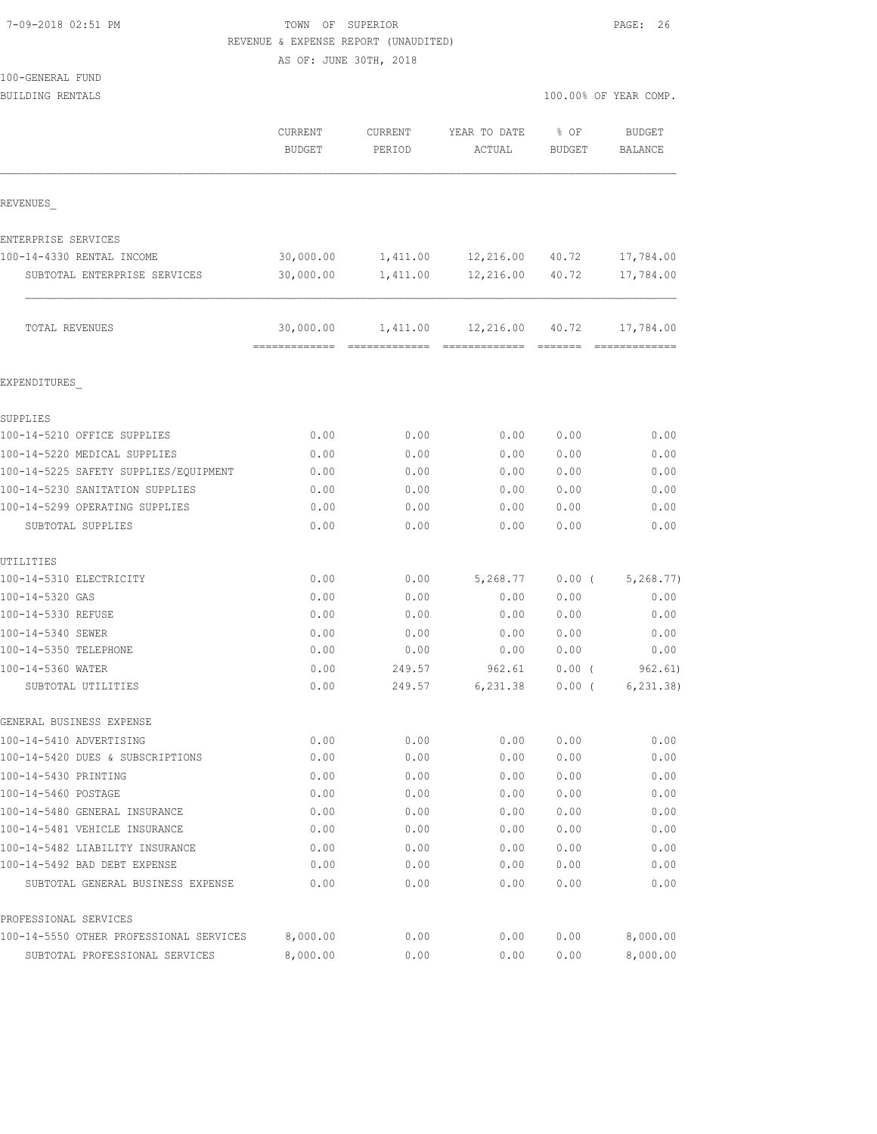100-GENERAL FUND

# TOWN OF SUPERIOR **PAGE:** 26 REVENUE & EXPENSE REPORT (UNAUDITED)

AS OF: JUNE 30TH, 2018

| BUILDING RENTALS                        |                          |                   |                          | 100.00% OF YEAR COMP.   |                                 |  |
|-----------------------------------------|--------------------------|-------------------|--------------------------|-------------------------|---------------------------------|--|
|                                         | CURRENT<br><b>BUDGET</b> | CURRENT<br>PERIOD | YEAR TO DATE<br>ACTUAL   | $8$ OF<br><b>BUDGET</b> | <b>BUDGET</b><br><b>BALANCE</b> |  |
| REVENUES                                |                          |                   |                          |                         |                                 |  |
| ENTERPRISE SERVICES                     |                          |                   |                          |                         |                                 |  |
| 100-14-4330 RENTAL INCOME               | 30,000.00                |                   | 1,411.00 12,216.00 40.72 |                         | 17,784.00                       |  |
| SUBTOTAL ENTERPRISE SERVICES            | 30,000.00                | 1,411.00          | 12,216.00                | 40.72                   | 17,784.00                       |  |
| TOTAL REVENUES                          | 30,000.00                |                   | 1,411.00 12,216.00 40.72 |                         | 17,784.00                       |  |
| EXPENDITURES                            |                          |                   |                          |                         |                                 |  |
| SUPPLIES                                |                          |                   |                          |                         |                                 |  |
| 100-14-5210 OFFICE SUPPLIES             | 0.00                     | 0.00              | 0.00                     | 0.00                    | 0.00                            |  |
| 100-14-5220 MEDICAL SUPPLIES            | 0.00                     | 0.00              | 0.00                     | 0.00                    | 0.00                            |  |
| 100-14-5225 SAFETY SUPPLIES/EOUIPMENT   | 0.00                     | 0.00              | 0.00                     | 0.00                    | 0.00                            |  |
| 100-14-5230 SANITATION SUPPLIES         | 0.00                     | 0.00              | 0.00                     | 0.00                    | 0.00                            |  |
| 100-14-5299 OPERATING SUPPLIES          | 0.00                     | 0.00              | 0.00                     | 0.00                    | 0.00                            |  |
| SUBTOTAL SUPPLIES                       | 0.00                     | 0.00              | 0.00                     | 0.00                    | 0.00                            |  |
| UTILITIES                               |                          |                   |                          |                         |                                 |  |
| 100-14-5310 ELECTRICITY                 | 0.00                     | 0.00              | 5,268.77                 | $0.00$ (                | 5, 268.77)                      |  |
| 100-14-5320 GAS                         | 0.00                     | 0.00              | 0.00                     | 0.00                    | 0.00                            |  |
| 100-14-5330 REFUSE                      | 0.00                     | 0.00              | 0.00                     | 0.00                    | 0.00                            |  |
| 100-14-5340 SEWER                       | 0.00                     | 0.00              | 0.00                     | 0.00                    | 0.00                            |  |
| 100-14-5350 TELEPHONE                   | 0.00                     | 0.00              | 0.00                     | 0.00                    | 0.00                            |  |
| 100-14-5360 WATER                       | 0.00                     | 249.57            | 962.61                   | $0.00$ (                | 962.61)                         |  |
| SUBTOTAL UTILITIES                      | 0.00                     | 249.57            | 6,231.38                 | $0.00$ (                | 6, 231.38)                      |  |
| GENERAL BUSINESS EXPENSE                |                          |                   |                          |                         |                                 |  |
| 100-14-5410 ADVERTISING                 | 0.00                     | 0.00              | 0.00                     | 0.00                    | 0.00                            |  |
| 100-14-5420 DUES & SUBSCRIPTIONS        | 0.00                     | 0.00              | 0.00                     | 0.00                    | 0.00                            |  |
| 100-14-5430 PRINTING                    | 0.00                     | 0.00              | 0.00                     | 0.00                    | 0.00                            |  |
| 100-14-5460 POSTAGE                     | 0.00                     | 0.00              | 0.00                     | 0.00                    | 0.00                            |  |
| 100-14-5480 GENERAL INSURANCE           | 0.00                     | 0.00              | 0.00                     | 0.00                    | 0.00                            |  |
| 100-14-5481 VEHICLE INSURANCE           | 0.00                     | 0.00              | 0.00                     | 0.00                    | 0.00                            |  |
| 100-14-5482 LIABILITY INSURANCE         | 0.00                     | 0.00              | 0.00                     | 0.00                    | 0.00                            |  |
| 100-14-5492 BAD DEBT EXPENSE            | 0.00                     | 0.00              | 0.00                     | 0.00                    | 0.00                            |  |
| SUBTOTAL GENERAL BUSINESS EXPENSE       | 0.00                     | 0.00              | 0.00                     | 0.00                    | 0.00                            |  |
| PROFESSIONAL SERVICES                   |                          |                   |                          |                         |                                 |  |
| 100-14-5550 OTHER PROFESSIONAL SERVICES | 8,000.00                 | 0.00              | 0.00                     | 0.00                    | 8,000.00                        |  |

SUBTOTAL PROFESSIONAL SERVICES 8,000.00 0.00 0.00 0.00 8,000.00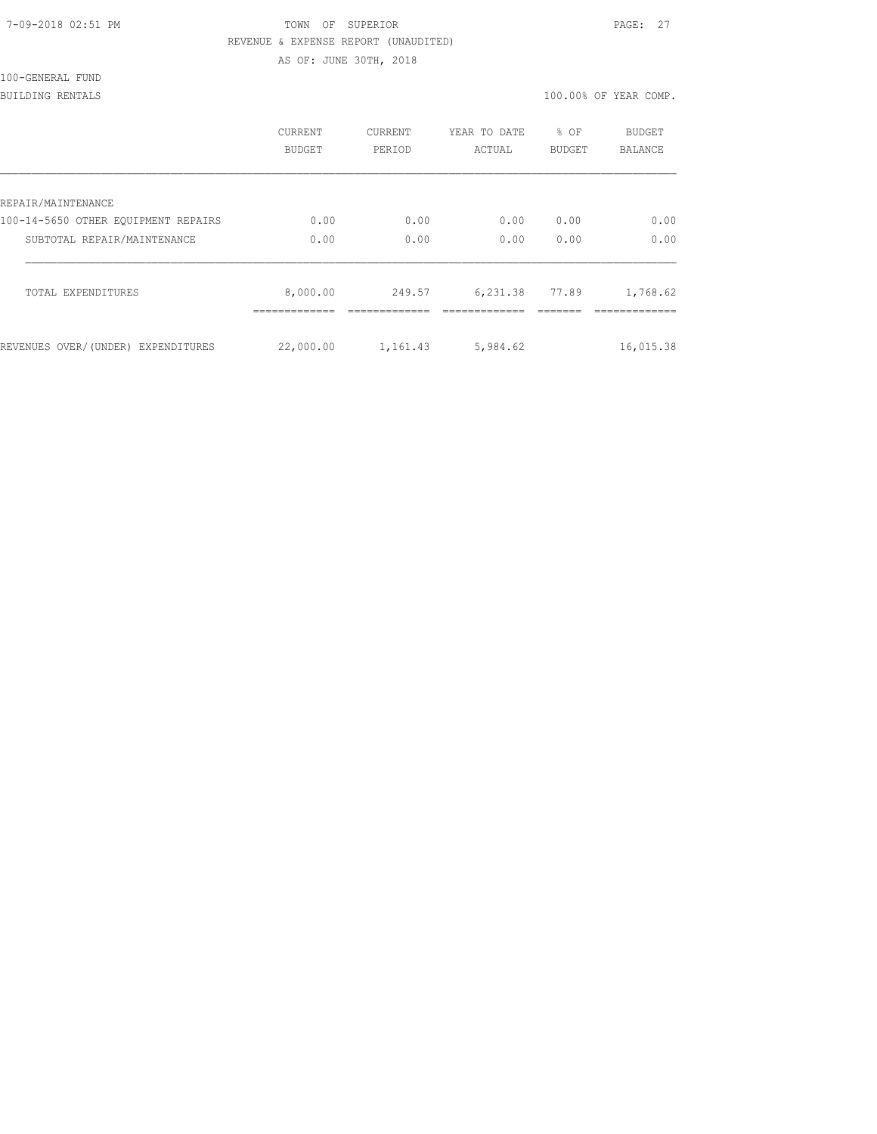| 7-09-2018 02:51 PM |  |
|--------------------|--|
|                    |  |

# TOWN OF SUPERIOR **PAGE:** 27 REVENUE & EXPENSE REPORT (UNAUDITED)

AS OF: JUNE 30TH, 2018

100-GENERAL FUND

BUILDING RENTALS 100.00% OF YEAR COMP.

|                                     | CURRENT<br><b>BUDGET</b> | <b>CURRENT</b><br>PERIOD | YEAR TO DATE<br>ACTUAL | % OF<br><b>BUDGET</b> | <b>BUDGET</b><br><b>BALANCE</b> |
|-------------------------------------|--------------------------|--------------------------|------------------------|-----------------------|---------------------------------|
| REPAIR/MAINTENANCE                  |                          |                          |                        |                       |                                 |
| 100-14-5650 OTHER EOUIPMENT REPAIRS | 0.00                     | 0.00                     | 0.00                   | 0.00                  | 0.00                            |
| SUBTOTAL REPAIR/MAINTENANCE         | 0.00                     | 0.00                     | 0.00                   | 0.00                  | 0.00                            |
| TOTAL EXPENDITURES                  | 8,000.00                 | 249.57                   | 6,231.38               | 77.89                 | 1,768.62                        |
| REVENUES OVER/(UNDER) EXPENDITURES  | 22,000.00                | 1,161.43                 | 5,984.62               |                       | 16,015.38                       |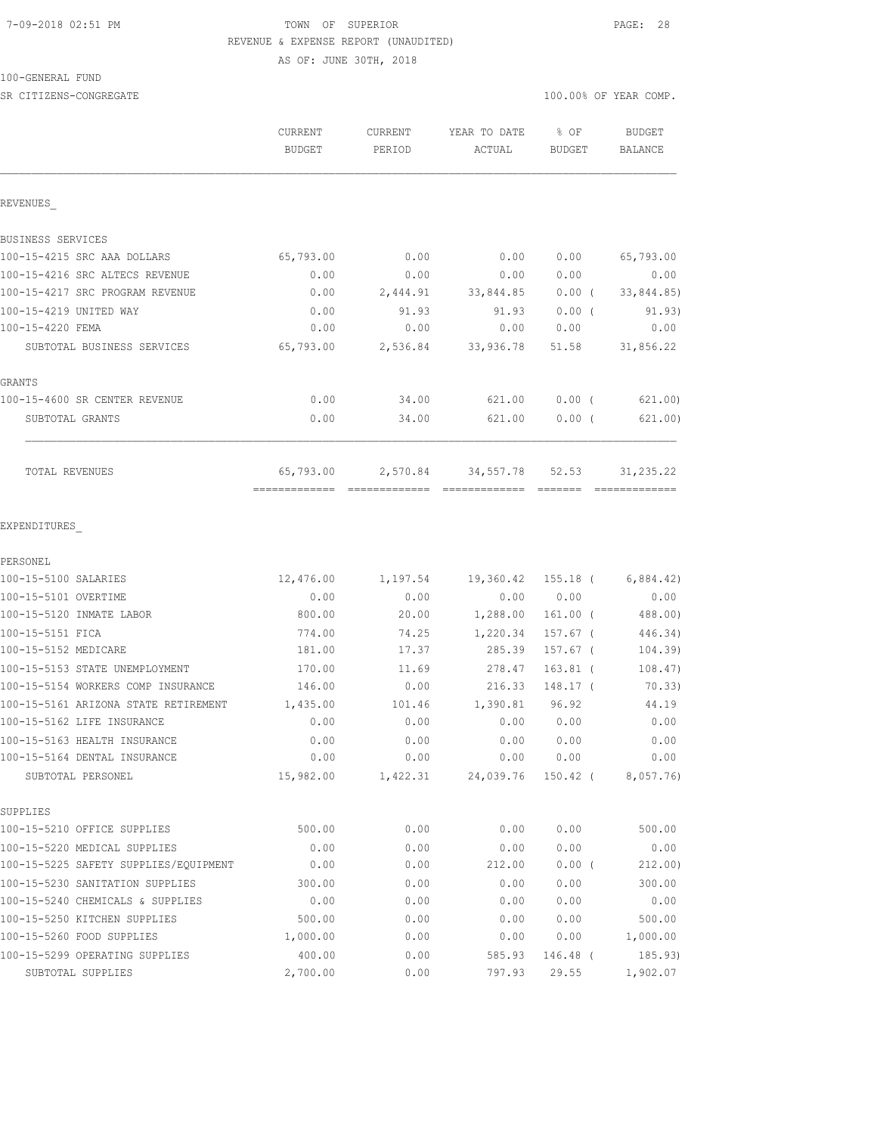### 7-09-2018 02:51 PM TOWN OF SUPERIOR PAGE: 28 REVENUE & EXPENSE REPORT (UNAUDITED)

AS OF: JUNE 30TH, 2018

100-GENERAL FUND

| SR CITIZENS-CONGREGATE                |                                            |                   |                        |                                                                                                                                                                                                                                                                                                                                                                                                                                                                                                 | 100.00% OF YEAR COMP. |
|---------------------------------------|--------------------------------------------|-------------------|------------------------|-------------------------------------------------------------------------------------------------------------------------------------------------------------------------------------------------------------------------------------------------------------------------------------------------------------------------------------------------------------------------------------------------------------------------------------------------------------------------------------------------|-----------------------|
|                                       | CURRENT<br>BUDGET                          | CURRENT<br>PERIOD | YEAR TO DATE<br>ACTUAL | $8$ OF<br><b>BUDGET</b>                                                                                                                                                                                                                                                                                                                                                                                                                                                                         | BUDGET<br>BALANCE     |
| REVENUES                              |                                            |                   |                        |                                                                                                                                                                                                                                                                                                                                                                                                                                                                                                 |                       |
| BUSINESS SERVICES                     |                                            |                   |                        |                                                                                                                                                                                                                                                                                                                                                                                                                                                                                                 |                       |
| 100-15-4215 SRC AAA DOLLARS           | 65,793.00                                  | 0.00              | 0.00                   | 0.00                                                                                                                                                                                                                                                                                                                                                                                                                                                                                            | 65,793.00             |
| 100-15-4216 SRC ALTECS REVENUE        | 0.00                                       | 0.00              | 0.00                   | 0.00                                                                                                                                                                                                                                                                                                                                                                                                                                                                                            | 0.00                  |
| 100-15-4217 SRC PROGRAM REVENUE       | 0.00                                       | 2,444.91          | 33,844.85              | $0.00$ (                                                                                                                                                                                                                                                                                                                                                                                                                                                                                        | 33,844.85)            |
| 100-15-4219 UNITED WAY                | 0.00                                       | 91.93             | 91.93                  | $0.00$ (                                                                                                                                                                                                                                                                                                                                                                                                                                                                                        | 91.93)                |
| 100-15-4220 FEMA                      | 0.00                                       | 0.00              | 0.00                   | 0.00                                                                                                                                                                                                                                                                                                                                                                                                                                                                                            | 0.00                  |
| SUBTOTAL BUSINESS SERVICES            | 65,793.00                                  |                   | 2,536.84 33,936.78     | 51.58                                                                                                                                                                                                                                                                                                                                                                                                                                                                                           | 31,856.22             |
| GRANTS                                |                                            |                   |                        |                                                                                                                                                                                                                                                                                                                                                                                                                                                                                                 |                       |
| 100-15-4600 SR CENTER REVENUE         | 0.00                                       | 34.00             | 621.00                 | $0.00$ (                                                                                                                                                                                                                                                                                                                                                                                                                                                                                        | 621.00)               |
| SUBTOTAL GRANTS                       | 0.00                                       | 34.00             | 621.00                 | 0.00(                                                                                                                                                                                                                                                                                                                                                                                                                                                                                           | 621.00)               |
| TOTAL REVENUES                        | 65,793.00<br>-------------- -------------- |                   | 2,570.84 34,557.78     | 52.53<br>$\begin{array}{cccccccccc} \multicolumn{2}{c}{} & \multicolumn{2}{c}{} & \multicolumn{2}{c}{} & \multicolumn{2}{c}{} & \multicolumn{2}{c}{} & \multicolumn{2}{c}{} & \multicolumn{2}{c}{} & \multicolumn{2}{c}{} & \multicolumn{2}{c}{} & \multicolumn{2}{c}{} & \multicolumn{2}{c}{} & \multicolumn{2}{c}{} & \multicolumn{2}{c}{} & \multicolumn{2}{c}{} & \multicolumn{2}{c}{} & \multicolumn{2}{c}{} & \multicolumn{2}{c}{} & \multicolumn{2}{c}{} & \multicolumn{2}{c}{} & \mult$ | 31, 235.22            |
| EXPENDITURES<br>PERSONEL              |                                            |                   |                        |                                                                                                                                                                                                                                                                                                                                                                                                                                                                                                 |                       |
| 100-15-5100 SALARIES                  | 12,476.00                                  |                   | 1,197.54 19,360.42     | 155.18 (                                                                                                                                                                                                                                                                                                                                                                                                                                                                                        | 6,884.42)             |
| 100-15-5101 OVERTIME                  | 0.00                                       | 0.00              | 0.00                   | 0.00                                                                                                                                                                                                                                                                                                                                                                                                                                                                                            | 0.00                  |
| 100-15-5120 INMATE LABOR              | 800.00                                     | 20.00             | 1,288.00               | $161.00$ (                                                                                                                                                                                                                                                                                                                                                                                                                                                                                      | 488.00)               |
| 100-15-5151 FICA                      | 774.00                                     | 74.25             | 1,220.34               | $157.67$ (                                                                                                                                                                                                                                                                                                                                                                                                                                                                                      | 446.34)               |
| 100-15-5152 MEDICARE                  | 181.00                                     | 17.37             | 285.39                 | 157.67 (                                                                                                                                                                                                                                                                                                                                                                                                                                                                                        | 104.39)               |
| 100-15-5153 STATE UNEMPLOYMENT        | 170.00                                     | 11.69             | 278.47                 | $163.81$ (                                                                                                                                                                                                                                                                                                                                                                                                                                                                                      | 108.47)               |
| 100-15-5154 WORKERS COMP INSURANCE    | 146.00                                     | 0.00              | 216.33                 | 148.17 (                                                                                                                                                                                                                                                                                                                                                                                                                                                                                        | 70.33)                |
| 100-15-5161 ARIZONA STATE RETIREMENT  | 1,435.00                                   | 101.46            | 1,390.81               | 96.92                                                                                                                                                                                                                                                                                                                                                                                                                                                                                           | 44.19                 |
| 100-15-5162 LIFE INSURANCE            | 0.00                                       | 0.00              | 0.00                   | 0.00                                                                                                                                                                                                                                                                                                                                                                                                                                                                                            | 0.00                  |
| 100-15-5163 HEALTH INSURANCE          | 0.00                                       | 0.00              | 0.00                   | 0.00                                                                                                                                                                                                                                                                                                                                                                                                                                                                                            | 0.00                  |
| 100-15-5164 DENTAL INSURANCE          | 0.00                                       | 0.00              | 0.00                   | 0.00                                                                                                                                                                                                                                                                                                                                                                                                                                                                                            | 0.00                  |
| SUBTOTAL PERSONEL                     | 15,982.00                                  | 1,422.31          | 24,039.76              | 150.42 (                                                                                                                                                                                                                                                                                                                                                                                                                                                                                        | 8,057.76              |
| SUPPLIES                              |                                            |                   |                        |                                                                                                                                                                                                                                                                                                                                                                                                                                                                                                 |                       |
| 100-15-5210 OFFICE SUPPLIES           | 500.00                                     | 0.00              | 0.00                   | 0.00                                                                                                                                                                                                                                                                                                                                                                                                                                                                                            | 500.00                |
| 100-15-5220 MEDICAL SUPPLIES          | 0.00                                       | 0.00              | 0.00                   | 0.00                                                                                                                                                                                                                                                                                                                                                                                                                                                                                            | 0.00                  |
| 100-15-5225 SAFETY SUPPLIES/EQUIPMENT | 0.00                                       | 0.00              | 212.00                 | $0.00$ (                                                                                                                                                                                                                                                                                                                                                                                                                                                                                        | 212.00)               |
| 100-15-5230 SANITATION SUPPLIES       | 300.00                                     | 0.00              | 0.00                   | 0.00                                                                                                                                                                                                                                                                                                                                                                                                                                                                                            | 300.00                |
| 100-15-5240 CHEMICALS & SUPPLIES      | 0.00                                       | 0.00              | 0.00                   | 0.00                                                                                                                                                                                                                                                                                                                                                                                                                                                                                            | 0.00                  |
| 100-15-5250 KITCHEN SUPPLIES          | 500.00                                     | 0.00              | 0.00                   | 0.00                                                                                                                                                                                                                                                                                                                                                                                                                                                                                            | 500.00                |
| 100-15-5260 FOOD SUPPLIES             | 1,000.00                                   | 0.00              | 0.00                   | 0.00                                                                                                                                                                                                                                                                                                                                                                                                                                                                                            | 1,000.00              |
| 100-15-5299 OPERATING SUPPLIES        | 400.00                                     | 0.00              | 585.93                 | 146.48 (                                                                                                                                                                                                                                                                                                                                                                                                                                                                                        | 185.93)               |

SUBTOTAL SUPPLIES 2,700.00 0.00 797.93 29.55 1,902.07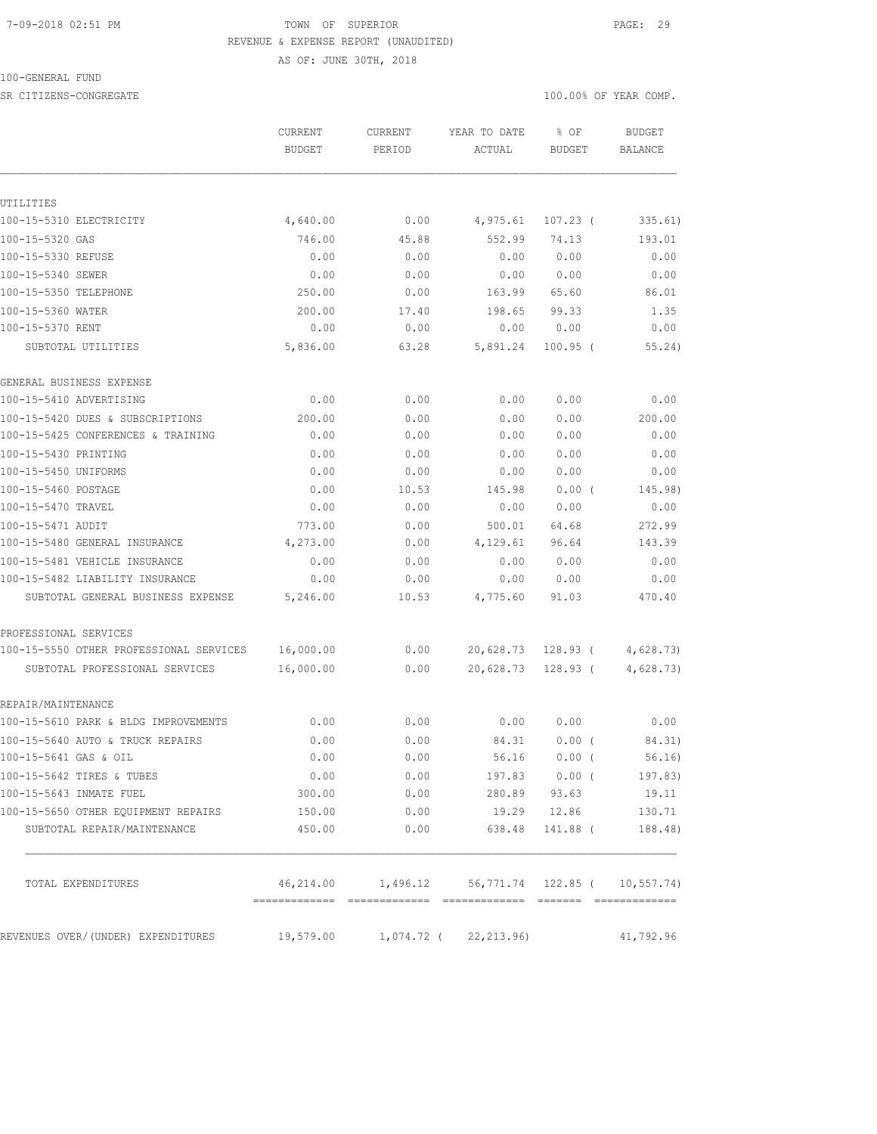#### 7-09-2018 02:51 PM TOWN OF SUPERIOR PAGE: 29 REVENUE & EXPENSE REPORT (UNAUDITED)

100-GENERAL FUND

SR CITIZENS-CONGREGATE SERVICES AND RESOLUTION OF SERVICES AND RESOLUTION OF SERVICES AND RESOLUTION OF SERVICES AND RESOLUTION OF SERVICES AND RESOLUTION OF SERVICES AND RESOLUTION OF SERVICES AND RESOLUTION OF SERVICES A

AS OF: JUNE 30TH, 2018

|                                         | <b>CURRENT</b><br><b>BUDGET</b> | CURRENT<br>PERIOD | YEAR TO DATE<br>ACTUAL                                        | % OF<br><b>BUDGET</b> | <b>BUDGET</b><br><b>BALANCE</b> |
|-----------------------------------------|---------------------------------|-------------------|---------------------------------------------------------------|-----------------------|---------------------------------|
|                                         |                                 |                   |                                                               |                       |                                 |
| UTILITIES                               |                                 |                   |                                                               |                       |                                 |
| 100-15-5310 ELECTRICITY                 | 4,640.00                        | 0.00              | 4,975.61                                                      | $107.23$ (            | 335.61)                         |
| 100-15-5320 GAS                         | 746.00                          | 45.88             | 552.99                                                        | 74.13                 | 193.01                          |
| 100-15-5330 REFUSE                      | 0.00                            | 0.00              | 0.00                                                          | 0.00                  | 0.00                            |
| 100-15-5340 SEWER                       | 0.00                            | 0.00              | 0.00                                                          | 0.00                  | 0.00                            |
| 100-15-5350 TELEPHONE                   | 250.00                          | 0.00              | 163.99                                                        | 65.60                 | 86.01                           |
| 100-15-5360 WATER                       | 200.00                          | 17.40             | 198.65                                                        | 99.33                 | 1.35                            |
| 100-15-5370 RENT                        | 0.00                            | 0.00              | 0.00                                                          | 0.00                  | 0.00                            |
| SUBTOTAL UTILITIES                      | 5,836.00                        | 63.28             | 5,891.24                                                      | $100.95$ (            | 55.24)                          |
| GENERAL BUSINESS EXPENSE                |                                 |                   |                                                               |                       |                                 |
| 100-15-5410 ADVERTISING                 | 0.00                            | 0.00              | 0.00                                                          | 0.00                  | 0.00                            |
| 100-15-5420 DUES & SUBSCRIPTIONS        | 200.00                          | 0.00              | 0.00                                                          | 0.00                  | 200.00                          |
| 100-15-5425 CONFERENCES & TRAINING      | 0.00                            | 0.00              | 0.00                                                          | 0.00                  | 0.00                            |
| 100-15-5430 PRINTING                    | 0.00                            | 0.00              | 0.00                                                          | 0.00                  | 0.00                            |
| 100-15-5450 UNIFORMS                    | 0.00                            | 0.00              | 0.00                                                          | 0.00                  | 0.00                            |
| 100-15-5460 POSTAGE                     | 0.00                            | 10.53             | 145.98                                                        | $0.00$ (              | 145.98)                         |
| 100-15-5470 TRAVEL                      | 0.00                            | 0.00              | 0.00                                                          | 0.00                  | 0.00                            |
| 100-15-5471 AUDIT                       | 773.00                          | 0.00              | 500.01                                                        | 64.68                 | 272.99                          |
| 100-15-5480 GENERAL INSURANCE           | 4,273.00                        | 0.00              | 4,129.61                                                      | 96.64                 | 143.39                          |
| 100-15-5481 VEHICLE INSURANCE           | 0.00                            | 0.00              | 0.00                                                          | 0.00                  | 0.00                            |
| 100-15-5482 LIABILITY INSURANCE         | 0.00                            | 0.00              | 0.00                                                          | 0.00                  | 0.00                            |
| SUBTOTAL GENERAL BUSINESS EXPENSE       | 5,246.00                        | 10.53             | 4,775.60                                                      | 91.03                 | 470.40                          |
| PROFESSIONAL SERVICES                   |                                 |                   |                                                               |                       |                                 |
| 100-15-5550 OTHER PROFESSIONAL SERVICES | 16,000.00                       | 0.00              | 20,628.73                                                     | 128.93 (              | 4,628.73                        |
| SUBTOTAL PROFESSIONAL SERVICES          | 16,000.00                       | 0.00              | 20,628.73                                                     | $128.93$ (            | 4,628.73)                       |
| REPAIR/MAINTENANCE                      |                                 |                   |                                                               |                       |                                 |
| 100-15-5610 PARK & BLDG IMPROVEMENTS    | 0.00                            | 0.00              | 0.00                                                          | 0.00                  | 0.00                            |
| 100-15-5640 AUTO & TRUCK REPAIRS        | 0.00                            | 0.00              | 84.31                                                         | 0.00(                 | 84.31)                          |
| 100-15-5641 GAS & OIL                   | 0.00                            | 0.00              | 56.16                                                         | 0.00(                 | 56.16)                          |
| 100-15-5642 TIRES & TUBES               | 0.00                            | 0.00              |                                                               | 197.83 0.00 (         | 197.83)                         |
| 100-15-5643 INMATE FUEL                 | 300.00                          | 0.00              |                                                               | 280.89 93.63          | 19.11                           |
| 100-15-5650 OTHER EQUIPMENT REPAIRS     | 150.00                          | 0.00              |                                                               | 19.29 12.86           | 130.71                          |
| SUBTOTAL REPAIR/MAINTENANCE             | 450.00                          | 0.00              | 638.48                                                        | 141.88 (              | 188.48)                         |
| TOTAL EXPENDITURES                      |                                 |                   | 46, 214.00   1, 496.12   56, 771.74   122.85   (  10, 557.74) |                       |                                 |
| REVENUES OVER/(UNDER) EXPENDITURES      | 19,579.00                       |                   | 1,074.72 ( 22,213.96)                                         |                       | 41,792.96                       |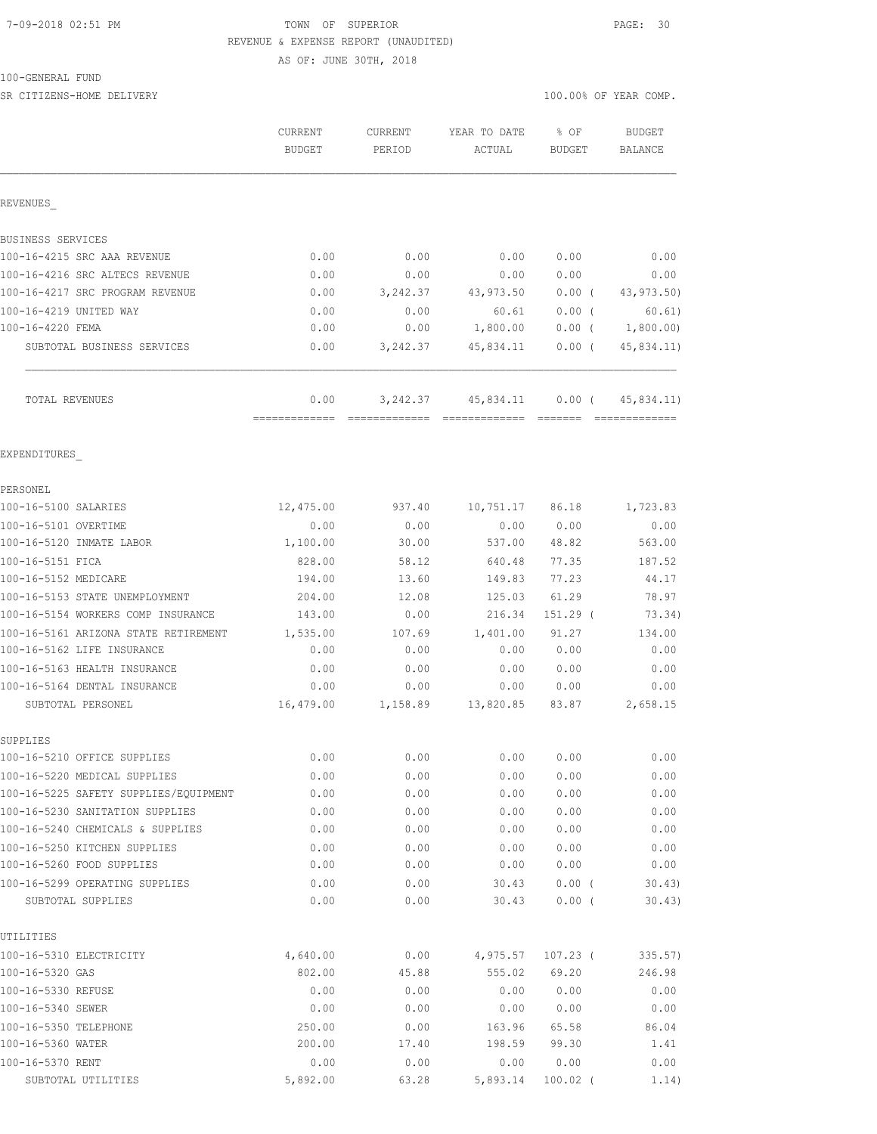#### 7-09-2018 02:51 PM TOWN OF SUPERIOR PAGE: 30 REVENUE & EXPENSE REPORT (UNAUDITED)

AS OF: JUNE 30TH, 2018

# 100-GENERAL FUND

SR CITIZENS-HOME DELIVERY 100.00% OF YEAR COMP.

|                                                           | CURRENT<br><b>BUDGET</b> | CURRENT<br>PERIOD | YEAR TO DATE<br>ACTUAL | % OF<br><b>BUDGET</b> | <b>BUDGET</b><br>BALANCE |
|-----------------------------------------------------------|--------------------------|-------------------|------------------------|-----------------------|--------------------------|
| REVENUES                                                  |                          |                   |                        |                       |                          |
| BUSINESS SERVICES                                         |                          |                   |                        |                       |                          |
| 100-16-4215 SRC AAA REVENUE                               | 0.00                     | 0.00              | 0.00                   | 0.00                  | 0.00                     |
| 100-16-4216 SRC ALTECS REVENUE                            | 0.00                     | 0.00              | 0.00                   | 0.00                  | 0.00                     |
| 100-16-4217 SRC PROGRAM REVENUE                           | 0.00                     | 3,242.37          | 43,973.50              | $0.00$ (              | 43,973.50)               |
| 100-16-4219 UNITED WAY                                    | 0.00                     | 0.00              | 60.61                  | $0.00$ (              | 60.61)                   |
| 100-16-4220 FEMA                                          | 0.00                     | 0.00              | 1,800.00               |                       | $0.00$ ( $1,800.00$ )    |
| SUBTOTAL BUSINESS SERVICES                                | 0.00                     | 3,242.37          | 45,834.11              | $0.00$ (              | 45,834.11)               |
| TOTAL REVENUES                                            | 0.00                     |                   | 3, 242.37 45, 834.11   | $0.00$ (              | 45,834.11)               |
| EXPENDITURES                                              |                          |                   |                        |                       |                          |
| PERSONEL                                                  |                          |                   |                        |                       |                          |
| 100-16-5100 SALARIES                                      | 12,475.00                | 937.40            | 10,751.17 86.18        |                       | 1,723.83                 |
| 100-16-5101 OVERTIME                                      | 0.00                     | 0.00              | 0.00                   | 0.00                  | 0.00                     |
| 100-16-5120 INMATE LABOR                                  | 1,100.00                 | 30.00             | 537.00                 | 48.82                 | 563.00                   |
| 100-16-5151 FICA                                          | 828.00                   | 58.12             | 640.48                 | 77.35                 | 187.52                   |
| 100-16-5152 MEDICARE                                      | 194.00                   | 13.60             | 149.83                 | 77.23                 | 44.17                    |
| 100-16-5153 STATE UNEMPLOYMENT                            | 204.00                   | 12.08             | 125.03                 | 61.29                 | 78.97                    |
| 100-16-5154 WORKERS COMP INSURANCE                        | 143.00                   | 0.00              | 216.34                 | $151.29$ (            | 73.34)                   |
| 100-16-5161 ARIZONA STATE RETIREMENT                      | 1,535.00                 | 107.69            | 1,401.00               | 91.27                 | 134.00                   |
| 100-16-5162 LIFE INSURANCE                                | 0.00                     | 0.00              | 0.00                   | 0.00                  | 0.00                     |
| 100-16-5163 HEALTH INSURANCE                              | 0.00                     | 0.00              | 0.00                   | 0.00                  | 0.00                     |
| 100-16-5164 DENTAL INSURANCE                              | 0.00                     | 0.00              | 0.00                   | 0.00                  | 0.00                     |
| SUBTOTAL PERSONEL                                         | 16,479.00                | 1,158.89          | 13,820.85              | 83.87                 | 2,658.15                 |
| SUPPLIES                                                  |                          |                   |                        |                       |                          |
| 100-16-5210 OFFICE SUPPLIES                               | 0.00                     | 0.00              | 0.00                   | 0.00                  | 0.00                     |
| 100-16-5220 MEDICAL SUPPLIES                              | 0.00                     | 0.00              | 0.00                   | 0.00                  | 0.00                     |
| 100-16-5225 SAFETY SUPPLIES/EQUIPMENT                     | 0.00                     | 0.00              | 0.00                   | 0.00                  | 0.00                     |
| 100-16-5230 SANITATION SUPPLIES                           | 0.00                     | 0.00              | 0.00                   | 0.00                  | 0.00                     |
| 100-16-5240 CHEMICALS & SUPPLIES                          | 0.00                     | 0.00              | 0.00                   | 0.00                  | 0.00                     |
| 100-16-5250 KITCHEN SUPPLIES<br>100-16-5260 FOOD SUPPLIES | 0.00                     | 0.00              | 0.00<br>0.00           | 0.00                  | 0.00                     |
| 100-16-5299 OPERATING SUPPLIES                            | 0.00                     | 0.00              |                        | 0.00<br>0.00(         | 0.00                     |
| SUBTOTAL SUPPLIES                                         | 0.00<br>0.00             | 0.00<br>0.00      | 30.43<br>30.43         | $0.00$ (              | 30.43<br>30.43)          |
| UTILITIES                                                 |                          |                   |                        |                       |                          |
| 100-16-5310 ELECTRICITY                                   | 4,640.00                 | 0.00              | 4,975.57               | $107.23$ (            | 335.57)                  |
| 100-16-5320 GAS                                           | 802.00                   | 45.88             | 555.02                 | 69.20                 | 246.98                   |
| 100-16-5330 REFUSE                                        | 0.00                     | 0.00              | 0.00                   | 0.00                  | 0.00                     |
| 100-16-5340 SEWER                                         | 0.00                     | 0.00              | 0.00                   | 0.00                  | 0.00                     |
| 100-16-5350 TELEPHONE                                     | 250.00                   | 0.00              | 163.96                 | 65.58                 | 86.04                    |
| 100-16-5360 WATER                                         | 200.00                   | 17.40             | 198.59                 | 99.30                 | 1.41                     |
| 100-16-5370 RENT                                          | 0.00                     | 0.00              | 0.00                   | 0.00                  | 0.00                     |
| SUBTOTAL UTILITIES                                        | 5,892.00                 | 63.28             | 5,893.14               | $100.02$ (            | 1.14)                    |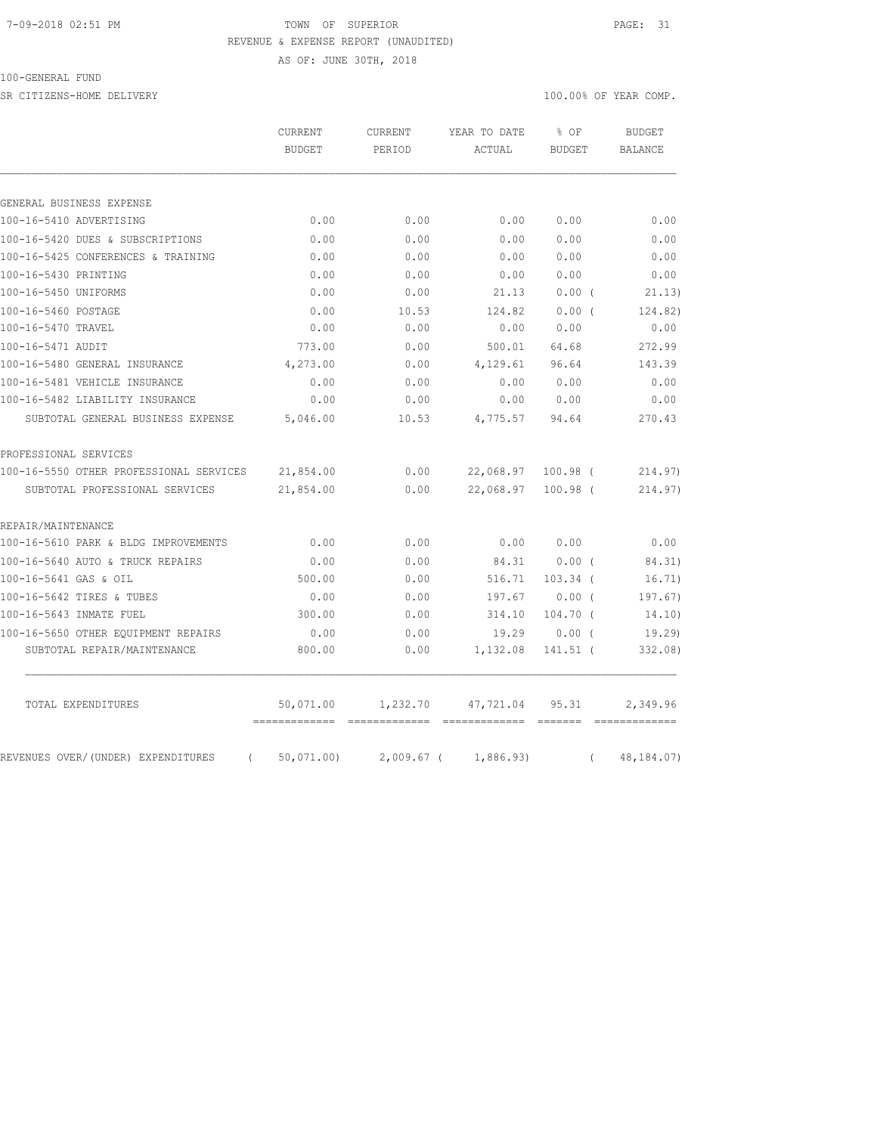#### 7-09-2018 02:51 PM TOWN OF SUPERIOR PAGE: 31 REVENUE & EXPENSE REPORT (UNAUDITED)

AS OF: JUNE 30TH, 2018

100-GENERAL FUND

SR CITIZENS-HOME DELIVERY 100.00% OF YEAR COMP.

|                                                | CURRENT<br><b>BUDGET</b> | <b>CURRENT</b><br>PERIOD | YEAR TO DATE<br>ACTUAL | % OF<br><b>BUDGET</b> |          | <b>BUDGET</b><br><b>BALANCE</b> |
|------------------------------------------------|--------------------------|--------------------------|------------------------|-----------------------|----------|---------------------------------|
|                                                |                          |                          |                        |                       |          |                                 |
| GENERAL BUSINESS EXPENSE                       |                          |                          |                        |                       |          |                                 |
| 100-16-5410 ADVERTISING                        | 0.00                     | 0.00                     | 0.00                   | 0.00                  |          | 0.00                            |
| 100-16-5420 DUES & SUBSCRIPTIONS               | 0.00                     | 0.00                     | 0.00                   | 0.00                  |          | 0.00                            |
| 100-16-5425 CONFERENCES & TRAINING             | 0.00                     | 0.00                     | 0.00                   | 0.00                  |          | 0.00                            |
| 100-16-5430 PRINTING                           | 0.00                     | 0.00                     | 0.00                   | 0.00                  |          | 0.00                            |
| 100-16-5450 UNIFORMS                           | 0.00                     | 0.00                     | 21.13                  | 0.00(                 |          | 21.13)                          |
| 100-16-5460 POSTAGE                            | 0.00                     | 10.53                    | 124.82                 | 0.00(                 |          | 124.82)                         |
| 100-16-5470 TRAVEL                             | 0.00                     | 0.00                     | 0.00                   | 0.00                  |          | 0.00                            |
| 100-16-5471 AUDIT                              | 773.00                   | 0.00                     | 500.01                 | 64.68                 |          | 272.99                          |
| 100-16-5480 GENERAL INSURANCE                  | 4,273.00                 | 0.00                     | 4,129.61               | 96.64                 |          | 143.39                          |
| 100-16-5481 VEHICLE INSURANCE                  | 0.00                     | 0.00                     | 0.00                   | 0.00                  |          | 0.00                            |
| 100-16-5482 LIABILITY INSURANCE                | 0.00                     | 0.00                     | 0.00                   | 0.00                  |          | 0.00                            |
| SUBTOTAL GENERAL BUSINESS EXPENSE              | 5,046.00                 | 10.53                    | 4,775.57               | 94.64                 |          | 270.43                          |
| PROFESSIONAL SERVICES                          |                          |                          |                        |                       |          |                                 |
| 100-16-5550 OTHER PROFESSIONAL SERVICES        | 21,854.00                | 0.00                     | 22,068.97              | $100.98$ (            |          | 214.97)                         |
| SUBTOTAL PROFESSIONAL SERVICES                 | 21,854.00                | 0.00                     | 22,068.97              | $100.98$ (            |          | 214.97                          |
| REPAIR/MAINTENANCE                             |                          |                          |                        |                       |          |                                 |
| 100-16-5610 PARK & BLDG IMPROVEMENTS           | 0.00                     | 0.00                     | 0.00                   | 0.00                  |          | 0.00                            |
| 100-16-5640 AUTO & TRUCK REPAIRS               | 0.00                     | 0.00                     | 84.31                  | $0.00$ (              |          | 84.31)                          |
| 100-16-5641 GAS & OIL                          | 500.00                   | 0.00                     | 516.71                 | $103.34$ (            |          | 16.71)                          |
| 100-16-5642 TIRES & TUBES                      | 0.00                     | 0.00                     | 197.67                 | $0.00$ (              |          | 197.67)                         |
| 100-16-5643 INMATE FUEL                        | 300.00                   | 0.00                     | 314.10                 | $104.70$ (            |          | 14.10)                          |
| 100-16-5650 OTHER EQUIPMENT REPAIRS            | 0.00                     | 0.00                     | 19.29                  | 0.00(                 |          | 19.29                           |
| SUBTOTAL REPAIR/MAINTENANCE                    | 800.00                   | 0.00                     | 1,132.08               | 141.51 (              |          | 332.08)                         |
| TOTAL EXPENDITURES                             | 50,071.00                | 1,232.70                 | 47,721.04              | 95.31                 |          | 2,349.96                        |
| REVENUES OVER/(UNDER) EXPENDITURES<br>$\left($ | 50,071.00                | $2,009.67$ (             | 1,886.93               |                       | $\left($ | 48, 184, 07)                    |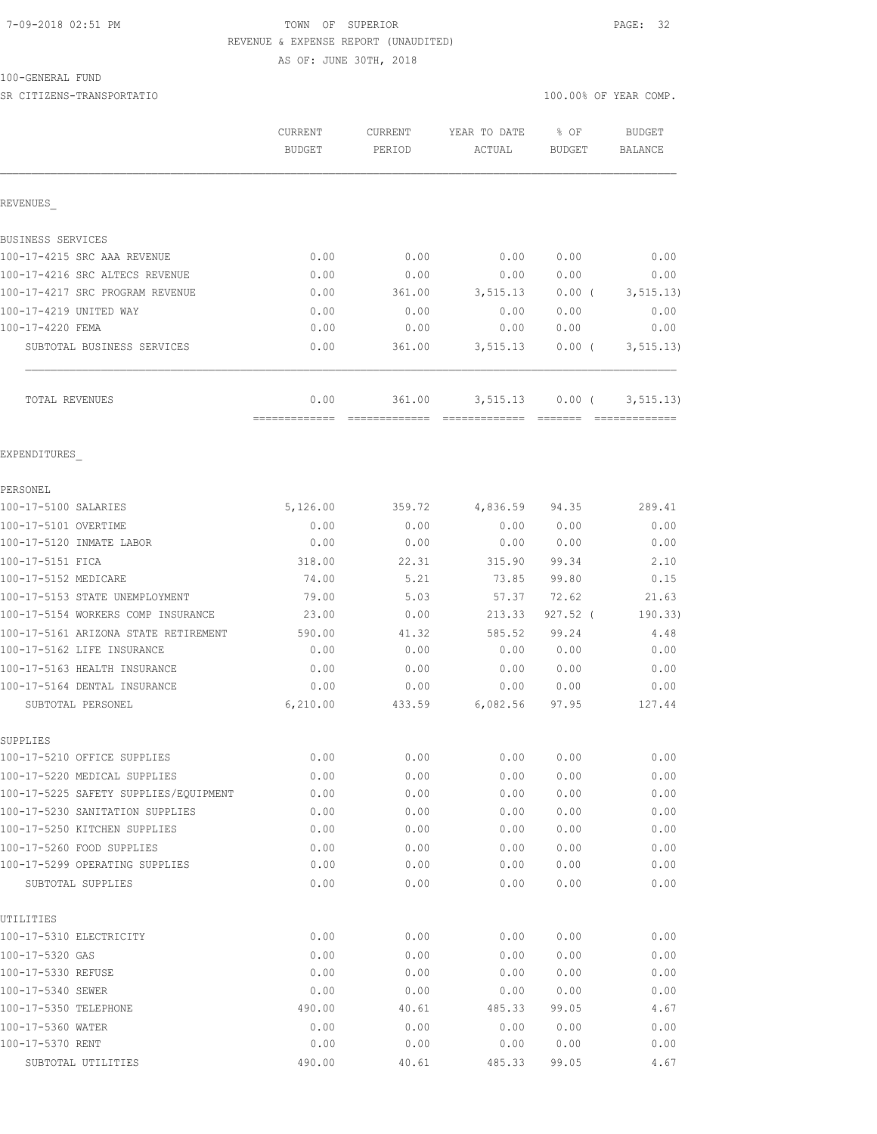# 7-09-2018 02:51 PM TOWN OF SUPERIOR PAGE: 32 REVENUE & EXPENSE REPORT (UNAUDITED)

AS OF: JUNE 30TH, 2018

### 100-GENERAL FUND

REVENUES\_

SR CITIZENS-TRANSPORTATIO SERVED AND THE SERVED ON A SERVED ON A SERVED ON A SERVED ON A SERVED ON A SERVED ON A SERVED ON A SERVED ON A SERVED ON A SERVED ON A SERVED ON A SERVED ON A SERVED ON A SERVED ON A SERVED ON A S

| BUSINESS SERVICES               |          |        |          |          |            |
|---------------------------------|----------|--------|----------|----------|------------|
| 100-17-4215 SRC AAA REVENUE     | 0.00     | 0.00   | 0.00     | 0.00     | 0.00       |
| 100-17-4216 SRC ALTECS REVENUE  | 0.00     | 0.00   | 0.00     | 0.00     | 0.00       |
| 100-17-4217 SRC PROGRAM REVENUE | 0.00     | 361.00 | 3,515.13 | 0.00(    | 3, 515.13) |
| 100-17-4219 UNITED WAY          | 0.00     | 0.00   | 0.00     | 0.00     | 0.00       |
| 100-17-4220 FEMA                | 0.00     | 0.00   | 0.00     | 0.00     | 0.00       |
| SUBTOTAL BUSINESS SERVICES      | 0.00     | 361.00 | 3,515.13 | $0.00$ ( | 3, 515.13) |
| TOTAL REVENUES                  | 0.00     | 361.00 | 3,515.13 | $0.00$ ( | 3, 515.13) |
| EXPENDITURES                    |          |        |          |          |            |
| PERSONEL                        |          |        |          |          |            |
| 100-17-5100 SALARIES            | 5,126.00 | 359.72 | 4,836.59 | 94.35    | 289.41     |
| 100-17-5101 OVERTIME            | 0.00     | 0.00   | 0.00     | 0.00     | 0.00       |
| 100-17-5120 INMATE LABOR        | 0.00     | 0.00   | 0.00     | 0.00     | 0.00       |
| 100-17-5151 FICA                | 318.00   | 22.31  | 315.90   | 99.34    | 2.10       |

| 100-17-5152 MEDICARE                  | 74.00    | 5.21   | 73.85    | 99.80      | 0.15    |
|---------------------------------------|----------|--------|----------|------------|---------|
| 100-17-5153 STATE UNEMPLOYMENT        | 79.00    | 5.03   | 57.37    | 72.62      | 21.63   |
| 100-17-5154 WORKERS COMP INSURANCE    | 23.00    | 0.00   | 213.33   | $927.52$ ( | 190.33) |
| 100-17-5161 ARIZONA STATE RETIREMENT  | 590.00   | 41.32  | 585.52   | 99.24      | 4.48    |
| 100-17-5162 LIFE INSURANCE            | 0.00     | 0.00   | 0.00     | 0.00       | 0.00    |
| 100-17-5163 HEALTH INSURANCE          | 0.00     | 0.00   | 0.00     | 0.00       | 0.00    |
| 100-17-5164 DENTAL INSURANCE          | 0.00     | 0.00   | 0.00     | 0.00       | 0.00    |
| SUBTOTAL PERSONEL                     | 6,210.00 | 433.59 | 6,082.56 | 97.95      | 127.44  |
| SUPPLIES                              |          |        |          |            |         |
| 100-17-5210 OFFICE SUPPLIES           | 0.00     | 0.00   | 0.00     | 0.00       | 0.00    |
| 100-17-5220 MEDICAL SUPPLIES          | 0.00     | 0.00   | 0.00     | 0.00       | 0.00    |
| 100-17-5225 SAFETY SUPPLIES/EOUIPMENT | 0.00     | 0.00   | 0.00     | 0.00       | 0.00    |
| 100-17-5230 SANITATION SUPPLIES       | 0.00     | 0.00   | 0.00     | 0.00       | 0.00    |
| 100-17-5250 KITCHEN SUPPLIES          | 0.00     | 0.00   | 0.00     | 0.00       | 0.00    |
| 100-17-5260 FOOD SUPPLIES             | 0.00     | 0.00   | 0.00     | 0.00       | 0.00    |
| 100-17-5299 OPERATING SUPPLIES        | 0.00     | 0.00   | 0.00     | 0.00       | 0.00    |
| SUBTOTAL SUPPLIES                     | 0.00     | 0.00   | 0.00     | 0.00       | 0.00    |
| UTILITIES                             |          |        |          |            |         |
| 100-17-5310 ELECTRICITY               | 0.00     | 0.00   | 0.00     | 0.00       | 0.00    |
| $100 - 17 - 5320$ GAS                 | 0.00     | 0.00   | 0.00     | 0.00       | 0.00    |
| 100-17-5330 REFUSE                    | 0.00     | 0.00   | 0.00     | 0.00       | 0.00    |
| 100-17-5340 SEWER                     | 0.00     | 0.00   | 0.00     | 0.00       | 0.00    |
| 100-17-5350 TELEPHONE                 | 490.00   | 40.61  | 485.33   | 99.05      | 4.67    |
| 100-17-5360 WATER                     | 0.00     | 0.00   | 0.00     | 0.00       | 0.00    |

100-17-5370 RENT 0.00 0.00 0.00 0.00 0.00 SUBTOTAL UTILITIES 490.00 40.61 485.33 99.05 4.67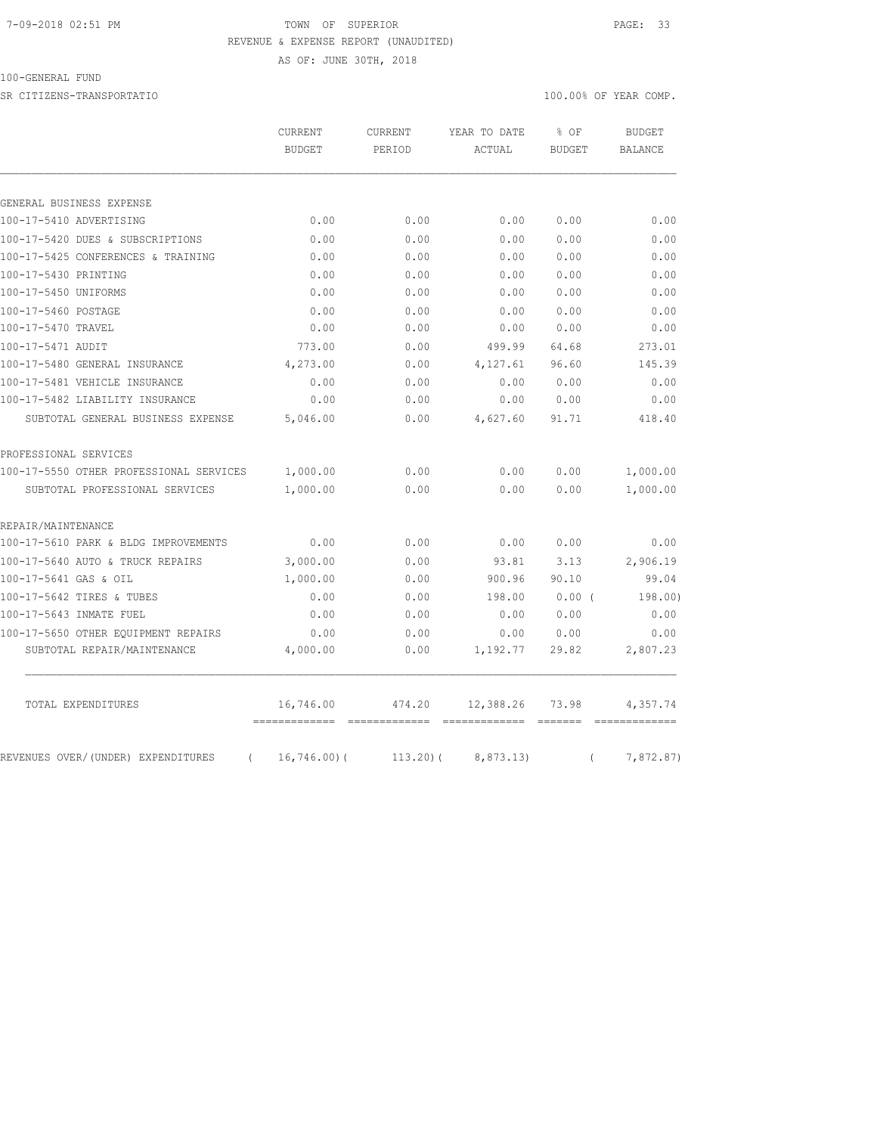# 7-09-2018 02:51 PM TOWN OF SUPERIOR PAGE: 33 REVENUE & EXPENSE REPORT (UNAUDITED)

AS OF: JUNE 30TH, 2018

# 100-GENERAL FUND

SR CITIZENS-TRANSPORTATIO 100.00% OF YEAR COMP.

|                                                | CURRENT        | <b>CURRENT</b> |           | YEAR TO DATE  | % OF           | <b>BUDGET</b> |
|------------------------------------------------|----------------|----------------|-----------|---------------|----------------|---------------|
|                                                | <b>BUDGET</b>  | PERIOD         | ACTUAL    | <b>BUDGET</b> | <b>BALANCE</b> |               |
|                                                |                |                |           |               |                |               |
| GENERAL BUSINESS EXPENSE                       |                |                |           |               |                |               |
| 100-17-5410 ADVERTISING                        | 0.00           | 0.00           | 0.00      | 0.00          | 0.00           |               |
| 100-17-5420 DUES & SUBSCRIPTIONS               | 0.00           | 0.00           | 0.00      | 0.00          | 0.00           |               |
| 100-17-5425 CONFERENCES & TRAINING             | 0.00           | 0.00           | 0.00      | 0.00          | 0.00           |               |
| 100-17-5430 PRINTING                           | 0.00           | 0.00           | 0.00      | 0.00          | 0.00           |               |
| 100-17-5450 UNIFORMS                           | 0.00           | 0.00           | 0.00      | 0.00          | 0.00           |               |
| 100-17-5460 POSTAGE                            | 0.00           | 0.00           | 0.00      | 0.00          | 0.00           |               |
| 100-17-5470 TRAVEL                             | 0.00           | 0.00           | 0.00      | 0.00          | 0.00           |               |
| 100-17-5471 AUDIT                              | 773.00         | 0.00           | 499.99    | 64.68         | 273.01         |               |
| 100-17-5480 GENERAL INSURANCE                  | 4,273.00       | 0.00           | 4,127.61  | 96.60         | 145.39         |               |
| 100-17-5481 VEHICLE INSURANCE                  | 0.00           | 0.00           | 0.00      | 0.00          | 0.00           |               |
| 100-17-5482 LIABILITY INSURANCE                | 0.00           | 0.00           | 0.00      | 0.00          | 0.00           |               |
| SUBTOTAL GENERAL BUSINESS EXPENSE              | 5,046.00       | 0.00           | 4,627.60  | 91.71         | 418.40         |               |
| PROFESSIONAL SERVICES                          |                |                |           |               |                |               |
| 100-17-5550 OTHER PROFESSIONAL SERVICES        | 1,000.00       | 0.00           | 0.00      | 0.00          | 1,000.00       |               |
| SUBTOTAL PROFESSIONAL SERVICES                 | 1,000.00       | 0.00           | 0.00      | 0.00          | 1,000.00       |               |
| REPAIR/MAINTENANCE                             |                |                |           |               |                |               |
| 100-17-5610 PARK & BLDG IMPROVEMENTS           | 0.00           | 0.00           | 0.00      | 0.00          | 0.00           |               |
| 100-17-5640 AUTO & TRUCK REPAIRS               | 3,000.00       | 0.00           | 93.81     | 3.13          | 2,906.19       |               |
| 100-17-5641 GAS & OIL                          | 1,000.00       | 0.00           | 900.96    | 90.10         | 99.04          |               |
| 100-17-5642 TIRES & TUBES                      | 0.00           | 0.00           | 198.00    | $0.00$ (      | 198.00)        |               |
| 100-17-5643 INMATE FUEL                        | 0.00           | 0.00           | 0.00      | 0.00          | 0.00           |               |
| 100-17-5650 OTHER EQUIPMENT REPAIRS            | 0.00           | 0.00           | 0.00      | 0.00          | 0.00           |               |
| SUBTOTAL REPAIR/MAINTENANCE                    | 4,000.00       | 0.00           | 1,192.77  | 29.82         | 2,807.23       |               |
| TOTAL EXPENDITURES                             | 16,746.00      | 474.20         | 12,388.26 | 73.98         | 4,357.74       |               |
| REVENUES OVER/(UNDER) EXPENDITURES<br>$\left($ | $16, 746.00$ ( | $113.20$ ) (   | 8,873.13) | $\left($      | 7,872.87)      |               |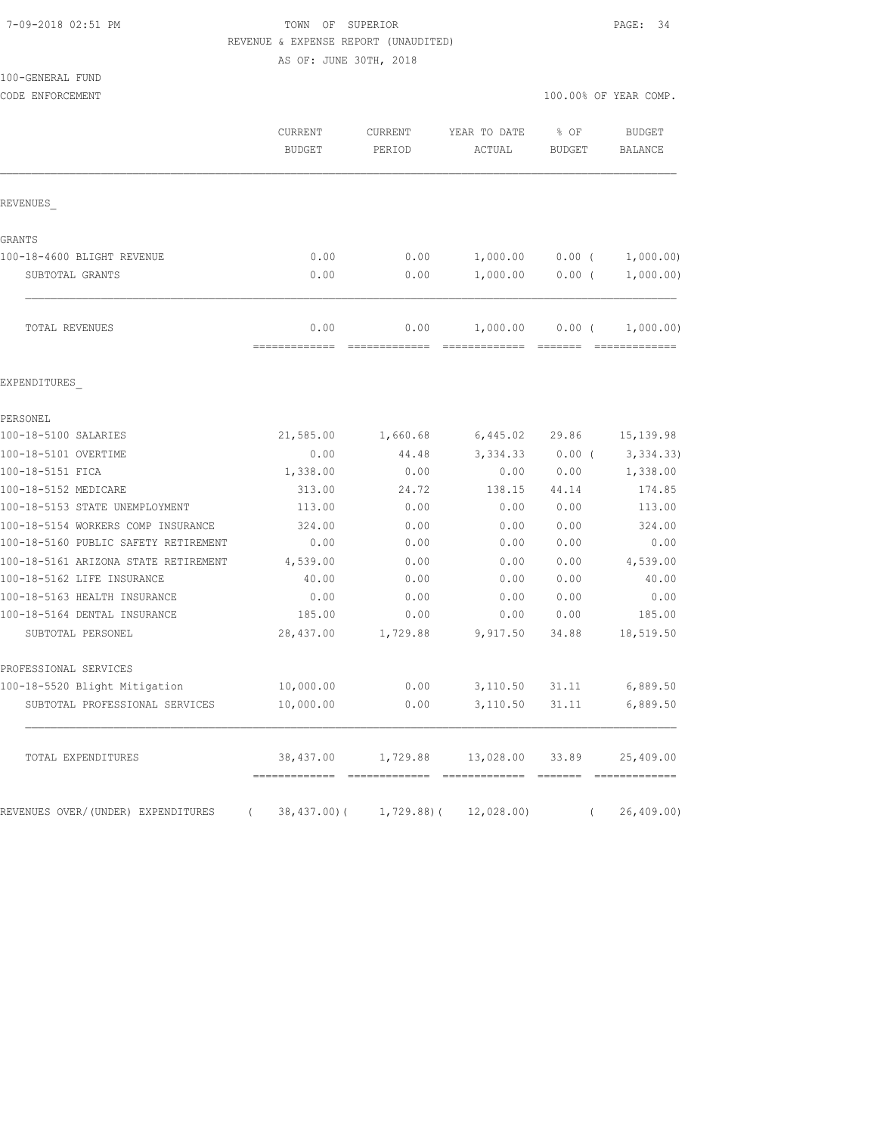# 7-09-2018 02:51 PM TOWN OF SUPERIOR PAGE: 34 REVENUE & EXPENSE REPORT (UNAUDITED)

AS OF: JUNE 30TH, 2018

| 100-GENERAL FUND                                             |                                 |                          |                            |                       |                                                                                                                                                                                                                                                                                                                                                                                                                                                                                                     |  |
|--------------------------------------------------------------|---------------------------------|--------------------------|----------------------------|-----------------------|-----------------------------------------------------------------------------------------------------------------------------------------------------------------------------------------------------------------------------------------------------------------------------------------------------------------------------------------------------------------------------------------------------------------------------------------------------------------------------------------------------|--|
| CODE ENFORCEMENT                                             |                                 |                          |                            | 100.00% OF YEAR COMP. |                                                                                                                                                                                                                                                                                                                                                                                                                                                                                                     |  |
|                                                              | <b>CURRENT</b><br><b>BUDGET</b> | <b>CURRENT</b><br>PERIOD | YEAR TO DATE<br>ACTUAL     | $8$ OF<br>BUDGET      | BUDGET<br><b>BALANCE</b>                                                                                                                                                                                                                                                                                                                                                                                                                                                                            |  |
| REVENUES                                                     |                                 |                          |                            |                       |                                                                                                                                                                                                                                                                                                                                                                                                                                                                                                     |  |
| GRANTS                                                       |                                 |                          |                            |                       |                                                                                                                                                                                                                                                                                                                                                                                                                                                                                                     |  |
| 100-18-4600 BLIGHT REVENUE                                   | 0.00                            | 0.00                     | 1,000.00                   | 0.00(                 | 1,000.00)                                                                                                                                                                                                                                                                                                                                                                                                                                                                                           |  |
| SUBTOTAL GRANTS                                              | 0.00                            | 0.00                     | 1,000.00                   | $0.00$ (              | 1,000.00)                                                                                                                                                                                                                                                                                                                                                                                                                                                                                           |  |
| TOTAL REVENUES                                               | 0.00<br>-------------           | 0.00<br>-------------    | 1,000.00<br>-------------- | $0.00$ (              | 1,000.00)<br>$\begin{array}{cccccccccc} \multicolumn{2}{c}{} & \multicolumn{2}{c}{} & \multicolumn{2}{c}{} & \multicolumn{2}{c}{} & \multicolumn{2}{c}{} & \multicolumn{2}{c}{} & \multicolumn{2}{c}{} & \multicolumn{2}{c}{} & \multicolumn{2}{c}{} & \multicolumn{2}{c}{} & \multicolumn{2}{c}{} & \multicolumn{2}{c}{} & \multicolumn{2}{c}{} & \multicolumn{2}{c}{} & \multicolumn{2}{c}{} & \multicolumn{2}{c}{} & \multicolumn{2}{c}{} & \multicolumn{2}{c}{} & \multicolumn{2}{c}{} & \mult$ |  |
| EXPENDITURES                                                 |                                 |                          |                            |                       |                                                                                                                                                                                                                                                                                                                                                                                                                                                                                                     |  |
| PERSONEL                                                     |                                 |                          |                            |                       |                                                                                                                                                                                                                                                                                                                                                                                                                                                                                                     |  |
| 100-18-5100 SALARIES                                         | 21,585.00                       | 1,660.68                 | 6,445.02                   | 29.86                 | 15, 139.98                                                                                                                                                                                                                                                                                                                                                                                                                                                                                          |  |
| 100-18-5101 OVERTIME                                         | 0.00                            | 44.48                    | 3,334.33                   | $0.00$ (              | 3, 334.33                                                                                                                                                                                                                                                                                                                                                                                                                                                                                           |  |
| 100-18-5151 FICA                                             | 1,338.00                        | 0.00                     | 0.00                       | 0.00                  | 1,338.00                                                                                                                                                                                                                                                                                                                                                                                                                                                                                            |  |
| 100-18-5152 MEDICARE                                         | 313.00                          | 24.72                    | 138.15                     | 44.14                 | 174.85                                                                                                                                                                                                                                                                                                                                                                                                                                                                                              |  |
| 100-18-5153 STATE UNEMPLOYMENT                               | 113.00                          | 0.00                     | 0.00                       | 0.00                  | 113.00                                                                                                                                                                                                                                                                                                                                                                                                                                                                                              |  |
| 100-18-5154 WORKERS COMP INSURANCE                           | 324.00                          | 0.00                     | 0.00                       | 0.00                  | 324.00                                                                                                                                                                                                                                                                                                                                                                                                                                                                                              |  |
| 100-18-5160 PUBLIC SAFETY RETIREMENT                         | 0.00                            | 0.00                     | 0.00                       | 0.00                  | 0.00                                                                                                                                                                                                                                                                                                                                                                                                                                                                                                |  |
| 100-18-5161 ARIZONA STATE RETIREMENT                         | 4,539.00                        | 0.00                     | 0.00                       | 0.00                  | 4,539.00                                                                                                                                                                                                                                                                                                                                                                                                                                                                                            |  |
| 100-18-5162 LIFE INSURANCE                                   | 40.00                           | 0.00                     | 0.00                       | 0.00                  | 40.00                                                                                                                                                                                                                                                                                                                                                                                                                                                                                               |  |
| 100-18-5163 HEALTH INSURANCE<br>100-18-5164 DENTAL INSURANCE | 0.00<br>185.00                  | 0.00<br>0.00             | 0.00<br>0.00               | 0.00<br>0.00          | 0.00<br>185.00                                                                                                                                                                                                                                                                                                                                                                                                                                                                                      |  |
| SUBTOTAL PERSONEL                                            | 28,437.00                       | 1,729.88                 | 9,917.50                   | 34.88                 | 18,519.50                                                                                                                                                                                                                                                                                                                                                                                                                                                                                           |  |
| PROFESSIONAL SERVICES                                        |                                 |                          |                            |                       |                                                                                                                                                                                                                                                                                                                                                                                                                                                                                                     |  |
| 100-18-5520 Blight Mitigation                                | 10,000.00                       | 0.00                     | 3,110.50                   | 31.11                 | 6,889.50                                                                                                                                                                                                                                                                                                                                                                                                                                                                                            |  |
| SUBTOTAL PROFESSIONAL SERVICES                               | 10,000.00                       | 0.00                     | 3,110.50                   | 31.11                 | 6,889.50                                                                                                                                                                                                                                                                                                                                                                                                                                                                                            |  |
| TOTAL EXPENDITURES                                           | 38,437.00                       | 1,729.88                 | 13,028.00 33.89            |                       | 25,409.00                                                                                                                                                                                                                                                                                                                                                                                                                                                                                           |  |

REVENUES OVER/(UNDER) EXPENDITURES ( 38,437.00)( 1,729.88)( 12,028.00) ( 26,409.00)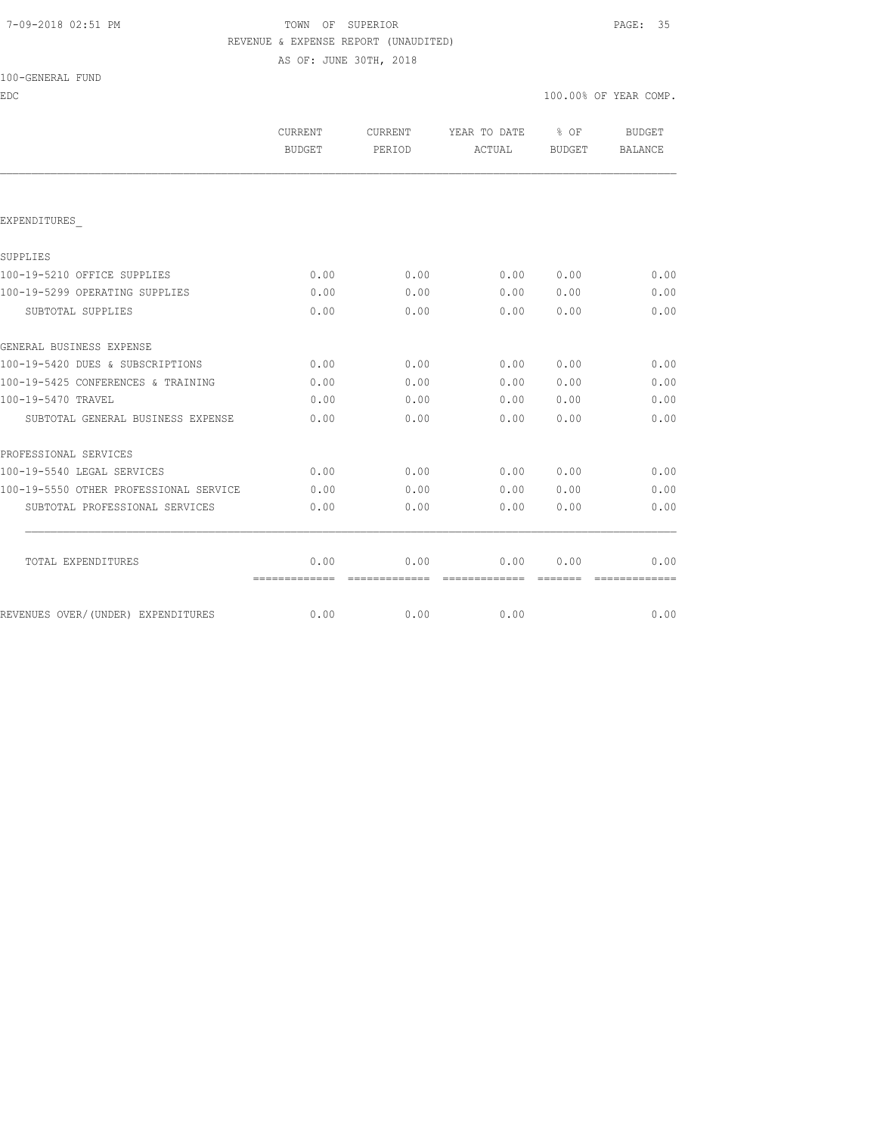# 7-09-2018 02:51 PM TOWN OF SUPERIOR PAGE: 35 REVENUE & EXPENSE REPORT (UNAUDITED)

AS OF: JUNE 30TH, 2018

| 100-GENERAL FUND |  |
|------------------|--|
|------------------|--|

| EDC                                    |                          |                   |                        | 100.00% OF YEAR COMP.                                                                                                                                                                                                                                                                                                                                                                                                                                                                  |                               |
|----------------------------------------|--------------------------|-------------------|------------------------|----------------------------------------------------------------------------------------------------------------------------------------------------------------------------------------------------------------------------------------------------------------------------------------------------------------------------------------------------------------------------------------------------------------------------------------------------------------------------------------|-------------------------------|
|                                        | CURRENT<br><b>BUDGET</b> | CURRENT<br>PERIOD | YEAR TO DATE<br>ACTUAL | $\frac{1}{2}$ of<br>BUDGET                                                                                                                                                                                                                                                                                                                                                                                                                                                             | BUDGET<br>BALANCE             |
|                                        |                          |                   |                        |                                                                                                                                                                                                                                                                                                                                                                                                                                                                                        |                               |
| EXPENDITURES                           |                          |                   |                        |                                                                                                                                                                                                                                                                                                                                                                                                                                                                                        |                               |
| SUPPLIES                               |                          |                   |                        |                                                                                                                                                                                                                                                                                                                                                                                                                                                                                        |                               |
| 100-19-5210 OFFICE SUPPLIES            | 0.00                     | 0.00              | 0.00                   | 0.00                                                                                                                                                                                                                                                                                                                                                                                                                                                                                   | 0.00                          |
| 100-19-5299 OPERATING SUPPLIES         | 0.00                     | 0.00              | 0.00                   | 0.00                                                                                                                                                                                                                                                                                                                                                                                                                                                                                   | 0.00                          |
| SUBTOTAL SUPPLIES                      | 0.00                     | 0.00              | 0.00                   | 0.00                                                                                                                                                                                                                                                                                                                                                                                                                                                                                   | 0.00                          |
| GENERAL BUSINESS EXPENSE               |                          |                   |                        |                                                                                                                                                                                                                                                                                                                                                                                                                                                                                        |                               |
| 100-19-5420 DUES & SUBSCRIPTIONS       | 0.00                     | 0.00              | 0.00                   | 0.00                                                                                                                                                                                                                                                                                                                                                                                                                                                                                   | 0.00                          |
| 100-19-5425 CONFERENCES & TRAINING     | 0.00                     | 0.00              | 0.00                   | 0.00                                                                                                                                                                                                                                                                                                                                                                                                                                                                                   | 0.00                          |
| 100-19-5470 TRAVEL                     | 0.00                     | 0.00              | 0.00                   | 0.00                                                                                                                                                                                                                                                                                                                                                                                                                                                                                   | 0.00                          |
| SUBTOTAL GENERAL BUSINESS EXPENSE      | 0.00                     | 0.00              | 0.00                   | 0.00                                                                                                                                                                                                                                                                                                                                                                                                                                                                                   | 0.00                          |
| PROFESSIONAL SERVICES                  |                          |                   |                        |                                                                                                                                                                                                                                                                                                                                                                                                                                                                                        |                               |
| 100-19-5540 LEGAL SERVICES             | 0.00                     | 0.00              | 0.00                   | 0.00                                                                                                                                                                                                                                                                                                                                                                                                                                                                                   | 0.00                          |
| 100-19-5550 OTHER PROFESSIONAL SERVICE | 0.00                     | 0.00              | 0.00                   | 0.00                                                                                                                                                                                                                                                                                                                                                                                                                                                                                   | 0.00                          |
| SUBTOTAL PROFESSIONAL SERVICES         | 0.00                     | 0.00              | 0.00                   | 0.00                                                                                                                                                                                                                                                                                                                                                                                                                                                                                   | 0.00                          |
| TOTAL EXPENDITURES                     | 0.00                     | 0.00              | 0.00                   | 0.00                                                                                                                                                                                                                                                                                                                                                                                                                                                                                   | 0.00                          |
|                                        | =============            | =============     | - =============        | $\begin{array}{cccccccccc} \multicolumn{2}{c}{} & \multicolumn{2}{c}{} & \multicolumn{2}{c}{} & \multicolumn{2}{c}{} & \multicolumn{2}{c}{} & \multicolumn{2}{c}{} & \multicolumn{2}{c}{} & \multicolumn{2}{c}{} & \multicolumn{2}{c}{} & \multicolumn{2}{c}{} & \multicolumn{2}{c}{} & \multicolumn{2}{c}{} & \multicolumn{2}{c}{} & \multicolumn{2}{c}{} & \multicolumn{2}{c}{} & \multicolumn{2}{c}{} & \multicolumn{2}{c}{} & \multicolumn{2}{c}{} & \multicolumn{2}{c}{} & \mult$ | $=$ = = = = = = = = = = = = = |
| REVENUES OVER/(UNDER) EXPENDITURES     | 0.00                     | 0.00              | 0.00                   |                                                                                                                                                                                                                                                                                                                                                                                                                                                                                        | 0.00                          |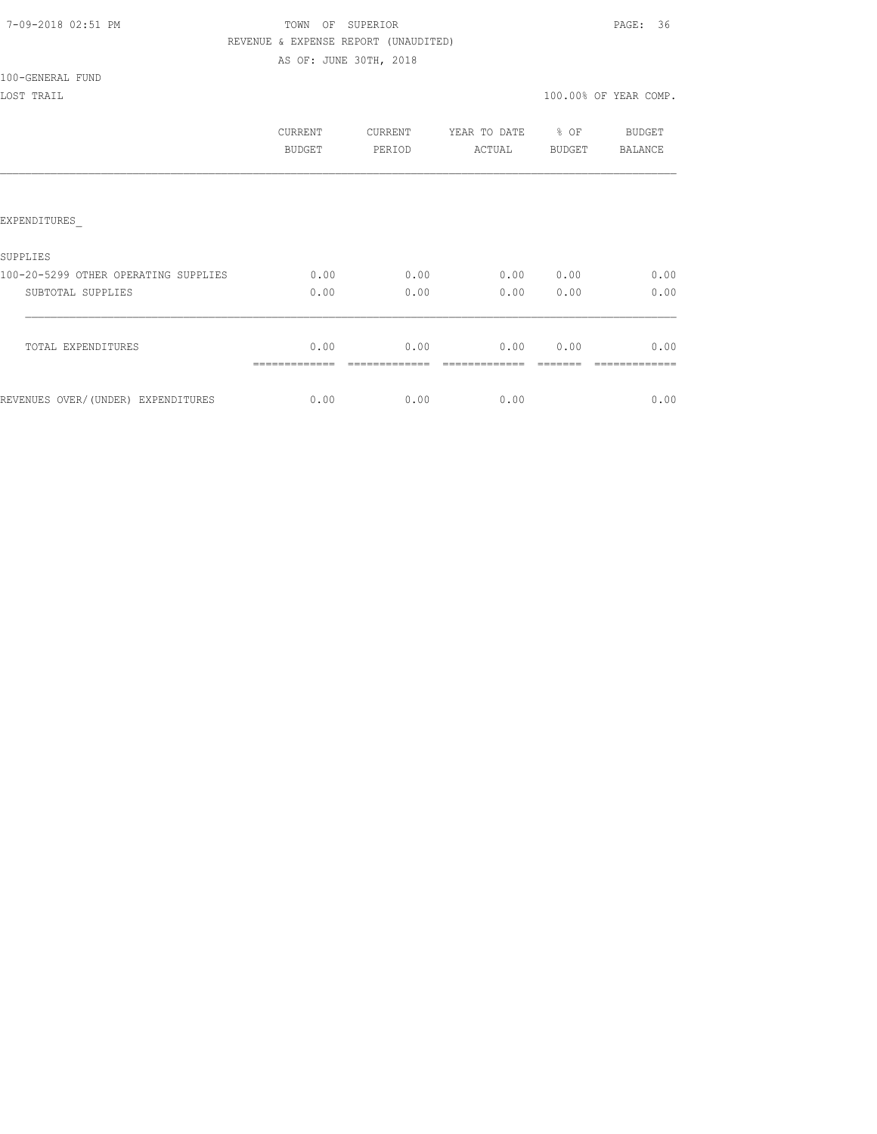|  | 7-09-2018 02:51 PM |  |
|--|--------------------|--|
|  |                    |  |

# TOWN OF SUPERIOR **PAGE:** 36 REVENUE & EXPENSE REPORT (UNAUDITED)

AS OF: JUNE 30TH, 2018

# 100-GENERAL FUND

|                                      | CURRENT<br><b>BUDGET</b> | CURRENT<br>PERIOD | YEAR TO DATE<br>ACTUAL | % OF<br><b>BUDGET</b> | <b>BUDGET</b><br>BALANCE |
|--------------------------------------|--------------------------|-------------------|------------------------|-----------------------|--------------------------|
|                                      |                          |                   |                        |                       |                          |
| EXPENDITURES                         |                          |                   |                        |                       |                          |
| SUPPLIES                             |                          |                   |                        |                       |                          |
| 100-20-5299 OTHER OPERATING SUPPLIES | 0.00                     | 0.00              | 0.00                   | 0.00                  | 0.00                     |
| SUBTOTAL SUPPLIES                    | 0.00                     | 0.00              | 0.00                   | 0.00                  | 0.00                     |
| TOTAL EXPENDITURES                   | 0.00                     | 0.00              | 0.00                   | 0.00                  | 0.00                     |
| REVENUES OVER/(UNDER) EXPENDITURES   | 0.00                     | 0.00              | 0.00                   |                       | 0.00                     |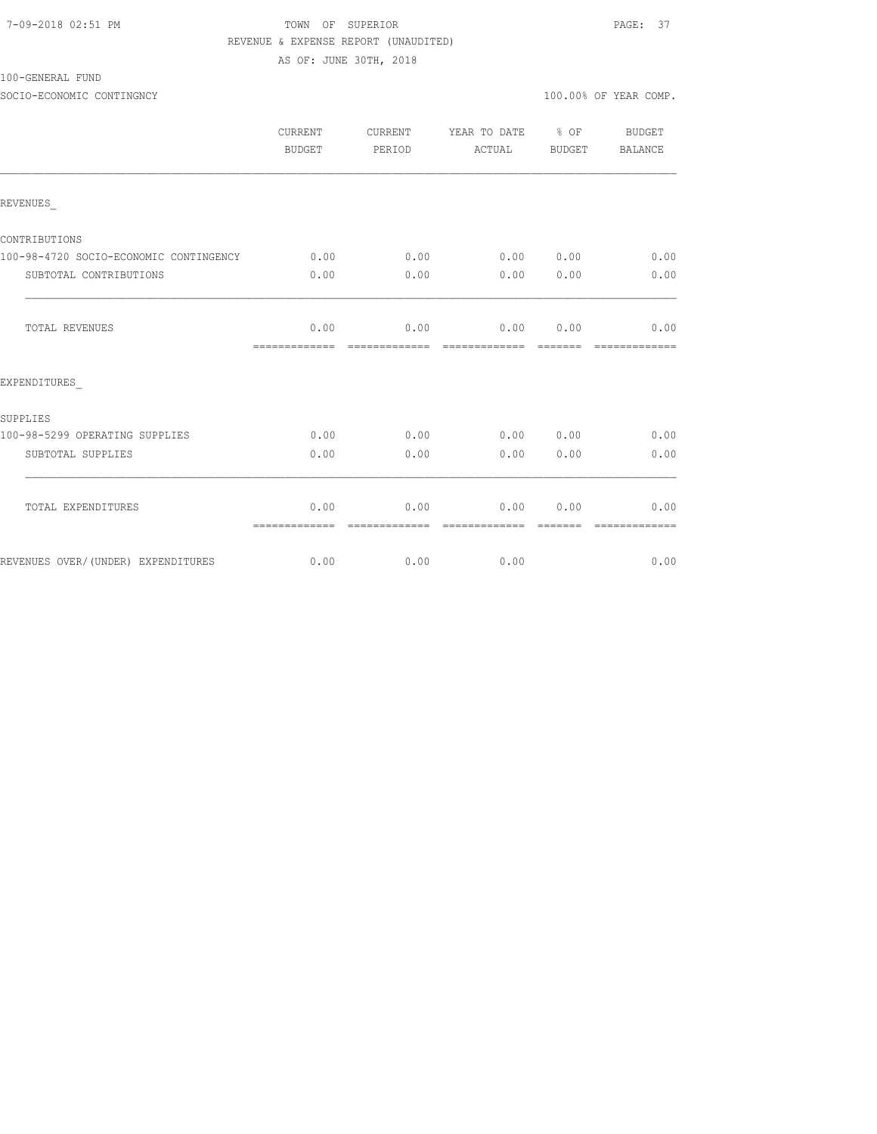### 7-09-2018 02:51 PM TOWN OF SUPERIOR PAGE: 37 REVENUE & EXPENSE REPORT (UNAUDITED) AS OF: JUNE 30TH, 2018

100-GENERAL FUND

SOCIO-ECONOMIC CONTINGNCY 100.00% OF YEAR COMP.

|                                        | CURRENT<br>BUDGET     | CURRENT<br>PERIOD     | YEAR TO DATE<br>ACTUAL | $\frac{1}{2}$ OF<br>BUDGET                                                                                                                                                                                                                                                                                                                                                                                                                                                                   | BUDGET<br>BALANCE     |
|----------------------------------------|-----------------------|-----------------------|------------------------|----------------------------------------------------------------------------------------------------------------------------------------------------------------------------------------------------------------------------------------------------------------------------------------------------------------------------------------------------------------------------------------------------------------------------------------------------------------------------------------------|-----------------------|
| REVENUES                               |                       |                       |                        |                                                                                                                                                                                                                                                                                                                                                                                                                                                                                              |                       |
| CONTRIBUTIONS                          |                       |                       |                        |                                                                                                                                                                                                                                                                                                                                                                                                                                                                                              |                       |
| 100-98-4720 SOCIO-ECONOMIC CONTINGENCY | 0.00                  | 0.00                  | 0.00                   | 0.00                                                                                                                                                                                                                                                                                                                                                                                                                                                                                         | 0.00                  |
| SUBTOTAL CONTRIBUTIONS                 | 0.00                  | 0.00                  | 0.00                   | 0.00                                                                                                                                                                                                                                                                                                                                                                                                                                                                                         | 0.00                  |
| TOTAL REVENUES                         | 0.00                  | 0.00<br>============= | 0.00<br>=============  | 0.00<br>$\begin{array}{cccccc} \multicolumn{2}{c}{} & \multicolumn{2}{c}{} & \multicolumn{2}{c}{} & \multicolumn{2}{c}{} & \multicolumn{2}{c}{} & \multicolumn{2}{c}{} & \multicolumn{2}{c}{} & \multicolumn{2}{c}{} & \multicolumn{2}{c}{} & \multicolumn{2}{c}{} & \multicolumn{2}{c}{} & \multicolumn{2}{c}{} & \multicolumn{2}{c}{} & \multicolumn{2}{c}{} & \multicolumn{2}{c}{} & \multicolumn{2}{c}{} & \multicolumn{2}{c}{} & \multicolumn{2}{c}{} & \multicolumn{2}{c}{} & \multic$ | 0.00<br>============= |
| EXPENDITURES                           |                       |                       |                        |                                                                                                                                                                                                                                                                                                                                                                                                                                                                                              |                       |
| SUPPLIES                               |                       |                       |                        |                                                                                                                                                                                                                                                                                                                                                                                                                                                                                              |                       |
| 100-98-5299 OPERATING SUPPLIES         | 0.00                  | 0.00                  | 0.00                   | 0.00                                                                                                                                                                                                                                                                                                                                                                                                                                                                                         | 0.00                  |
| SUBTOTAL SUPPLIES                      | 0.00                  | 0.00                  | 0.00                   | 0.00                                                                                                                                                                                                                                                                                                                                                                                                                                                                                         | 0.00                  |
| TOTAL EXPENDITURES                     | 0.00<br>============= | 0.00<br>------------- | 0.00<br>-------------- | 0.00                                                                                                                                                                                                                                                                                                                                                                                                                                                                                         | 0.00                  |
| REVENUES OVER/(UNDER) EXPENDITURES     | 0.00                  | 0.00                  | 0.00                   |                                                                                                                                                                                                                                                                                                                                                                                                                                                                                              | 0.00                  |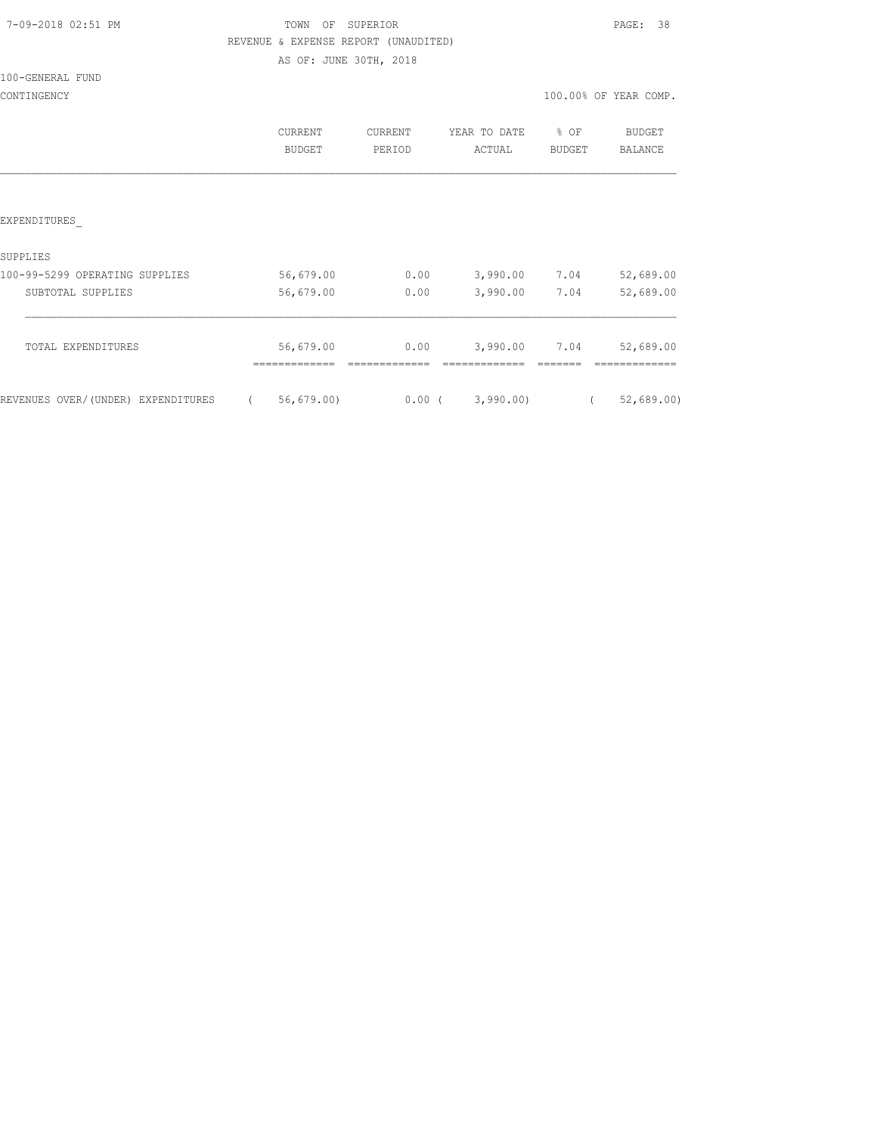| 7-09-2018 02:51 PM |  |
|--------------------|--|
|                    |  |

## TOWN OF SUPERIOR **PAGE:** 38 REVENUE & EXPENSE REPORT (UNAUDITED)

AS OF: JUNE 30TH, 2018

100-GENERAL FUND

|                                    | CURRENT<br>BUDGET | CURRENT<br>PERIOD | YEAR TO DATE<br>ACTUAL | ိင<br>ΟF<br>BUDGET | <b>BUDGET</b><br><b>BALANCE</b> |
|------------------------------------|-------------------|-------------------|------------------------|--------------------|---------------------------------|
| <b>EXPENDITURES</b>                |                   |                   |                        |                    |                                 |
| SUPPLIES                           |                   |                   |                        |                    |                                 |
| 100-99-5299 OPERATING SUPPLIES     | 56,679.00         | 0.00              | 3,990.00               | 7.04               | 52,689.00                       |
| SUBTOTAL SUPPLIES                  | 56,679.00         | 0.00              | 3,990.00               | 7.04               | 52,689.00                       |
| TOTAL EXPENDITURES                 | 56,679.00         | 0.00              | 3,990.00               | 7.04               | 52,689.00                       |
| REVENUES OVER/(UNDER) EXPENDITURES | 56, 679.00        | $0.00$ (          | 3,990.00               |                    | 52,689.00                       |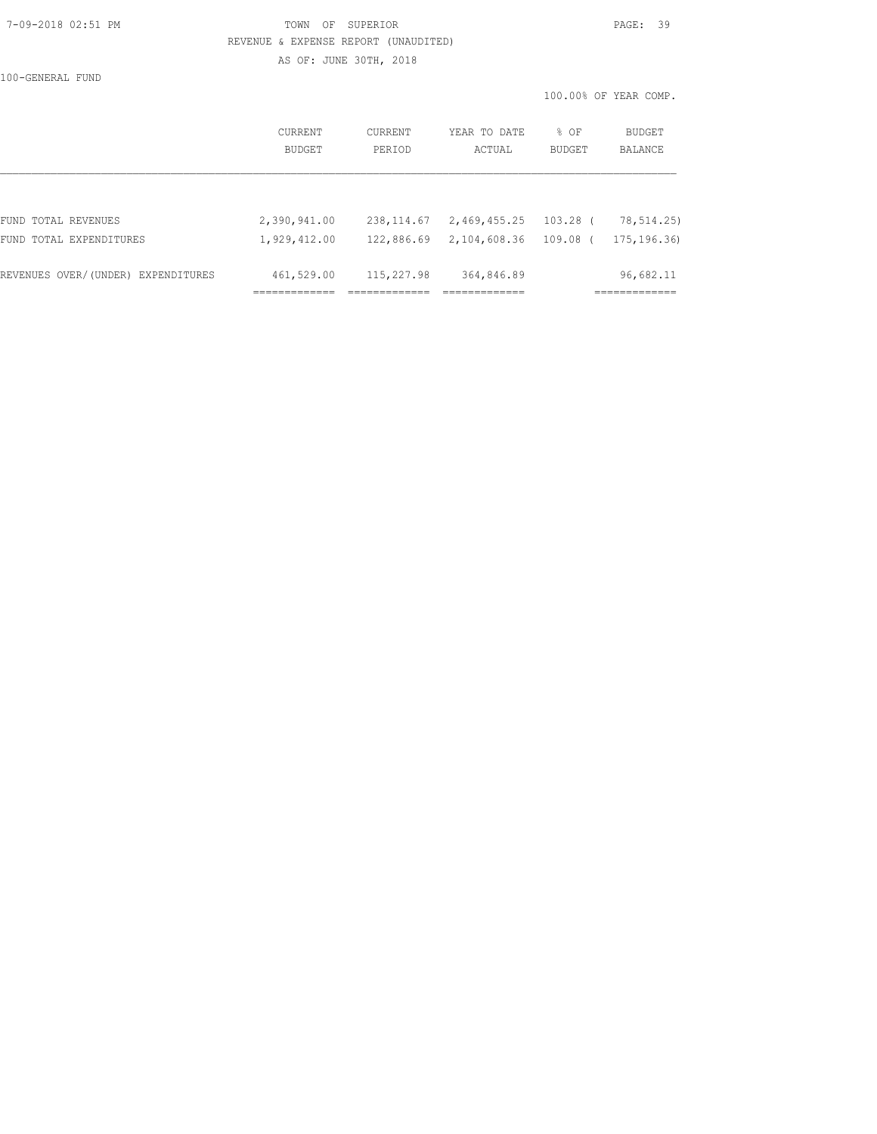### 7-09-2018 02:51 PM TOWN OF SUPERIOR PAGE: 39 REVENUE & EXPENSE REPORT (UNAUDITED) AS OF: JUNE 30TH, 2018

100-GENERAL FUND

|                                    | CURRENT<br>BUDGET | <b>CURRENT</b><br>PERIOD | YEAR TO DATE<br>ACTUAL | $8$ OF<br><b>BUDGET</b> | BUDGET<br>BALANCE |
|------------------------------------|-------------------|--------------------------|------------------------|-------------------------|-------------------|
|                                    |                   |                          |                        |                         |                   |
| FUND TOTAL REVENUES                | 2,390,941.00      | 238, 114.67              | 2,469,455.25           | $103.28$ (              | 78,514.25)        |
| FUND TOTAL EXPENDITURES            | 1,929,412.00      | 122,886.69               | 2,104,608.36           | 109.08 (                | 175, 196.36)      |
| REVENUES OVER/(UNDER) EXPENDITURES | 461,529.00        | 115,227.98               | 364,846.89             |                         | 96,682.11         |
|                                    |                   |                          |                        |                         |                   |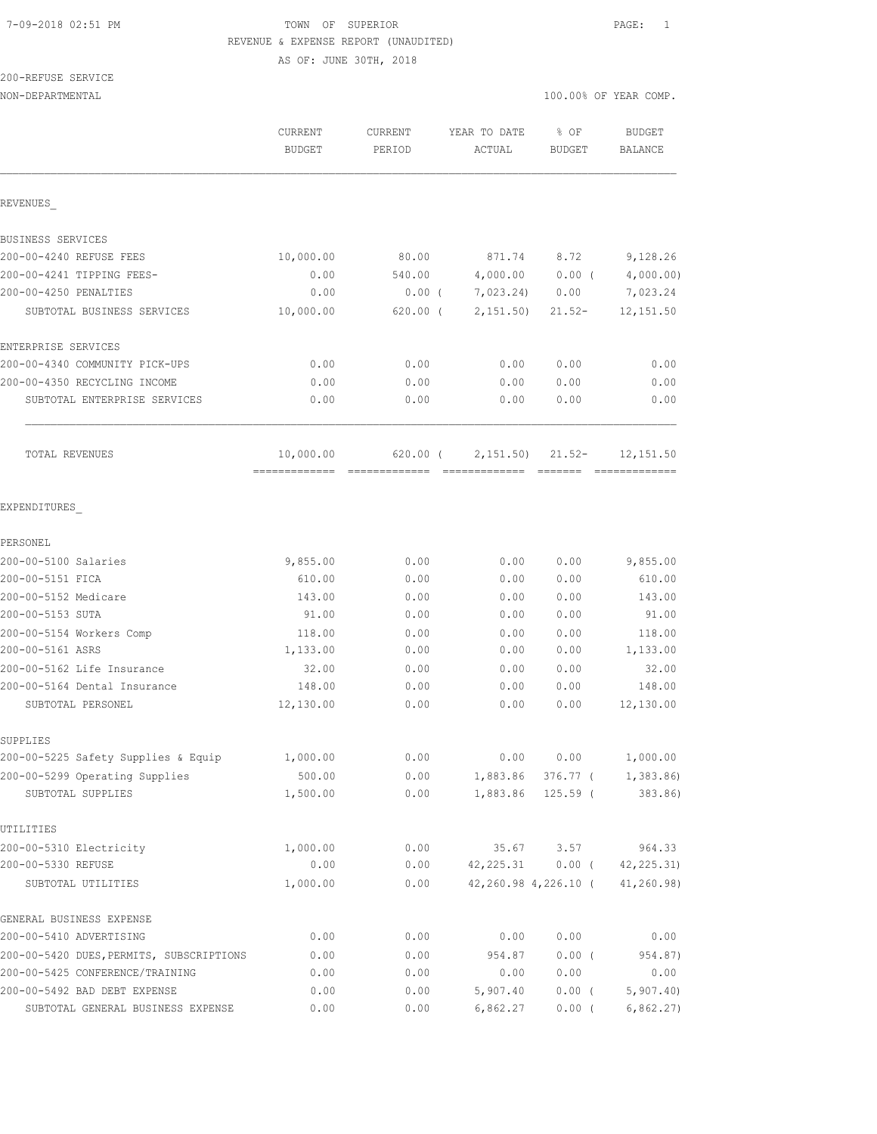## 7-09-2018 02:51 PM TOWN OF SUPERIOR PAGE: 1 REVENUE & EXPENSE REPORT (UNAUDITED)

AS OF: JUNE 30TH, 2018

# 200-REFUSE SERVICE

 $N=DEPARTMENTAL$  10.000  $\rightarrow$  100.000  $\rightarrow$  100.000  $\rightarrow$  100.000  $\rightarrow$  100.000  $\rightarrow$  100.000  $\rightarrow$  100.000  $\rightarrow$  100.000  $\rightarrow$  100.000  $\rightarrow$  100.000  $\rightarrow$  100.000  $\rightarrow$  100.000  $\rightarrow$  100.000  $\rightarrow$  100.000  $\rightarrow$  100.000  $\rightarrow$  100.000  $\rightarrow$  100.

| 100.00% OF YEAR COMP. |  |
|-----------------------|--|
|-----------------------|--|

|                                                     | CURRENT<br><b>BUDGET</b>   | CURRENT<br>PERIOD | YEAR TO DATE<br>ACTUAL | % OF<br><b>BUDGET</b> | <b>BUDGET</b><br><b>BALANCE</b>        |
|-----------------------------------------------------|----------------------------|-------------------|------------------------|-----------------------|----------------------------------------|
| REVENUES                                            |                            |                   |                        |                       |                                        |
| BUSINESS SERVICES                                   |                            |                   |                        |                       |                                        |
| 200-00-4240 REFUSE FEES                             | 10,000.00                  | 80.00             | 871.74                 | 8.72                  | 9,128.26                               |
| 200-00-4241 TIPPING FEES-                           | 0.00                       | 540.00            | 4,000.00               | 0.00(                 | 4,000.00)                              |
| 200-00-4250 PENALTIES                               | 0.00                       | $0.00$ (          | 7,023.24)              | 0.00                  | 7,023.24                               |
| SUBTOTAL BUSINESS SERVICES                          | 10,000.00                  | $620.00$ (        | 2,151.50)              | $21.52-$              | 12, 151.50                             |
| ENTERPRISE SERVICES                                 |                            |                   |                        |                       |                                        |
| 200-00-4340 COMMUNITY PICK-UPS                      | 0.00                       | 0.00              | 0.00                   | 0.00                  | 0.00                                   |
| 200-00-4350 RECYCLING INCOME                        | 0.00                       | 0.00              | 0.00                   | 0.00                  | 0.00                                   |
| SUBTOTAL ENTERPRISE SERVICES                        | 0.00                       | 0.00              | 0.00                   | 0.00                  | 0.00                                   |
| TOTAL REVENUES                                      | 10,000.00<br>============= | 620.00 (          | 2,151.50)              | $21.52-$              | 12, 151.50<br>=============            |
| EXPENDITURES                                        |                            |                   |                        |                       |                                        |
| PERSONEL                                            |                            |                   |                        |                       |                                        |
| 200-00-5100 Salaries                                | 9,855.00                   | 0.00              | 0.00                   | 0.00                  | 9,855.00                               |
| 200-00-5151 FICA                                    | 610.00                     | 0.00              | 0.00                   | 0.00                  | 610.00                                 |
| 200-00-5152 Medicare                                | 143.00                     | 0.00              | 0.00                   | 0.00                  | 143.00                                 |
| 200-00-5153 SUTA                                    | 91.00                      | 0.00              | 0.00                   | 0.00                  | 91.00                                  |
| 200-00-5154 Workers Comp                            | 118.00                     | 0.00              | 0.00                   | 0.00                  | 118.00                                 |
| 200-00-5161 ASRS                                    | 1,133.00                   | 0.00              | 0.00                   | 0.00                  | 1,133.00                               |
| 200-00-5162 Life Insurance                          | 32.00                      | 0.00              | 0.00                   | 0.00                  | 32.00                                  |
| 200-00-5164 Dental Insurance                        | 148.00                     | 0.00              | 0.00                   | 0.00                  | 148.00                                 |
| SUBTOTAL PERSONEL                                   | 12,130.00                  | 0.00              | 0.00                   | 0.00                  | 12,130.00                              |
| SUPPLIES                                            |                            |                   |                        |                       |                                        |
| 200-00-5225 Safety Supplies & Equip                 | 1,000.00                   | 0.00              | 0.00                   | 0.00                  | 1,000.00                               |
| 200-00-5299 Operating Supplies<br>SUBTOTAL SUPPLIES | 500.00<br>1,500.00         | 0.00<br>0.00      |                        | 1,883.86 125.59 (     | 1,883.86 376.77 ( 1,383.86)<br>383.86) |
| UTILITIES                                           |                            |                   |                        |                       |                                        |
| 200-00-5310 Electricity                             | 1,000.00                   | 0.00              |                        | 35.67 3.57            | 964.33                                 |
| 200-00-5330 REFUSE                                  | 0.00                       | 0.00              | 42, 225.31             | $0.00$ (              | 42, 225.31)                            |
| SUBTOTAL UTILITIES                                  | 1,000.00                   | 0.00              |                        | 42,260.98 4,226.10 (  | 41,260.98)                             |
| GENERAL BUSINESS EXPENSE                            |                            |                   |                        |                       |                                        |
| 200-00-5410 ADVERTISING                             | 0.00                       | 0.00              | 0.00                   | 0.00                  | 0.00                                   |
| 200-00-5420 DUES, PERMITS, SUBSCRIPTIONS            | 0.00                       | 0.00              | 954.87                 | $0.00$ (              | 954.87)                                |
| 200-00-5425 CONFERENCE/TRAINING                     | 0.00                       | 0.00              | 0.00                   | 0.00                  | 0.00                                   |
| 200-00-5492 BAD DEBT EXPENSE                        | 0.00                       | 0.00              | 5,907.40               | $0.00$ (              | 5,907.40                               |
| SUBTOTAL GENERAL BUSINESS EXPENSE                   | 0.00                       | 0.00              | 6,862.27               | $0.00$ (              | 6,862.27)                              |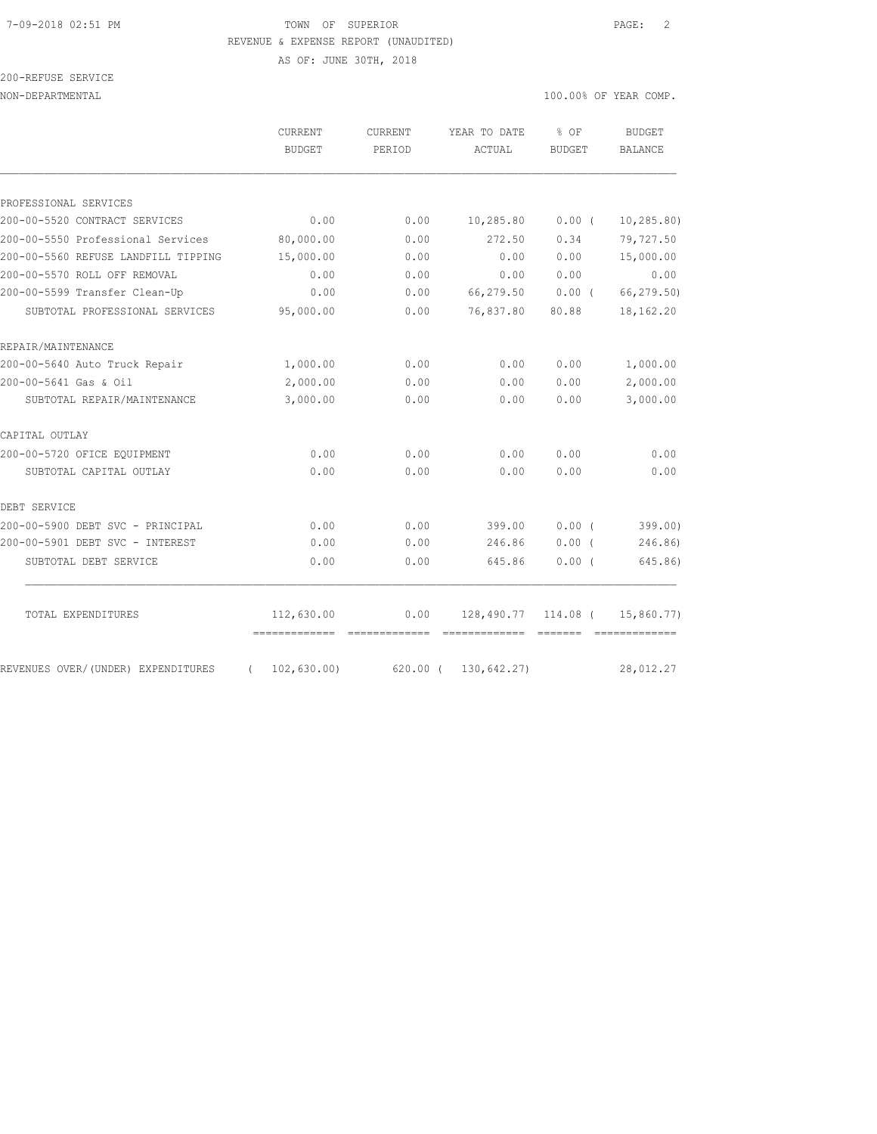## 7-09-2018 02:51 PM TOWN OF SUPERIOR PAGE: 2 REVENUE & EXPENSE REPORT (UNAUDITED)

AS OF: JUNE 30TH, 2018

| 200-REFUSE SERVICE |  |
|--------------------|--|
|                    |  |

|                                                | CURRENT<br><b>BUDGET</b> | CURRENT<br>PERIOD  | YEAR TO DATE<br>ACTUAL | % OF<br><b>BUDGET</b>   | <b>BUDGET</b><br><b>BALANCE</b>                                                                                                                                                                                                                                                                                                                                                                                                                                                        |
|------------------------------------------------|--------------------------|--------------------|------------------------|-------------------------|----------------------------------------------------------------------------------------------------------------------------------------------------------------------------------------------------------------------------------------------------------------------------------------------------------------------------------------------------------------------------------------------------------------------------------------------------------------------------------------|
|                                                |                          |                    |                        |                         |                                                                                                                                                                                                                                                                                                                                                                                                                                                                                        |
| PROFESSIONAL SERVICES                          |                          |                    |                        |                         |                                                                                                                                                                                                                                                                                                                                                                                                                                                                                        |
| 200-00-5520 CONTRACT SERVICES                  | 0.00                     | 0.00               | 10,285.80              | $0.00$ (                | 10, 285.80                                                                                                                                                                                                                                                                                                                                                                                                                                                                             |
| 200-00-5550 Professional Services              | 80,000.00                | 0.00               | 272.50                 | 0.34                    | 79,727.50                                                                                                                                                                                                                                                                                                                                                                                                                                                                              |
| 200-00-5560 REFUSE LANDFILL TIPPING            | 15,000.00                | 0.00               | 0.00                   | 0.00                    | 15,000.00                                                                                                                                                                                                                                                                                                                                                                                                                                                                              |
| 200-00-5570 ROLL OFF REMOVAL                   | 0.00                     | 0.00               | 0.00                   | 0.00                    | 0.00                                                                                                                                                                                                                                                                                                                                                                                                                                                                                   |
| 200-00-5599 Transfer Clean-Up                  | 0.00                     | 0.00               | 66,279.50              | 0.00(                   | 66,279.50)                                                                                                                                                                                                                                                                                                                                                                                                                                                                             |
| SUBTOTAL PROFESSIONAL SERVICES                 | 95,000.00                | 0.00               | 76,837.80              | 80.88                   | 18,162.20                                                                                                                                                                                                                                                                                                                                                                                                                                                                              |
| REPAIR/MAINTENANCE                             |                          |                    |                        |                         |                                                                                                                                                                                                                                                                                                                                                                                                                                                                                        |
| 200-00-5640 Auto Truck Repair                  | 1,000.00                 | 0.00               | 0.00                   | 0.00                    | 1,000.00                                                                                                                                                                                                                                                                                                                                                                                                                                                                               |
| 200-00-5641 Gas & Oil                          | 2,000.00                 | 0.00               | 0.00                   | 0.00                    | 2,000.00                                                                                                                                                                                                                                                                                                                                                                                                                                                                               |
| SUBTOTAL REPAIR/MAINTENANCE                    | 3,000.00                 | 0.00               | 0.00                   | 0.00                    | 3,000.00                                                                                                                                                                                                                                                                                                                                                                                                                                                                               |
| CAPITAL OUTLAY                                 |                          |                    |                        |                         |                                                                                                                                                                                                                                                                                                                                                                                                                                                                                        |
| 200-00-5720 OFICE EQUIPMENT                    | 0.00                     | 0.00               | 0.00                   | 0.00                    | 0.00                                                                                                                                                                                                                                                                                                                                                                                                                                                                                   |
| SUBTOTAL CAPITAL OUTLAY                        | 0.00                     | 0.00               | 0.00                   | 0.00                    | 0.00                                                                                                                                                                                                                                                                                                                                                                                                                                                                                   |
| DEBT SERVICE                                   |                          |                    |                        |                         |                                                                                                                                                                                                                                                                                                                                                                                                                                                                                        |
| 200-00-5900 DEBT SVC - PRINCIPAL               | 0.00                     | 0.00               | 399.00                 | 0.00(                   | 399.00                                                                                                                                                                                                                                                                                                                                                                                                                                                                                 |
| 200-00-5901 DEBT SVC - INTEREST                | 0.00                     | 0.00               | 246.86                 | $0.00$ (                | 246.86)                                                                                                                                                                                                                                                                                                                                                                                                                                                                                |
| SUBTOTAL DEBT SERVICE                          | 0.00                     | 0.00               | 645.86                 | $0.00$ (                | 645.86)                                                                                                                                                                                                                                                                                                                                                                                                                                                                                |
| TOTAL EXPENDITURES                             | 112,630.00               | 0.00               | 128,490.77             | 114.08 (                | 15,860.77)                                                                                                                                                                                                                                                                                                                                                                                                                                                                             |
|                                                | =============            | $=$ ============== | --------------         | $=$ $=$ $=$ $=$ $=$ $=$ | $\begin{array}{cccccccccc} \multicolumn{2}{c}{} & \multicolumn{2}{c}{} & \multicolumn{2}{c}{} & \multicolumn{2}{c}{} & \multicolumn{2}{c}{} & \multicolumn{2}{c}{} & \multicolumn{2}{c}{} & \multicolumn{2}{c}{} & \multicolumn{2}{c}{} & \multicolumn{2}{c}{} & \multicolumn{2}{c}{} & \multicolumn{2}{c}{} & \multicolumn{2}{c}{} & \multicolumn{2}{c}{} & \multicolumn{2}{c}{} & \multicolumn{2}{c}{} & \multicolumn{2}{c}{} & \multicolumn{2}{c}{} & \multicolumn{2}{c}{} & \mult$ |
| REVENUES OVER/(UNDER) EXPENDITURES<br>$\left($ | 102,630.00               | $620.00$ (         | 130,642.27)            |                         | 28,012.27                                                                                                                                                                                                                                                                                                                                                                                                                                                                              |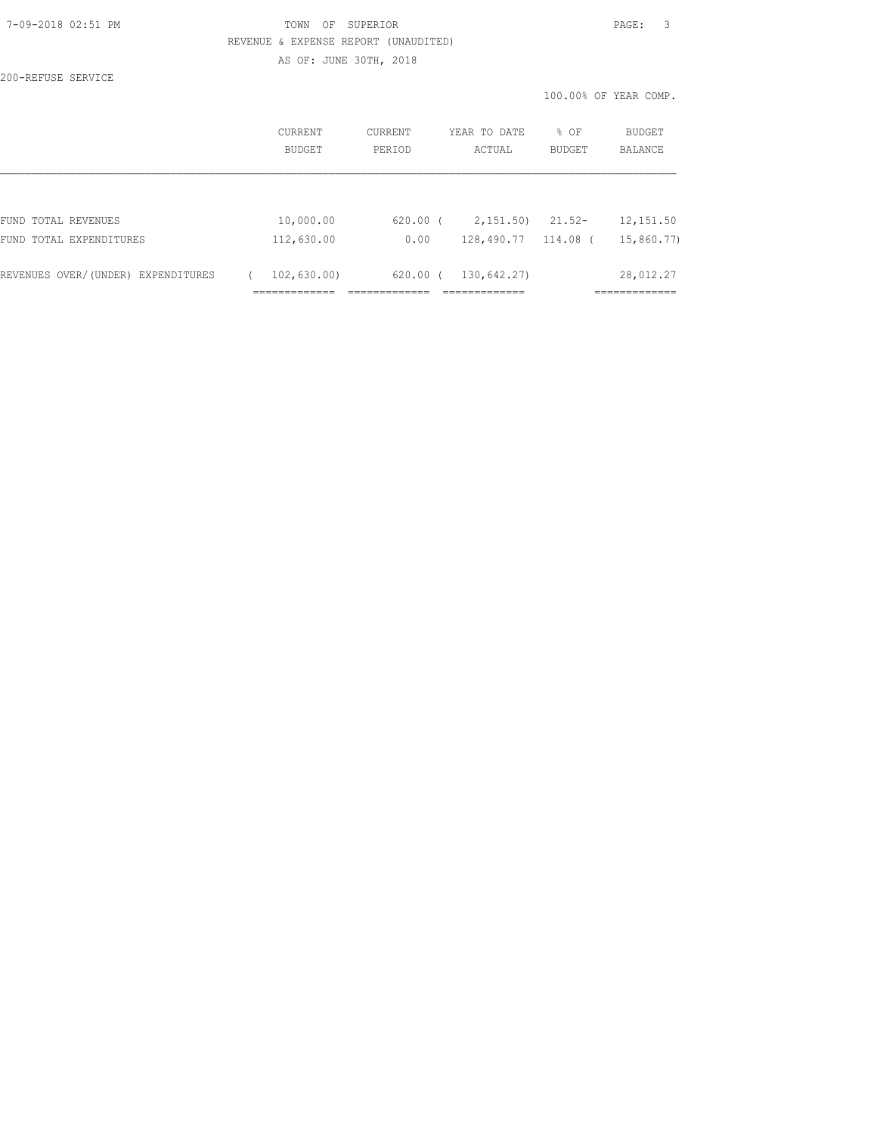## 7-09-2018 02:51 PM TOWN OF SUPERIOR PAGE: 3 REVENUE & EXPENSE REPORT (UNAUDITED) AS OF: JUNE 30TH, 2018

200-REFUSE SERVICE

|                                    | CURRENT<br><b>BUDGET</b> | CURRENT<br>PERIOD | YEAR TO DATE<br>ACTUAL    | % OF<br><b>BUDGET</b> | <b>BUDGET</b><br><b>BALANCE</b> |
|------------------------------------|--------------------------|-------------------|---------------------------|-----------------------|---------------------------------|
|                                    |                          |                   |                           |                       |                                 |
| FUND TOTAL REVENUES                | 10,000.00                | $620.00$ (        | 2,151.50)                 | $21.52-$              | 12,151.50                       |
| FUND TOTAL EXPENDITURES            | 112,630.00               | 0.00              | 128,490.77                | 114.08 (              | 15,860.77)                      |
| REVENUES OVER/(UNDER) EXPENDITURES | 102, 630.00              | 620.00            | 130,642.27)<br>$\sqrt{2}$ |                       | 28,012.27                       |
|                                    |                          |                   |                           |                       |                                 |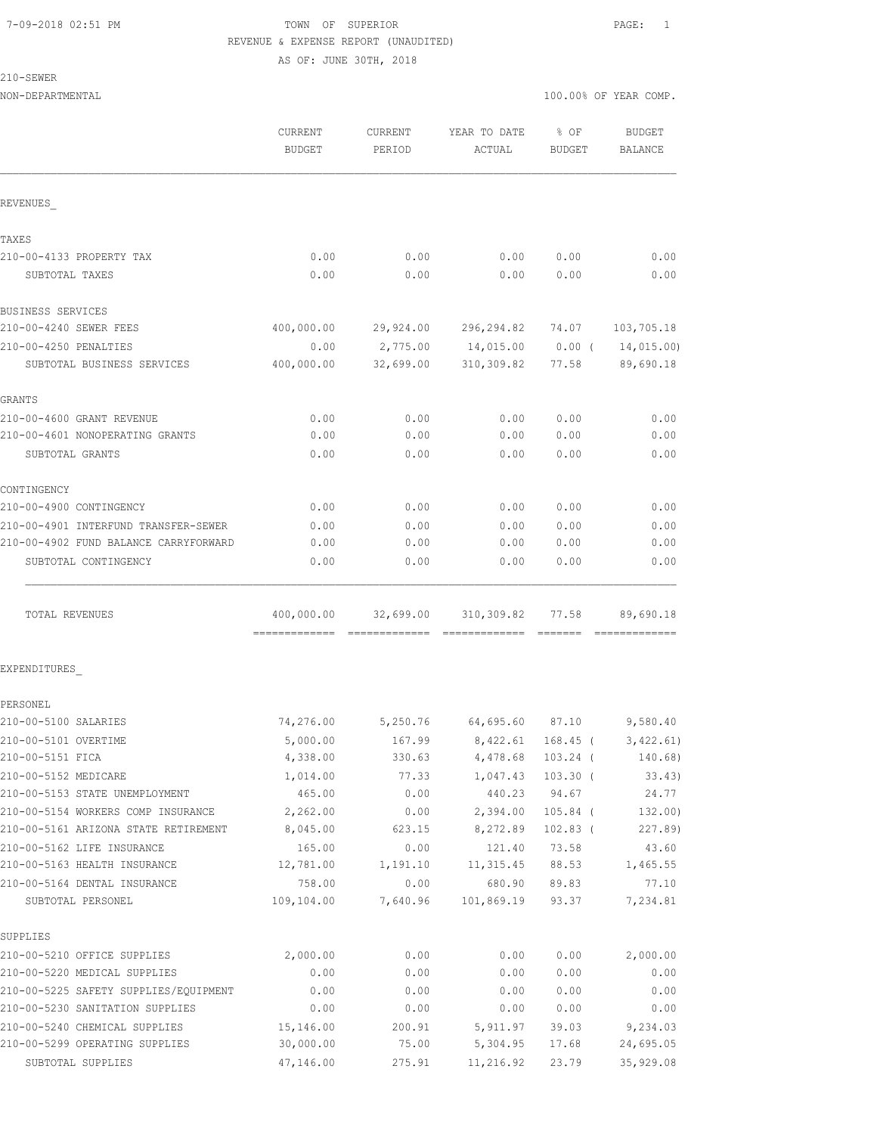## 7-09-2018 02:51 PM TOWN OF SUPERIOR PAGE: 1 REVENUE & EXPENSE REPORT (UNAUDITED) AS OF: JUNE 30TH, 2018

210-SEWER

|                                                                 | CURRENT<br><b>BUDGET</b> | CURRENT<br>PERIOD | YEAR TO DATE<br>ACTUAL | % OF<br><b>BUDGET</b> | <b>BUDGET</b><br>BALANCE |
|-----------------------------------------------------------------|--------------------------|-------------------|------------------------|-----------------------|--------------------------|
| REVENUES                                                        |                          |                   |                        |                       |                          |
| TAXES                                                           |                          |                   |                        |                       |                          |
| 210-00-4133 PROPERTY TAX                                        | 0.00                     | 0.00              | 0.00                   | 0.00                  | 0.00                     |
| SUBTOTAL TAXES                                                  | 0.00                     | 0.00              | 0.00                   | 0.00                  | 0.00                     |
| BUSINESS SERVICES                                               |                          |                   |                        |                       |                          |
| 210-00-4240 SEWER FEES                                          | 400,000.00               | 29,924.00         | 296,294.82             | 74.07                 | 103,705.18               |
| 210-00-4250 PENALTIES                                           | 0.00                     | 2,775.00          | 14,015.00              | 0.00(                 | 14,015.00)               |
| SUBTOTAL BUSINESS SERVICES                                      | 400,000.00               | 32,699.00         | 310,309.82             | 77.58                 | 89,690.18                |
| <b>GRANTS</b>                                                   |                          |                   |                        |                       |                          |
| 210-00-4600 GRANT REVENUE                                       | 0.00                     | 0.00              | 0.00                   | 0.00                  | 0.00                     |
| 210-00-4601 NONOPERATING GRANTS                                 | 0.00                     | 0.00              | 0.00                   | 0.00                  | 0.00                     |
| SUBTOTAL GRANTS                                                 | 0.00                     | 0.00              | 0.00                   | 0.00                  | 0.00                     |
| CONTINGENCY                                                     |                          |                   |                        |                       |                          |
| 210-00-4900 CONTINGENCY                                         | 0.00                     | 0.00              | 0.00                   | 0.00                  | 0.00                     |
| 210-00-4901 INTERFUND TRANSFER-SEWER                            | 0.00                     | 0.00              | 0.00                   | 0.00                  | 0.00                     |
| 210-00-4902 FUND BALANCE CARRYFORWARD                           | 0.00                     | 0.00              | 0.00                   | 0.00                  | 0.00                     |
| SUBTOTAL CONTINGENCY                                            | 0.00                     | 0.00              | 0.00                   | 0.00                  | 0.00                     |
| TOTAL REVENUES                                                  | 400,000.00               | 32,699.00         | 310,309.82             | 77.58                 | 89,690.18                |
| EXPENDITURES                                                    |                          |                   |                        |                       |                          |
| PERSONEL                                                        |                          |                   |                        |                       |                          |
| 210-00-5100 SALARIES                                            | 74,276.00                | 5,250.76          | 64,695.60 87.10        |                       | 9,580.40                 |
| 210-00-5101 OVERTIME                                            | 5,000.00                 | 167.99            | 8,422.61               | $168.45$ (            | 3,422.61)                |
| 210-00-5151 FICA                                                | 4,338.00                 | 330.63            | 4,478.68 103.24 (      |                       | 140.68)                  |
| 210-00-5152 MEDICARE                                            | 1,014.00                 | 77.33             | 1,047.43               | $103.30$ (            | 33.43)                   |
| 210-00-5153 STATE UNEMPLOYMENT                                  | 465.00                   | 0.00              | 440.23                 | 94.67                 | 24.77                    |
| 210-00-5154 WORKERS COMP INSURANCE                              | 2,262.00                 | 0.00              | 2,394.00               | $105.84$ (            | 132.00)                  |
| 210-00-5161 ARIZONA STATE RETIREMENT                            | 8,045.00                 | 623.15            | 8,272.89               | $102.83$ (            | 227.89)                  |
| 210-00-5162 LIFE INSURANCE                                      | 165.00                   | 0.00              | 121.40                 | 73.58                 | 43.60                    |
| 210-00-5163 HEALTH INSURANCE                                    | 12,781.00                | 1,191.10          | 11, 315.45             | 88.53                 | 1,465.55                 |
| 210-00-5164 DENTAL INSURANCE                                    | 758.00                   | 0.00              | 680.90                 | 89.83                 | 77.10                    |
| SUBTOTAL PERSONEL                                               | 109,104.00               | 7,640.96          | 101,869.19             | 93.37                 | 7,234.81                 |
| SUPPLIES                                                        |                          |                   |                        |                       |                          |
| 210-00-5210 OFFICE SUPPLIES                                     | 2,000.00                 | 0.00              | 0.00                   | 0.00                  | 2,000.00                 |
| 210-00-5220 MEDICAL SUPPLIES                                    | 0.00                     | 0.00              | 0.00                   | 0.00                  | 0.00                     |
| 210-00-5225 SAFETY SUPPLIES/EQUIPMENT                           | 0.00                     | 0.00              | 0.00                   | 0.00                  | 0.00                     |
| 210-00-5230 SANITATION SUPPLIES                                 | 0.00                     | 0.00              | 0.00                   | 0.00                  | 0.00                     |
| 210-00-5240 CHEMICAL SUPPLIES<br>210-00-5299 OPERATING SUPPLIES | 15,146.00<br>30,000.00   | 200.91            | 5, 911.97              | 39.03                 | 9,234.03                 |
|                                                                 |                          | 75.00             | 5,304.95               | 17.68                 | 24,695.05                |
| SUBTOTAL SUPPLIES                                               | 47,146.00                | 275.91            | 11,216.92              | 23.79                 | 35, 929.08               |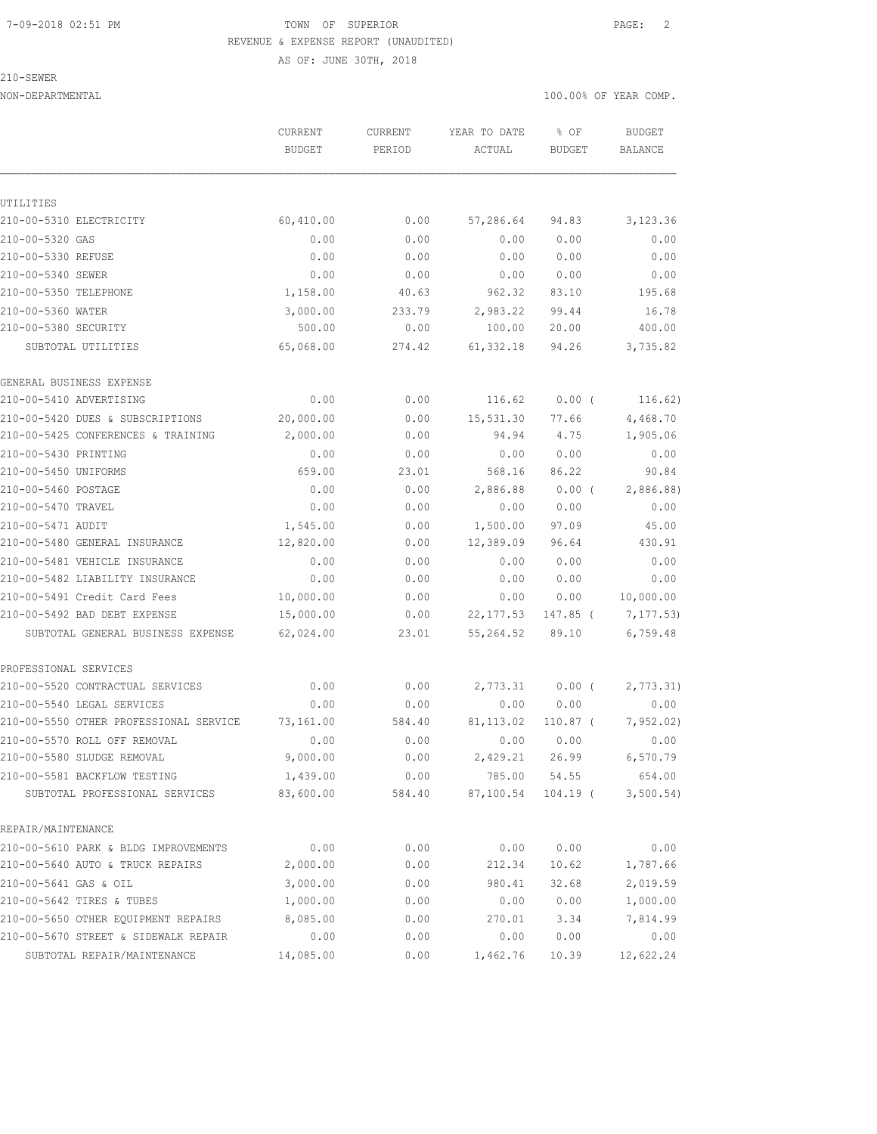#### 7-09-2018 02:51 PM TOWN OF SUPERIOR PAGE: 2 REVENUE & EXPENSE REPORT (UNAUDITED)

AS OF: JUNE 30TH, 2018

210-SEWER

| <b>BUDGET</b><br>PERIOD<br>ACTUAL<br><b>BUDGET</b><br>UTILITIES<br>210-00-5310 ELECTRICITY<br>60,410.00<br>0.00<br>57,286.64<br>94.83<br>210-00-5320 GAS<br>0.00<br>0.00<br>0.00<br>0.00<br>0.00<br>210-00-5330 REFUSE<br>0.00<br>0.00<br>0.00<br>210-00-5340 SEWER<br>0.00<br>0.00<br>0.00<br>0.00<br>210-00-5350 TELEPHONE<br>1,158.00<br>962.32<br>83.10<br>40.63<br>210-00-5360 WATER<br>3,000.00<br>2,983.22<br>99.44<br>233.79<br>210-00-5380 SECURITY<br>500.00<br>0.00<br>100.00<br>20.00<br>65,068.00<br>61,332.18<br>94.26<br>SUBTOTAL UTILITIES<br>274.42<br>GENERAL BUSINESS EXPENSE<br>0.00<br>210-00-5410 ADVERTISING<br>0.00<br>116.62<br>$0.00$ (<br>20,000.00<br>15,531.30<br>77.66<br>210-00-5420 DUES & SUBSCRIPTIONS<br>0.00<br>2,000.00<br>210-00-5425 CONFERENCES & TRAINING<br>0.00<br>94.94<br>4.75<br>210-00-5430 PRINTING<br>0.00<br>0.00<br>0.00<br>0.00<br>210-00-5450 UNIFORMS<br>86.22<br>659.00<br>23.01<br>568.16<br>210-00-5460 POSTAGE<br>0.00<br>0.00<br>2,886.88<br>0.00(<br>210-00-5470 TRAVEL<br>0.00<br>0.00<br>0.00<br>0.00<br>210-00-5471 AUDIT<br>1,545.00<br>1,500.00<br>0.00<br>97.09<br>210-00-5480 GENERAL INSURANCE<br>12,820.00<br>12,389.09<br>0.00<br>96.64<br>210-00-5481 VEHICLE INSURANCE<br>0.00<br>0.00<br>0.00<br>0.00<br>210-00-5482 LIABILITY INSURANCE<br>0.00<br>0.00<br>0.00<br>0.00<br>210-00-5491 Credit Card Fees<br>10,000.00<br>0.00<br>0.00<br>0.00<br>210-00-5492 BAD DEBT EXPENSE<br>15,000.00<br>22, 177.53<br>0.00<br>147.85 (<br>62,024.00<br>55, 264.52<br>23.01<br>89.10<br>SUBTOTAL GENERAL BUSINESS EXPENSE<br>PROFESSIONAL SERVICES<br>210-00-5520 CONTRACTUAL SERVICES<br>0.00<br>0.00<br>2,773.31<br>$0.00$ (<br>210-00-5540 LEGAL SERVICES<br>0.00<br>0.00<br>0.00<br>0.00<br>210-00-5550 OTHER PROFESSIONAL SERVICE<br>73,161.00<br>584.40<br>81, 113.02<br>$110.87$ (<br>210-00-5570 ROLL OFF REMOVAL<br>0.00<br>0.00<br>0.00<br>0.00<br>210-00-5580 SLUDGE REMOVAL<br>9,000.00<br>2,429.21<br>26.99<br>0.00<br>210-00-5581 BACKFLOW TESTING<br>1,439.00<br>0.00<br>785.00<br>54.55<br>83,600.00<br>87,100.54<br>$104.19$ (<br>SUBTOTAL PROFESSIONAL SERVICES<br>584.40 |                    | CURRENT | CURRENT | YEAR TO DATE | % OF | <b>BUDGET</b> |
|-----------------------------------------------------------------------------------------------------------------------------------------------------------------------------------------------------------------------------------------------------------------------------------------------------------------------------------------------------------------------------------------------------------------------------------------------------------------------------------------------------------------------------------------------------------------------------------------------------------------------------------------------------------------------------------------------------------------------------------------------------------------------------------------------------------------------------------------------------------------------------------------------------------------------------------------------------------------------------------------------------------------------------------------------------------------------------------------------------------------------------------------------------------------------------------------------------------------------------------------------------------------------------------------------------------------------------------------------------------------------------------------------------------------------------------------------------------------------------------------------------------------------------------------------------------------------------------------------------------------------------------------------------------------------------------------------------------------------------------------------------------------------------------------------------------------------------------------------------------------------------------------------------------------------------------------------------------------------------------------------------------------------------------------------------------------------------------------------------------------------------------------------------------|--------------------|---------|---------|--------------|------|---------------|
|                                                                                                                                                                                                                                                                                                                                                                                                                                                                                                                                                                                                                                                                                                                                                                                                                                                                                                                                                                                                                                                                                                                                                                                                                                                                                                                                                                                                                                                                                                                                                                                                                                                                                                                                                                                                                                                                                                                                                                                                                                                                                                                                                           |                    |         |         |              |      | BALANCE       |
|                                                                                                                                                                                                                                                                                                                                                                                                                                                                                                                                                                                                                                                                                                                                                                                                                                                                                                                                                                                                                                                                                                                                                                                                                                                                                                                                                                                                                                                                                                                                                                                                                                                                                                                                                                                                                                                                                                                                                                                                                                                                                                                                                           |                    |         |         |              |      |               |
|                                                                                                                                                                                                                                                                                                                                                                                                                                                                                                                                                                                                                                                                                                                                                                                                                                                                                                                                                                                                                                                                                                                                                                                                                                                                                                                                                                                                                                                                                                                                                                                                                                                                                                                                                                                                                                                                                                                                                                                                                                                                                                                                                           |                    |         |         |              |      |               |
|                                                                                                                                                                                                                                                                                                                                                                                                                                                                                                                                                                                                                                                                                                                                                                                                                                                                                                                                                                                                                                                                                                                                                                                                                                                                                                                                                                                                                                                                                                                                                                                                                                                                                                                                                                                                                                                                                                                                                                                                                                                                                                                                                           |                    |         |         |              |      | 3,123.36      |
|                                                                                                                                                                                                                                                                                                                                                                                                                                                                                                                                                                                                                                                                                                                                                                                                                                                                                                                                                                                                                                                                                                                                                                                                                                                                                                                                                                                                                                                                                                                                                                                                                                                                                                                                                                                                                                                                                                                                                                                                                                                                                                                                                           |                    |         |         |              |      | 0.00          |
|                                                                                                                                                                                                                                                                                                                                                                                                                                                                                                                                                                                                                                                                                                                                                                                                                                                                                                                                                                                                                                                                                                                                                                                                                                                                                                                                                                                                                                                                                                                                                                                                                                                                                                                                                                                                                                                                                                                                                                                                                                                                                                                                                           |                    |         |         |              |      | 0.00          |
|                                                                                                                                                                                                                                                                                                                                                                                                                                                                                                                                                                                                                                                                                                                                                                                                                                                                                                                                                                                                                                                                                                                                                                                                                                                                                                                                                                                                                                                                                                                                                                                                                                                                                                                                                                                                                                                                                                                                                                                                                                                                                                                                                           |                    |         |         |              |      | 0.00          |
|                                                                                                                                                                                                                                                                                                                                                                                                                                                                                                                                                                                                                                                                                                                                                                                                                                                                                                                                                                                                                                                                                                                                                                                                                                                                                                                                                                                                                                                                                                                                                                                                                                                                                                                                                                                                                                                                                                                                                                                                                                                                                                                                                           |                    |         |         |              |      | 195.68        |
|                                                                                                                                                                                                                                                                                                                                                                                                                                                                                                                                                                                                                                                                                                                                                                                                                                                                                                                                                                                                                                                                                                                                                                                                                                                                                                                                                                                                                                                                                                                                                                                                                                                                                                                                                                                                                                                                                                                                                                                                                                                                                                                                                           |                    |         |         |              |      | 16.78         |
|                                                                                                                                                                                                                                                                                                                                                                                                                                                                                                                                                                                                                                                                                                                                                                                                                                                                                                                                                                                                                                                                                                                                                                                                                                                                                                                                                                                                                                                                                                                                                                                                                                                                                                                                                                                                                                                                                                                                                                                                                                                                                                                                                           |                    |         |         |              |      | 400.00        |
|                                                                                                                                                                                                                                                                                                                                                                                                                                                                                                                                                                                                                                                                                                                                                                                                                                                                                                                                                                                                                                                                                                                                                                                                                                                                                                                                                                                                                                                                                                                                                                                                                                                                                                                                                                                                                                                                                                                                                                                                                                                                                                                                                           |                    |         |         |              |      | 3,735.82      |
|                                                                                                                                                                                                                                                                                                                                                                                                                                                                                                                                                                                                                                                                                                                                                                                                                                                                                                                                                                                                                                                                                                                                                                                                                                                                                                                                                                                                                                                                                                                                                                                                                                                                                                                                                                                                                                                                                                                                                                                                                                                                                                                                                           |                    |         |         |              |      |               |
|                                                                                                                                                                                                                                                                                                                                                                                                                                                                                                                                                                                                                                                                                                                                                                                                                                                                                                                                                                                                                                                                                                                                                                                                                                                                                                                                                                                                                                                                                                                                                                                                                                                                                                                                                                                                                                                                                                                                                                                                                                                                                                                                                           |                    |         |         |              |      | 116.62)       |
|                                                                                                                                                                                                                                                                                                                                                                                                                                                                                                                                                                                                                                                                                                                                                                                                                                                                                                                                                                                                                                                                                                                                                                                                                                                                                                                                                                                                                                                                                                                                                                                                                                                                                                                                                                                                                                                                                                                                                                                                                                                                                                                                                           |                    |         |         |              |      | 4,468.70      |
|                                                                                                                                                                                                                                                                                                                                                                                                                                                                                                                                                                                                                                                                                                                                                                                                                                                                                                                                                                                                                                                                                                                                                                                                                                                                                                                                                                                                                                                                                                                                                                                                                                                                                                                                                                                                                                                                                                                                                                                                                                                                                                                                                           |                    |         |         |              |      | 1,905.06      |
|                                                                                                                                                                                                                                                                                                                                                                                                                                                                                                                                                                                                                                                                                                                                                                                                                                                                                                                                                                                                                                                                                                                                                                                                                                                                                                                                                                                                                                                                                                                                                                                                                                                                                                                                                                                                                                                                                                                                                                                                                                                                                                                                                           |                    |         |         |              |      | 0.00          |
|                                                                                                                                                                                                                                                                                                                                                                                                                                                                                                                                                                                                                                                                                                                                                                                                                                                                                                                                                                                                                                                                                                                                                                                                                                                                                                                                                                                                                                                                                                                                                                                                                                                                                                                                                                                                                                                                                                                                                                                                                                                                                                                                                           |                    |         |         |              |      | 90.84         |
|                                                                                                                                                                                                                                                                                                                                                                                                                                                                                                                                                                                                                                                                                                                                                                                                                                                                                                                                                                                                                                                                                                                                                                                                                                                                                                                                                                                                                                                                                                                                                                                                                                                                                                                                                                                                                                                                                                                                                                                                                                                                                                                                                           |                    |         |         |              |      | 2,886.88)     |
|                                                                                                                                                                                                                                                                                                                                                                                                                                                                                                                                                                                                                                                                                                                                                                                                                                                                                                                                                                                                                                                                                                                                                                                                                                                                                                                                                                                                                                                                                                                                                                                                                                                                                                                                                                                                                                                                                                                                                                                                                                                                                                                                                           |                    |         |         |              |      | 0.00          |
|                                                                                                                                                                                                                                                                                                                                                                                                                                                                                                                                                                                                                                                                                                                                                                                                                                                                                                                                                                                                                                                                                                                                                                                                                                                                                                                                                                                                                                                                                                                                                                                                                                                                                                                                                                                                                                                                                                                                                                                                                                                                                                                                                           |                    |         |         |              |      | 45.00         |
|                                                                                                                                                                                                                                                                                                                                                                                                                                                                                                                                                                                                                                                                                                                                                                                                                                                                                                                                                                                                                                                                                                                                                                                                                                                                                                                                                                                                                                                                                                                                                                                                                                                                                                                                                                                                                                                                                                                                                                                                                                                                                                                                                           |                    |         |         |              |      | 430.91        |
|                                                                                                                                                                                                                                                                                                                                                                                                                                                                                                                                                                                                                                                                                                                                                                                                                                                                                                                                                                                                                                                                                                                                                                                                                                                                                                                                                                                                                                                                                                                                                                                                                                                                                                                                                                                                                                                                                                                                                                                                                                                                                                                                                           |                    |         |         |              |      | 0.00          |
|                                                                                                                                                                                                                                                                                                                                                                                                                                                                                                                                                                                                                                                                                                                                                                                                                                                                                                                                                                                                                                                                                                                                                                                                                                                                                                                                                                                                                                                                                                                                                                                                                                                                                                                                                                                                                                                                                                                                                                                                                                                                                                                                                           |                    |         |         |              |      | 0.00          |
|                                                                                                                                                                                                                                                                                                                                                                                                                                                                                                                                                                                                                                                                                                                                                                                                                                                                                                                                                                                                                                                                                                                                                                                                                                                                                                                                                                                                                                                                                                                                                                                                                                                                                                                                                                                                                                                                                                                                                                                                                                                                                                                                                           |                    |         |         |              |      | 10,000.00     |
|                                                                                                                                                                                                                                                                                                                                                                                                                                                                                                                                                                                                                                                                                                                                                                                                                                                                                                                                                                                                                                                                                                                                                                                                                                                                                                                                                                                                                                                                                                                                                                                                                                                                                                                                                                                                                                                                                                                                                                                                                                                                                                                                                           |                    |         |         |              |      | 7,177.53)     |
|                                                                                                                                                                                                                                                                                                                                                                                                                                                                                                                                                                                                                                                                                                                                                                                                                                                                                                                                                                                                                                                                                                                                                                                                                                                                                                                                                                                                                                                                                                                                                                                                                                                                                                                                                                                                                                                                                                                                                                                                                                                                                                                                                           |                    |         |         |              |      | 6,759.48      |
|                                                                                                                                                                                                                                                                                                                                                                                                                                                                                                                                                                                                                                                                                                                                                                                                                                                                                                                                                                                                                                                                                                                                                                                                                                                                                                                                                                                                                                                                                                                                                                                                                                                                                                                                                                                                                                                                                                                                                                                                                                                                                                                                                           |                    |         |         |              |      |               |
|                                                                                                                                                                                                                                                                                                                                                                                                                                                                                                                                                                                                                                                                                                                                                                                                                                                                                                                                                                                                                                                                                                                                                                                                                                                                                                                                                                                                                                                                                                                                                                                                                                                                                                                                                                                                                                                                                                                                                                                                                                                                                                                                                           |                    |         |         |              |      | 2,773.31)     |
|                                                                                                                                                                                                                                                                                                                                                                                                                                                                                                                                                                                                                                                                                                                                                                                                                                                                                                                                                                                                                                                                                                                                                                                                                                                                                                                                                                                                                                                                                                                                                                                                                                                                                                                                                                                                                                                                                                                                                                                                                                                                                                                                                           |                    |         |         |              |      | 0.00          |
|                                                                                                                                                                                                                                                                                                                                                                                                                                                                                                                                                                                                                                                                                                                                                                                                                                                                                                                                                                                                                                                                                                                                                                                                                                                                                                                                                                                                                                                                                                                                                                                                                                                                                                                                                                                                                                                                                                                                                                                                                                                                                                                                                           |                    |         |         |              |      | 7,952.02)     |
|                                                                                                                                                                                                                                                                                                                                                                                                                                                                                                                                                                                                                                                                                                                                                                                                                                                                                                                                                                                                                                                                                                                                                                                                                                                                                                                                                                                                                                                                                                                                                                                                                                                                                                                                                                                                                                                                                                                                                                                                                                                                                                                                                           |                    |         |         |              |      | 0.00          |
|                                                                                                                                                                                                                                                                                                                                                                                                                                                                                                                                                                                                                                                                                                                                                                                                                                                                                                                                                                                                                                                                                                                                                                                                                                                                                                                                                                                                                                                                                                                                                                                                                                                                                                                                                                                                                                                                                                                                                                                                                                                                                                                                                           |                    |         |         |              |      | 6,570.79      |
|                                                                                                                                                                                                                                                                                                                                                                                                                                                                                                                                                                                                                                                                                                                                                                                                                                                                                                                                                                                                                                                                                                                                                                                                                                                                                                                                                                                                                                                                                                                                                                                                                                                                                                                                                                                                                                                                                                                                                                                                                                                                                                                                                           |                    |         |         |              |      | 654.00        |
|                                                                                                                                                                                                                                                                                                                                                                                                                                                                                                                                                                                                                                                                                                                                                                                                                                                                                                                                                                                                                                                                                                                                                                                                                                                                                                                                                                                                                                                                                                                                                                                                                                                                                                                                                                                                                                                                                                                                                                                                                                                                                                                                                           |                    |         |         |              |      | 3,500.54)     |
|                                                                                                                                                                                                                                                                                                                                                                                                                                                                                                                                                                                                                                                                                                                                                                                                                                                                                                                                                                                                                                                                                                                                                                                                                                                                                                                                                                                                                                                                                                                                                                                                                                                                                                                                                                                                                                                                                                                                                                                                                                                                                                                                                           | REPAIR/MAINTENANCE |         |         |              |      |               |
| 210-00-5610 PARK & BLDG IMPROVEMENTS<br>0.00<br>0.00<br>0.00<br>0.00                                                                                                                                                                                                                                                                                                                                                                                                                                                                                                                                                                                                                                                                                                                                                                                                                                                                                                                                                                                                                                                                                                                                                                                                                                                                                                                                                                                                                                                                                                                                                                                                                                                                                                                                                                                                                                                                                                                                                                                                                                                                                      |                    |         |         |              |      | 0.00          |
| 210-00-5640 AUTO & TRUCK REPAIRS<br>2,000.00<br>0.00<br>10.62<br>212.34                                                                                                                                                                                                                                                                                                                                                                                                                                                                                                                                                                                                                                                                                                                                                                                                                                                                                                                                                                                                                                                                                                                                                                                                                                                                                                                                                                                                                                                                                                                                                                                                                                                                                                                                                                                                                                                                                                                                                                                                                                                                                   |                    |         |         |              |      | 1,787.66      |
| 210-00-5641 GAS & OIL<br>3,000.00<br>32.68<br>0.00<br>980.41                                                                                                                                                                                                                                                                                                                                                                                                                                                                                                                                                                                                                                                                                                                                                                                                                                                                                                                                                                                                                                                                                                                                                                                                                                                                                                                                                                                                                                                                                                                                                                                                                                                                                                                                                                                                                                                                                                                                                                                                                                                                                              |                    |         |         |              |      | 2,019.59      |
| 210-00-5642 TIRES & TUBES<br>1,000.00<br>0.00<br>0.00<br>0.00                                                                                                                                                                                                                                                                                                                                                                                                                                                                                                                                                                                                                                                                                                                                                                                                                                                                                                                                                                                                                                                                                                                                                                                                                                                                                                                                                                                                                                                                                                                                                                                                                                                                                                                                                                                                                                                                                                                                                                                                                                                                                             |                    |         |         |              |      | 1,000.00      |
| 210-00-5650 OTHER EQUIPMENT REPAIRS<br>8,085.00<br>0.00<br>270.01<br>3.34                                                                                                                                                                                                                                                                                                                                                                                                                                                                                                                                                                                                                                                                                                                                                                                                                                                                                                                                                                                                                                                                                                                                                                                                                                                                                                                                                                                                                                                                                                                                                                                                                                                                                                                                                                                                                                                                                                                                                                                                                                                                                 |                    |         |         |              |      | 7,814.99      |
| 210-00-5670 STREET & SIDEWALK REPAIR<br>0.00<br>0.00<br>0.00<br>0.00                                                                                                                                                                                                                                                                                                                                                                                                                                                                                                                                                                                                                                                                                                                                                                                                                                                                                                                                                                                                                                                                                                                                                                                                                                                                                                                                                                                                                                                                                                                                                                                                                                                                                                                                                                                                                                                                                                                                                                                                                                                                                      |                    |         |         |              |      | 0.00          |
| SUBTOTAL REPAIR/MAINTENANCE<br>14,085.00<br>0.00<br>1,462.76<br>10.39                                                                                                                                                                                                                                                                                                                                                                                                                                                                                                                                                                                                                                                                                                                                                                                                                                                                                                                                                                                                                                                                                                                                                                                                                                                                                                                                                                                                                                                                                                                                                                                                                                                                                                                                                                                                                                                                                                                                                                                                                                                                                     |                    |         |         |              |      | 12,622.24     |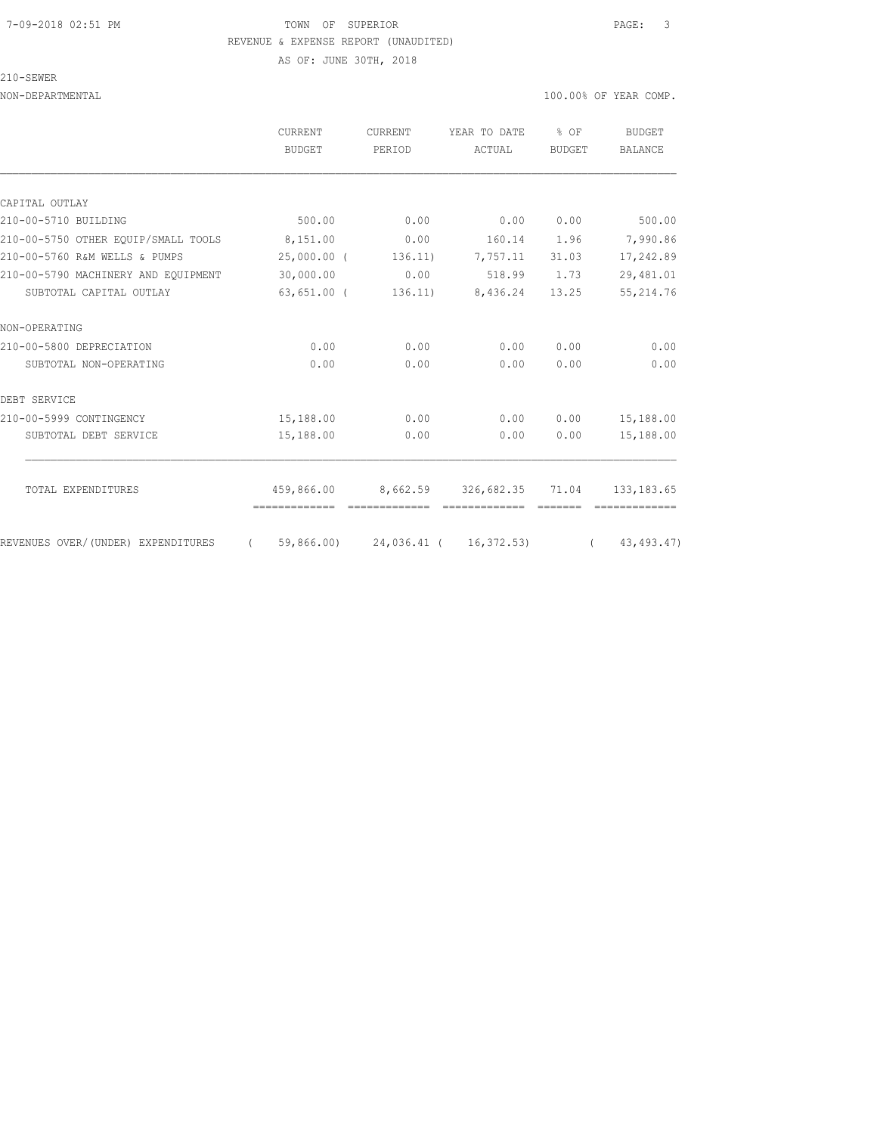#### 7-09-2018 02:51 PM TOWN OF SUPERIOR PAGE: 3 REVENUE & EXPENSE REPORT (UNAUDITED)

AS OF: JUNE 30TH, 2018

210-SEWER

|                                     | CURRENT<br><b>BUDGET</b>           | CURRENT<br>PERIOD | YEAR TO DATE<br>ACTUAL                          | % OF<br>BUDGET | BUDGET<br>BALANCE    |
|-------------------------------------|------------------------------------|-------------------|-------------------------------------------------|----------------|----------------------|
|                                     |                                    |                   |                                                 |                |                      |
| CAPITAL OUTLAY                      |                                    |                   |                                                 |                |                      |
| 210-00-5710 BUILDING                | 500.00                             | 0.00              | 0.00                                            | 0.00           | 500.00               |
| 210-00-5750 OTHER EOUIP/SMALL TOOLS | 8,151.00                           | 0.00              |                                                 |                | 160.14 1.96 7,990.86 |
| 210-00-5760 R&M WELLS & PUMPS       | 25,000.00 (                        | 136.11)           | 7,757.11 31.03                                  |                | 17,242.89            |
| 210-00-5790 MACHINERY AND EOUIPMENT | 30,000.00                          | 0.00              | 518.99 1.73                                     |                | 29,481.01            |
| SUBTOTAL CAPITAL OUTLAY             | 63,651.00 (                        | 136.11)           | 8,436.24                                        | 13.25          | 55, 214.76           |
| NON-OPERATING                       |                                    |                   |                                                 |                |                      |
| 210-00-5800 DEPRECIATION            | 0.00                               | 0.00              | 0.00                                            | 0.00           | 0.00                 |
| SUBTOTAL NON-OPERATING              | 0.00                               | 0.00              | 0.00                                            | 0.00           | 0.00                 |
| DEBT SERVICE                        |                                    |                   |                                                 |                |                      |
| 210-00-5999 CONTINGENCY             | 15,188.00                          | 0.00              | 0.00                                            | 0.00           | 15,188.00            |
| SUBTOTAL DEBT SERVICE               | 15,188.00                          | 0.00              | 0.00                                            | 0.00           | 15,188.00            |
| TOTAL EXPENDITURES                  |                                    |                   | 459,866.00 8,662.59 326,682.35 71.04 133,183.65 |                |                      |
|                                     |                                    |                   |                                                 |                |                      |
| REVENUES OVER/(UNDER) EXPENDITURES  | 59,866.00)<br>$\sim$ $\sim$ $\sim$ |                   | 24,036.41 ( 16,372.53) ( 43,493.47)             |                |                      |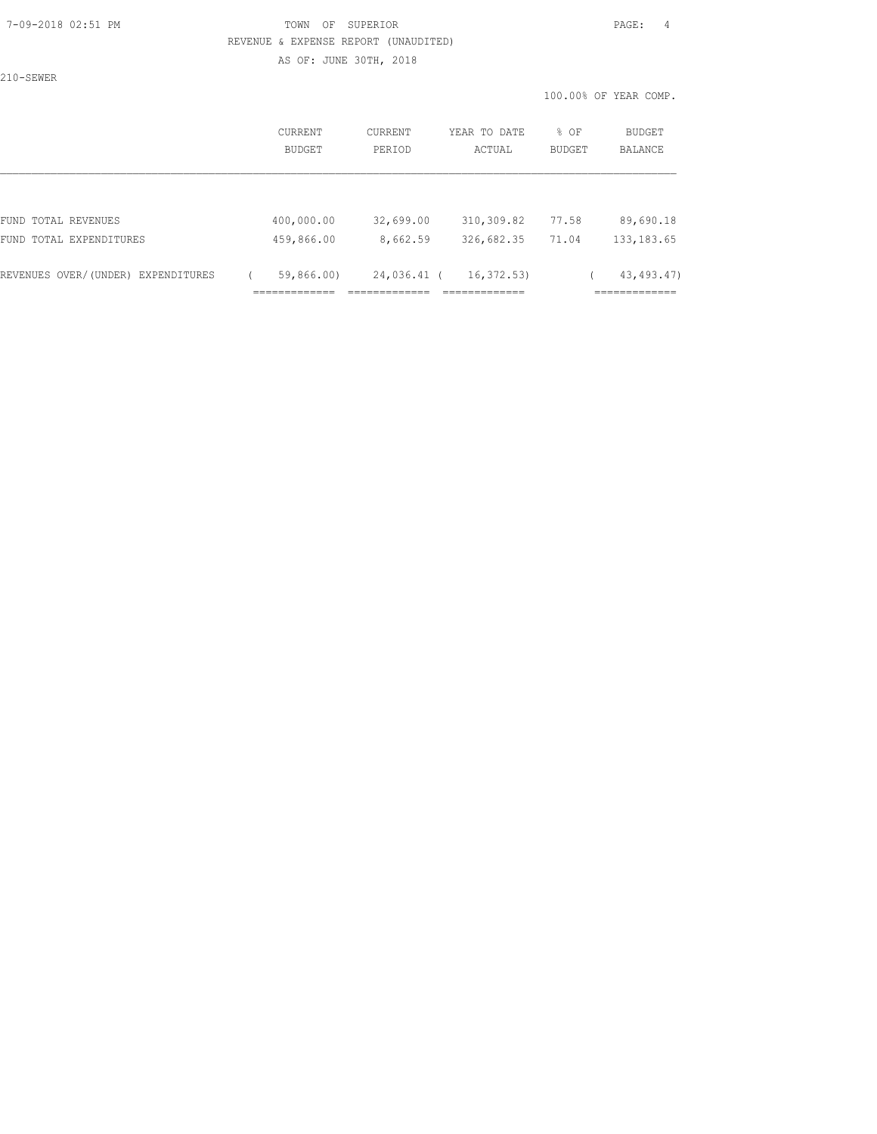#### 7-09-2018 02:51 PM TOWN OF SUPERIOR PAGE: 4 REVENUE & EXPENSE REPORT (UNAUDITED)

AS OF: JUNE 30TH, 2018

210-SEWER

|                                       | CURRENT<br><b>BUDGET</b>          | <b>CURRENT</b><br>PERIOD              | YEAR TO DATE<br>ACTUAL                        | % OF<br><b>BUDGET</b> | BUDGET<br>BALANCE                            |
|---------------------------------------|-----------------------------------|---------------------------------------|-----------------------------------------------|-----------------------|----------------------------------------------|
|                                       |                                   |                                       |                                               |                       |                                              |
| FUND TOTAL REVENUES                   | 400,000.00                        | 32,699.00                             | 310,309.82                                    | 77.58                 | 89,690.18                                    |
| FUND TOTAL EXPENDITURES               | 459,866.00                        | 8,662.59                              | 326,682.35                                    | 71.04                 | 133, 183.65                                  |
| REVENUES OVER/(UNDER)<br>EXPENDITURES | 59,866.00)<br>--------------<br>. | 24,036.41 (<br>__________<br>________ | 16, 372, 53)<br>_____________<br>------------ |                       | 43, 493. 47)<br>____________<br>------------ |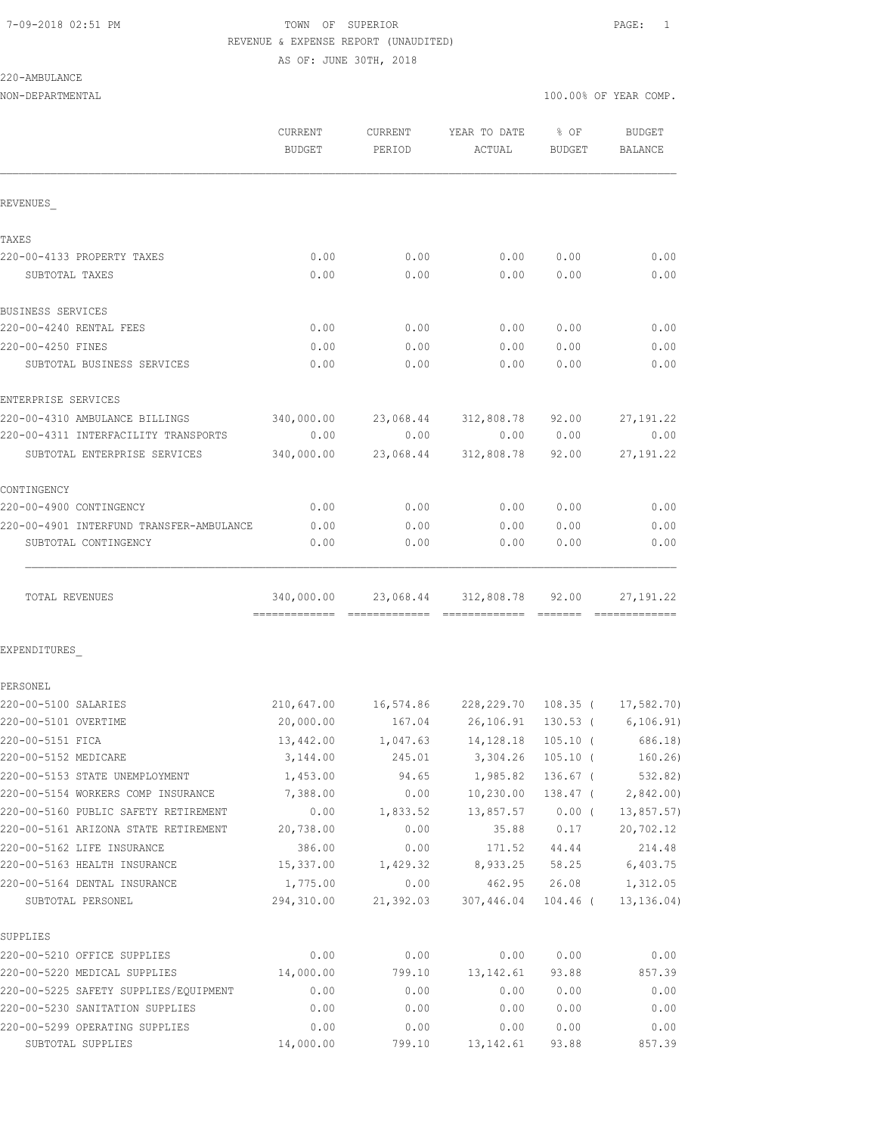## 7-09-2018 02:51 PM TOWN OF SUPERIOR PAGE: 1 REVENUE & EXPENSE REPORT (UNAUDITED) AS OF: JUNE 30TH, 2018

220-AMBULANCE

| REVENUES<br>TAXES<br>220-00-4133 PROPERTY TAXES<br>0.00<br>0.00<br>0.00<br>0.00<br>0.00<br>SUBTOTAL TAXES<br>0.00<br>0.00<br>0.00<br>0.00<br>0.00<br>0.00<br>0.00<br>0.00<br>0.00<br>SUBTOTAL BUSINESS SERVICES<br>0.00 | % OF<br><b>BUDGET</b><br>BUDGET<br>BALANCE |
|-------------------------------------------------------------------------------------------------------------------------------------------------------------------------------------------------------------------------|--------------------------------------------|
|                                                                                                                                                                                                                         |                                            |
|                                                                                                                                                                                                                         |                                            |
| <b>BUSINESS SERVICES</b><br>220-00-4240 RENTAL FEES<br>220-00-4250 FINES                                                                                                                                                | 0.00<br>0.00                               |
|                                                                                                                                                                                                                         | 0.00<br>0.00                               |
|                                                                                                                                                                                                                         |                                            |
|                                                                                                                                                                                                                         | 0.00<br>0.00                               |
|                                                                                                                                                                                                                         | 0.00<br>0.00                               |
|                                                                                                                                                                                                                         | 0.00<br>0.00                               |
| ENTERPRISE SERVICES                                                                                                                                                                                                     |                                            |
| 220-00-4310 AMBULANCE BILLINGS<br>340,000.00<br>23,068.44 312,808.78 92.00                                                                                                                                              | 27, 191.22                                 |
| 220-00-4311 INTERFACILITY TRANSPORTS<br>0.00<br>0.00<br>0.00<br>0.00                                                                                                                                                    | 0.00                                       |
| 340,000.00<br>312,808.78<br>23,068.44<br>92.00<br>SUBTOTAL ENTERPRISE SERVICES                                                                                                                                          | 27, 191.22                                 |
| CONTINGENCY                                                                                                                                                                                                             |                                            |
| 220-00-4900 CONTINGENCY<br>0.00<br>0.00<br>0.00                                                                                                                                                                         | 0.00<br>0.00                               |
| 220-00-4901 INTERFUND TRANSFER-AMBULANCE<br>0.00<br>0.00<br>0.00<br>SUBTOTAL CONTINGENCY<br>0.00<br>0.00<br>0.00                                                                                                        | 0.00<br>0.00<br>0.00<br>0.00               |
| 340,000.00<br>23,068.44 312,808.78 92.00<br>TOTAL REVENUES                                                                                                                                                              | 27, 191.22                                 |
| EXPENDITURES                                                                                                                                                                                                            |                                            |
| PERSONEL                                                                                                                                                                                                                |                                            |
| 220-00-5100 SALARIES<br>210,647.00  16,574.86  228,229.70  108.35  ( 17,582.70)                                                                                                                                         |                                            |
| 220-00-5101 OVERTIME<br>20,000.00                                                                                                                                                                                       |                                            |
| 220-00-5151 FICA<br>13,442.00<br>1,047.63 14,128.18                                                                                                                                                                     | 105.10 (686.18)                            |
| 220-00-5152 MEDICARE<br>3,144.00<br>245.01 3,304.26 105.10 ( 160.26)                                                                                                                                                    |                                            |
| 220-00-5153 STATE UNEMPLOYMENT<br>1,985.82<br>1,453.00<br>94.65                                                                                                                                                         | 136.67 (<br>532.82)                        |
| 220-00-5154 WORKERS COMP INSURANCE<br>7,388.00<br>10,230.00<br>0.00                                                                                                                                                     | $138.47$ ( 2,842.00)                       |
| 220-00-5160 PUBLIC SAFETY RETIREMENT<br>0.00<br>13,857.57 0.00 (<br>1,833.52                                                                                                                                            | 13, 857.57)                                |
| 220-00-5161 ARIZONA STATE RETIREMENT<br>20,738.00<br>0.00<br>35.88                                                                                                                                                      | 20,702.12<br>0.17                          |
| 220-00-5162 LIFE INSURANCE<br>386.00<br>0.00<br>171.52<br>44.44                                                                                                                                                         |                                            |
| 220-00-5163 HEALTH INSURANCE<br>15,337.00<br>8,933.25 58.25<br>1,429.32                                                                                                                                                 | 214.48                                     |
| 220-00-5164 DENTAL INSURANCE<br>1,775.00<br>0.00<br>462.95<br>294,310.00<br>21,392.03<br>307,446.04 104.46 (<br>SUBTOTAL PERSONEL                                                                                       | 6,403.75                                   |
| SUPPLIES                                                                                                                                                                                                                | 26.08<br>1,312.05                          |
| 220-00-5210 OFFICE SUPPLIES<br>0.00<br>0.00<br>0.00                                                                                                                                                                     |                                            |
| 220-00-5220 MEDICAL SUPPLIES<br>14,000.00<br>799.10<br>13, 142.61                                                                                                                                                       | 13, 136.04)                                |
| 0.00<br>220-00-5225 SAFETY SUPPLIES/EQUIPMENT<br>0.00<br>0.00                                                                                                                                                           | 0.00<br>0.00                               |
| 220-00-5230 SANITATION SUPPLIES<br>0.00<br>0.00<br>0.00                                                                                                                                                                 | 857.39<br>93.88                            |
| 220-00-5299 OPERATING SUPPLIES<br>0.00<br>0.00<br>0.00                                                                                                                                                                  | 0.00<br>0.00                               |
| 14,000.00<br>13, 142.61<br>SUBTOTAL SUPPLIES<br>799.10<br>93.88                                                                                                                                                         | 0.00<br>0.00<br>0.00<br>0.00               |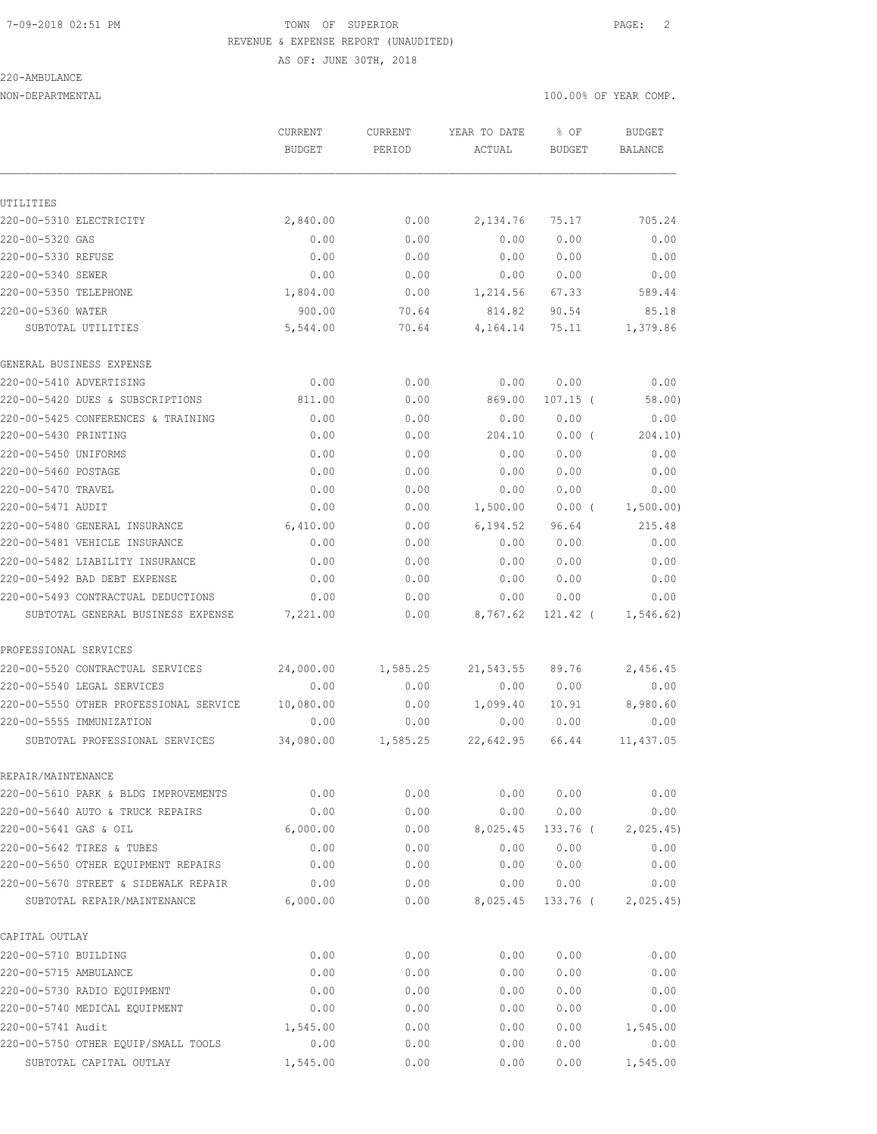## 7-09-2018 02:51 PM TOWN OF SUPERIOR PAGE: 2 REVENUE & EXPENSE REPORT (UNAUDITED)

AS OF: JUNE 30TH, 2018

#### 220-AMBULANCE

|                                        | <b>CURRENT</b><br>BUDGET | <b>CURRENT</b><br>PERIOD | YEAR TO DATE<br>ACTUAL | % OF<br>BUDGET | <b>BUDGET</b><br>BALANCE |
|----------------------------------------|--------------------------|--------------------------|------------------------|----------------|--------------------------|
|                                        |                          |                          |                        |                |                          |
| UTILITIES                              |                          |                          |                        |                |                          |
| 220-00-5310 ELECTRICITY                | 2,840.00                 | 0.00                     | 2,134.76               | 75.17          | 705.24                   |
| 220-00-5320 GAS                        | 0.00                     | 0.00                     | 0.00                   | 0.00           | 0.00                     |
| 220-00-5330 REFUSE                     | 0.00                     | 0.00                     | 0.00                   | 0.00           | 0.00                     |
| 220-00-5340 SEWER                      | 0.00                     | 0.00                     | 0.00                   | 0.00           | 0.00                     |
| 220-00-5350 TELEPHONE                  | 1,804.00                 | 0.00                     | 1,214.56               | 67.33          | 589.44                   |
| 220-00-5360 WATER                      | 900.00                   | 70.64                    | 814.82                 | 90.54          | 85.18                    |
| SUBTOTAL UTILITIES                     | 5,544.00                 | 70.64                    | 4,164.14               | 75.11          | 1,379.86                 |
| GENERAL BUSINESS EXPENSE               |                          |                          |                        |                |                          |
| 220-00-5410 ADVERTISING                | 0.00                     | 0.00                     | 0.00                   | 0.00           | 0.00                     |
| 220-00-5420 DUES & SUBSCRIPTIONS       | 811.00                   | 0.00                     | 869.00                 | $107.15$ (     | 58.00)                   |
| 220-00-5425 CONFERENCES & TRAINING     | 0.00                     | 0.00                     | 0.00                   | 0.00           | 0.00                     |
| 220-00-5430 PRINTING                   | 0.00                     | 0.00                     | 204.10                 | $0.00$ (       | 204.10)                  |
| 220-00-5450 UNIFORMS                   | 0.00                     | 0.00                     | 0.00                   | 0.00           | 0.00                     |
| 220-00-5460 POSTAGE                    | 0.00                     | 0.00                     | 0.00                   | 0.00           | 0.00                     |
| 220-00-5470 TRAVEL                     | 0.00                     | 0.00                     | 0.00                   | 0.00           | 0.00                     |
| 220-00-5471 AUDIT                      | 0.00                     | 0.00                     | 1,500.00               | $0.00$ (       | 1,500.00)                |
| 220-00-5480 GENERAL INSURANCE          | 6,410.00                 | 0.00                     | 6,194.52               | 96.64          | 215.48                   |
| 220-00-5481 VEHICLE INSURANCE          | 0.00                     | 0.00                     | 0.00                   | 0.00           | 0.00                     |
| 220-00-5482 LIABILITY INSURANCE        | 0.00                     | 0.00                     | 0.00                   | 0.00           | 0.00                     |
| 220-00-5492 BAD DEBT EXPENSE           | 0.00                     | 0.00                     | 0.00                   | 0.00           | 0.00                     |
| 220-00-5493 CONTRACTUAL DEDUCTIONS     | 0.00                     | 0.00                     | 0.00                   | 0.00           | 0.00                     |
| SUBTOTAL GENERAL BUSINESS EXPENSE      | 7,221.00                 | 0.00                     | 8,767.62               | 121.42 (       | 1, 546.62)               |
| PROFESSIONAL SERVICES                  |                          |                          |                        |                |                          |
| 220-00-5520 CONTRACTUAL SERVICES       | 24,000.00                | 1,585.25                 | 21,543.55              | 89.76          | 2,456.45                 |
| 220-00-5540 LEGAL SERVICES             | 0.00                     | 0.00                     | 0.00                   | 0.00           | 0.00                     |
| 220-00-5550 OTHER PROFESSIONAL SERVICE | 10,080.00                | 0.00                     | 1,099.40               | 10.91          | 8,980.60                 |
| 220-00-5555 IMMUNIZATION               | 0.00                     | 0.00                     | 0.00                   | 0.00           | 0.00                     |
| SUBTOTAL PROFESSIONAL SERVICES         | 34,080.00                | 1,585.25                 | 22,642.95              | 66.44          | 11,437.05                |
| REPAIR/MAINTENANCE                     |                          |                          |                        |                |                          |
| 220-00-5610 PARK & BLDG IMPROVEMENTS   | 0.00                     | 0.00                     | 0.00                   | 0.00           | 0.00                     |
| 220-00-5640 AUTO & TRUCK REPAIRS       | 0.00                     | 0.00                     | 0.00                   | 0.00           | 0.00                     |
| 220-00-5641 GAS & OIL                  | 6,000.00                 | 0.00                     | 8,025.45               | 133.76 (       | 2,025.45)                |
| 220-00-5642 TIRES & TUBES              | 0.00                     | 0.00                     | 0.00                   | 0.00           | 0.00                     |
| 220-00-5650 OTHER EQUIPMENT REPAIRS    | 0.00                     | 0.00                     | 0.00                   | 0.00           | 0.00                     |
| 220-00-5670 STREET & SIDEWALK REPAIR   | 0.00                     | 0.00                     | 0.00                   | 0.00           | 0.00                     |
| SUBTOTAL REPAIR/MAINTENANCE            | 6,000.00                 | 0.00                     | 8,025.45               | 133.76 (       | 2,025.45)                |
| CAPITAL OUTLAY                         |                          |                          |                        |                |                          |
| 220-00-5710 BUILDING                   | 0.00                     | 0.00                     | 0.00                   | 0.00           | 0.00                     |
| 220-00-5715 AMBULANCE                  | 0.00                     | 0.00                     | 0.00                   | 0.00           | 0.00                     |
| 220-00-5730 RADIO EQUIPMENT            | 0.00                     | 0.00                     | 0.00                   | 0.00           | 0.00                     |
| 220-00-5740 MEDICAL EQUIPMENT          | 0.00                     | 0.00                     | 0.00                   | 0.00           | 0.00                     |
| 220-00-5741 Audit                      | 1,545.00                 | 0.00                     | 0.00                   | 0.00           | 1,545.00                 |
| 220-00-5750 OTHER EQUIP/SMALL TOOLS    | 0.00                     | 0.00                     | 0.00                   | 0.00           | 0.00                     |
| SUBTOTAL CAPITAL OUTLAY                | 1,545.00                 | 0.00                     | 0.00                   | 0.00           | 1,545.00                 |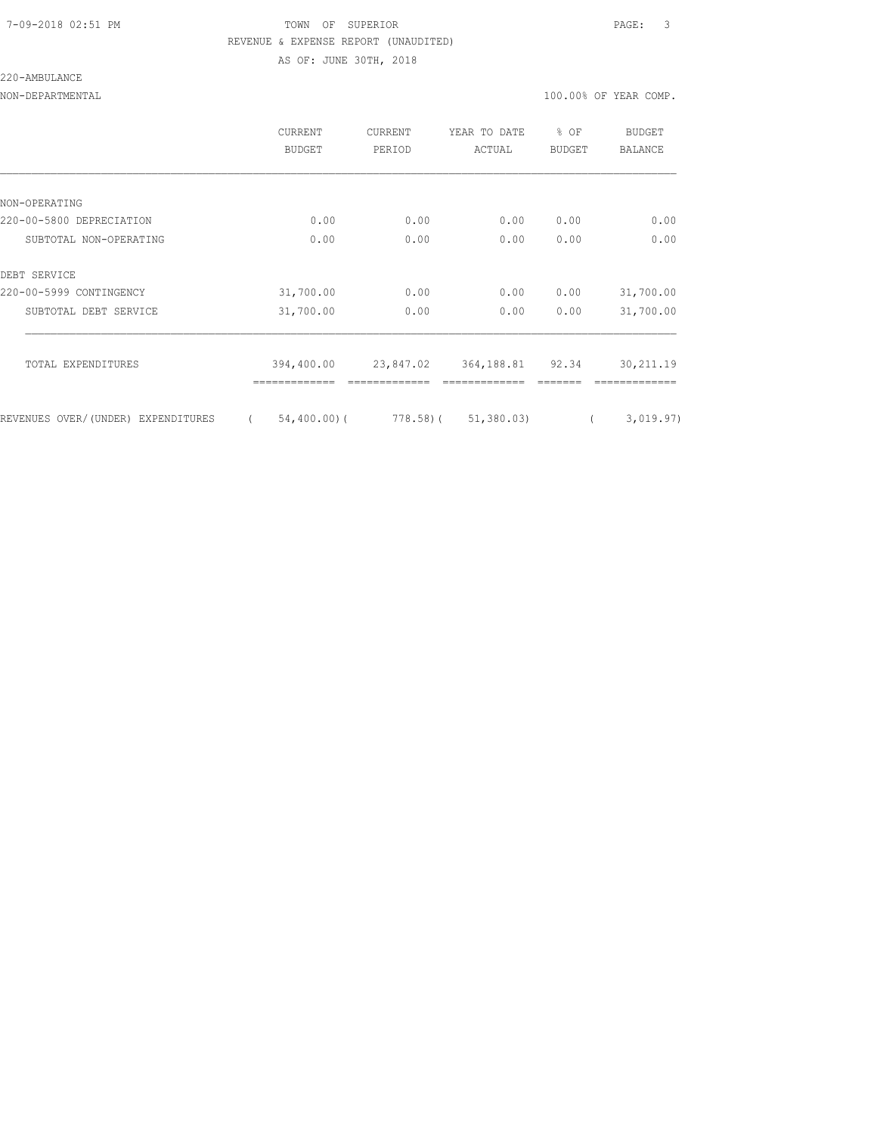### 7-09-2018 02:51 PM TOWN OF SUPERIOR PAGE: 3 REVENUE & EXPENSE REPORT (UNAUDITED) AS OF: JUNE 30TH, 2018

220-AMBULANCE

|                                    | CURRENT<br><b>BUDGET</b>   | CURRENT<br>PERIOD | YEAR TO DATE<br>ACTUAL   | % OF<br><b>BUDGET</b> | BUDGET<br>BALANCE |
|------------------------------------|----------------------------|-------------------|--------------------------|-----------------------|-------------------|
|                                    |                            |                   |                          |                       |                   |
| NON-OPERATING                      |                            |                   |                          |                       |                   |
| 220-00-5800 DEPRECIATION           | 0.00                       | 0.00              | 0.00                     | 0.00                  | 0.00              |
| SUBTOTAL NON-OPERATING             | 0.00                       | 0.00              | 0.00                     | 0.00                  | 0.00              |
| DEBT SERVICE                       |                            |                   |                          |                       |                   |
| 220-00-5999 CONTINGENCY            | 31,700.00                  | 0.00              | 0.00                     | 0.00                  | 31,700.00         |
| SUBTOTAL DEBT SERVICE              | 31,700.00                  | 0.00              | 0.00                     | 0.00                  | 31,700.00         |
| TOTAL EXPENDITURES                 | 394,400.00                 | 23,847.02         | 364, 188.81 92.34        |                       | 30, 211.19        |
| REVENUES OVER/(UNDER) EXPENDITURES | $54,400.00)$ (<br>$\left($ |                   | $778.58$ ( $51,380.03$ ) |                       | 3,019.97)         |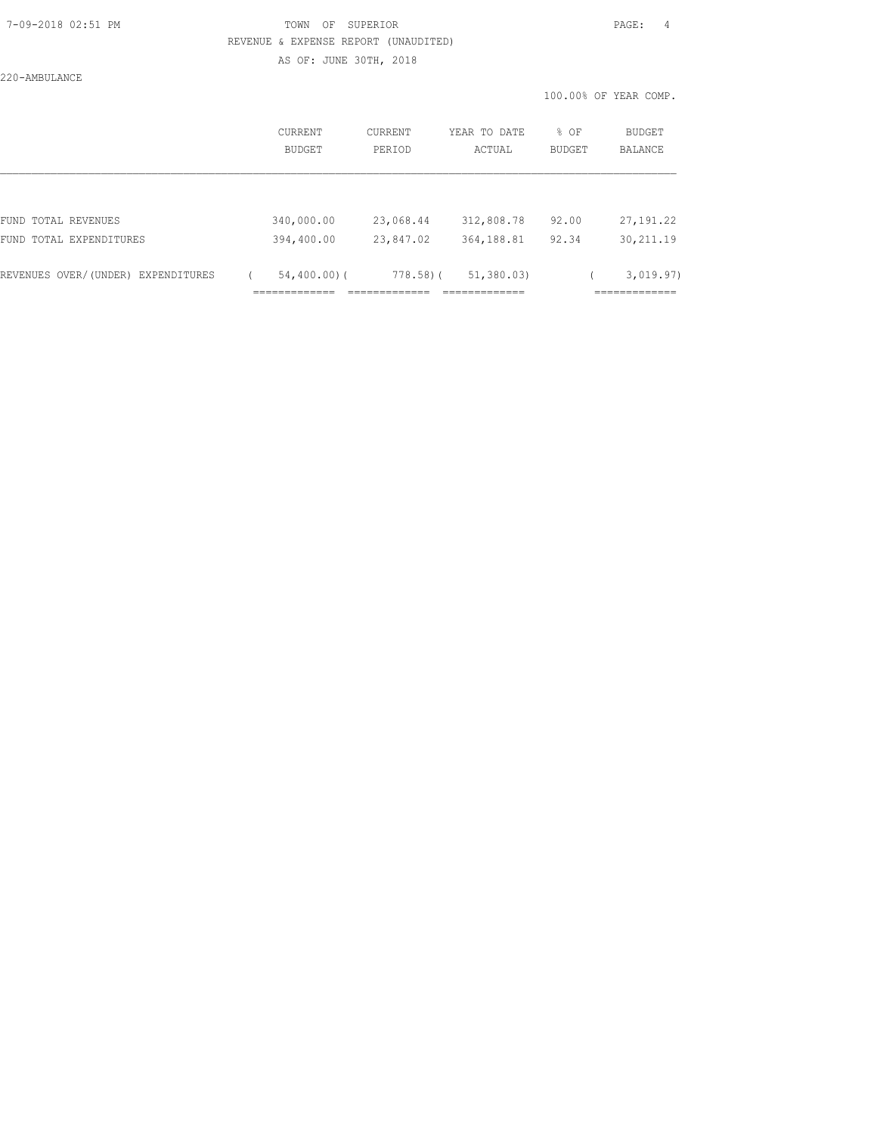## 7-09-2018 02:51 PM TOWN OF SUPERIOR PAGE: 4 REVENUE & EXPENSE REPORT (UNAUDITED) AS OF: JUNE 30TH, 2018

220-AMBULANCE

|                                    |                   |                |                          |                        |                | 100.00% OF YEAR COMP. |
|------------------------------------|-------------------|----------------|--------------------------|------------------------|----------------|-----------------------|
|                                    | CURRENT<br>BUDGET |                | <b>CURRENT</b><br>PERIOD | YEAR TO DATE<br>ACTUAL | % OF<br>BUDGET | BUDGET<br>BALANCE     |
|                                    |                   |                |                          |                        |                |                       |
| FUND TOTAL REVENUES                |                   | 340,000.00     | 23,068.44                | 312,808.78             | 92.00          | 27, 191.22            |
| FUND TOTAL EXPENDITURES            |                   | 394,400.00     | 23,847.02                | 364,188.81             | 92.34          | 30, 211.19            |
| REVENUES OVER/(UNDER) EXPENDITURES |                   | $54,400.00)$ ( | $778.58$ ) (             | 51,380.03              |                | 3,019.97)             |
|                                    |                   |                |                          |                        |                | ===========           |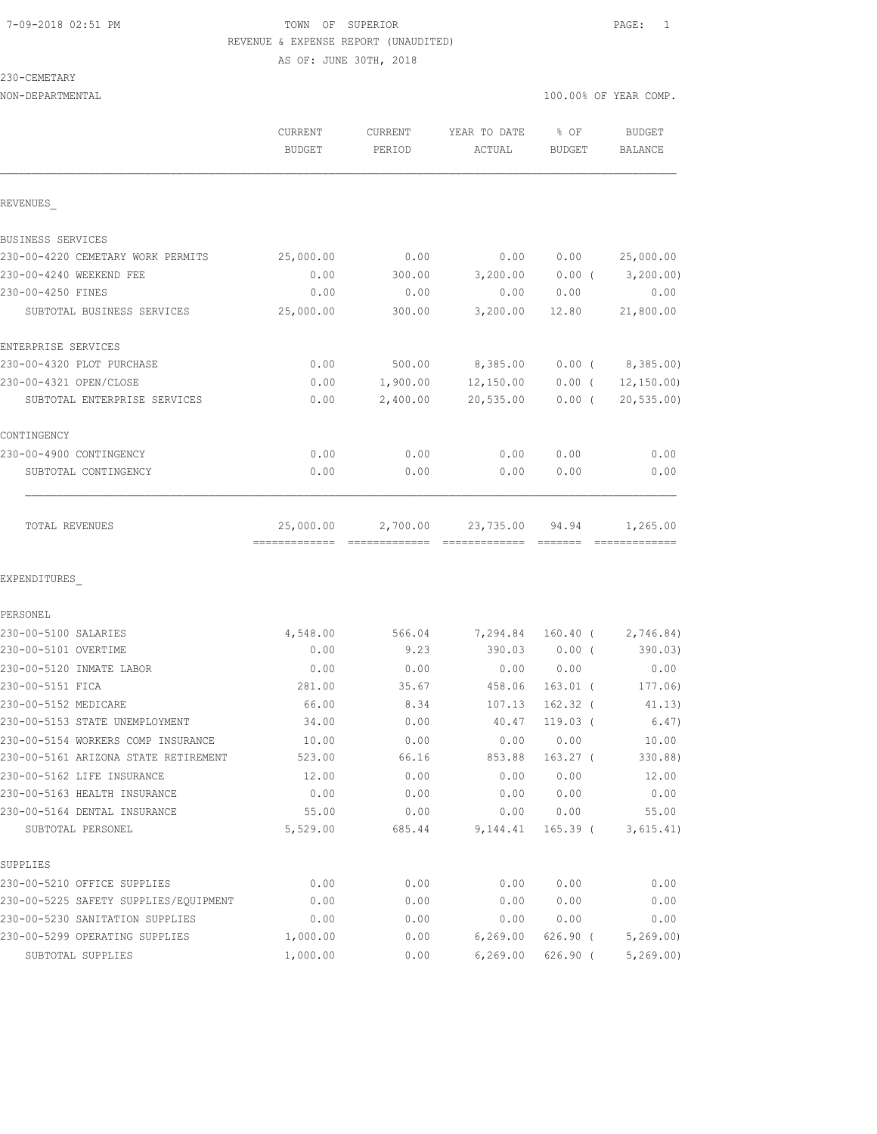## 7-09-2018 02:51 PM TOWN OF SUPERIOR PAGE: 1 REVENUE & EXPENSE REPORT (UNAUDITED)

|                                   | AS OF: JUNE 30TH, 2018   |                   |                        |                       |                             |
|-----------------------------------|--------------------------|-------------------|------------------------|-----------------------|-----------------------------|
| 230-CEMETARY                      |                          |                   |                        |                       |                             |
| NON-DEPARTMENTAL                  |                          |                   |                        |                       | 100.00% OF YEAR COMP.       |
|                                   | CURRENT<br><b>BUDGET</b> | CURRENT<br>PERIOD | YEAR TO DATE<br>ACTUAL | % OF<br><b>BUDGET</b> | BUDGET<br><b>BALANCE</b>    |
| REVENUES                          |                          |                   |                        |                       |                             |
| BUSINESS SERVICES                 |                          |                   |                        |                       |                             |
| 230-00-4220 CEMETARY WORK PERMITS | 25,000.00                | 0.00              | 0.00                   | 0.00                  | 25,000.00                   |
| 230-00-4240 WEEKEND FEE           | 0.00                     | 300.00            | 3,200.00               | $0.00$ (              | 3,200.00)                   |
| 230-00-4250 FINES                 | 0.00                     | 0.00              | 0.00                   | 0.00                  | 0.00                        |
| SUBTOTAL BUSINESS SERVICES        | 25,000.00                | 300.00            | 3,200.00               | 12.80                 | 21,800.00                   |
| ENTERPRISE SERVICES               |                          |                   |                        |                       |                             |
| 230-00-4320 PLOT PURCHASE         | 0.00                     |                   | 500.00 8,385.00        |                       | $0.00$ ( $8,385.00$ )       |
| 230-00-4321 OPEN/CLOSE            | 0.00                     | 1,900.00          | 12,150.00              | $0.00$ (              | 12, 150.00                  |
| SUBTOTAL ENTERPRISE SERVICES      | 0.00                     | 2,400.00          | 20,535.00              | $0.00$ (              | 20, 535.00                  |
| CONTINGENCY                       |                          |                   |                        |                       |                             |
| 230-00-4900 CONTINGENCY           | 0.00                     | 0.00              | 0.00                   | 0.00                  | 0.00                        |
| SUBTOTAL CONTINGENCY              | 0.00                     | 0.00              | 0.00                   | 0.00                  | 0.00                        |
| TOTAL REVENUES                    | 25,000.00                | 2,700.00          | 23,735.00              | 94.94                 | 1,265.00                    |
| EXPENDITURES                      |                          |                   |                        |                       |                             |
| PERSONEL                          |                          |                   |                        |                       |                             |
| 230-00-5100 SALARIES              | 4,548.00                 | 566.04            |                        |                       | 7,294.84 160.40 ( 2,746.84) |
| 230-00-5101 OVERTIME              | 0.00                     | 9.23              |                        | 390.03 0.00 (         | 390.03)                     |
| 230-00-5120 INMATE LABOR          | 0.00                     | 0.00              | 0.00                   | 0.00                  | 0.00                        |
| 230-00-5151 FICA                  | 281.00                   | 35.67             | 458.06                 | $163.01$ (            | 177.06)                     |

| 230-00-5151 FICA                      | 281.00   | 35.67  | 458.06   | $163.01$ ( | 177.06)   |
|---------------------------------------|----------|--------|----------|------------|-----------|
| 230-00-5152 MEDICARE                  | 66.00    | 8.34   | 107.13   | $162.32$ ( | 41.13)    |
| 230-00-5153 STATE UNEMPLOYMENT        | 34.00    | 0.00   | 40.47    | $119.03$ ( | 6.47)     |
| 230-00-5154 WORKERS COMP INSURANCE    | 10.00    | 0.00   | 0.00     | 0.00       | 10.00     |
| 230-00-5161 ARIZONA STATE RETIREMENT  | 523.00   | 66.16  | 853.88   | $163.27$ ( | 330.88)   |
| 230-00-5162 LIFE INSURANCE            | 12.00    | 0.00   | 0.00     | 0.00       | 12.00     |
| 230-00-5163 HEALTH INSURANCE          | 0.00     | 0.00   | 0.00     | 0.00       | 0.00      |
| 230-00-5164 DENTAL INSURANCE          | 55.00    | 0.00   | 0.00     | 0.00       | 55.00     |
| SUBTOTAL PERSONEL                     | 5,529.00 | 685.44 | 9,144.41 | $165.39$ ( | 3,615.41) |
| <b>SUPPLIES</b>                       |          |        |          |            |           |
| 230-00-5210 OFFICE SUPPLIES           | 0.00     | 0.00   | 0.00     | 0.00       | 0.00      |
| 230-00-5225 SAFETY SUPPLIES/EOUIPMENT | 0.00     | 0.00   | 0.00     | 0.00       | 0.00      |
| 230-00-5230 SANITATION SUPPLIES       | 0.00     | 0.00   | 0.00     | 0.00       | 0.00      |

230-00-5299 OPERATING SUPPLIES 1,000.00 0.00 6,269.00 626.90 ( 5,269.00) SUBTOTAL SUPPLIES 1,000.00 0.00 6,269.00 626.90 ( 5,269.00)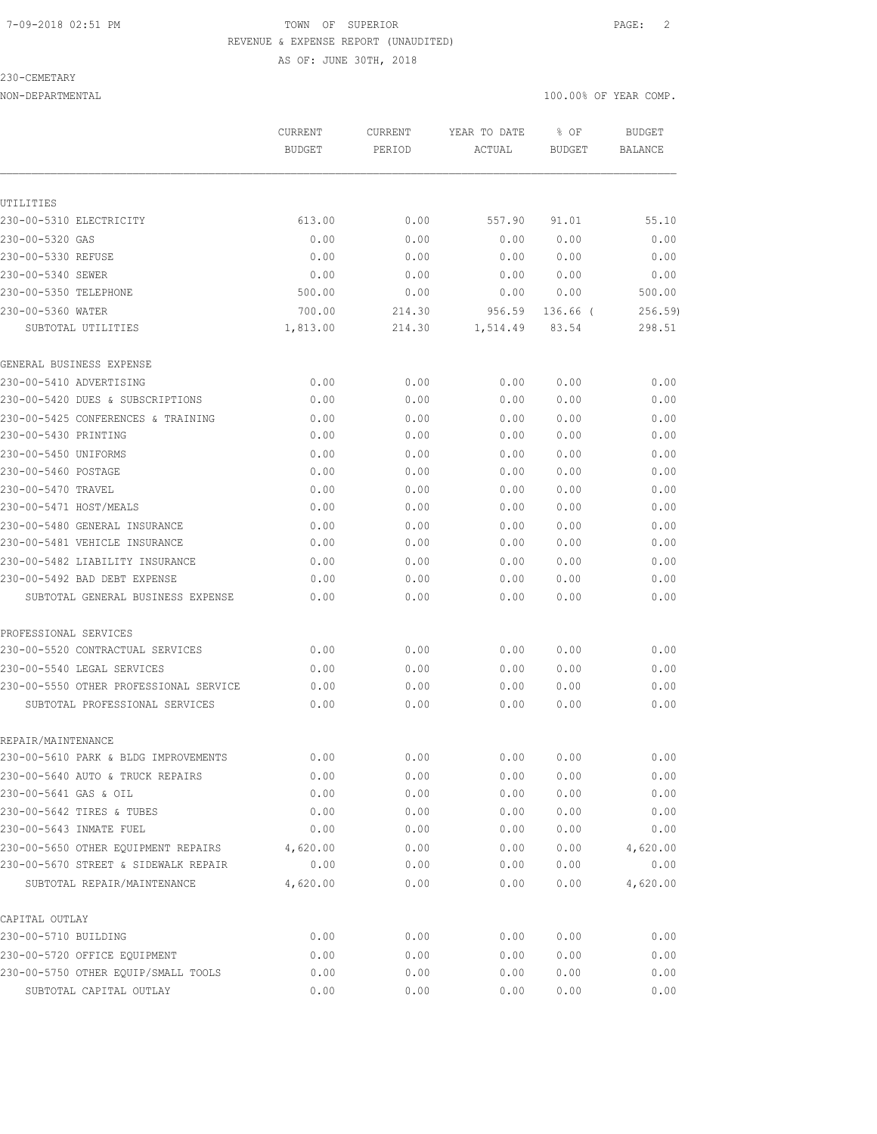#### 7-09-2018 02:51 PM TOWN OF SUPERIOR PAGE: 2 REVENUE & EXPENSE REPORT (UNAUDITED) AS OF: JUNE 30TH, 2018

#### 230-CEMETARY

|                                        | <b>CURRENT</b><br><b>BUDGET</b> | <b>CURRENT</b><br>PERIOD | YEAR TO DATE<br>ACTUAL | % OF<br><b>BUDGET</b> | <b>BUDGET</b><br><b>BALANCE</b> |
|----------------------------------------|---------------------------------|--------------------------|------------------------|-----------------------|---------------------------------|
|                                        |                                 |                          |                        |                       |                                 |
| UTILITIES                              |                                 |                          |                        |                       |                                 |
| 230-00-5310 ELECTRICITY                | 613.00                          | 0.00                     | 557.90                 | 91.01                 | 55.10                           |
| 230-00-5320 GAS                        | 0.00                            | 0.00                     | 0.00                   | 0.00                  | 0.00                            |
| 230-00-5330 REFUSE                     | 0.00                            | 0.00                     | 0.00                   | 0.00                  | 0.00                            |
| 230-00-5340 SEWER                      | 0.00                            | 0.00                     | 0.00                   | 0.00                  | 0.00                            |
| 230-00-5350 TELEPHONE                  | 500.00                          | 0.00                     | 0.00                   | 0.00                  | 500.00                          |
| 230-00-5360 WATER                      | 700.00                          | 214.30                   | 956.59                 | 136.66 (              | 256.59                          |
| SUBTOTAL UTILITIES                     | 1,813.00                        | 214.30                   | 1,514.49               | 83.54                 | 298.51                          |
| GENERAL BUSINESS EXPENSE               |                                 |                          |                        |                       |                                 |
| 230-00-5410 ADVERTISING                | 0.00                            | 0.00                     | 0.00                   | 0.00                  | 0.00                            |
| 230-00-5420 DUES & SUBSCRIPTIONS       | 0.00                            | 0.00                     | 0.00                   | 0.00                  | 0.00                            |
| 230-00-5425 CONFERENCES & TRAINING     | 0.00                            | 0.00                     | 0.00                   | 0.00                  | 0.00                            |
| 230-00-5430 PRINTING                   | 0.00                            | 0.00                     | 0.00                   | 0.00                  | 0.00                            |
| 230-00-5450 UNIFORMS                   | 0.00                            | 0.00                     | 0.00                   | 0.00                  | 0.00                            |
| 230-00-5460 POSTAGE                    | 0.00                            | 0.00                     | 0.00                   | 0.00                  | 0.00                            |
| 230-00-5470 TRAVEL                     | 0.00                            | 0.00                     | 0.00                   | 0.00                  | 0.00                            |
| 230-00-5471 HOST/MEALS                 | 0.00                            | 0.00                     | 0.00                   | 0.00                  | 0.00                            |
| 230-00-5480 GENERAL INSURANCE          | 0.00                            | 0.00                     | 0.00                   | 0.00                  | 0.00                            |
| 230-00-5481 VEHICLE INSURANCE          | 0.00                            | 0.00                     | 0.00                   | 0.00                  | 0.00                            |
| 230-00-5482 LIABILITY INSURANCE        | 0.00                            | 0.00                     | 0.00                   | 0.00                  | 0.00                            |
| 230-00-5492 BAD DEBT EXPENSE           | 0.00                            | 0.00                     | 0.00                   | 0.00                  | 0.00                            |
| SUBTOTAL GENERAL BUSINESS EXPENSE      | 0.00                            | 0.00                     | 0.00                   | 0.00                  | 0.00                            |
| PROFESSIONAL SERVICES                  |                                 |                          |                        |                       |                                 |
| 230-00-5520 CONTRACTUAL SERVICES       | 0.00                            | 0.00                     | 0.00                   | 0.00                  | 0.00                            |
| 230-00-5540 LEGAL SERVICES             | 0.00                            | 0.00                     | 0.00                   | 0.00                  | 0.00                            |
| 230-00-5550 OTHER PROFESSIONAL SERVICE | 0.00                            | 0.00                     | 0.00                   | 0.00                  | 0.00                            |
| SUBTOTAL PROFESSIONAL SERVICES         | 0.00                            | 0.00                     | 0.00                   | 0.00                  | 0.00                            |
|                                        |                                 |                          |                        |                       |                                 |
| REPAIR/MAINTENANCE                     |                                 |                          |                        |                       |                                 |
| 230-00-5610 PARK & BLDG IMPROVEMENTS   | 0.00                            | 0.00                     | 0.00                   | 0.00                  | 0.00                            |
| 230-00-5640 AUTO & TRUCK REPAIRS       | 0.00                            | 0.00                     | 0.00                   | 0.00                  | 0.00                            |
| 230-00-5641 GAS & OIL                  | 0.00                            | 0.00                     | 0.00                   | 0.00                  | 0.00                            |
| 230-00-5642 TIRES & TUBES              | 0.00                            | 0.00                     | 0.00                   | 0.00                  | 0.00                            |
| 230-00-5643 INMATE FUEL                | 0.00                            | 0.00                     | 0.00                   | 0.00                  | 0.00                            |
| 230-00-5650 OTHER EOUIPMENT REPAIRS    | 4,620.00                        | 0.00                     | 0.00                   | 0.00                  | 4,620.00                        |
| 230-00-5670 STREET & SIDEWALK REPAIR   | 0.00                            | 0.00                     | 0.00                   | 0.00                  | 0.00                            |
| SUBTOTAL REPAIR/MAINTENANCE            | 4,620.00                        | 0.00                     | 0.00                   | 0.00                  | 4,620.00                        |
| CAPITAL OUTLAY                         |                                 |                          |                        |                       |                                 |
| 230-00-5710 BUILDING                   | 0.00                            | 0.00                     | 0.00                   | 0.00                  | 0.00                            |
| 230-00-5720 OFFICE EQUIPMENT           | 0.00                            | 0.00                     | 0.00                   | 0.00                  | 0.00                            |
| 230-00-5750 OTHER EQUIP/SMALL TOOLS    | 0.00                            | 0.00                     | 0.00                   | 0.00                  | 0.00                            |
| SUBTOTAL CAPITAL OUTLAY                | 0.00                            | 0.00                     | 0.00                   | 0.00                  | 0.00                            |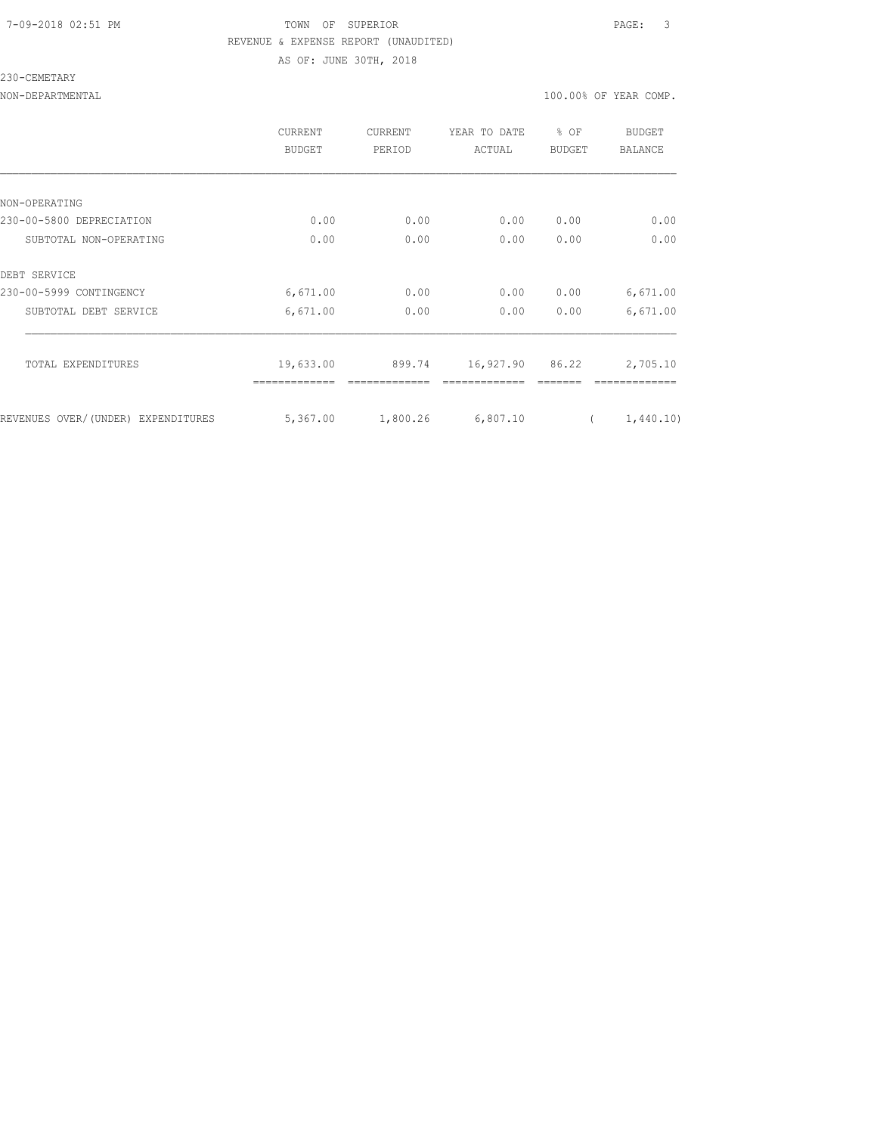### 7-09-2018 02:51 PM TOWN OF SUPERIOR PAGE: 3 REVENUE & EXPENSE REPORT (UNAUDITED) AS OF: JUNE 30TH, 2018

#### 230-CEMETARY

|                                    | CURRENT<br>BUDGET | <b>CURRENT</b><br>PERIOD | YEAR TO DATE<br>ACTUAL | % OF<br><b>BUDGET</b> | <b>BUDGET</b><br>BALANCE |
|------------------------------------|-------------------|--------------------------|------------------------|-----------------------|--------------------------|
|                                    |                   |                          |                        |                       |                          |
| NON-OPERATING                      |                   |                          |                        |                       |                          |
| 230-00-5800 DEPRECIATION           | 0.00              | 0.00                     | 0.00                   | 0.00                  | 0.00                     |
| SUBTOTAL NON-OPERATING             | 0.00              | 0.00                     | 0.00                   | 0.00                  | 0.00                     |
| DEBT SERVICE                       |                   |                          |                        |                       |                          |
| 230-00-5999 CONTINGENCY            | 6,671.00          | 0.00                     | 0.00                   | 0.00                  | 6,671.00                 |
| SUBTOTAL DEBT SERVICE              | 6,671.00          | 0.00                     | 0.00                   | 0.00                  | 6,671.00                 |
|                                    |                   |                          |                        |                       |                          |
| TOTAL EXPENDITURES                 | 19,633.00         | 899.74                   | 16,927.90 86.22        |                       | 2,705.10                 |
|                                    |                   |                          |                        |                       |                          |
| REVENUES OVER/(UNDER) EXPENDITURES | 5,367.00          | 1,800.26                 | 6,807.10               |                       | 1,440.10)                |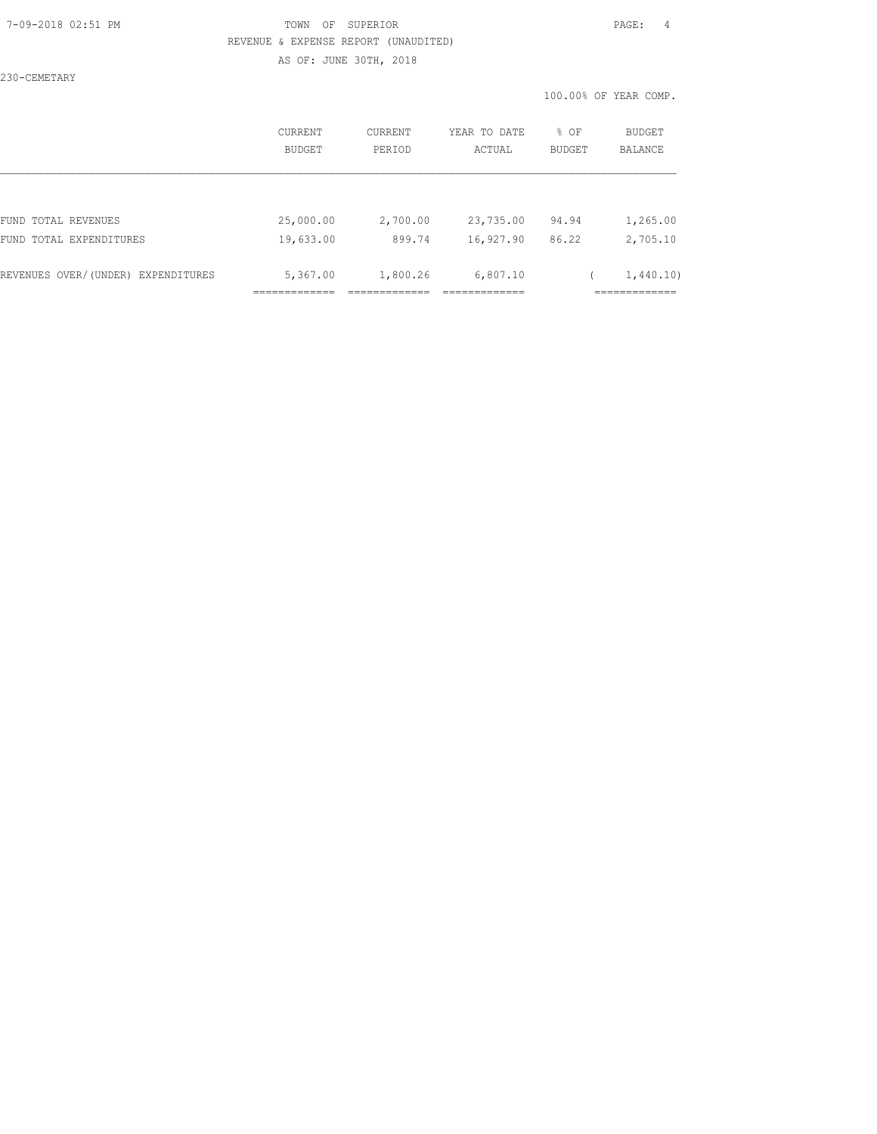#### 7-09-2018 02:51 PM TOWN OF SUPERIOR PAGE: 4 REVENUE & EXPENSE REPORT (UNAUDITED) AS OF: JUNE 30TH, 2018

230-CEMETARY

|                                    | CURRENT<br><b>BUDGET</b> | CURRENT<br>PERIOD | YEAR TO DATE<br>ACTUAL | % OF<br><b>BUDGET</b> | BUDGET<br><b>BALANCE</b> |
|------------------------------------|--------------------------|-------------------|------------------------|-----------------------|--------------------------|
|                                    |                          |                   |                        |                       |                          |
| FUND TOTAL REVENUES                | 25,000.00                | 2,700.00          | 23,735.00              | 94.94                 | 1,265.00                 |
| FUND TOTAL EXPENDITURES            | 19,633.00                | 899.74            | 16,927.90              | 86.22                 | 2,705.10                 |
| REVENUES OVER/(UNDER) EXPENDITURES | 5,367.00                 | 1,800.26          | 6,807.10               |                       | 1,440.10)                |
|                                    |                          |                   |                        |                       |                          |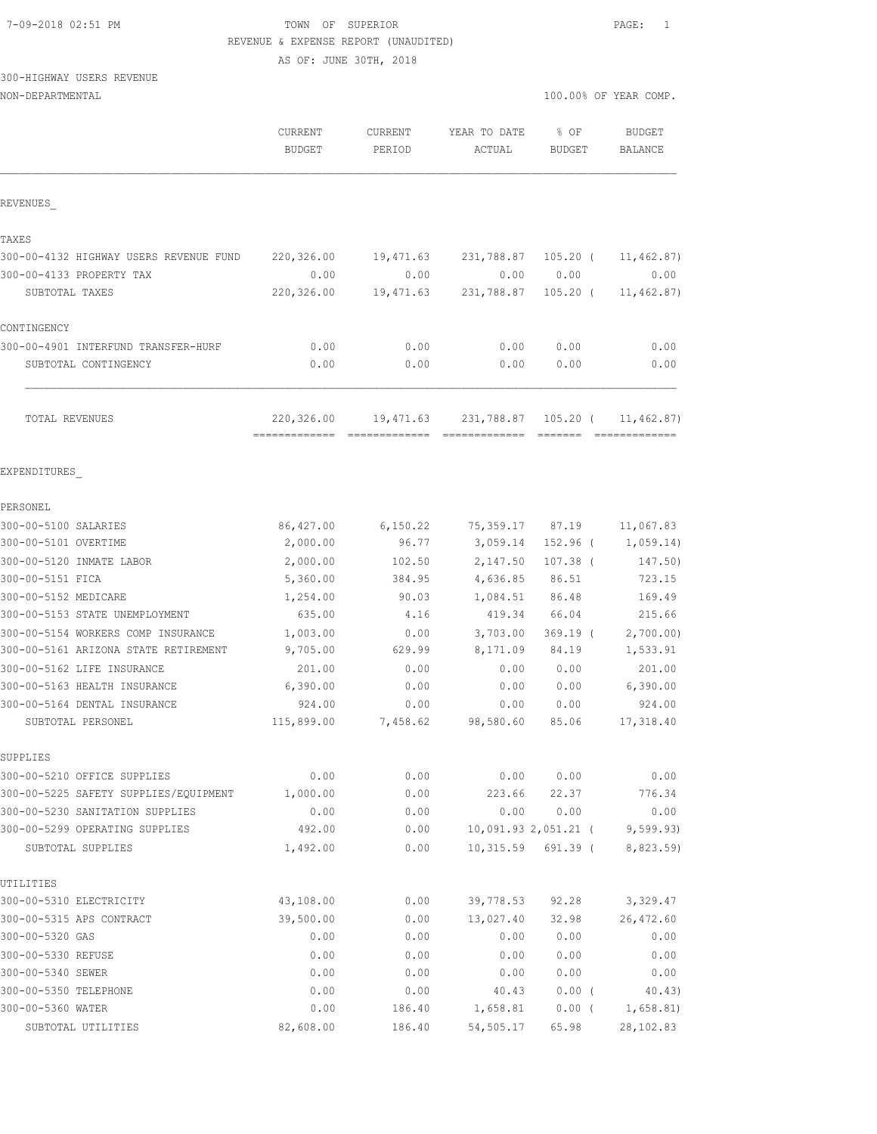#### TOWN OF SUPERIOR  $PAGE: 1$ REVENUE & EXPENSE REPORT (UNAUDITED)

AS OF: JUNE 30TH, 2018

## 300-HIGHWAY USERS REVENUE

| NON-DEPARTMENTAL                           |                          |                   |                        |                       | 100.00% OF YEAR COMP. |  |
|--------------------------------------------|--------------------------|-------------------|------------------------|-----------------------|-----------------------|--|
|                                            | CURRENT<br><b>BUDGET</b> | CURRENT<br>PERIOD | YEAR TO DATE<br>ACTUAL | % OF<br><b>BUDGET</b> | BUDGET<br>BALANCE     |  |
| REVENUES                                   |                          |                   |                        |                       |                       |  |
| TAXES                                      |                          |                   |                        |                       |                       |  |
| 300-00-4132 HIGHWAY USERS REVENUE FUND     | 220,326.00               | 19,471.63         | 231,788.87             | 105.20 (              | 11, 462.87)           |  |
| 300-00-4133 PROPERTY TAX                   | 0.00                     | 0.00              | 0.00                   | 0.00                  | 0.00                  |  |
| SUBTOTAL TAXES                             | 220,326.00               | 19,471.63         | 231,788.87             | $105.20$ (            | 11, 462.87)           |  |
| CONTINGENCY                                |                          |                   |                        |                       |                       |  |
| 300-00-4901 INTERFUND TRANSFER-HURF        | 0.00                     | 0.00              | 0.00                   | 0.00                  | 0.00                  |  |
| SUBTOTAL CONTINGENCY                       | 0.00                     | 0.00              | 0.00                   | 0.00                  | 0.00                  |  |
| TOTAL REVENUES                             | 220,326.00               | 19,471.63         | 231,788.87             | $105.20$ (            | 11,462.87)            |  |
| EXPENDITURES                               |                          |                   |                        |                       |                       |  |
| PERSONEL                                   |                          |                   |                        |                       |                       |  |
| 300-00-5100 SALARIES                       | 86,427.00                | 6,150.22          | 75,359.17              | 87.19                 | 11,067.83             |  |
| 300-00-5101 OVERTIME                       | 2,000.00                 | 96.77             | 3,059.14               | 152.96 (              | 1,059.14)             |  |
| 300-00-5120 INMATE LABOR                   | 2,000.00                 | 102.50            | 2,147.50               | $107.38$ (            | 147.50)               |  |
| 300-00-5151 FICA                           | 5,360.00                 | 384.95            | 4,636.85               | 86.51                 | 723.15                |  |
| 300-00-5152 MEDICARE                       | 1,254.00                 | 90.03             | 1,084.51               | 86.48                 | 169.49                |  |
| 300-00-5153 STATE UNEMPLOYMENT             | 635.00                   | 4.16              | 419.34                 | 66.04                 | 215.66                |  |
| 300-00-5154 WORKERS COMP INSURANCE         | 1,003.00                 | 0.00              | 3,703.00               | $369.19$ (            | 2,700.00)             |  |
| 300-00-5161 ARIZONA STATE RETIREMENT       | 9,705.00                 | 629.99            | 8,171.09               | 84.19                 | 1,533.91              |  |
| 300-00-5162 LIFE INSURANCE                 | 201.00                   | 0.00              | 0.00                   | 0.00                  | 201.00                |  |
| 300-00-5163 HEALTH INSURANCE               | 6,390.00                 | 0.00              | 0.00                   | 0.00                  | 6,390.00              |  |
| 300-00-5164 DENTAL INSURANCE               | 924.00                   | 0.00              | 0.00                   | 0.00                  | 924.00                |  |
| SUBTOTAL PERSONEL                          | 115,899.00               | 7,458.62          | 98,580.60              | 85.06                 | 17,318.40             |  |
| SUPPLIES                                   |                          |                   |                        |                       |                       |  |
| 300-00-5210 OFFICE SUPPLIES                | 0.00                     | 0.00              | 0.00                   | 0.00                  | 0.00                  |  |
| 300-00-5225 SAFETY SUPPLIES/EQUIPMENT      | 1,000.00                 | 0.00              | 223.66                 | 22.37                 | 776.34                |  |
| 300-00-5230 SANITATION SUPPLIES            | 0.00                     | 0.00              | 0.00                   | 0.00                  | 0.00                  |  |
| 300-00-5299 OPERATING SUPPLIES             | 492.00                   | 0.00              |                        | 10,091.93 2,051.21 (  | 9,599.93)             |  |
| SUBTOTAL SUPPLIES                          | 1,492.00                 | 0.00              | 10,315.59              | 691.39 (              | 8,823.59)             |  |
| UTILITIES                                  |                          |                   |                        |                       |                       |  |
| 300-00-5310 ELECTRICITY                    | 43,108.00                | 0.00              | 39,778.53              | 92.28                 | 3,329.47              |  |
| 300-00-5315 APS CONTRACT                   | 39,500.00                | 0.00              | 13,027.40              | 32.98                 | 26, 472.60            |  |
| 300-00-5320 GAS                            | 0.00                     | 0.00              | 0.00                   | 0.00                  | 0.00                  |  |
| 300-00-5330 REFUSE                         | 0.00                     | 0.00              | 0.00                   | 0.00                  | 0.00                  |  |
| 300-00-5340 SEWER                          | 0.00                     | 0.00              | 0.00                   | 0.00                  | 0.00                  |  |
| 300-00-5350 TELEPHONE<br>300-00-5360 WATER | 0.00                     | 0.00              | 40.43<br>1,658.81      | 0.00(                 | 40.43)                |  |
|                                            | 0.00                     | 186.40            |                        | $0.00$ (              | 1,658.81)             |  |
| SUBTOTAL UTILITIES                         | 82,608.00                | 186.40            | 54,505.17              | 65.98                 | 28, 102.83            |  |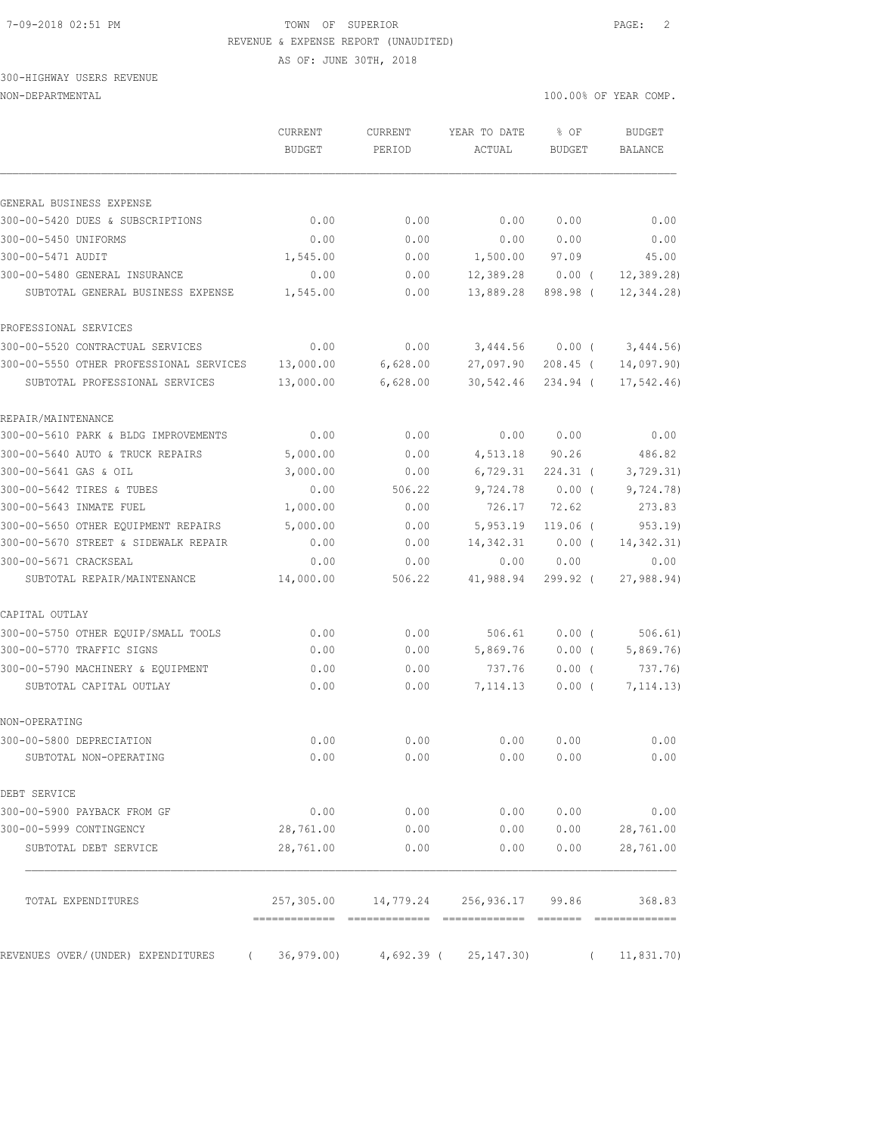#### 7-09-2018 02:51 PM TOWN OF SUPERIOR PAGE: 2 REVENUE & EXPENSE REPORT (UNAUDITED)

AS OF: JUNE 30TH, 2018

|                                                              | <b>CURRENT</b><br><b>BUDGET</b> | CURRENT<br>PERIOD | YEAR TO DATE<br>ACTUAL                   | % OF<br><b>BUDGET</b> | <b>BUDGET</b><br><b>BALANCE</b> |
|--------------------------------------------------------------|---------------------------------|-------------------|------------------------------------------|-----------------------|---------------------------------|
|                                                              |                                 |                   |                                          |                       |                                 |
| GENERAL BUSINESS EXPENSE<br>300-00-5420 DUES & SUBSCRIPTIONS | 0.00                            | 0.00              | 0.00                                     | 0.00                  | 0.00                            |
| 300-00-5450 UNIFORMS                                         | 0.00                            | 0.00              | 0.00                                     | 0.00                  | 0.00                            |
| 300-00-5471 AUDIT                                            | 1,545.00                        | 0.00              | 1,500.00                                 | 97.09                 | 45.00                           |
| 300-00-5480 GENERAL INSURANCE                                | 0.00                            | 0.00              | 12,389.28                                | $0.00$ (              |                                 |
| SUBTOTAL GENERAL BUSINESS EXPENSE                            | 1,545.00                        | 0.00              | 13,889.28                                | 898.98 (              | 12, 389.28<br>12,344.28)        |
| PROFESSIONAL SERVICES                                        |                                 |                   |                                          |                       |                                 |
| 300-00-5520 CONTRACTUAL SERVICES                             | 0.00                            | 0.00              | 3,444.56                                 | $0.00$ (              | 3,444.56)                       |
| 300-00-5550 OTHER PROFESSIONAL SERVICES                      | 13,000.00                       | 6,628.00          | 27,097.90                                | 208.45 (              | 14,097.90)                      |
| SUBTOTAL PROFESSIONAL SERVICES                               | 13,000.00                       | 6,628.00          | 30,542.46                                | 234.94 (              | 17,542.46                       |
| REPAIR/MAINTENANCE                                           |                                 |                   |                                          |                       |                                 |
| 300-00-5610 PARK & BLDG IMPROVEMENTS                         | 0.00                            | 0.00              | 0.00                                     | 0.00                  | 0.00                            |
| 300-00-5640 AUTO & TRUCK REPAIRS                             | 5,000.00                        | 0.00              | 4,513.18                                 | 90.26                 | 486.82                          |
| 300-00-5641 GAS & OIL                                        | 3,000.00                        | 0.00              | 6,729.31                                 | 224.31 (              | 3, 729.31)                      |
| 300-00-5642 TIRES & TUBES                                    | 0.00                            | 506.22            | 9,724.78                                 | $0.00$ (              | 9,724.78)                       |
| 300-00-5643 INMATE FUEL                                      | 1,000.00                        | 0.00              | 726.17                                   | 72.62                 | 273.83                          |
| 300-00-5650 OTHER EQUIPMENT REPAIRS                          | 5,000.00                        | 0.00              | 5,953.19                                 | $119.06$ (            | 953.19)                         |
| 300-00-5670 STREET & SIDEWALK REPAIR                         | 0.00                            | 0.00              | 14, 342.31                               | $0.00$ (              | 14, 342.31)                     |
| 300-00-5671 CRACKSEAL                                        | 0.00                            | 0.00              | 0.00                                     | 0.00                  | 0.00                            |
| SUBTOTAL REPAIR/MAINTENANCE                                  | 14,000.00                       | 506.22            | 41,988.94                                | $299.92$ (            | 27,988.94                       |
| CAPITAL OUTLAY                                               |                                 |                   |                                          |                       |                                 |
| 300-00-5750 OTHER EQUIP/SMALL TOOLS                          | 0.00                            | 0.00              | 506.61                                   | $0.00$ (              | 506.61)                         |
| 300-00-5770 TRAFFIC SIGNS                                    | 0.00                            | 0.00              | 5,869.76                                 | $0.00$ (              | 5,869.76                        |
| 300-00-5790 MACHINERY & EQUIPMENT                            | 0.00                            | 0.00              | 737.76                                   | $0.00$ (              | 737.76)                         |
| SUBTOTAL CAPITAL OUTLAY                                      | 0.00                            | 0.00              | 7,114.13                                 | $0.00$ (              | 7, 114.13)                      |
| NON-OPERATING                                                |                                 |                   |                                          |                       |                                 |
| 300-00-5800 DEPRECIATION                                     | 0.00                            | 0.00              | 0.00                                     | 0.00                  | 0.00                            |
| SUBTOTAL NON-OPERATING                                       | 0.00                            | 0.00              | 0.00                                     | 0.00                  | 0.00                            |
| DEBT SERVICE                                                 |                                 |                   |                                          |                       |                                 |
| 300-00-5900 PAYBACK FROM GF                                  | 0.00                            | 0.00              | 0.00                                     | 0.00                  | 0.00                            |
| 300-00-5999 CONTINGENCY                                      | 28,761.00                       | 0.00              | 0.00                                     | 0.00                  | 28,761.00                       |
| SUBTOTAL DEBT SERVICE                                        | 28,761.00                       | 0.00              | 0.00                                     | 0.00                  | 28,761.00                       |
| TOTAL EXPENDITURES                                           |                                 |                   | 257,305.00  14,779.24  256,936.17  99.86 |                       | 368.83                          |
|                                                              |                                 |                   |                                          |                       |                                 |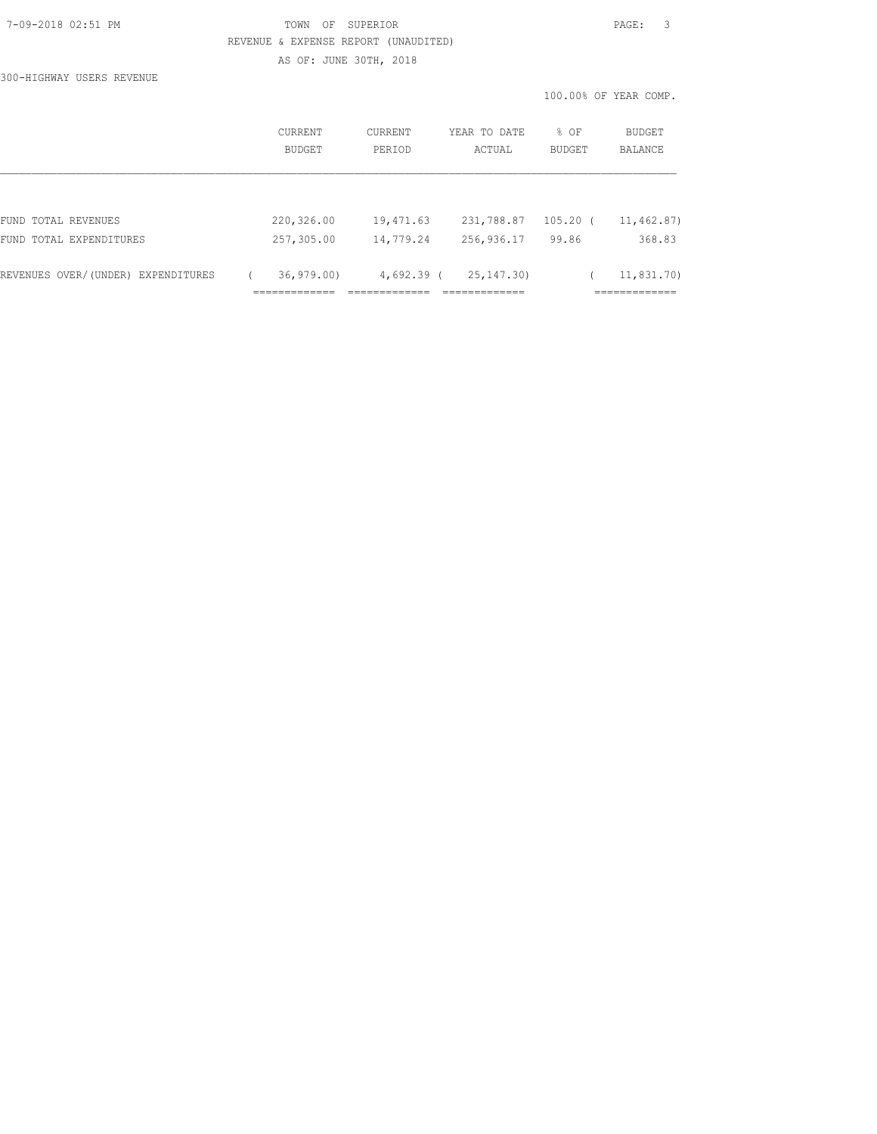## 7-09-2018 02:51 PM TOWN OF SUPERIOR PAGE: 3 REVENUE & EXPENSE REPORT (UNAUDITED) AS OF: JUNE 30TH, 2018

100.00% OF YEAR COMP.

300-HIGHWAY USERS REVENUE

|                                    | CURRENT                    | CURRENT      | YEAR TO DATE                  | % OF       | BUDGET                      |
|------------------------------------|----------------------------|--------------|-------------------------------|------------|-----------------------------|
|                                    | BUDGET                     | PERIOD       | ACTUAL                        | BUDGET     | BALANCE                     |
| FUND TOTAL REVENUES                | 220,326.00                 | 19,471.63    | 231,788.87                    | $105.20$ ( | 11,462.87)                  |
| FUND TOTAL EXPENDITURES            | 257,305.00                 | 14,779.24    | 256,936.17                    | 99.86      | 368.83                      |
| REVENUES OVER/(UNDER) EXPENDITURES | 36, 979, 00<br>___________ | $4,692.39$ ( | 25, 147, 30)<br>============= |            | 11,831.70)<br>============= |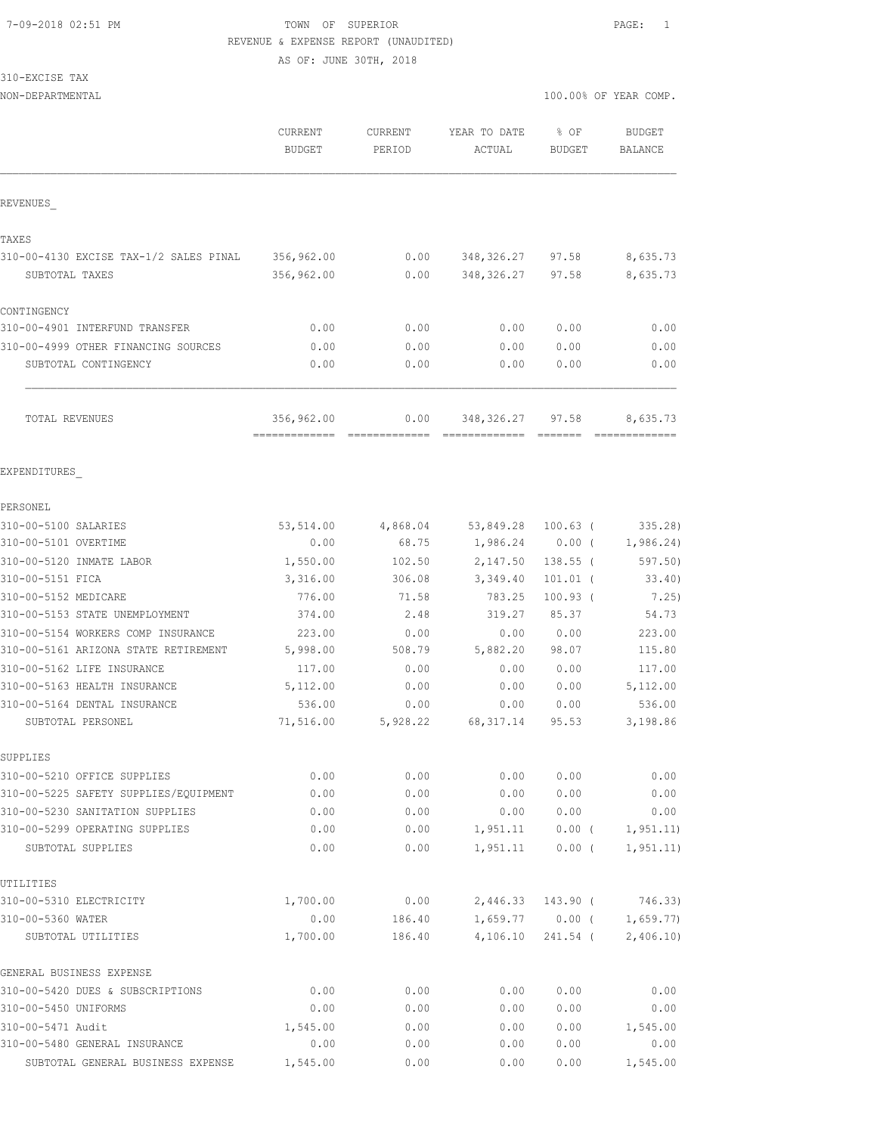## 7-09-2018 02:51 PM TOWN OF SUPERIOR PAGE: 1 REVENUE & EXPENSE REPORT (UNAUDITED)

AS OF: JUNE 30TH, 2018

## 310-EXCISE TAX

| NON-DEPARTMENTAL                                  |                                 |                   |                        | 100.00% OF YEAR COMP. |                          |
|---------------------------------------------------|---------------------------------|-------------------|------------------------|-----------------------|--------------------------|
|                                                   | <b>CURRENT</b><br><b>BUDGET</b> | CURRENT<br>PERIOD | YEAR TO DATE<br>ACTUAL | % OF<br><b>BUDGET</b> | <b>BUDGET</b><br>BALANCE |
|                                                   |                                 |                   |                        |                       |                          |
| REVENUES                                          |                                 |                   |                        |                       |                          |
| TAXES                                             |                                 |                   |                        |                       |                          |
| 310-00-4130 EXCISE TAX-1/2 SALES PINAL            | 356,962.00                      | 0.00              | 348, 326.27            | 97.58                 | 8,635.73                 |
| SUBTOTAL TAXES                                    | 356,962.00                      | 0.00              | 348, 326.27            | 97.58                 | 8,635.73                 |
| CONTINGENCY                                       |                                 |                   |                        |                       |                          |
| 310-00-4901 INTERFUND TRANSFER                    | 0.00                            | 0.00              | 0.00                   | 0.00                  | 0.00                     |
| 310-00-4999 OTHER FINANCING SOURCES               | 0.00                            | 0.00              | 0.00                   | 0.00                  | 0.00                     |
| SUBTOTAL CONTINGENCY                              | 0.00                            | 0.00              | 0.00                   | 0.00                  | 0.00                     |
| TOTAL REVENUES                                    | 356,962.00                      | 0.00              | 348, 326.27            | 97.58                 | 8,635.73                 |
| EXPENDITURES                                      |                                 |                   |                        |                       |                          |
| PERSONEL                                          |                                 |                   |                        |                       |                          |
| 310-00-5100 SALARIES                              | 53,514.00                       | 4,868.04          | 53,849.28              | $100.63$ (            | 335.28                   |
| 310-00-5101 OVERTIME                              | 0.00                            | 68.75             | 1,986.24               | $0.00$ (              | 1,986.24)                |
| 310-00-5120 INMATE LABOR                          | 1,550.00                        | 102.50            | 2,147.50               | 138.55 (              | 597.50)                  |
| 310-00-5151 FICA                                  | 3,316.00                        | 306.08            | 3,349.40               | $101.01$ (            | 33.40)                   |
| 310-00-5152 MEDICARE                              | 776.00                          | 71.58             | 783.25                 | $100.93$ (            | 7.25)                    |
| 310-00-5153 STATE UNEMPLOYMENT                    | 374.00                          | 2.48              | 319.27                 | 85.37                 | 54.73                    |
| 310-00-5154 WORKERS COMP INSURANCE                | 223.00                          | 0.00              | 0.00                   | 0.00                  | 223.00                   |
| 310-00-5161 ARIZONA STATE RETIREMENT              | 5,998.00                        | 508.79            | 5,882.20               | 98.07                 | 115.80                   |
| 310-00-5162 LIFE INSURANCE                        | 117.00                          | 0.00              | 0.00                   | 0.00                  | 117.00                   |
| 310-00-5163 HEALTH INSURANCE                      | 5,112.00                        | 0.00              | 0.00                   | 0.00                  | 5,112.00                 |
| 310-00-5164 DENTAL INSURANCE<br>SUBTOTAL PERSONEL | 536.00<br>71,516.00             | 0.00<br>5,928.22  | 0.00<br>68, 317.14     | 0.00<br>95.53         | 536.00<br>3,198.86       |
| SUPPLIES                                          |                                 |                   |                        |                       |                          |
| 310-00-5210 OFFICE SUPPLIES                       | 0.00                            | 0.00              | 0.00                   | 0.00                  | 0.00                     |
| 310-00-5225 SAFETY SUPPLIES/EQUIPMENT             | 0.00                            | 0.00              | 0.00                   | 0.00                  | 0.00                     |
| 310-00-5230 SANITATION SUPPLIES                   | 0.00                            | 0.00              | 0.00                   | 0.00                  | 0.00                     |
| 310-00-5299 OPERATING SUPPLIES                    | 0.00                            | 0.00              | 1,951.11               | $0.00$ (              | 1, 951.11)               |
| SUBTOTAL SUPPLIES                                 | 0.00                            | 0.00              | 1,951.11               | $0.00$ (              | 1, 951.11)               |
| UTILITIES                                         |                                 |                   |                        |                       |                          |
| 310-00-5310 ELECTRICITY                           | 1,700.00                        | 0.00              | 2,446.33               | $143.90$ (            | 746.33)                  |
| 310-00-5360 WATER                                 | 0.00                            | 186.40            |                        | $1,659.77$ 0.00 (     | 1,659.77)                |
| SUBTOTAL UTILITIES                                | 1,700.00                        | 186.40            | 4,106.10               | 241.54 (              | 2,406.10)                |
| GENERAL BUSINESS EXPENSE                          |                                 |                   |                        |                       |                          |
| 310-00-5420 DUES & SUBSCRIPTIONS                  | 0.00                            | 0.00              | 0.00                   | 0.00                  | ${\bf 0}$ . ${\bf 00}$   |
| 310-00-5450 UNIFORMS<br>310-00-5471 Audit         | 0.00<br>1,545.00                | 0.00              | 0.00                   | 0.00                  | 0.00<br>1,545.00         |
| 310-00-5480 GENERAL INSURANCE                     | 0.00                            | 0.00<br>0.00      | 0.00<br>0.00           | 0.00<br>0.00          | 0.00                     |
|                                                   |                                 |                   |                        |                       |                          |

SUBTOTAL GENERAL BUSINESS EXPENSE 1,545.00 0.00 0.00 0.00 1,545.00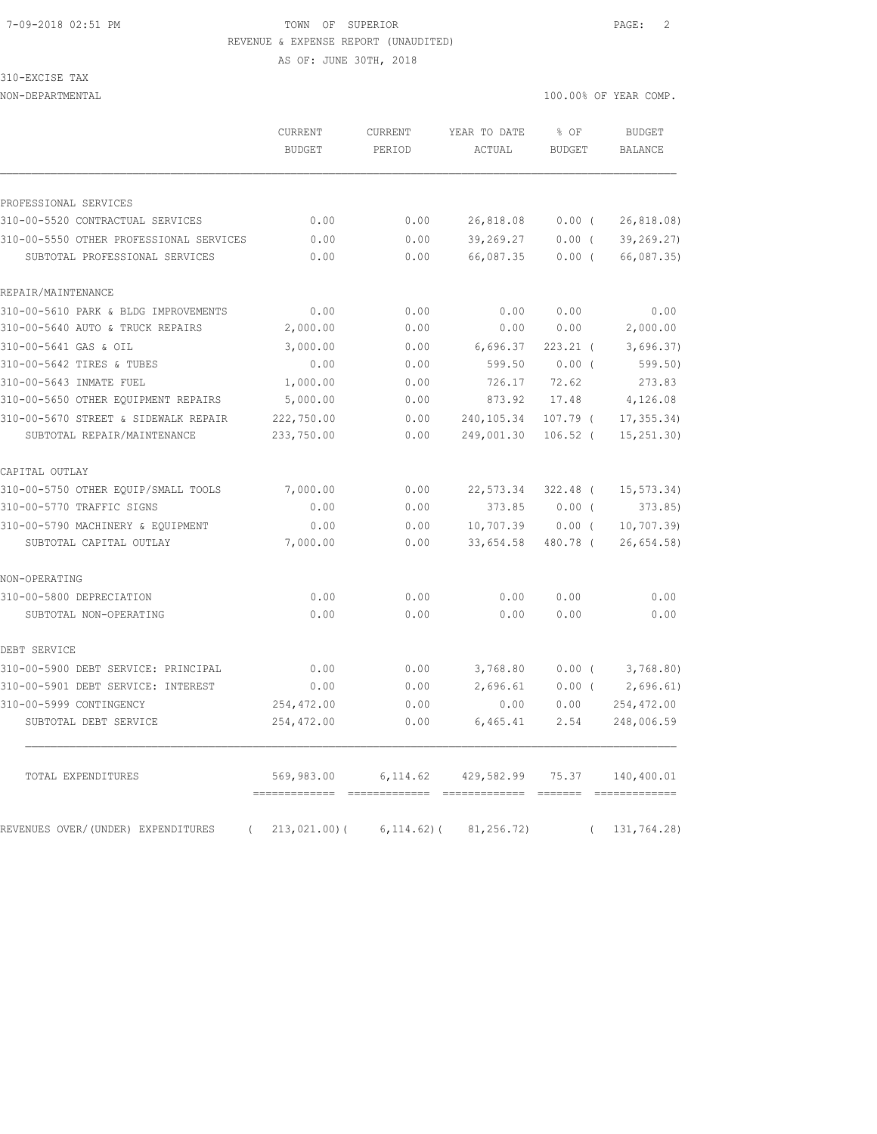#### 7-09-2018 02:51 PM TOWN OF SUPERIOR PAGE: 2 REVENUE & EXPENSE REPORT (UNAUDITED)

AS OF: JUNE 30TH, 2018

310-EXCISE TAX

|                                                | CURRENT<br><b>BUDGET</b> | <b>CURRENT</b><br>PERIOD | YEAR TO DATE<br>ACTUAL | % OF<br><b>BUDGET</b> | <b>BUDGET</b><br><b>BALANCE</b> |
|------------------------------------------------|--------------------------|--------------------------|------------------------|-----------------------|---------------------------------|
| PROFESSIONAL SERVICES                          |                          |                          |                        |                       |                                 |
| 310-00-5520 CONTRACTUAL SERVICES               | 0.00                     | 0.00                     | 26,818.08              | $0.00$ (              | 26,818.08)                      |
| 310-00-5550 OTHER PROFESSIONAL SERVICES        | 0.00                     | 0.00                     | 39,269.27              | 0.00(                 | 39, 269.27                      |
| SUBTOTAL PROFESSIONAL SERVICES                 | 0.00                     | 0.00                     | 66,087.35              | $0.00$ (              | 66,087.35)                      |
| REPAIR/MAINTENANCE                             |                          |                          |                        |                       |                                 |
| 310-00-5610 PARK & BLDG IMPROVEMENTS           | 0.00                     | 0.00                     | 0.00                   | 0.00                  | 0.00                            |
| 310-00-5640 AUTO & TRUCK REPAIRS               | 2,000.00                 | 0.00                     | 0.00                   | 0.00                  | 2,000.00                        |
| 310-00-5641 GAS & OIL                          | 3,000.00                 | 0.00                     | 6,696.37               | $223.21$ (            | 3,696.37)                       |
| 310-00-5642 TIRES & TUBES                      | 0.00                     | 0.00                     | 599.50                 | $0.00$ (              | 599.50                          |
| 310-00-5643 INMATE FUEL                        | 1,000.00                 | 0.00                     | 726.17                 | 72.62                 | 273.83                          |
| 310-00-5650 OTHER EQUIPMENT REPAIRS            | 5,000.00                 | 0.00                     | 873.92                 | 17.48                 | 4,126.08                        |
| 310-00-5670 STREET & SIDEWALK REPAIR           | 222,750.00               | 0.00                     | 240,105.34             | $107.79$ (            | 17, 355.34)                     |
| SUBTOTAL REPAIR/MAINTENANCE                    | 233,750.00               | 0.00                     | 249,001.30             | $106.52$ (            | 15, 251.30                      |
| CAPITAL OUTLAY                                 |                          |                          |                        |                       |                                 |
| 310-00-5750 OTHER EOUIP/SMALL TOOLS            | 7,000.00                 | 0.00                     | 22,573.34              | $322.48$ (            | 15, 573.34)                     |
| 310-00-5770 TRAFFIC SIGNS                      | 0.00                     | 0.00                     | 373.85                 | $0.00$ (              | 373.85                          |
| 310-00-5790 MACHINERY & EQUIPMENT              | 0.00                     | 0.00                     | 10,707.39              | $0.00$ (              | 10, 707.39                      |
| SUBTOTAL CAPITAL OUTLAY                        | 7,000.00                 | 0.00                     | 33,654.58              | 480.78 (              | 26,654.58                       |
| NON-OPERATING                                  |                          |                          |                        |                       |                                 |
| 310-00-5800 DEPRECIATION                       | 0.00                     | 0.00                     | 0.00                   | 0.00                  | 0.00                            |
| SUBTOTAL NON-OPERATING                         | 0.00                     | 0.00                     | 0.00                   | 0.00                  | 0.00                            |
| DEBT SERVICE                                   |                          |                          |                        |                       |                                 |
| 310-00-5900 DEBT SERVICE: PRINCIPAL            | 0.00                     | 0.00                     | 3,768.80               | 0.00(                 | 3,768.80                        |
| 310-00-5901 DEBT SERVICE: INTEREST             | 0.00                     | 0.00                     | 2,696.61               | $0.00$ (              | 2,696.61)                       |
| 310-00-5999 CONTINGENCY                        | 254, 472.00              | 0.00                     | 0.00                   | 0.00                  | 254, 472.00                     |
| SUBTOTAL DEBT SERVICE                          | 254,472.00               | 0.00                     | 6,465.41               | 2.54                  | 248,006.59                      |
| TOTAL EXPENDITURES                             | 569,983.00               | 6,114.62                 | 429,582.99             | 75.37                 | 140,400.01                      |
| REVENUES OVER/(UNDER) EXPENDITURES<br>$\left($ | 213,021.00(              | $6, 114.62)$ (           | 81, 256.72)            | $\left($              | 131,764.28)                     |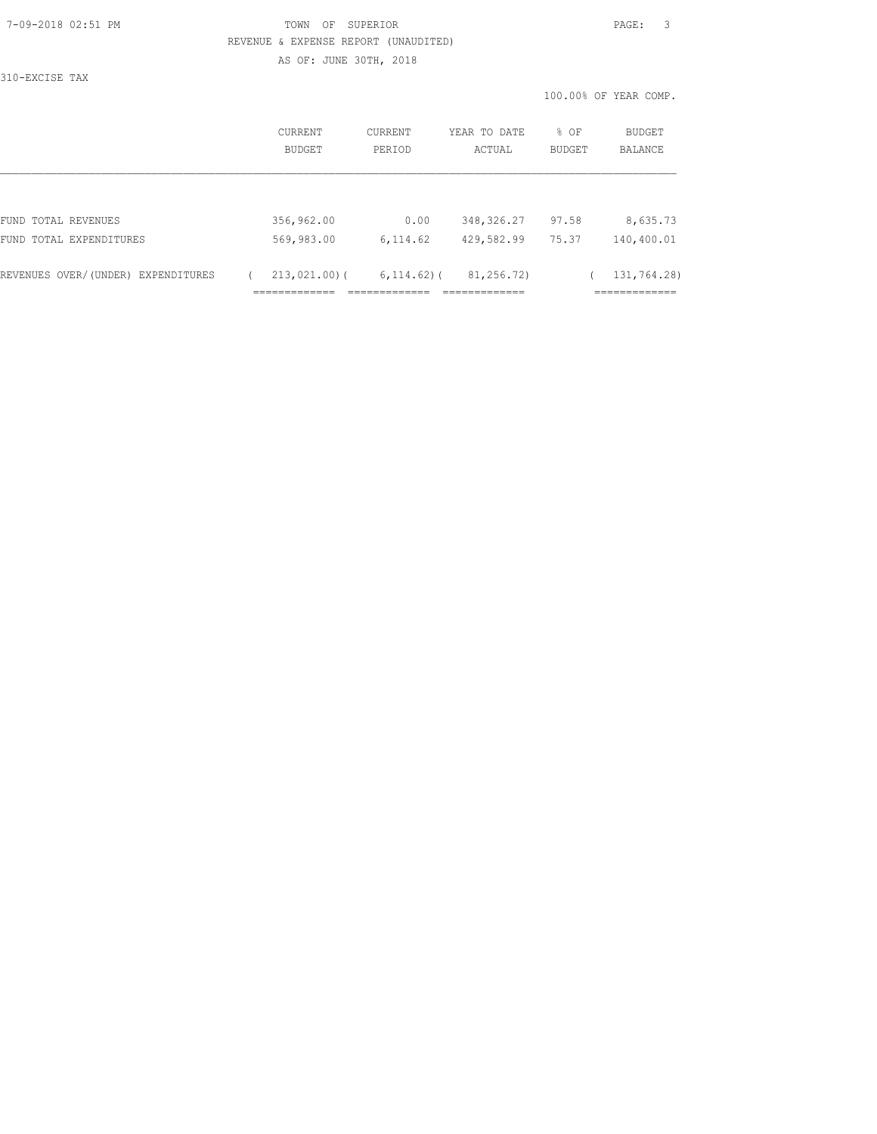#### 7-09-2018 02:51 PM TOWN OF SUPERIOR PAGE: 3 REVENUE & EXPENSE REPORT (UNAUDITED) AS OF: JUNE 30TH, 2018

310-EXCISE TAX

|                                       | CURRENT<br><b>BUDGET</b>             | CURRENT<br>PERIOD           | YEAR TO DATE<br>ACTUAL           | % OF<br><b>BUDGET</b> | BUDGET<br>BALANCE                           |
|---------------------------------------|--------------------------------------|-----------------------------|----------------------------------|-----------------------|---------------------------------------------|
|                                       |                                      |                             |                                  |                       |                                             |
| FUND TOTAL REVENUES                   | 356,962.00                           | 0.00                        | 348, 326.27                      | 97.58                 | 8,635.73                                    |
| FUND TOTAL EXPENDITURES               | 569,983.00                           | 6,114.62                    | 429,582.99                       | 75.37                 | 140,400.01                                  |
| REVENUES OVER/(UNDER)<br>EXPENDITURES | $213,021.00$ (<br>-------------<br>. | $6, 114, 62)$ (<br>________ | 81,256.72)<br>_____________<br>. |                       | 131,764.28)<br>____________<br>------------ |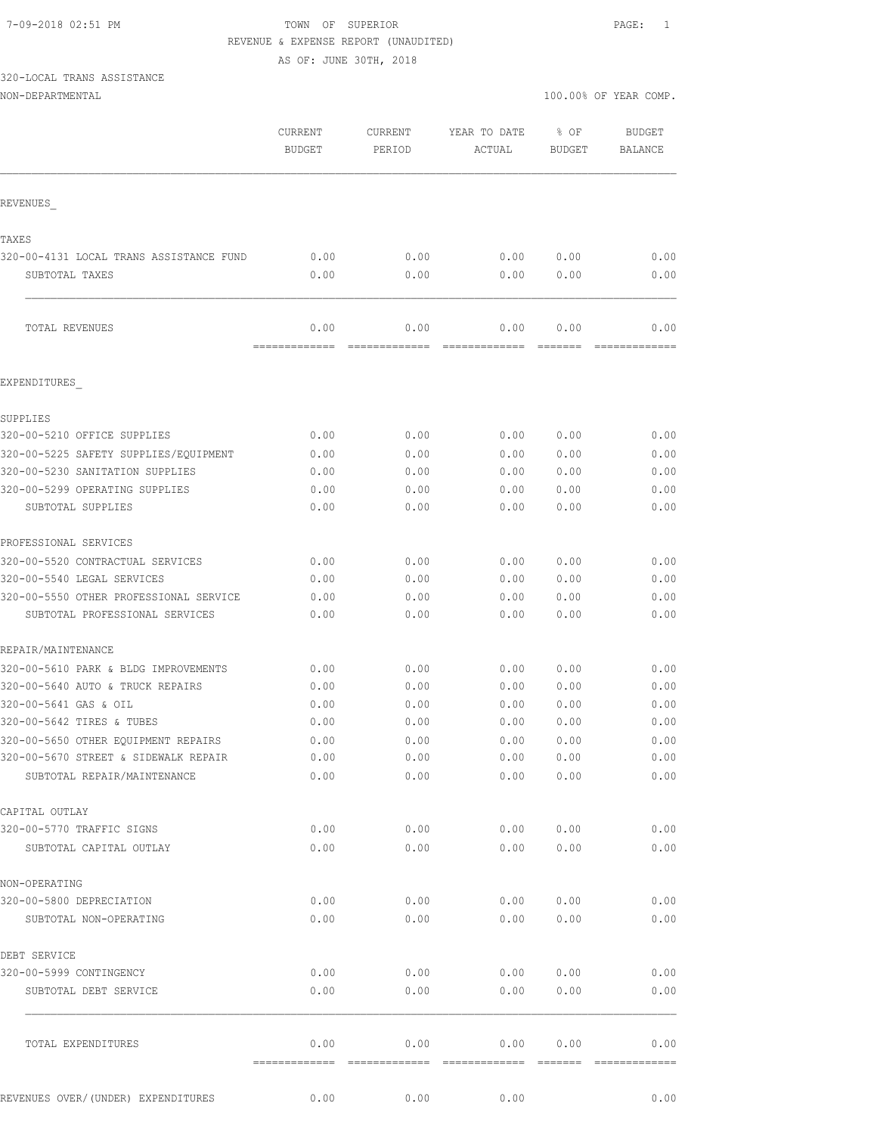#### 7-09-2018 02:51 PM TOWN OF SUPERIOR PAGE: 1 REVENUE & EXPENSE REPORT (UNAUDITED)

AS OF: JUNE 30TH, 2018

# 320-LOCAL TRANS ASSISTANCE

| 100.00% OF YEAR COMP.<br>NON-DEPARTMENTAL<br>. |  |  |  |
|------------------------------------------------|--|--|--|
|------------------------------------------------|--|--|--|

|                                                           | CURRENT<br><b>BUDGET</b> | CURRENT<br>PERIOD  | YEAR TO DATE<br>ACTUAL | % OF<br><b>BUDGET</b> | <b>BUDGET</b><br><b>BALANCE</b> |
|-----------------------------------------------------------|--------------------------|--------------------|------------------------|-----------------------|---------------------------------|
| REVENUES                                                  |                          |                    |                        |                       |                                 |
|                                                           |                          |                    |                        |                       |                                 |
| TAXES                                                     |                          |                    |                        |                       |                                 |
| 320-00-4131 LOCAL TRANS ASSISTANCE FUND<br>SUBTOTAL TAXES | 0.00<br>0.00             | 0.00<br>0.00       | 0.00<br>0.00           | 0.00<br>0.00          | 0.00<br>0.00                    |
| TOTAL REVENUES                                            | 0.00                     | 0.00               | 0.00                   | 0.00                  | 0.00                            |
|                                                           | -------------            | =============      | =============          | =======               | -------------                   |
| EXPENDITURES                                              |                          |                    |                        |                       |                                 |
| SUPPLIES                                                  |                          |                    |                        |                       |                                 |
| 320-00-5210 OFFICE SUPPLIES                               | 0.00                     | 0.00               | 0.00                   | 0.00                  | 0.00                            |
| 320-00-5225 SAFETY SUPPLIES/EOUIPMENT                     | 0.00                     | 0.00               | 0.00                   | 0.00                  | 0.00                            |
| 320-00-5230 SANITATION SUPPLIES                           | 0.00                     | 0.00               | 0.00                   | 0.00                  | 0.00                            |
| 320-00-5299 OPERATING SUPPLIES                            | 0.00                     | 0.00               | 0.00                   | 0.00                  | 0.00                            |
| SUBTOTAL SUPPLIES                                         | 0.00                     | 0.00               | 0.00                   | 0.00                  | 0.00                            |
| PROFESSIONAL SERVICES                                     |                          |                    |                        |                       |                                 |
| 320-00-5520 CONTRACTUAL SERVICES                          | 0.00                     | 0.00               | 0.00                   | 0.00                  | 0.00                            |
| 320-00-5540 LEGAL SERVICES                                | 0.00                     | 0.00               | 0.00                   | 0.00                  | 0.00                            |
| 320-00-5550 OTHER PROFESSIONAL SERVICE                    | 0.00                     | 0.00               | 0.00                   | 0.00                  | 0.00                            |
| SUBTOTAL PROFESSIONAL SERVICES                            | 0.00                     | 0.00               | 0.00                   | 0.00                  | 0.00                            |
| REPAIR/MAINTENANCE                                        |                          |                    |                        |                       |                                 |
| 320-00-5610 PARK & BLDG IMPROVEMENTS                      | 0.00                     | 0.00               | 0.00                   | 0.00                  | 0.00                            |
| 320-00-5640 AUTO & TRUCK REPAIRS                          | 0.00                     | 0.00               | 0.00                   | 0.00                  | 0.00                            |
| 320-00-5641 GAS & OIL                                     | 0.00                     | 0.00               | 0.00                   | 0.00                  | 0.00                            |
| 320-00-5642 TIRES & TUBES                                 | 0.00                     | 0.00               | 0.00                   | 0.00                  | 0.00                            |
| 320-00-5650 OTHER EQUIPMENT REPAIRS                       | 0.00                     | 0.00               | 0.00                   | 0.00                  | 0.00                            |
| 320-00-5670 STREET & SIDEWALK REPAIR                      | 0.00                     | 0.00               | 0.00                   | 0.00                  | 0.00                            |
| SUBTOTAL REPAIR/MAINTENANCE                               | 0.00                     | 0.00               | 0.00                   | 0.00                  | 0.00                            |
| CAPITAL OUTLAY                                            |                          |                    |                        |                       |                                 |
| 320-00-5770 TRAFFIC SIGNS                                 | 0.00                     | 0.00               | 0.00                   | 0.00                  | 0.00                            |
| SUBTOTAL CAPITAL OUTLAY                                   | 0.00                     | 0.00               | 0.00                   | 0.00                  | 0.00                            |
| NON-OPERATING                                             |                          |                    |                        |                       |                                 |
| 320-00-5800 DEPRECIATION                                  | 0.00                     | 0.00               | 0.00                   | 0.00                  | 0.00                            |
| SUBTOTAL NON-OPERATING                                    | 0.00                     | 0.00               | 0.00                   | 0.00                  | 0.00                            |
| DEBT SERVICE                                              |                          |                    |                        |                       |                                 |
| 320-00-5999 CONTINGENCY                                   | 0.00                     | 0.00               | 0.00                   | 0.00                  | 0.00                            |
| SUBTOTAL DEBT SERVICE                                     | 0.00                     | 0.00               | 0.00                   | 0.00                  | 0.00                            |
| TOTAL EXPENDITURES                                        | 0.00                     | 0.00               | 0.00                   | 0.00                  | 0.00                            |
|                                                           | =======<br>0.00          | ==========<br>0.00 | =============<br>0.00  |                       | 0.00                            |
| REVENUES OVER/(UNDER) EXPENDITURES                        |                          |                    |                        |                       |                                 |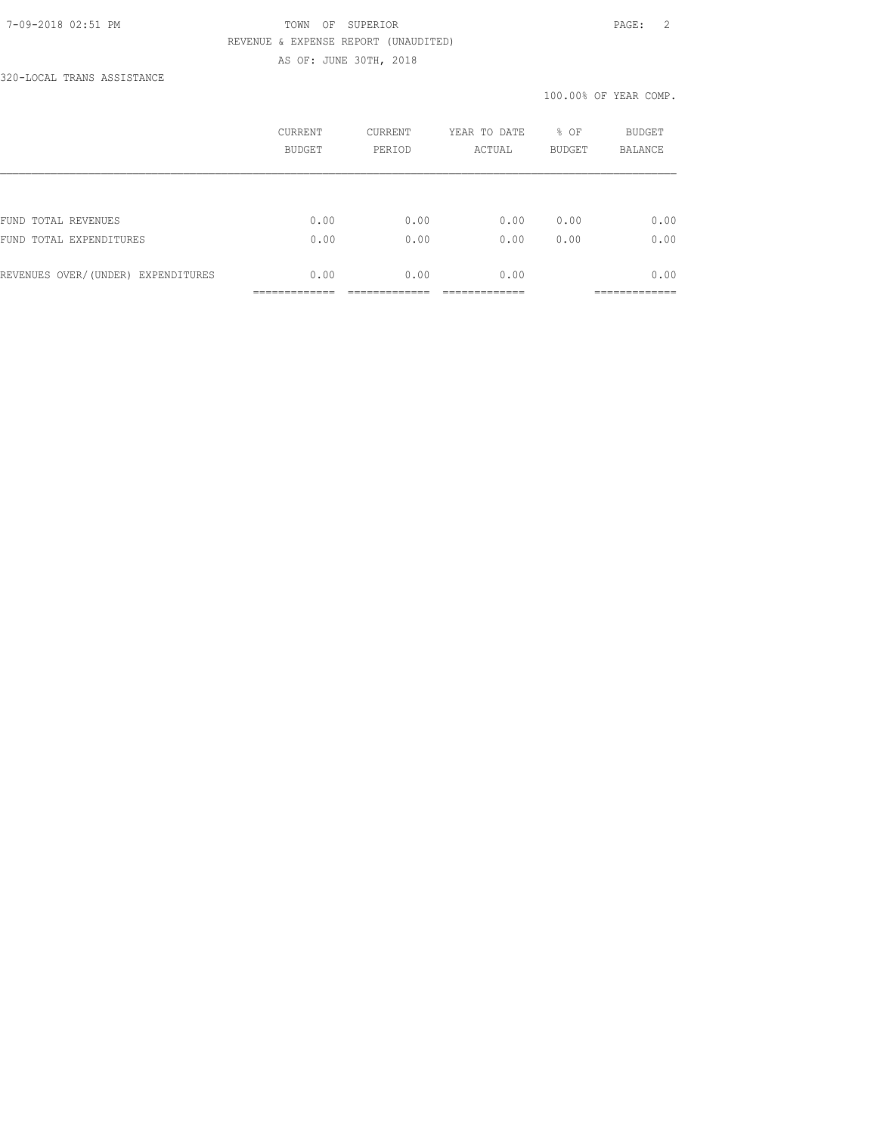#### 7-09-2018 02:51 PM TOWN OF SUPERIOR PAGE: 2 REVENUE & EXPENSE REPORT (UNAUDITED) AS OF: JUNE 30TH, 2018

320-LOCAL TRANS ASSISTANCE

|                                    | CURRENT<br><b>BUDGET</b> | CURRENT<br>PERIOD | YEAR TO DATE<br>ACTUAL | % OF<br><b>BUDGET</b> | <b>BUDGET</b><br><b>BALANCE</b> |
|------------------------------------|--------------------------|-------------------|------------------------|-----------------------|---------------------------------|
|                                    |                          |                   |                        |                       |                                 |
| FUND TOTAL REVENUES                | 0.00                     | 0.00              | 0.00                   | 0.00                  | 0.00                            |
| FUND TOTAL EXPENDITURES            | 0.00                     | 0.00              | 0.00                   | 0.00                  | 0.00                            |
| REVENUES OVER/(UNDER) EXPENDITURES | 0.00                     | 0.00              | 0.00                   |                       | 0.00                            |
|                                    |                          |                   |                        |                       | __________                      |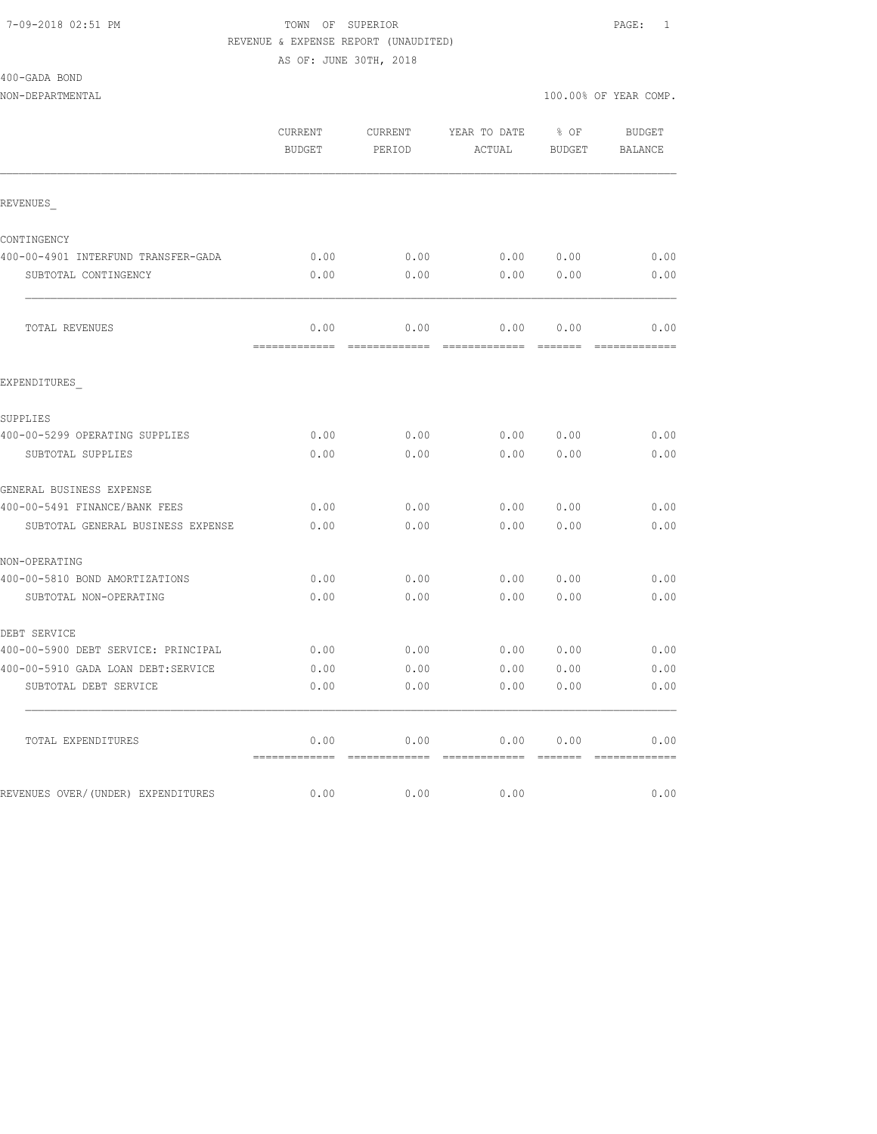## 7-09-2018 02:51 PM TOWN OF SUPERIOR PAGE: 1 REVENUE & EXPENSE REPORT (UNAUDITED)

AS OF: JUNE 30TH, 2018

400-GADA BOND

|                                     | CURRENT<br><b>BUDGET</b> | CURRENT<br>PERIOD | YEAR TO DATE % OF<br>ACTUAL | BUDGET     | BUDGET<br>BALANCE |
|-------------------------------------|--------------------------|-------------------|-----------------------------|------------|-------------------|
| REVENUES                            |                          |                   |                             |            |                   |
| CONTINGENCY                         |                          |                   |                             |            |                   |
| 400-00-4901 INTERFUND TRANSFER-GADA | 0.00                     | 0.00              | 0.00 0.00                   |            | 0.00              |
| SUBTOTAL CONTINGENCY                | 0.00                     | 0.00              |                             | 0.00000.00 | 0.00              |
| TOTAL REVENUES                      | 0.00                     | 0.00              |                             | 0.00 0.00  | 0.00              |
| EXPENDITURES                        |                          |                   |                             |            |                   |
| SUPPLIES                            |                          |                   |                             |            |                   |
| 400-00-5299 OPERATING SUPPLIES      | 0.00                     | 0.00              |                             | 0.00000.00 | 0.00              |
| SUBTOTAL SUPPLIES                   | 0.00                     | 0.00              |                             | 0.00 0.00  | 0.00              |
| GENERAL BUSINESS EXPENSE            |                          |                   |                             |            |                   |
| 400-00-5491 FINANCE/BANK FEES       | 0.00                     | 0.00              | 0.00                        | 0.00       | 0.00              |
| SUBTOTAL GENERAL BUSINESS EXPENSE   | 0.00                     | 0.00              | 0.00                        | 0.00       | 0.00              |
| NON-OPERATING                       |                          |                   |                             |            |                   |
| 400-00-5810 BOND AMORTIZATIONS      | 0.00                     | 0.00              | 0.00                        | 0.00       | 0.00              |
| SUBTOTAL NON-OPERATING              | 0.00                     | 0.00              | 0.00                        | 0.00       | 0.00              |
| DEBT SERVICE                        |                          |                   |                             |            |                   |
| 400-00-5900 DEBT SERVICE: PRINCIPAL | 0.00                     | 0.00              | 0.00 0.00                   |            | 0.00              |
| 400-00-5910 GADA LOAN DEBT:SERVICE  | 0.00                     | 0.00              | 0.00 0.00                   |            | 0.00              |
| SUBTOTAL DEBT SERVICE               | 0.00                     | 0.00              | 0.00                        | 0.00       | 0.00              |
| TOTAL EXPENDITURES                  | 0.00                     | 0.00              | 0.00 0.00                   |            | 0.00              |
| REVENUES OVER/(UNDER) EXPENDITURES  | 0.00                     | 0.00              | 0.00                        |            | 0.00              |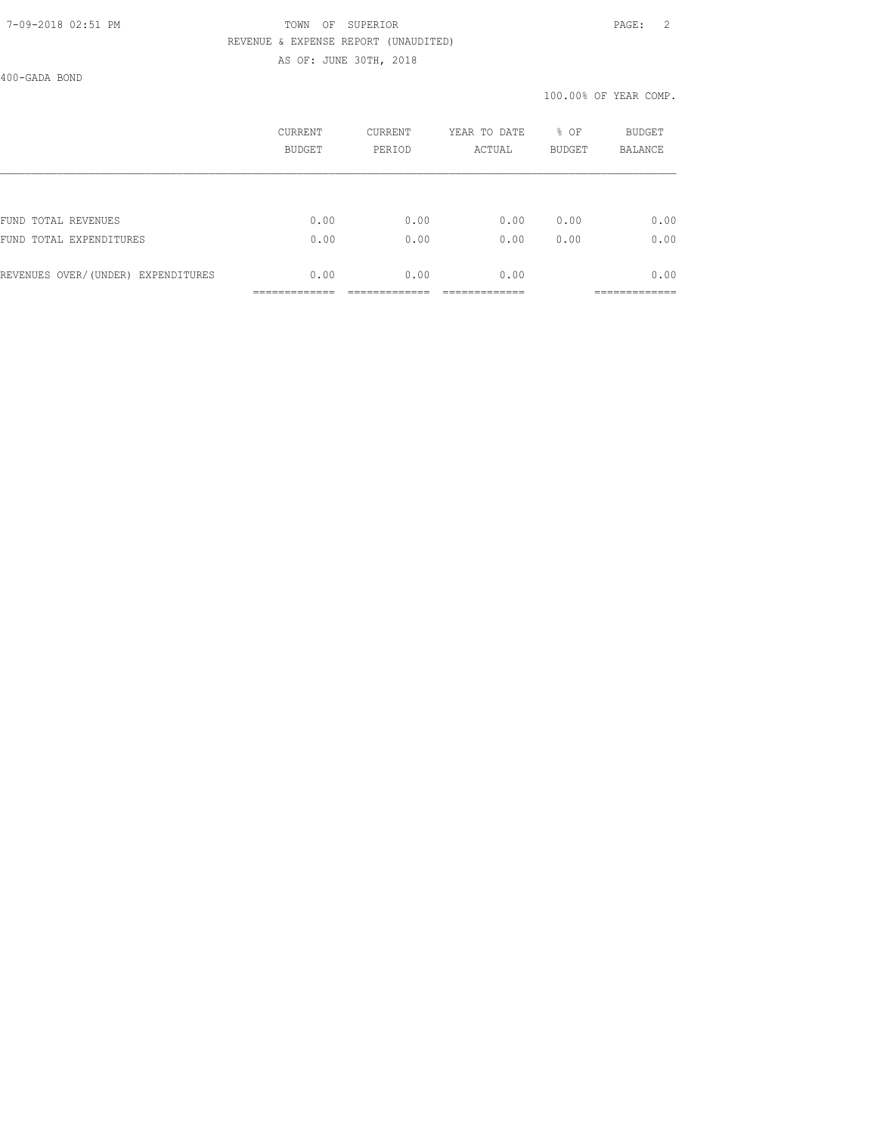#### 7-09-2018 02:51 PM TOWN OF SUPERIOR PAGE: 2 REVENUE & EXPENSE REPORT (UNAUDITED) AS OF: JUNE 30TH, 2018

400-GADA BOND

|                                    | CURRENT<br><b>BUDGET</b> | CURRENT<br>PERIOD | YEAR TO DATE<br>ACTUAL | $8$ OF<br><b>BUDGET</b> | <b>BUDGET</b><br>BALANCE |
|------------------------------------|--------------------------|-------------------|------------------------|-------------------------|--------------------------|
|                                    |                          |                   |                        |                         |                          |
| FUND TOTAL REVENUES                | 0.00                     | 0.00              | 0.00                   | 0.00                    | 0.00                     |
| FUND TOTAL EXPENDITURES            | 0.00                     | 0.00              | 0.00                   | 0.00                    | 0.00                     |
| REVENUES OVER/(UNDER) EXPENDITURES | 0.00                     | 0.00              | 0.00                   |                         | 0.00                     |
|                                    |                          |                   |                        |                         | __________               |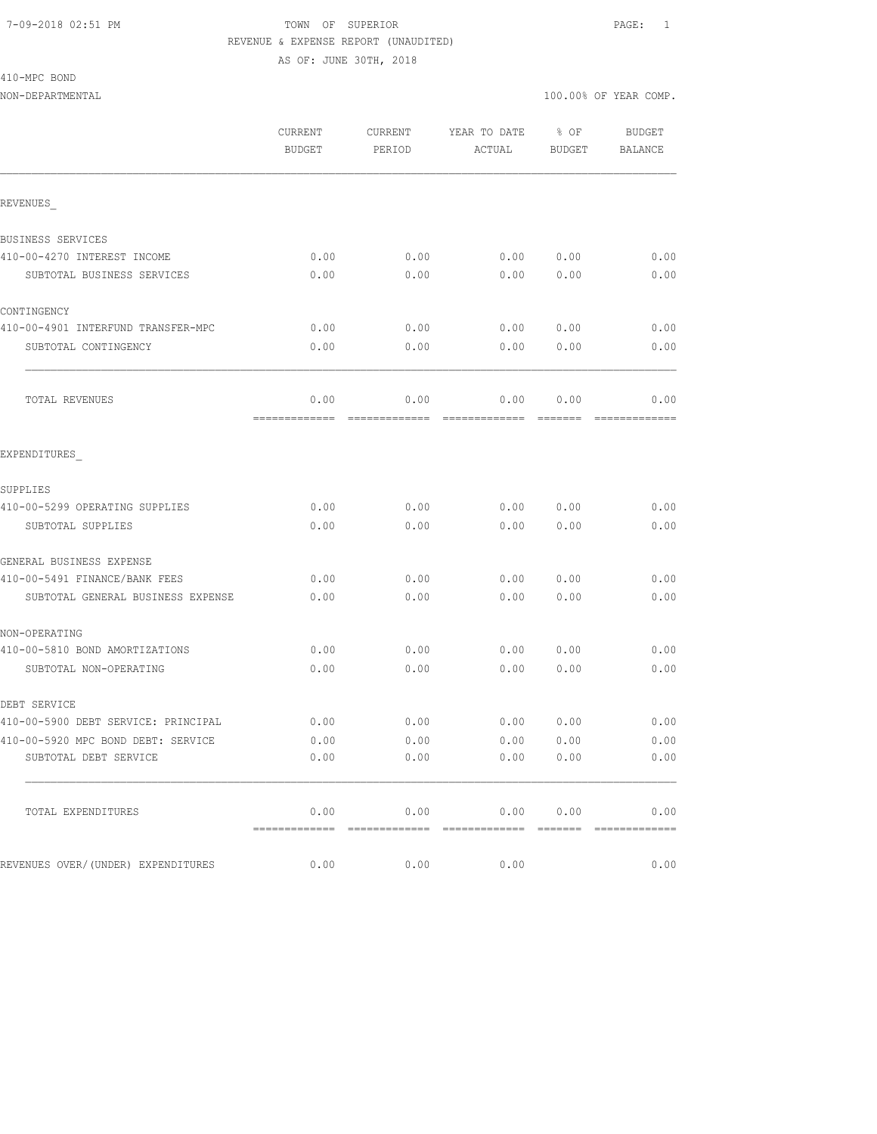#### 7-09-2018 02:51 PM TOWN OF SUPERIOR PAGE: 1 REVENUE & EXPENSE REPORT (UNAUDITED)

AS OF: JUNE 30TH, 2018

410-MPC BOND

|                                     | CURRENT<br><b>BUDGET</b> | CURRENT<br>PERIOD     | YEAR TO DATE<br>ACTUAL      | % OF<br><b>BUDGET</b> | <b>BUDGET</b><br><b>BALANCE</b> |
|-------------------------------------|--------------------------|-----------------------|-----------------------------|-----------------------|---------------------------------|
| REVENUES                            |                          |                       |                             |                       |                                 |
| BUSINESS SERVICES                   |                          |                       |                             |                       |                                 |
| 410-00-4270 INTEREST INCOME         | 0.00                     | 0.00                  | 0.00                        | 0.00                  | 0.00                            |
| SUBTOTAL BUSINESS SERVICES          | 0.00                     | 0.00                  | 0.00                        | 0.00                  | 0.00                            |
| CONTINGENCY                         |                          |                       |                             |                       |                                 |
| 410-00-4901 INTERFUND TRANSFER-MPC  | 0.00                     | 0.00                  | 0.00                        | 0.00                  | 0.00                            |
| SUBTOTAL CONTINGENCY                | 0.00                     | 0.00                  | 0.00                        | 0.00                  | 0.00                            |
| TOTAL REVENUES                      | 0.00<br>=============    | 0.00<br>------------- | 0.00<br>=============       | 0.00                  | 0.00                            |
| EXPENDITURES                        |                          |                       |                             |                       |                                 |
| SUPPLIES                            |                          |                       |                             |                       |                                 |
| 410-00-5299 OPERATING SUPPLIES      | 0.00                     | 0.00                  | 0.00                        | 0.00                  | 0.00                            |
| SUBTOTAL SUPPLIES                   | 0.00                     | 0.00                  | 0.00                        | 0.00                  | 0.00                            |
| GENERAL BUSINESS EXPENSE            |                          |                       |                             |                       |                                 |
| 410-00-5491 FINANCE/BANK FEES       | 0.00                     | 0.00                  | 0.00                        | 0.00                  | 0.00                            |
| SUBTOTAL GENERAL BUSINESS EXPENSE   | 0.00                     | 0.00                  | 0.00                        | 0.00                  | 0.00                            |
| NON-OPERATING                       |                          |                       |                             |                       |                                 |
| 410-00-5810 BOND AMORTIZATIONS      | 0.00                     | 0.00                  | 0.00                        | 0.00                  | 0.00                            |
| SUBTOTAL NON-OPERATING              | 0.00                     | 0.00                  | 0.00                        | 0.00                  | 0.00                            |
| DEBT SERVICE                        |                          |                       |                             |                       |                                 |
| 410-00-5900 DEBT SERVICE: PRINCIPAL | 0.00                     | 0.00                  | 0.00                        | 0.00                  | 0.00                            |
| 410-00-5920 MPC BOND DEBT: SERVICE  | 0.00                     | 0.00                  | 0.00                        | 0.00                  | 0.00                            |
| SUBTOTAL DEBT SERVICE               | 0.00                     | 0.00                  |                             | 0.00 0.00             | 0.00                            |
| TOTAL EXPENDITURES                  | 0.00                     |                       | $0.00$ $0.00$ $0.00$ $0.00$ |                       | 0.00                            |
| REVENUES OVER/(UNDER) EXPENDITURES  | 0.00                     | 0.00                  | 0.00                        |                       | 0.00                            |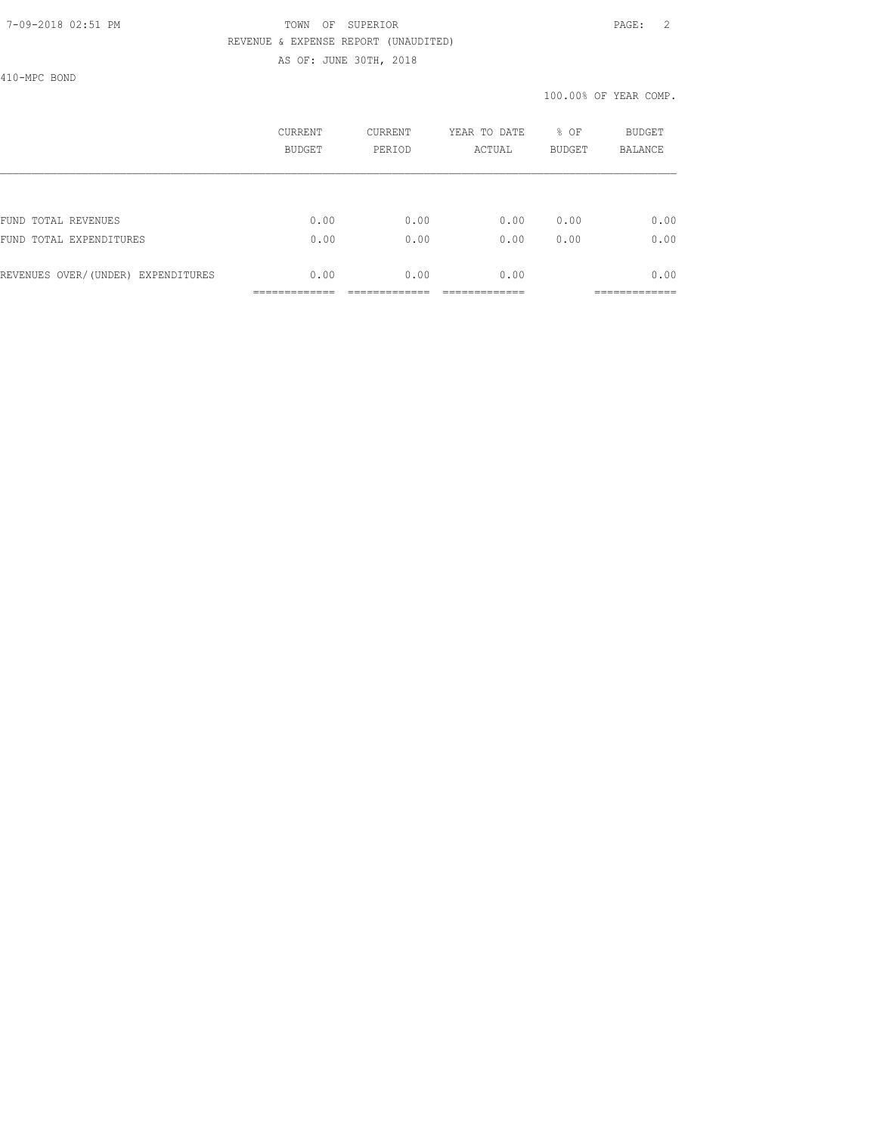## 7-09-2018 02:51 PM TOWN OF SUPERIOR PAGE: 2 REVENUE & EXPENSE REPORT (UNAUDITED)

AS OF: JUNE 30TH, 2018

410-MPC BOND

|                                    | CURRENT<br>BUDGET | CURRENT<br>PERIOD | YEAR TO DATE<br>ACTUAL | % OF<br><b>BUDGET</b> | <b>BUDGET</b><br><b>BALANCE</b> |
|------------------------------------|-------------------|-------------------|------------------------|-----------------------|---------------------------------|
|                                    |                   |                   |                        |                       |                                 |
| FUND TOTAL REVENUES                | 0.00              | 0.00              | 0.00                   | 0.00                  | 0.00                            |
| FUND TOTAL EXPENDITURES            | 0.00              | 0.00              | 0.00                   | 0.00                  | 0.00                            |
| REVENUES OVER/(UNDER) EXPENDITURES | 0.00              | 0.00              | 0.00                   |                       | 0.00                            |
|                                    |                   |                   |                        |                       |                                 |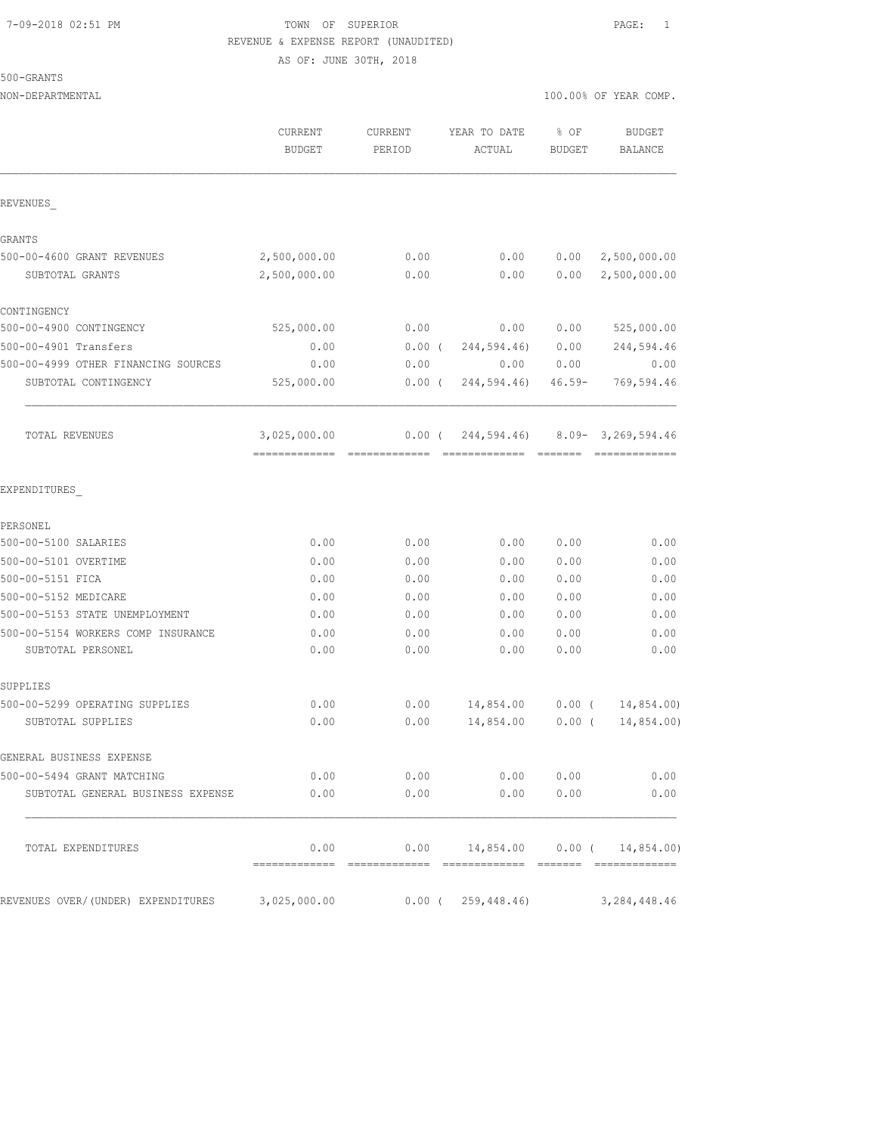## 7-09-2018 02:51 PM TOWN OF SUPERIOR PAGE: 1 REVENUE & EXPENSE REPORT (UNAUDITED)

AS OF: JUNE 30TH, 2018

|                                                         | CURRENT<br>BUDGET | <b>CURRENT</b><br>PERIOD | YEAR TO DATE<br>ACTUAL             | % OF<br>BUDGET | <b>BUDGET</b><br><b>BALANCE</b> |
|---------------------------------------------------------|-------------------|--------------------------|------------------------------------|----------------|---------------------------------|
| REVENUES                                                |                   |                          |                                    |                |                                 |
|                                                         |                   |                          |                                    |                |                                 |
| GRANTS<br>500-00-4600 GRANT REVENUES                    | 2,500,000.00      | 0.00                     | 0.00                               | 0.00           | 2,500,000.00                    |
| SUBTOTAL GRANTS                                         | 2,500,000.00      | 0.00                     | 0.00                               | 0.00           | 2,500,000.00                    |
| CONTINGENCY                                             |                   |                          |                                    |                |                                 |
| 500-00-4900 CONTINGENCY                                 | 525,000.00        | 0.00                     | 0.00                               | 0.00           | 525,000.00                      |
| 500-00-4901 Transfers                                   | 0.00              | $0.00$ (                 | 244,594.46)                        | 0.00           | 244,594.46                      |
| 500-00-4999 OTHER FINANCING SOURCES                     | 0.00              | 0.00                     | 0.00                               | 0.00           | 0.00                            |
| SUBTOTAL CONTINGENCY                                    | 525,000.00        | $0.00$ (                 | 244,594.46)                        | $46.59 -$      | 769,594.46                      |
| TOTAL REVENUES                                          | 3,025,000.00      | $0.00$ (                 | 244,594.46)                        |                | $8.09 - 3,269,594.46$           |
| EXPENDITURES                                            |                   |                          |                                    |                |                                 |
| PERSONEL                                                |                   |                          |                                    |                |                                 |
| 500-00-5100 SALARIES                                    | 0.00              | 0.00                     | 0.00                               | 0.00           | 0.00                            |
| 500-00-5101 OVERTIME                                    | 0.00              | 0.00                     | 0.00                               | 0.00           | 0.00                            |
| 500-00-5151 FICA                                        | 0.00              | 0.00                     | 0.00                               | 0.00           | 0.00                            |
| 500-00-5152 MEDICARE                                    | 0.00              | 0.00                     | 0.00                               | 0.00           | 0.00                            |
| 500-00-5153 STATE UNEMPLOYMENT                          | 0.00              | 0.00                     | 0.00                               | 0.00           | 0.00                            |
| 500-00-5154 WORKERS COMP INSURANCE<br>SUBTOTAL PERSONEL | 0.00<br>0.00      | 0.00<br>0.00             | 0.00<br>0.00                       | 0.00<br>0.00   | 0.00<br>0.00                    |
|                                                         |                   |                          |                                    |                |                                 |
| SUPPLIES                                                |                   |                          |                                    |                |                                 |
| 500-00-5299 OPERATING SUPPLIES                          | 0.00              | 0.00                     | 14,854.00                          | $0.00$ (       | 14,854.00)                      |
| SUBTOTAL SUPPLIES                                       | 0.00              | 0.00                     | 14,854.00                          | $0.00$ (       | 14,854.00)                      |
| GENERAL BUSINESS EXPENSE                                |                   |                          |                                    |                |                                 |
| 500-00-5494 GRANT MATCHING                              | 0.00              | 0.00                     | 0.00                               | 0.00           | 0.00                            |
| SUBTOTAL GENERAL BUSINESS EXPENSE                       | 0.00              | 0.00                     | 0.00                               | 0.00           | 0.00                            |
| TOTAL EXPENDITURES                                      | 0.00              |                          | $0.00$ 14,854.00 0.00 ( 14,854.00) |                |                                 |
| REVENUES OVER/(UNDER) EXPENDITURES                      | 3,025,000.00      |                          | $0.00$ ( $259,448.46$ )            |                | 3, 284, 448.46                  |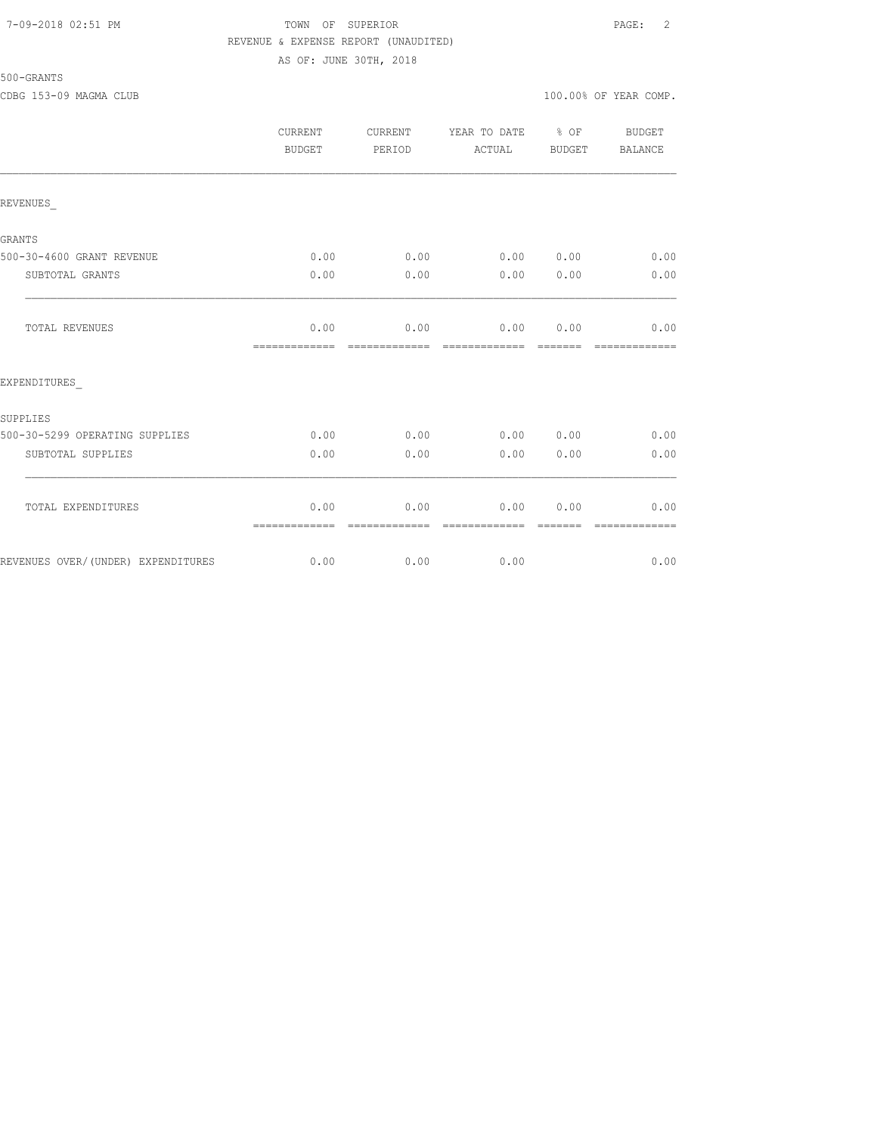### 7-09-2018 02:51 PM TOWN OF SUPERIOR PAGE: 2 REVENUE & EXPENSE REPORT (UNAUDITED) AS OF: JUNE 30TH, 2018

| 500-GRANTS |  |
|------------|--|
|            |  |

|                                    | <b>CURRENT</b><br>BUDGET | CURRENT<br>PERIOD     | YEAR TO DATE % OF<br>ACTUAL | BUDGET | BUDGET<br>BALANCE |
|------------------------------------|--------------------------|-----------------------|-----------------------------|--------|-------------------|
| REVENUES                           |                          |                       |                             |        |                   |
| <b>GRANTS</b>                      |                          |                       |                             |        |                   |
| 500-30-4600 GRANT REVENUE          | 0.00                     | 0.00                  | 0.00 0.00                   |        | 0.00              |
| SUBTOTAL GRANTS                    | 0.00                     | 0.00                  | 0.00                        | 0.00   | 0.00              |
| TOTAL REVENUES                     | 0.00<br>=============    | 0.00                  | 0.00 0.00<br>=============  |        | 0.00              |
| EXPENDITURES                       |                          |                       |                             |        |                   |
| SUPPLIES                           |                          |                       |                             |        |                   |
| 500-30-5299 OPERATING SUPPLIES     | 0.00                     | 0.00                  | 0.00 0.00                   |        | 0.00              |
| SUBTOTAL SUPPLIES                  | 0.00                     | 0.00                  | 0.00                        | 0.00   | 0.00              |
| TOTAL EXPENDITURES                 | 0.00<br>=============    | 0.00<br>------------- | 0.00<br>--------------      | 0.00   | 0.00              |
| REVENUES OVER/(UNDER) EXPENDITURES | 0.00                     | 0.00                  | 0.00                        |        | 0.00              |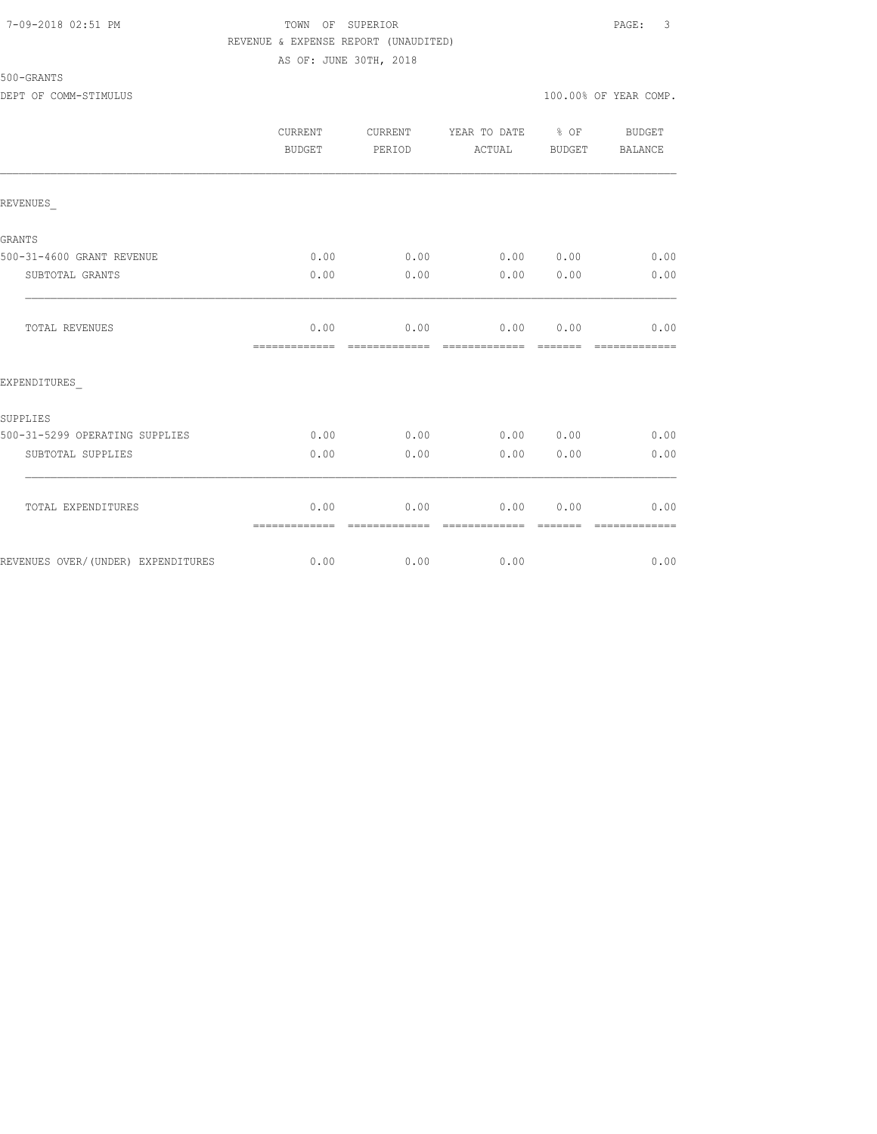## 7-09-2018 02:51 PM TOWN OF SUPERIOR PAGE: 3 REVENUE & EXPENSE REPORT (UNAUDITED)

## 500-GRANTS

AS OF: JUNE 30TH, 2018

|                                    | <b>CURRENT</b><br>BUDGET | CURRENT<br>PERIOD | YEAR TO DATE<br>ACTUAL | % OF<br><b>BUDGET</b> | <b>BUDGET</b><br>BALANCE |
|------------------------------------|--------------------------|-------------------|------------------------|-----------------------|--------------------------|
| REVENUES                           |                          |                   |                        |                       |                          |
| <b>GRANTS</b>                      |                          |                   |                        |                       |                          |
| 500-31-4600 GRANT REVENUE          | 0.00                     | 0.00              | 0.00                   | 0.00                  | 0.00                     |
| SUBTOTAL GRANTS                    | 0.00                     | 0.00              | 0.00                   | 0.00                  | 0.00                     |
| TOTAL REVENUES                     | 0.00<br>=============    | 0.00              | 0.00                   | 0.00                  | 0.00<br>$=$ $=$ $=$      |
| EXPENDITURES                       |                          |                   |                        |                       |                          |
| SUPPLIES                           |                          |                   |                        |                       |                          |
| 500-31-5299 OPERATING SUPPLIES     | 0.00                     | 0.00              | 0.00                   | 0.00                  | 0.00                     |
| SUBTOTAL SUPPLIES                  | 0.00                     | 0.00              | 0.00                   | 0.00                  | 0.00                     |
| TOTAL EXPENDITURES                 | 0.00<br>=============    | 0.00              | 0.00                   | 0.00                  | 0.00                     |
| REVENUES OVER/(UNDER) EXPENDITURES | 0.00                     | 0.00              | 0.00                   |                       | 0.00                     |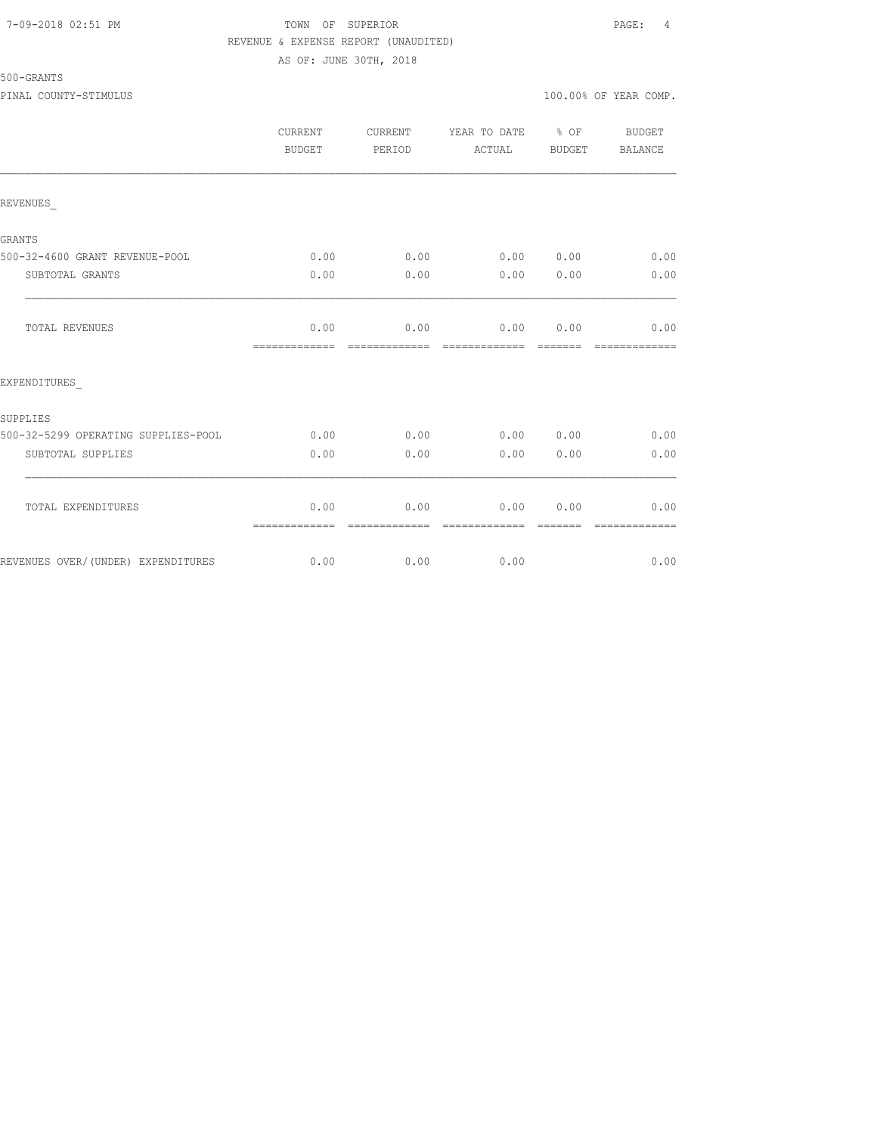### 7-09-2018 02:51 PM TOWN OF SUPERIOR PAGE: 4 REVENUE & EXPENSE REPORT (UNAUDITED) AS OF: JUNE 30TH, 2018

# 500-GRANTS

|                                     | CURRENT<br>BUDGET     | CURRENT<br>PERIOD      | YEAR TO DATE % OF<br>ACTUAL | BUDGET                | BUDGET<br>BALANCE      |
|-------------------------------------|-----------------------|------------------------|-----------------------------|-----------------------|------------------------|
| REVENUES                            |                       |                        |                             |                       |                        |
| <b>GRANTS</b>                       |                       |                        |                             |                       |                        |
| 500-32-4600 GRANT REVENUE-POOL      | 0.00                  | 0.00                   | 0.00 0.00                   |                       | 0.00                   |
| SUBTOTAL GRANTS                     | 0.00                  | 0.00                   | 0.00                        | 0.00                  | 0.00                   |
| TOTAL REVENUES                      | 0.00<br>============= | 0.00<br>=============  | 0.00<br>=============       | 0.00<br><b>BEECEE</b> | 0.00<br>=============  |
| EXPENDITURES                        |                       |                        |                             |                       |                        |
| SUPPLIES                            |                       |                        |                             |                       |                        |
| 500-32-5299 OPERATING SUPPLIES-POOL | 0.00                  | 0.00                   | 0.00 0.00                   |                       | 0.00                   |
| SUBTOTAL SUPPLIES                   | 0.00                  | 0.00                   | 0.00                        | 0.00                  | 0.00                   |
| TOTAL EXPENDITURES                  | 0.00                  | 0.00                   | 0.00                        | 0.00                  | 0.00                   |
| REVENUES OVER/(UNDER) EXPENDITURES  | =============<br>0.00 | --------------<br>0.00 | --------------<br>0.00      | --------              | --------------<br>0.00 |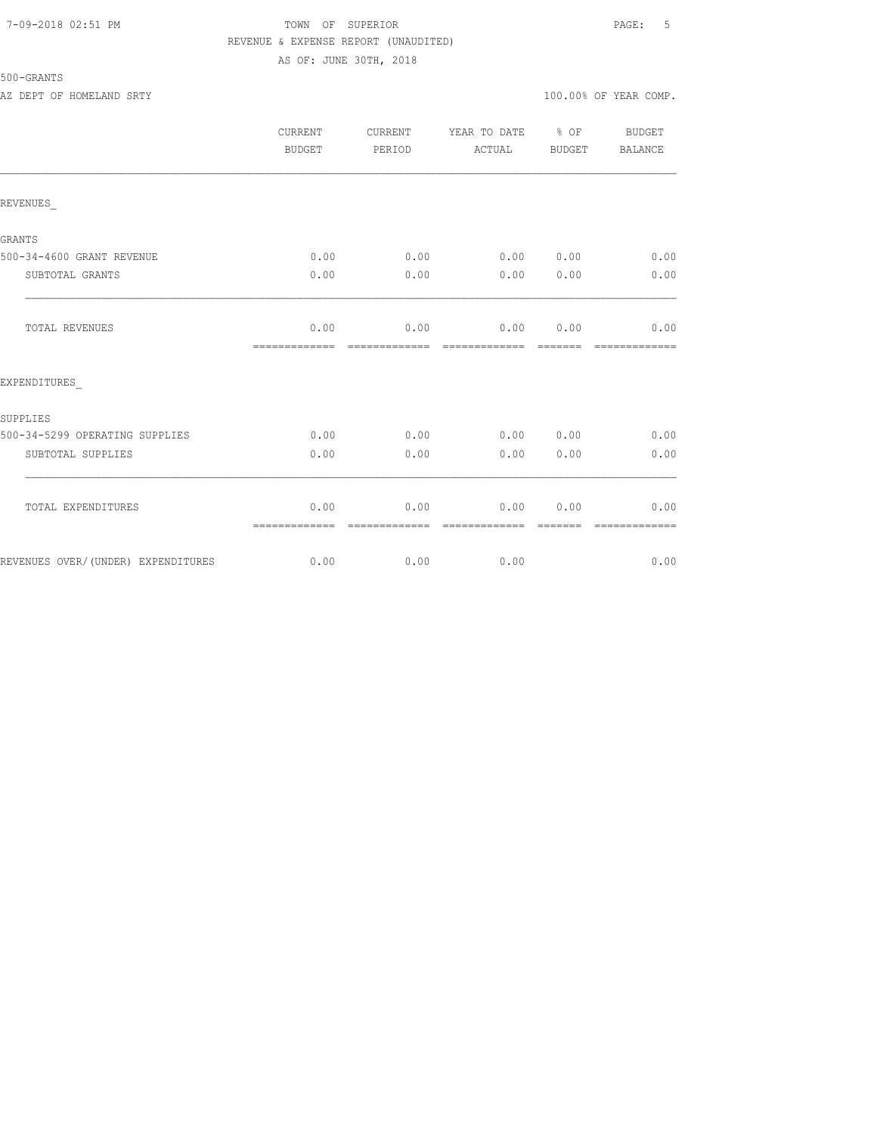### 7-09-2018 02:51 PM TOWN OF SUPERIOR PAGE: 5 REVENUE & EXPENSE REPORT (UNAUDITED) AS OF: JUNE 30TH, 2018

## 500-GRANTS

|                                    | CURRENT<br>BUDGET     | CURRENT<br>PERIOD | YEAR TO DATE % OF<br>ACTUAL | BUDGET | <b>BUDGET</b><br>BALANCE |
|------------------------------------|-----------------------|-------------------|-----------------------------|--------|--------------------------|
| REVENUES                           |                       |                   |                             |        |                          |
| <b>GRANTS</b>                      |                       |                   |                             |        |                          |
| 500-34-4600 GRANT REVENUE          | 0.00                  | 0.00              | 0.00                        | 0.00   | 0.00                     |
| SUBTOTAL GRANTS                    | 0.00                  | 0.00              | 0.00                        | 0.00   | 0.00                     |
| TOTAL REVENUES                     | 0.00<br>============= | 0.00              | 0.00                        | 0.00   | 0.00                     |
| EXPENDITURES                       |                       |                   |                             |        |                          |
| SUPPLIES                           |                       |                   |                             |        |                          |
| 500-34-5299 OPERATING SUPPLIES     | 0.00                  | 0.00              | 0.00                        | 0.00   | 0.00                     |
| SUBTOTAL SUPPLIES                  | 0.00                  | 0.00              | 0.00                        | 0.00   | 0.00                     |
| TOTAL EXPENDITURES                 | 0.00<br>============= | 0.00              | 0.00                        | 0.00   | 0.00                     |
| REVENUES OVER/(UNDER) EXPENDITURES | 0.00                  | 0.00              | 0.00                        |        | 0.00                     |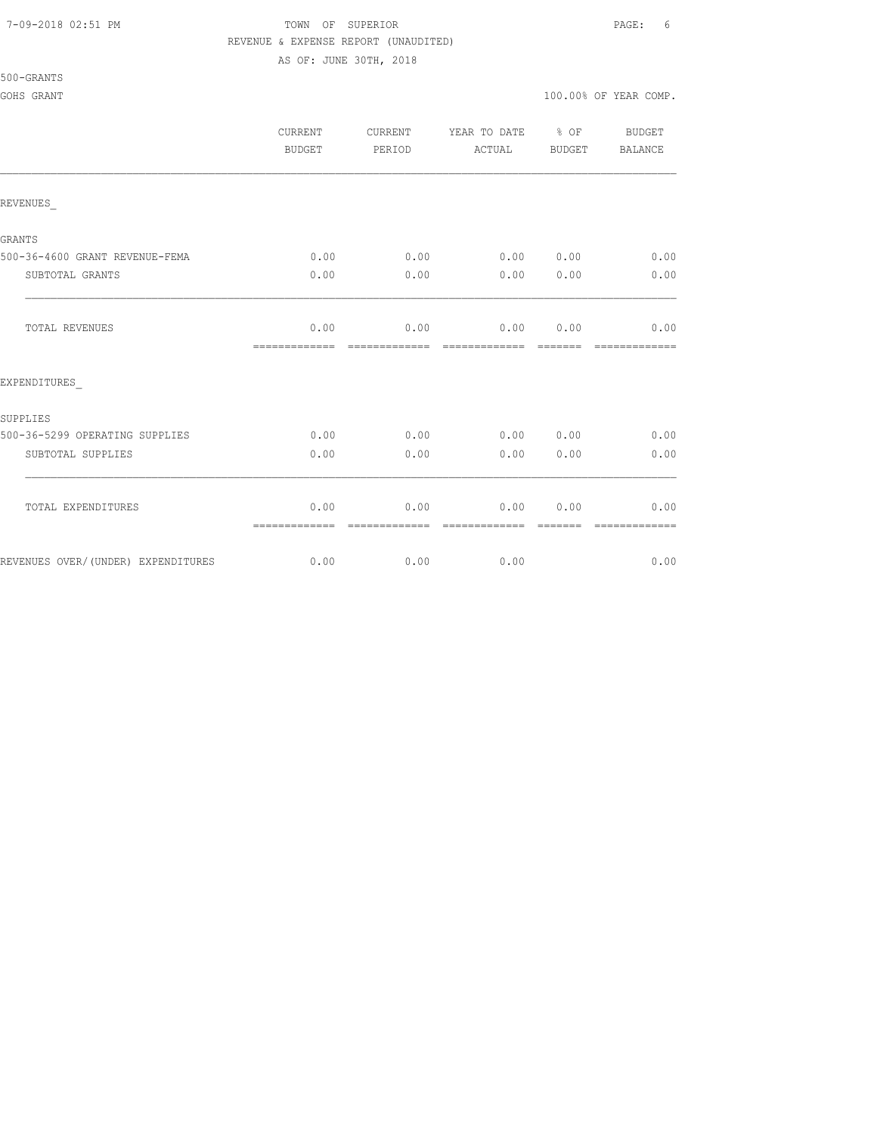#### 7-09-2018 02:51 PM TOWN OF SUPERIOR PAGE: 6 REVENUE & EXPENSE REPORT (UNAUDITED)

AS OF: JUNE 30TH, 2018

500-GRANTS

#### GOHS GRANT  $100.00\%$  OF YEAR COMP.

|                                    | <b>CURRENT</b><br><b>BUDGET</b> | CURRENT<br>PERIOD     | YEAR TO DATE<br>ACTUAL | $\frac{6}{6}$ OF<br>BUDGET | <b>BUDGET</b><br>BALANCE |
|------------------------------------|---------------------------------|-----------------------|------------------------|----------------------------|--------------------------|
| REVENUES                           |                                 |                       |                        |                            |                          |
| <b>GRANTS</b>                      |                                 |                       |                        |                            |                          |
| 500-36-4600 GRANT REVENUE-FEMA     | 0.00                            | 0.00                  |                        | 0.00 0.00                  | 0.00                     |
| SUBTOTAL GRANTS                    | 0.00                            | 0.00                  | 0.00                   | 0.00                       | 0.00                     |
| <b>TOTAL REVENUES</b>              | 0.00<br>=============           | 0.00                  | 0.00 0.00<br>========= |                            | 0.00<br>=============    |
| EXPENDITURES                       |                                 |                       |                        |                            |                          |
| SUPPLIES                           |                                 |                       |                        |                            |                          |
| 500-36-5299 OPERATING SUPPLIES     | 0.00                            | 0.00                  |                        | 0.00000.00                 | 0.00                     |
| SUBTOTAL SUPPLIES                  | 0.00                            | 0.00                  | 0.00                   | 0.00                       | 0.00                     |
| TOTAL EXPENDITURES                 | 0.00<br>=============           | 0.00<br>------------- | 0.00<br>-------------- | 0.00<br>-------            | 0.00<br>--------------   |
| REVENUES OVER/(UNDER) EXPENDITURES | 0.00                            | 0.00                  | 0.00                   |                            | 0.00                     |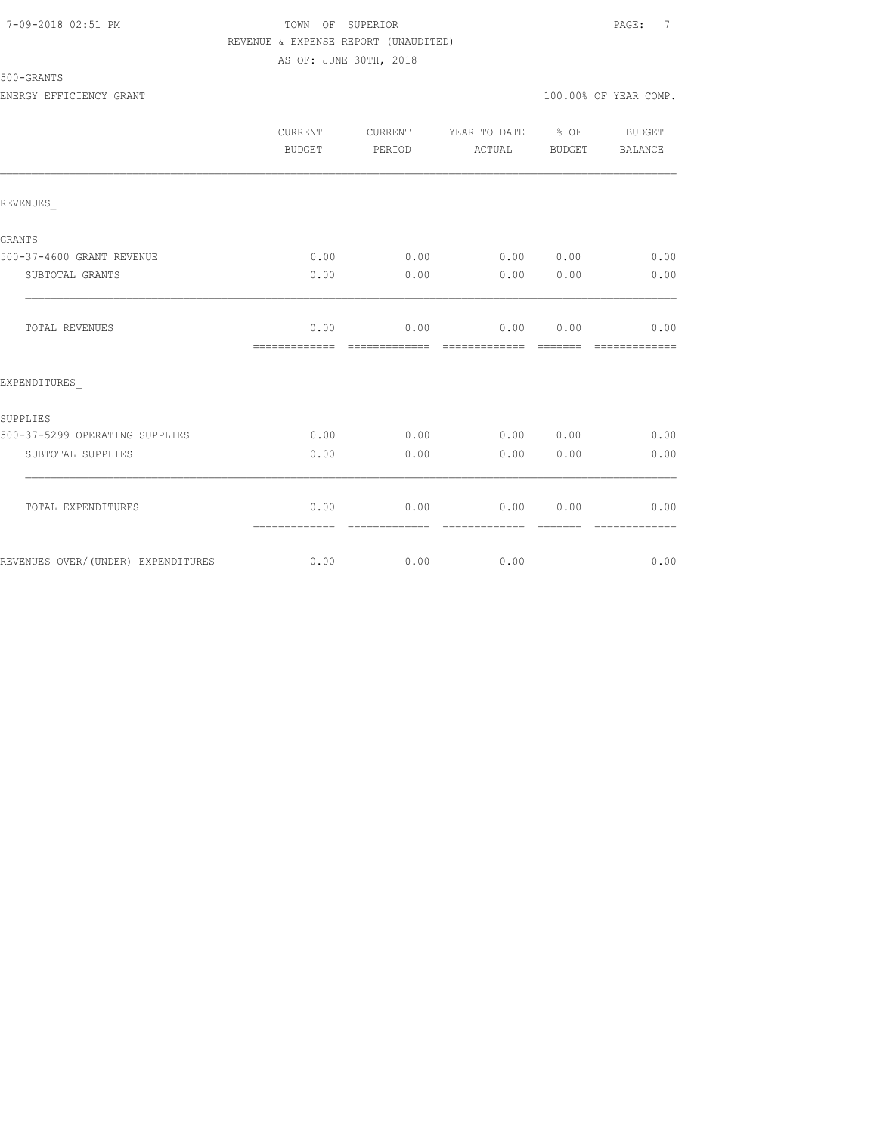#### 7-09-2018 02:51 PM TOWN OF SUPERIOR PAGE: 7 REVENUE & EXPENSE REPORT (UNAUDITED)

## 500-GRANTS

AS OF: JUNE 30TH, 2018

|                                    | CURRENT<br>BUDGET     | CURRENT<br>PERIOD      | YEAR TO DATE % OF<br>ACTUAL        | BUDGET | BUDGET<br>BALANCE     |
|------------------------------------|-----------------------|------------------------|------------------------------------|--------|-----------------------|
| REVENUES                           |                       |                        |                                    |        |                       |
| <b>GRANTS</b>                      |                       |                        |                                    |        |                       |
| 500-37-4600 GRANT REVENUE          | 0.00                  |                        | $0.00$ $0.00$ $0.00$ $0.00$ $0.00$ |        |                       |
| SUBTOTAL GRANTS                    | 0.00                  | 0.00                   | 0.00 0.00                          |        | 0.00                  |
| <b>TOTAL REVENUES</b>              | 0.00<br>============= | 0.00                   | 0.00 0.00<br>--------------        |        | 0.00<br>------------- |
| EXPENDITURES                       |                       |                        |                                    |        |                       |
| SUPPLIES                           |                       |                        |                                    |        |                       |
| 500-37-5299 OPERATING SUPPLIES     | 0.00                  | 0.00                   | 0.00 0.00                          |        | 0.00                  |
| SUBTOTAL SUPPLIES                  | 0.00                  | 0.00                   | 0.00                               | 0.00   | 0.00                  |
| TOTAL EXPENDITURES                 | 0.00<br>============= | 0.00<br>-------------- | 0.00<br>=============              | 0.00   | 0.00<br>------------- |
| REVENUES OVER/(UNDER) EXPENDITURES |                       | $0.00$ 0.00            | 0.00                               |        | 0.00                  |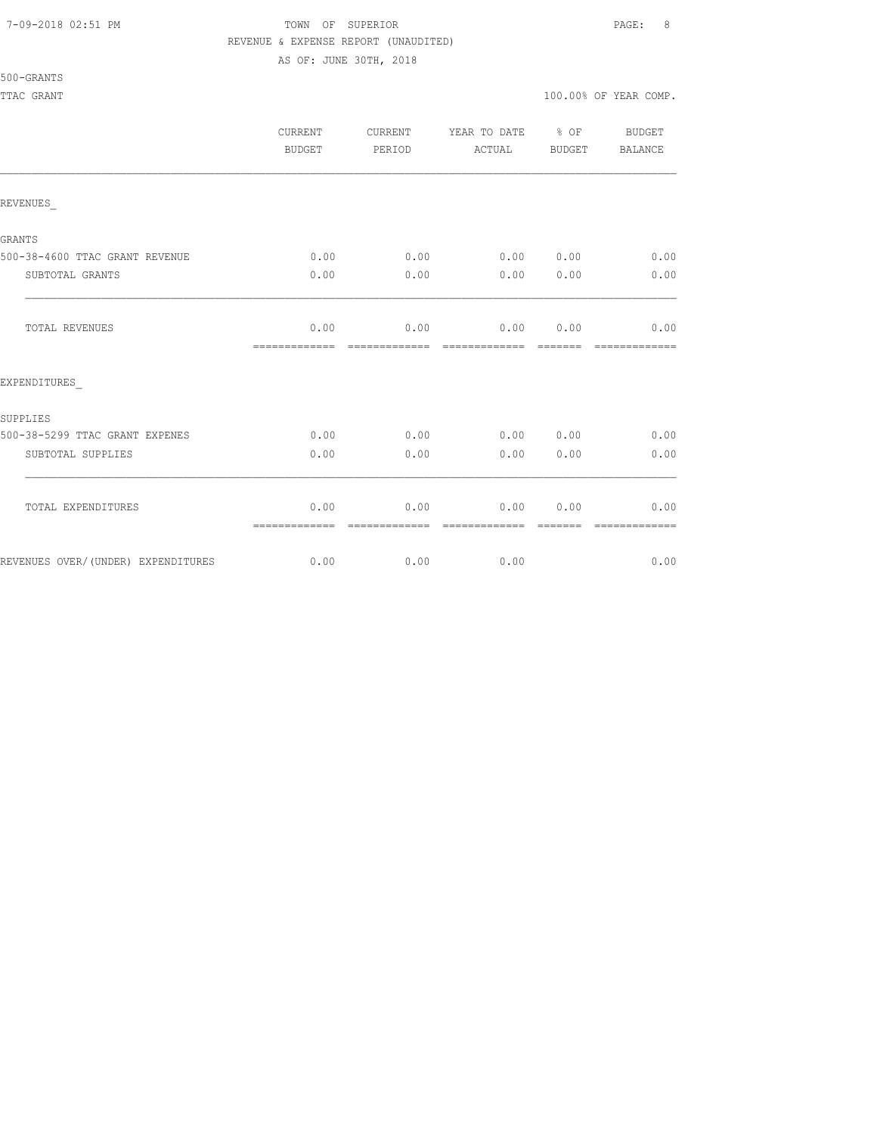#### 7-09-2018 02:51 PM TOWN OF SUPERIOR PAGE: 8 REVENUE & EXPENSE REPORT (UNAUDITED)

AS OF: JUNE 30TH, 2018

#### 500-GRANTS

|                                    | <b>CURRENT</b><br>BUDGET | CURRENT<br>PERIOD | YEAR TO DATE % OF<br>ACTUAL | BUDGET  | <b>BUDGET</b><br>BALANCE |
|------------------------------------|--------------------------|-------------------|-----------------------------|---------|--------------------------|
| REVENUES                           |                          |                   |                             |         |                          |
| <b>GRANTS</b>                      |                          |                   |                             |         |                          |
| 500-38-4600 TTAC GRANT REVENUE     | 0.00                     | 0.00              | 0.00000000                  |         | 0.00                     |
| SUBTOTAL GRANTS                    | 0.00                     | 0.00              | 0.00                        | 0.00    | 0.00                     |
| TOTAL REVENUES                     | 0.00<br>=============    | 0.00              | 0.00 0.00<br>-------------  | ------- | 0.00                     |
| EXPENDITURES                       |                          |                   |                             |         |                          |
| SUPPLIES                           |                          |                   |                             |         |                          |
| 500-38-5299 TTAC GRANT EXPENES     | 0.00                     | 0.00              | 0.00 0.00                   |         | 0.00                     |
| SUBTOTAL SUPPLIES                  | 0.00                     | 0.00              | 0.00                        | 0.00    | 0.00                     |
| TOTAL EXPENDITURES                 | 0.00<br>=============    | 0.00              | 0.00                        | 0.00    | 0.00                     |
| REVENUES OVER/(UNDER) EXPENDITURES | 0.00                     | 0.00              | 0.00                        |         | 0.00                     |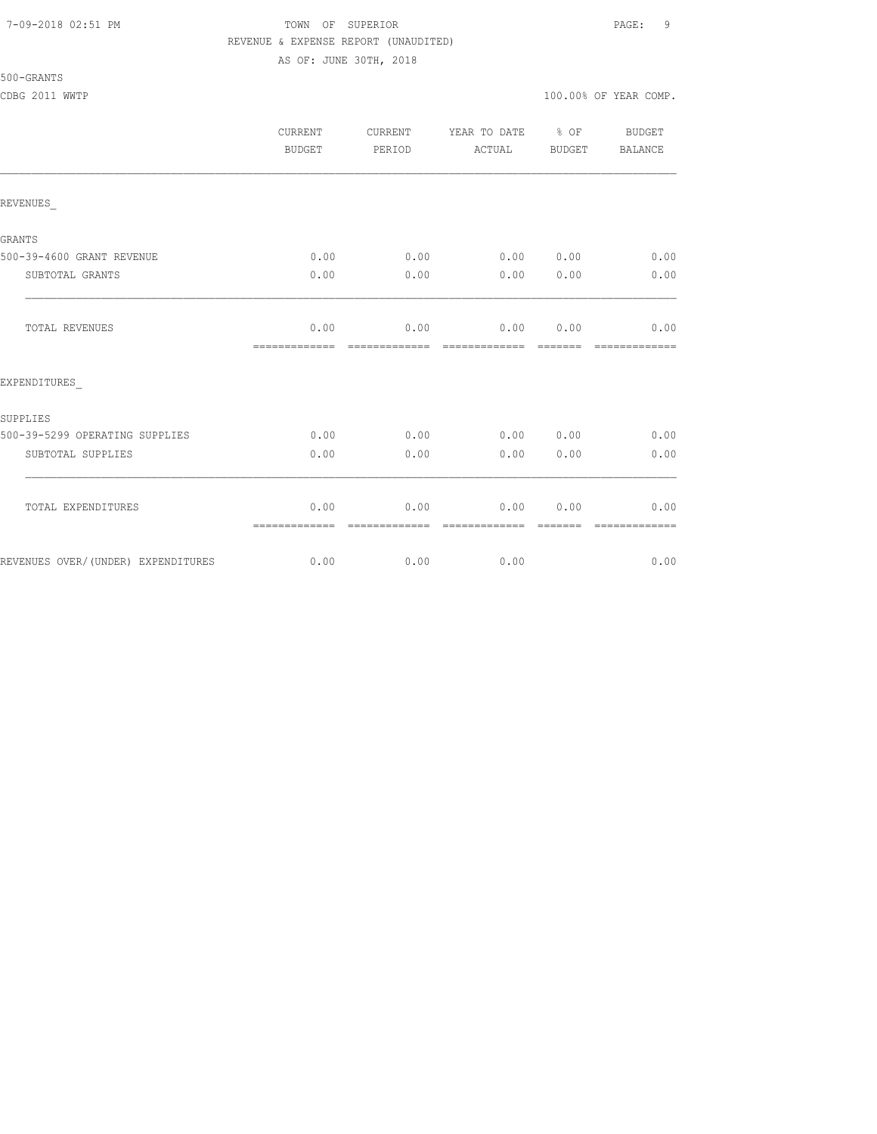#### 7-09-2018 02:51 PM TOWN OF SUPERIOR PAGE: 9 REVENUE & EXPENSE REPORT (UNAUDITED)

AS OF: JUNE 30TH, 2018

#### 500-GRANTS

CDBG 2011 WWTP 100.00% OF YEAR COMP.

|                                    | CURRENT<br><b>BUDGET</b> | <b>CURRENT</b><br>PERIOD | YEAR TO DATE % OF<br>ACTUAL | BUDGET           | <b>BUDGET</b><br>BALANCE |
|------------------------------------|--------------------------|--------------------------|-----------------------------|------------------|--------------------------|
| REVENUES                           |                          |                          |                             |                  |                          |
| <b>GRANTS</b>                      |                          |                          |                             |                  |                          |
| 500-39-4600 GRANT REVENUE          | 0.00                     | 0.00                     | 0.00000000                  |                  | 0.00                     |
| SUBTOTAL GRANTS                    | 0.00                     | 0.00                     | 0.00                        | 0.00             | 0.00                     |
| <b>TOTAL REVENUES</b>              | 0.00<br>=============    | 0.00<br>=============    | 0.00<br>=============       | 0.00             | 0.00<br>-------------    |
| EXPENDITURES                       |                          |                          |                             |                  |                          |
| SUPPLIES                           |                          |                          |                             |                  |                          |
| 500-39-5299 OPERATING SUPPLIES     | 0.00                     | 0.00                     | 0.00 0.00                   |                  | 0.00                     |
| SUBTOTAL SUPPLIES                  | 0.00                     | 0.00                     | 0.00                        | 0.00             | 0.00                     |
| TOTAL EXPENDITURES                 | 0.00<br>=============    | 0.00<br>-------------    | 0.00<br>--------------      | 0.00<br>-------- | 0.00<br>-------------    |
| REVENUES OVER/(UNDER) EXPENDITURES | 0.00                     | 0.00                     | 0.00                        |                  | 0.00                     |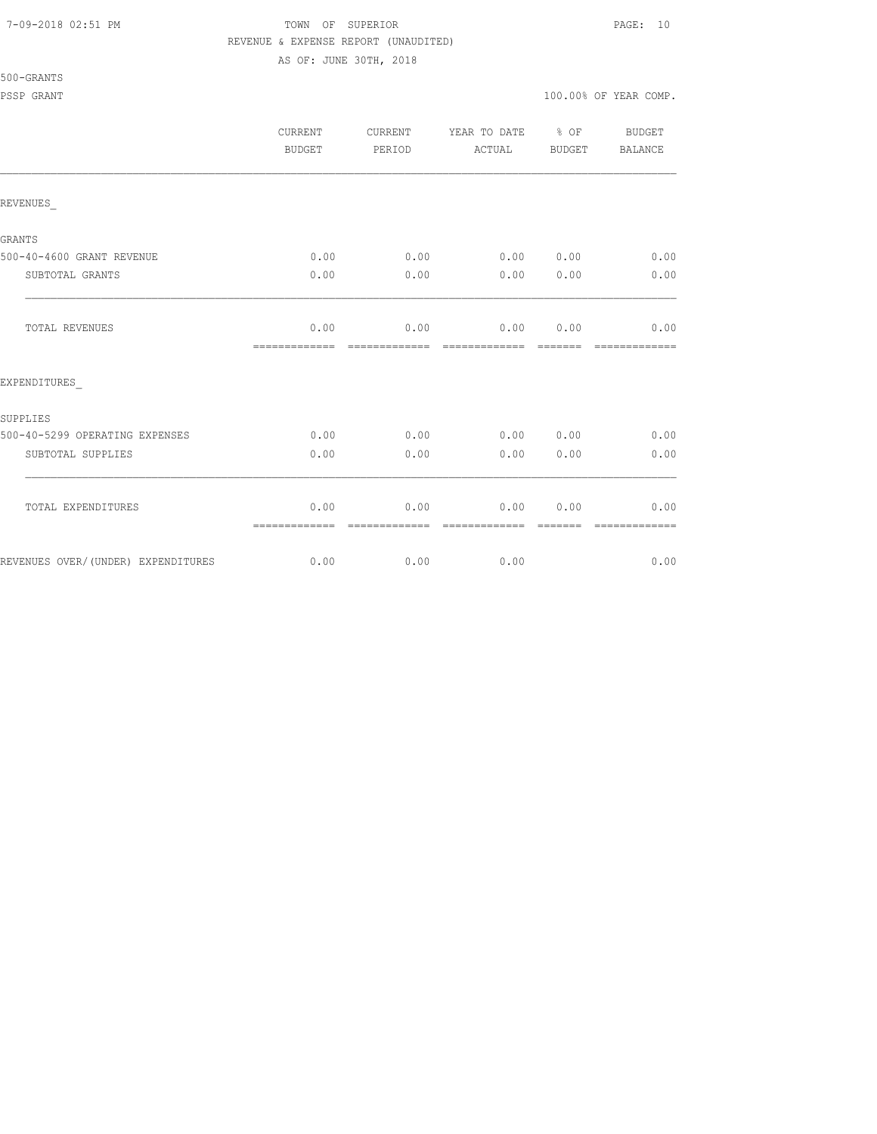#### 7-09-2018 02:51 PM TOWN OF SUPERIOR PAGE: 10 REVENUE & EXPENSE REPORT (UNAUDITED)

AS OF: JUNE 30TH, 2018

#### 500-GRANTS

|                                    | <b>CURRENT</b><br>BUDGET |                       | YEAR TO DATE % OF<br>CURRENT<br>PERIOD<br>ACTUAL |          | BUDGET<br>BALANCE     |  |
|------------------------------------|--------------------------|-----------------------|--------------------------------------------------|----------|-----------------------|--|
| REVENUES                           |                          |                       |                                                  |          |                       |  |
| <b>GRANTS</b>                      |                          |                       |                                                  |          |                       |  |
| 500-40-4600 GRANT REVENUE          | 0.00                     | 0.00                  |                                                  |          | $0.00$ $0.00$ $0.00$  |  |
| SUBTOTAL GRANTS                    | 0.00                     | 0.00                  | $0.00$ $0.00$                                    |          | 0.00                  |  |
| TOTAL REVENUES                     | 0.00<br>=============    | 0.00<br>============= | 0.00 0.00<br>=============                       | -------- | 0.00<br>============= |  |
| EXPENDITURES                       |                          |                       |                                                  |          |                       |  |
| SUPPLIES                           |                          |                       |                                                  |          |                       |  |
| 500-40-5299 OPERATING EXPENSES     | 0.00                     | 0.00                  | 0.00 0.00                                        |          | 0.00                  |  |
| SUBTOTAL SUPPLIES                  | 0.00                     | 0.00                  | 0.00                                             | 0.00     | 0.00                  |  |
| TOTAL EXPENDITURES                 | 0.00<br>=============    | 0.00                  | 0.00                                             | 0.00     | 0.00                  |  |
| REVENUES OVER/(UNDER) EXPENDITURES |                          | $0.00$ 0.00 0.00      |                                                  |          | 0.00                  |  |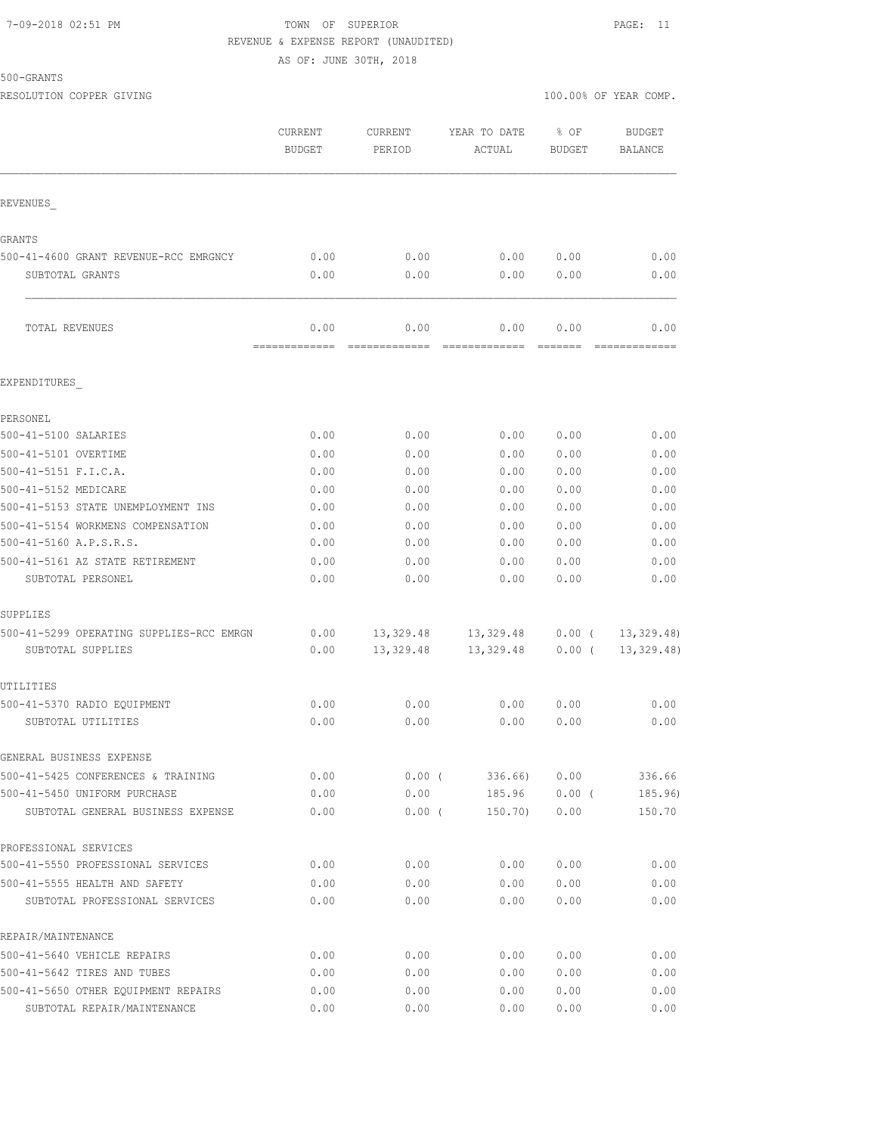#### 7-09-2018 02:51 PM TOWN OF SUPERIOR PAGE: 11 REVENUE & EXPENSE REPORT (UNAUDITED)

AS OF: JUNE 30TH, 2018

500-GRANTS

|                                                               | CURRENT<br><b>BUDGET</b> | <b>CURRENT</b><br>PERIOD | YEAR TO DATE<br>ACTUAL             | % OF<br><b>BUDGET</b> | <b>BUDGET</b><br>BALANCE |
|---------------------------------------------------------------|--------------------------|--------------------------|------------------------------------|-----------------------|--------------------------|
| REVENUES                                                      |                          |                          |                                    |                       |                          |
| GRANTS                                                        |                          |                          |                                    |                       |                          |
| 500-41-4600 GRANT REVENUE-RCC EMRGNCY                         | 0.00                     | 0.00                     | 0.00                               | 0.00                  | 0.00                     |
| SUBTOTAL GRANTS                                               | 0.00                     | 0.00                     | 0.00                               | 0.00                  | 0.00                     |
| TOTAL REVENUES                                                | 0.00<br>-------------    | 0.00<br>=============    | 0.00<br>=============              | 0.00                  | 0.00<br>=============    |
| EXPENDITURES                                                  |                          |                          |                                    |                       |                          |
| PERSONEL                                                      |                          |                          |                                    |                       |                          |
| 500-41-5100 SALARIES                                          | 0.00                     | 0.00                     | 0.00                               | 0.00                  | 0.00                     |
| 500-41-5101 OVERTIME                                          | 0.00                     | 0.00                     | 0.00                               | 0.00                  | 0.00                     |
| 500-41-5151 F.I.C.A.                                          | 0.00                     | 0.00                     | 0.00                               | 0.00                  | 0.00                     |
| 500-41-5152 MEDICARE                                          | 0.00                     | 0.00                     | 0.00                               | 0.00                  | 0.00                     |
| 500-41-5153 STATE UNEMPLOYMENT INS                            | 0.00                     | 0.00                     | 0.00                               | 0.00                  | 0.00                     |
| 500-41-5154 WORKMENS COMPENSATION                             | 0.00                     | 0.00                     | 0.00                               | 0.00                  | 0.00                     |
| 500-41-5160 A.P.S.R.S.                                        | 0.00                     | 0.00                     | 0.00                               | 0.00                  | 0.00                     |
| 500-41-5161 AZ STATE RETIREMENT                               | 0.00                     | 0.00                     | 0.00                               | 0.00                  | 0.00                     |
| SUBTOTAL PERSONEL                                             | 0.00                     | 0.00                     | 0.00                               | 0.00                  | 0.00                     |
| SUPPLIES                                                      |                          |                          |                                    |                       |                          |
| 500-41-5299 OPERATING SUPPLIES-RCC EMRGN<br>SUBTOTAL SUPPLIES | 0.00<br>0.00             | 13,329.48                | 13, 329.48 13, 329.48<br>13,329.48 | $0.00$ (<br>$0.00$ (  | 13, 329.48<br>13,329.48) |
| UTILITIES                                                     |                          |                          |                                    |                       |                          |
| 500-41-5370 RADIO EQUIPMENT                                   | 0.00                     | 0.00                     | 0.00                               | 0.00                  | 0.00                     |
| SUBTOTAL UTILITIES                                            | 0.00                     | 0.00                     | 0.00                               | 0.00                  | 0.00                     |
| GENERAL BUSINESS EXPENSE                                      |                          |                          |                                    |                       |                          |
| 500-41-5425 CONFERENCES & TRAINING                            | 0.00                     | $0.00$ (                 | 336.66)                            | 0.00                  | 336.66                   |
| 500-41-5450 UNIFORM PURCHASE                                  | 0.00                     | 0.00                     | 185.96                             | 0.00(                 | 185.96)                  |
| SUBTOTAL GENERAL BUSINESS EXPENSE                             | 0.00                     | 0.00(                    | 150.70)                            | 0.00                  | 150.70                   |
| PROFESSIONAL SERVICES                                         |                          |                          |                                    |                       |                          |
| 500-41-5550 PROFESSIONAL SERVICES                             | 0.00                     | 0.00                     | 0.00                               | 0.00                  | 0.00                     |
| 500-41-5555 HEALTH AND SAFETY                                 | 0.00                     | 0.00                     | 0.00                               | 0.00                  | 0.00                     |
| SUBTOTAL PROFESSIONAL SERVICES                                | 0.00                     | 0.00                     | 0.00                               | 0.00                  | 0.00                     |
| REPAIR/MAINTENANCE                                            |                          |                          |                                    |                       |                          |
| 500-41-5640 VEHICLE REPAIRS                                   | 0.00                     | 0.00                     | 0.00                               | 0.00                  | 0.00                     |
| 500-41-5642 TIRES AND TUBES                                   | 0.00                     | 0.00                     | 0.00                               | 0.00                  | 0.00                     |
| 500-41-5650 OTHER EQUIPMENT REPAIRS                           | 0.00                     | 0.00                     | 0.00                               | 0.00                  | 0.00                     |

SUBTOTAL REPAIR/MAINTENANCE 0.00 0.00 0.00 0.00 0.00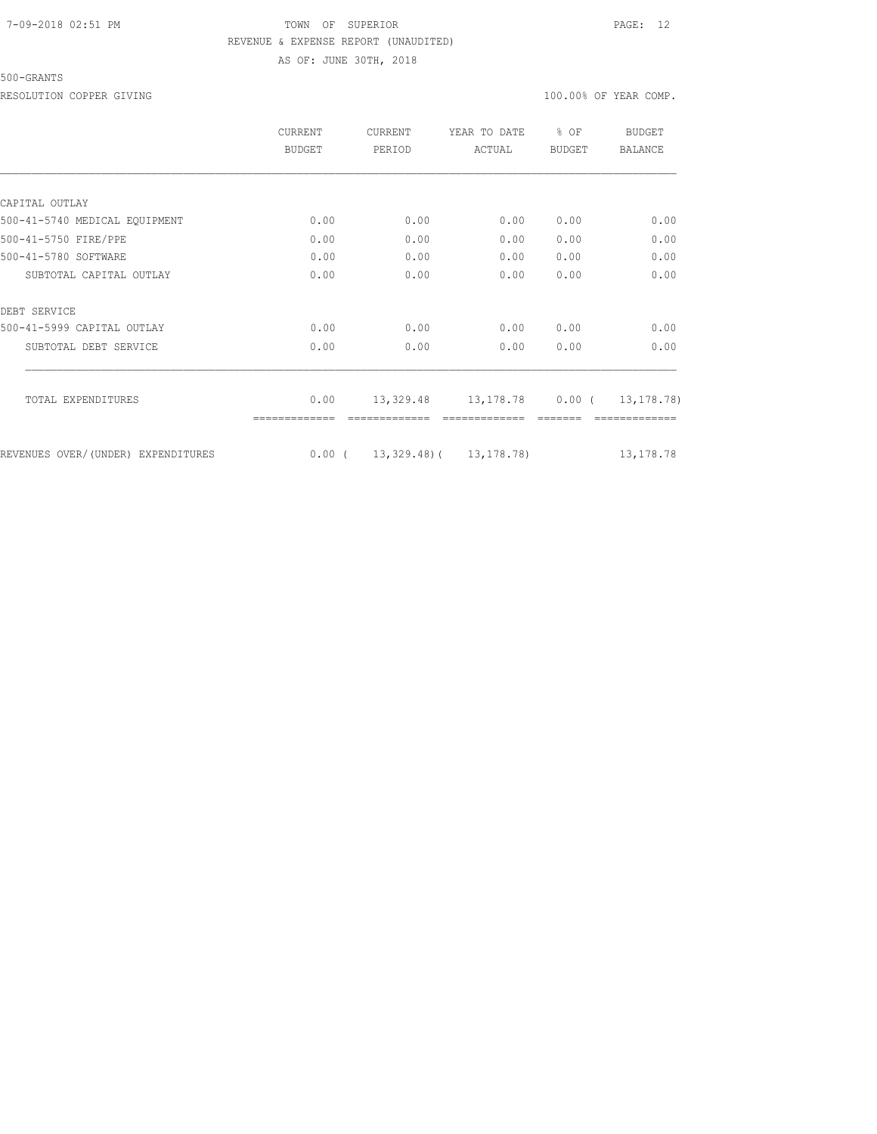### 7-09-2018 02:51 PM TOWN OF SUPERIOR PAGE: 12 REVENUE & EXPENSE REPORT (UNAUDITED)

AS OF: JUNE 30TH, 2018

500-GRANTS

RESOLUTION COPPER GIVING  $100.00\%$  OF YEAR COMP.

|                                    | <b>CURRENT</b><br>BUDGET | <b>CURRENT</b><br>PERIOD | YEAR TO DATE<br>ACTUAL                   | $8$ OF<br><b>BUDGET</b> | <b>BUDGET</b><br>BALANCE |  |
|------------------------------------|--------------------------|--------------------------|------------------------------------------|-------------------------|--------------------------|--|
|                                    |                          |                          |                                          |                         |                          |  |
| CAPITAL OUTLAY                     |                          |                          |                                          |                         |                          |  |
| 500-41-5740 MEDICAL EQUIPMENT      | 0.00                     | 0.00                     | 0.00                                     | 0.00                    | 0.00                     |  |
| 500-41-5750 FIRE/PPE               | 0.00                     | 0.00                     | 0.00                                     | 0.00                    | 0.00                     |  |
| 500-41-5780 SOFTWARE               | 0.00                     | 0.00                     | 0.00                                     | 0.00                    | 0.00                     |  |
| SUBTOTAL CAPITAL OUTLAY            | 0.00                     | 0.00                     | 0.00                                     | 0.00                    | 0.00                     |  |
| DEBT SERVICE                       |                          |                          |                                          |                         |                          |  |
| 500-41-5999 CAPITAL OUTLAY         | 0.00                     | 0.00                     | 0.00                                     | 0.00                    | 0.00                     |  |
| SUBTOTAL DEBT SERVICE              | 0.00                     | 0.00                     | 0.00                                     | 0.00                    | 0.00                     |  |
| TOTAL EXPENDITURES                 | 0.00                     |                          | 13, 329.48 13, 178.78 0.00 ( 13, 178.78) |                         |                          |  |
|                                    |                          |                          |                                          |                         |                          |  |
| REVENUES OVER/(UNDER) EXPENDITURES |                          |                          | $0.00$ ( $13,329.48$ ) ( $13,178.78$ )   |                         | 13, 178. 78              |  |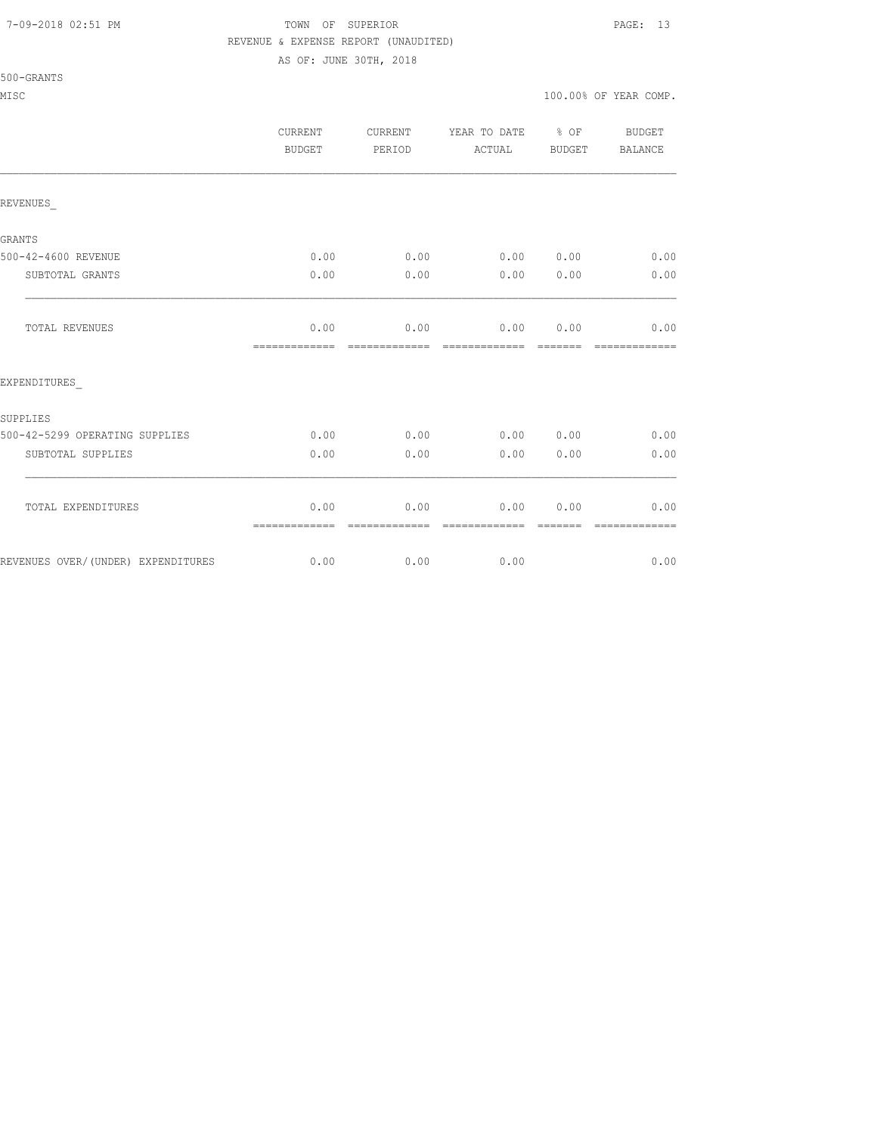#### 7-09-2018 02:51 PM TOWN OF SUPERIOR PAGE: 13 REVENUE & EXPENSE REPORT (UNAUDITED)

AS OF: JUNE 30TH, 2018

| CURRENT       |
|---------------|
| <b>BUDGET</b> |
|               |

|                                    | CURRENT<br>BUDGET     | CURRENT<br>PERIOD     | YEAR TO DATE % OF<br>ACTUAL | BUDGET                                                                                                                                                                                                                                                                                                                                                                                                                                                                                 | BUDGET<br>BALANCE     |
|------------------------------------|-----------------------|-----------------------|-----------------------------|----------------------------------------------------------------------------------------------------------------------------------------------------------------------------------------------------------------------------------------------------------------------------------------------------------------------------------------------------------------------------------------------------------------------------------------------------------------------------------------|-----------------------|
| REVENUES                           |                       |                       |                             |                                                                                                                                                                                                                                                                                                                                                                                                                                                                                        |                       |
| GRANTS                             |                       |                       |                             |                                                                                                                                                                                                                                                                                                                                                                                                                                                                                        |                       |
| 500-42-4600 REVENUE                | 0.00                  | 0.00                  |                             | 0.00 0.00                                                                                                                                                                                                                                                                                                                                                                                                                                                                              | 0.00                  |
| SUBTOTAL GRANTS                    | 0.00                  | 0.00                  | 0.00                        | 0.00                                                                                                                                                                                                                                                                                                                                                                                                                                                                                   | 0.00                  |
| TOTAL REVENUES                     | 0.00<br>============= | 0.00<br>============= | $0.00$ $0.00$               | $\begin{array}{cccccccccc} \multicolumn{2}{c}{} & \multicolumn{2}{c}{} & \multicolumn{2}{c}{} & \multicolumn{2}{c}{} & \multicolumn{2}{c}{} & \multicolumn{2}{c}{} & \multicolumn{2}{c}{} & \multicolumn{2}{c}{} & \multicolumn{2}{c}{} & \multicolumn{2}{c}{} & \multicolumn{2}{c}{} & \multicolumn{2}{c}{} & \multicolumn{2}{c}{} & \multicolumn{2}{c}{} & \multicolumn{2}{c}{} & \multicolumn{2}{c}{} & \multicolumn{2}{c}{} & \multicolumn{2}{c}{} & \multicolumn{2}{c}{} & \mult$ | 0.00<br>============= |
| EXPENDITURES                       |                       |                       |                             |                                                                                                                                                                                                                                                                                                                                                                                                                                                                                        |                       |
| SUPPLIES                           |                       |                       |                             |                                                                                                                                                                                                                                                                                                                                                                                                                                                                                        |                       |
| 500-42-5299 OPERATING SUPPLIES     | 0.00                  | 0.00                  | 0.00000.00                  |                                                                                                                                                                                                                                                                                                                                                                                                                                                                                        | 0.00                  |
| SUBTOTAL SUPPLIES                  | 0.00                  | 0.00                  | 0.00                        | 0.00                                                                                                                                                                                                                                                                                                                                                                                                                                                                                   | 0.00                  |
| TOTAL EXPENDITURES                 | 0.00                  | 0.00<br>============= | 0.00<br>=============       | 0.00<br>=======                                                                                                                                                                                                                                                                                                                                                                                                                                                                        | 0.00<br>============= |
| REVENUES OVER/(UNDER) EXPENDITURES | 0.00                  | 0.00                  | 0.00                        |                                                                                                                                                                                                                                                                                                                                                                                                                                                                                        | 0.00                  |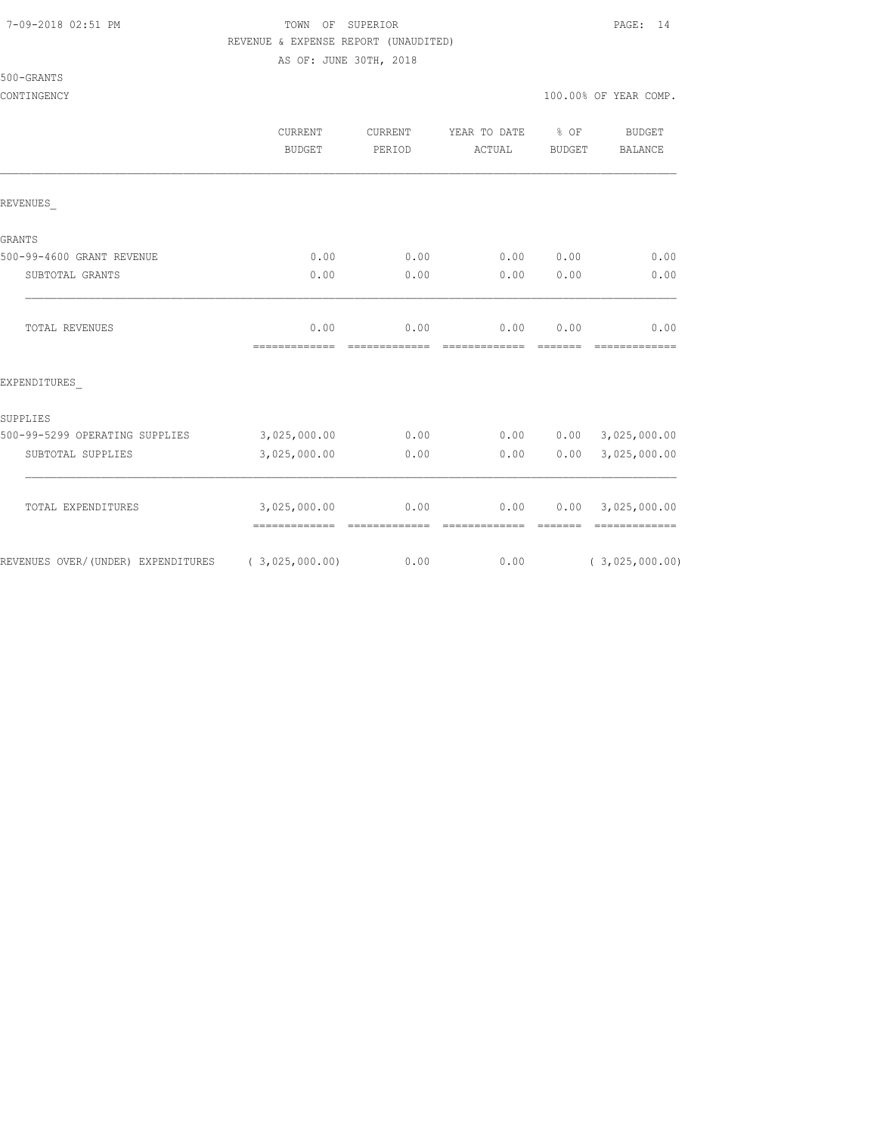#### 7-09-2018 02:51 PM TOWN OF SUPERIOR PAGE: 14 REVENUE & EXPENSE REPORT (UNAUDITED)

AS OF: JUNE 30TH, 2018

|  | 500-GRANTS |  |
|--|------------|--|
|  |            |  |

|                                    | <b>CURRENT</b><br><b>BUDGET</b> | <b>CURRENT</b><br>PERIOD | YEAR TO DATE<br>ACTUAL                                                                                                                                                                                                                                                                                                                                                                                                                                                                         | % OF<br><b>BUDGET</b> | BUDGET<br>BALANCE             |
|------------------------------------|---------------------------------|--------------------------|------------------------------------------------------------------------------------------------------------------------------------------------------------------------------------------------------------------------------------------------------------------------------------------------------------------------------------------------------------------------------------------------------------------------------------------------------------------------------------------------|-----------------------|-------------------------------|
| REVENUES                           |                                 |                          |                                                                                                                                                                                                                                                                                                                                                                                                                                                                                                |                       |                               |
| GRANTS                             |                                 |                          |                                                                                                                                                                                                                                                                                                                                                                                                                                                                                                |                       |                               |
| 500-99-4600 GRANT REVENUE          | 0.00                            | 0.00                     | 0.00                                                                                                                                                                                                                                                                                                                                                                                                                                                                                           | 0.00                  | 0.00                          |
| SUBTOTAL GRANTS                    | 0.00                            | 0.00                     | 0.00                                                                                                                                                                                                                                                                                                                                                                                                                                                                                           | 0.00                  | 0.00                          |
| TOTAL REVENUES                     | 0.00<br>=============           | 0.00<br>=============    | 0.00<br>$\begin{array}{cccccccccccccc} \multicolumn{2}{c}{} & \multicolumn{2}{c}{} & \multicolumn{2}{c}{} & \multicolumn{2}{c}{} & \multicolumn{2}{c}{} & \multicolumn{2}{c}{} & \multicolumn{2}{c}{} & \multicolumn{2}{c}{} & \multicolumn{2}{c}{} & \multicolumn{2}{c}{} & \multicolumn{2}{c}{} & \multicolumn{2}{c}{} & \multicolumn{2}{c}{} & \multicolumn{2}{c}{} & \multicolumn{2}{c}{} & \multicolumn{2}{c}{} & \multicolumn{2}{c}{} & \multicolumn{2}{c}{} & \multicolumn{2}{c}{} & \$ | 0.00<br>--------      | 0.00<br>-------------         |
| EXPENDITURES                       |                                 |                          |                                                                                                                                                                                                                                                                                                                                                                                                                                                                                                |                       |                               |
| SUPPLIES                           |                                 |                          |                                                                                                                                                                                                                                                                                                                                                                                                                                                                                                |                       |                               |
| 500-99-5299 OPERATING SUPPLIES     | 3,025,000.00                    | 0.00                     | 0.00                                                                                                                                                                                                                                                                                                                                                                                                                                                                                           | 0.00                  | 3,025,000.00                  |
| SUBTOTAL SUPPLIES                  | 3,025,000.00                    | 0.00                     | 0.00                                                                                                                                                                                                                                                                                                                                                                                                                                                                                           | 0.00                  | 3,025,000.00                  |
| TOTAL EXPENDITURES                 | 3,025,000.00<br>=============   | 0.00<br>=============    | 0.00<br>=============                                                                                                                                                                                                                                                                                                                                                                                                                                                                          | 0.00<br>=======       | 3,025,000.00<br>============= |
| REVENUES OVER/(UNDER) EXPENDITURES | (3,025,000.00)                  | 0.00                     | 0.00                                                                                                                                                                                                                                                                                                                                                                                                                                                                                           |                       | (3,025,000.00)                |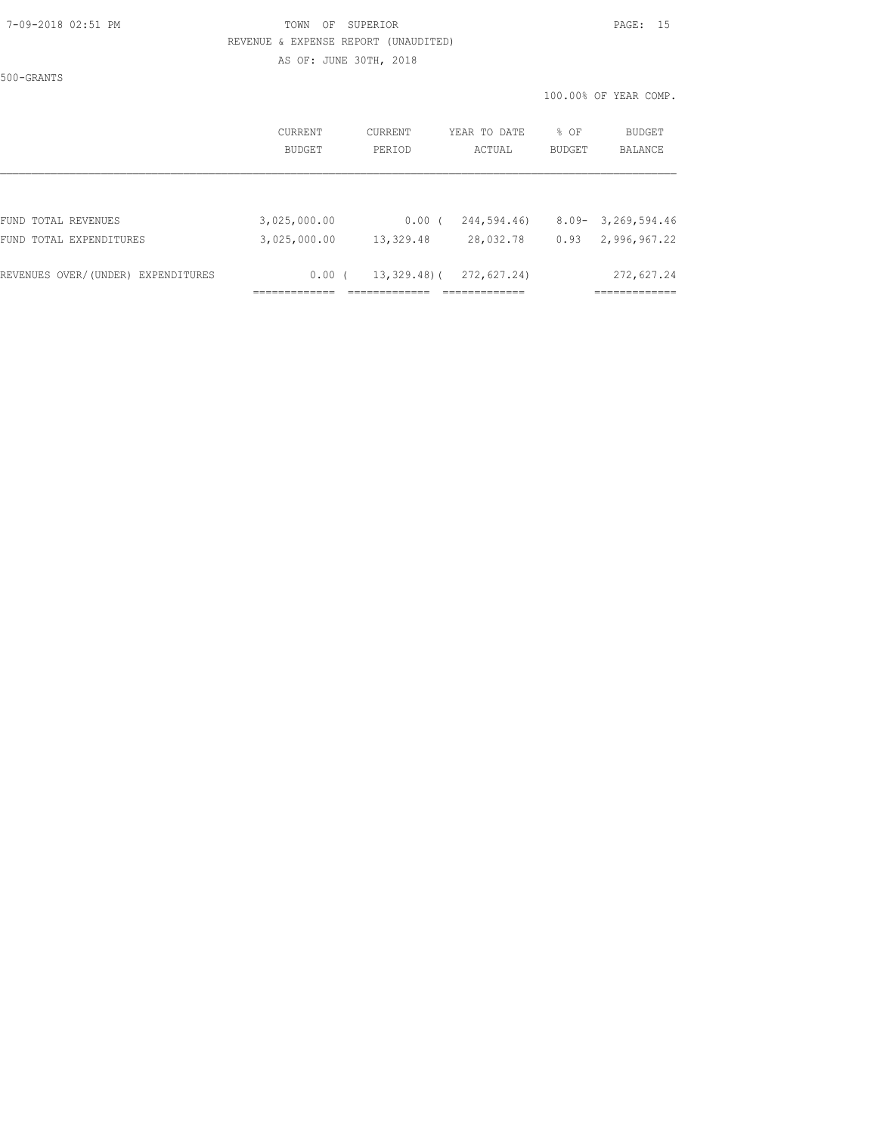#### 7-09-2018 02:51 PM TOWN OF SUPERIOR PAGE: 15 REVENUE & EXPENSE REPORT (UNAUDITED)

AS OF: JUNE 30TH, 2018

500-GRANTS

|                                    | CURRENT      | CURRENT     | YEAR TO DATE | % OF     | BUDGET         |
|------------------------------------|--------------|-------------|--------------|----------|----------------|
|                                    | BUDGET       | PERIOD      | ACTUAL       | BUDGET   | <b>BALANCE</b> |
| FUND TOTAL REVENUES                | 3,025,000.00 | 0.00(       | 244,594.46)  | $8.09 -$ | 3,269,594.46   |
| FUND TOTAL EXPENDITURES            | 3,025,000.00 | 13,329.48   | 28,032.78    | 0.93     | 2,996,967.22   |
| REVENUES OVER/(UNDER) EXPENDITURES | 0.00(        | 13,329.48)( | 272,627.24)  |          | 272,627.24     |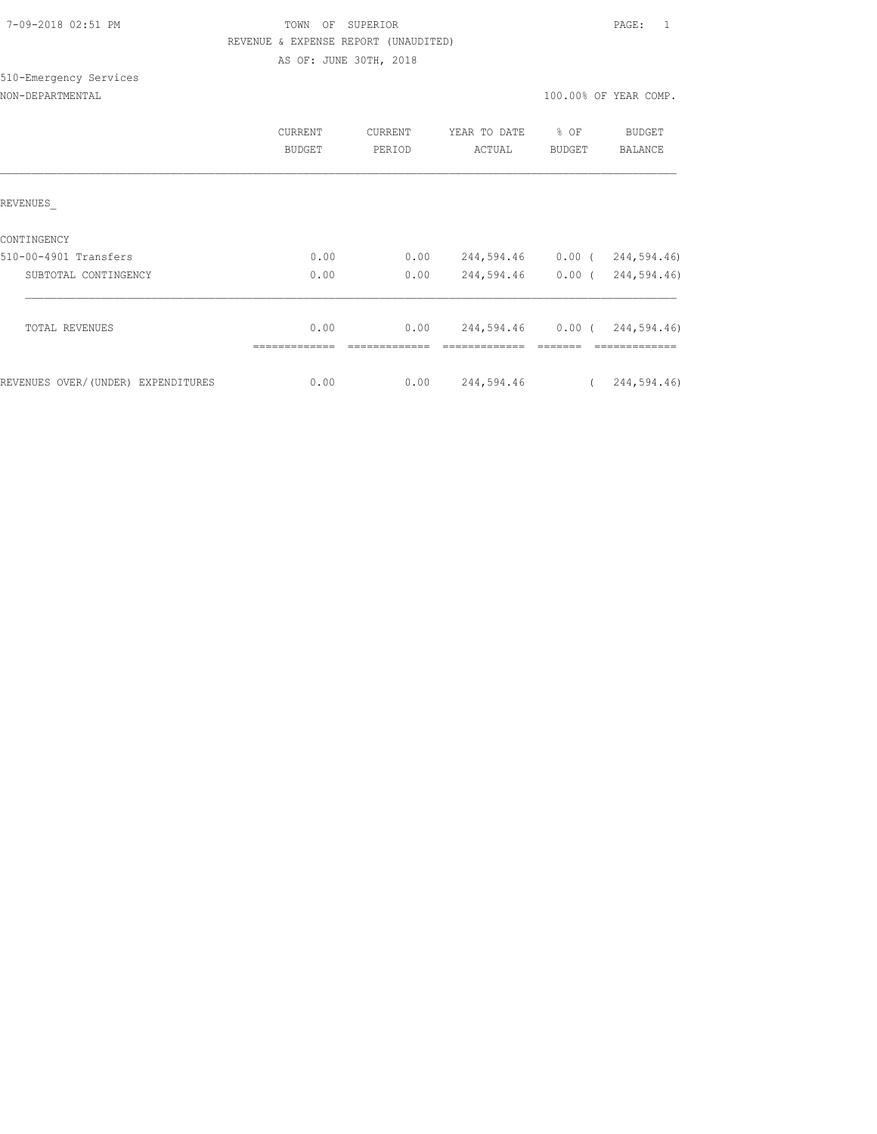| 7-09-2018 02:51 PM |  |
|--------------------|--|
|                    |  |

### TOWN OF SUPERIOR **PAGE:** 1 REVENUE & EXPENSE REPORT (UNAUDITED)

AS OF: JUNE 30TH, 2018

# 510-Emergency Services

NON-DEPARTMENTAL 100.00% OF YEAR COMP.

|                                    | <b>CURRENT</b><br>BUDGET | CURRENT<br>PERIOD | YEAR TO DATE<br>ACTUAL | % OF<br><b>BUDGET</b> | <b>BUDGET</b><br><b>BALANCE</b> |
|------------------------------------|--------------------------|-------------------|------------------------|-----------------------|---------------------------------|
| REVENUES                           |                          |                   |                        |                       |                                 |
| CONTINGENCY                        |                          |                   |                        |                       |                                 |
| 510-00-4901 Transfers              | 0.00                     | 0.00              | 244,594.46             | $0.00$ (              | 244,594.46)                     |
| SUBTOTAL CONTINGENCY               | 0.00                     | 0.00              | 244,594.46             | $0.00$ (              | 244,594.46)                     |
|                                    |                          |                   |                        |                       |                                 |
| <b>TOTAL REVENUES</b>              | 0.00                     | 0.00              | 244,594.46             | $0.00$ (              | 244,594.46)                     |
| REVENUES OVER/(UNDER) EXPENDITURES | 0.00                     | 0.00              | 244,594.46             |                       | 244,594.46)                     |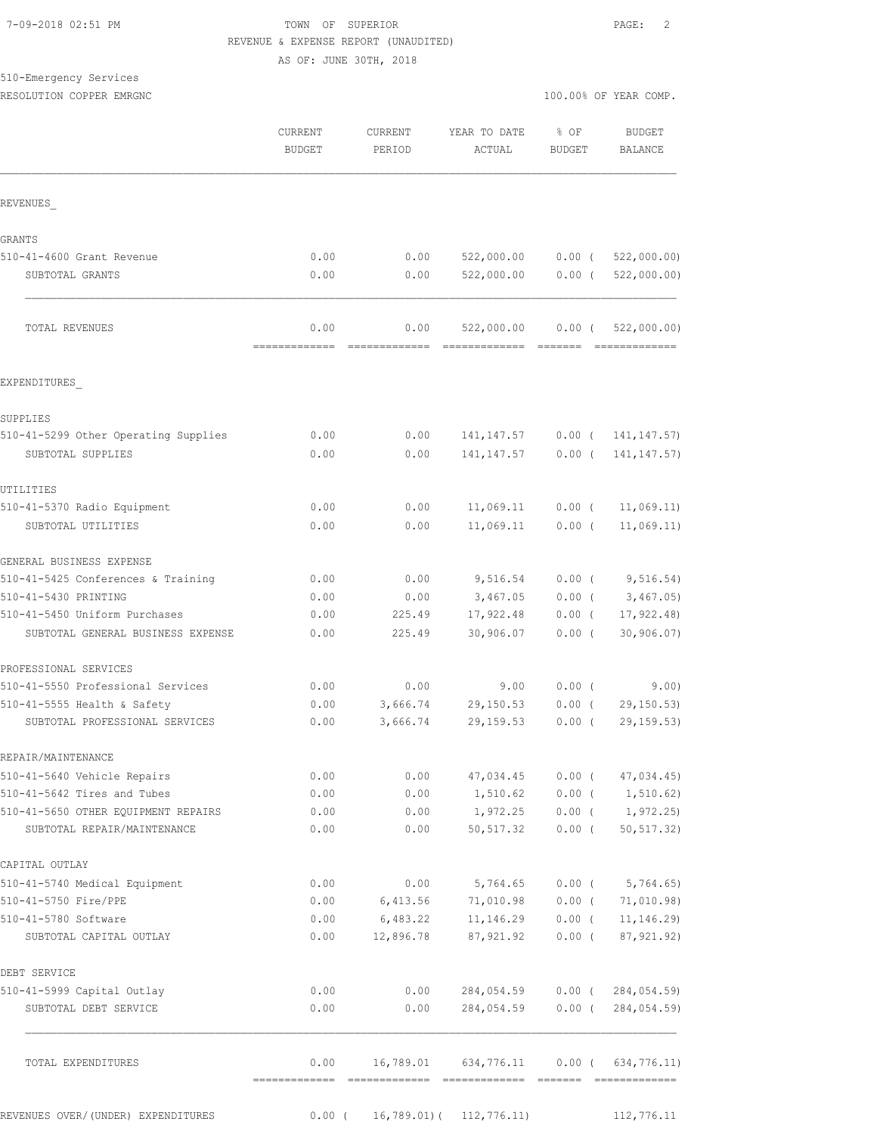#### 7-09-2018 02:51 PM TOWN OF SUPERIOR PAGE: 2 REVENUE & EXPENSE REPORT (UNAUDITED)

AS OF: JUNE 30TH, 2018

## 510-Emergency Services

|                                                                    | CURRENT<br><b>BUDGET</b> | CURRENT<br>PERIOD | YEAR TO DATE<br>ACTUAL       | $%$ OF<br><b>BUDGET</b> | <b>BUDGET</b><br>BALANCE     |
|--------------------------------------------------------------------|--------------------------|-------------------|------------------------------|-------------------------|------------------------------|
| REVENUES                                                           |                          |                   |                              |                         |                              |
| <b>GRANTS</b>                                                      |                          |                   |                              |                         |                              |
| 510-41-4600 Grant Revenue                                          | 0.00                     | 0.00              | 522,000.00                   | $0.00$ (                | 522,000.00)                  |
| SUBTOTAL GRANTS                                                    | 0.00                     | 0.00              | 522,000.00                   | $0.00$ (                | 522,000.00)                  |
| TOTAL REVENUES                                                     | 0.00<br>-------------    | 0.00              | 522,000.00<br>=============  | $0.00$ (                | 522,000.00)<br>============= |
| EXPENDITURES                                                       |                          |                   |                              |                         |                              |
| SUPPLIES                                                           |                          |                   |                              |                         |                              |
| 510-41-5299 Other Operating Supplies                               | 0.00                     | 0.00              | 141, 147.57                  |                         | $0.00$ ( $141, 147.57$ )     |
| SUBTOTAL SUPPLIES                                                  | 0.00                     | 0.00              | 141, 147.57                  | $0.00$ (                | 141, 147.57)                 |
| UTILITIES                                                          |                          |                   |                              |                         |                              |
| 510-41-5370 Radio Equipment                                        | 0.00                     | 0.00              | 11,069.11                    | $0.00$ (                | 11,069.11)                   |
| SUBTOTAL UTILITIES                                                 | 0.00                     | 0.00              | 11,069.11                    | $0.00$ (                | 11,069.11)                   |
| GENERAL BUSINESS EXPENSE                                           |                          |                   |                              |                         |                              |
| 510-41-5425 Conferences & Training                                 | 0.00                     | 0.00              | 9,516.54                     | 0.00(                   | 9,516.54)                    |
| 510-41-5430 PRINTING                                               | 0.00                     | 0.00              | 3,467.05                     | $0.00$ (                | 3,467.05                     |
| 510-41-5450 Uniform Purchases                                      | 0.00                     | 225.49            | 17,922.48                    | $0.00$ (                | 17, 922.48                   |
| SUBTOTAL GENERAL BUSINESS EXPENSE                                  | 0.00                     | 225.49            | 30,906.07                    | $0.00$ (                | 30, 906.07                   |
| PROFESSIONAL SERVICES                                              |                          |                   |                              |                         |                              |
| 510-41-5550 Professional Services                                  | 0.00                     | 0.00              | 9.00                         | 0.00(                   | 9.00)                        |
| 510-41-5555 Health & Safety                                        | 0.00                     | 3,666.74          | 29,150.53                    | $0.00$ (                | 29, 150.53                   |
| SUBTOTAL PROFESSIONAL SERVICES                                     | 0.00                     | 3,666.74          | 29, 159.53                   | $0.00$ (                | 29, 159.53)                  |
| REPAIR/MAINTENANCE                                                 |                          |                   |                              |                         |                              |
| 510-41-5640 Vehicle Repairs                                        | 0.00                     | 0.00              | 47,034.45                    | $0.00$ (                | 47,034.45)                   |
| 510-41-5642 Tires and Tubes                                        | 0.00                     | 0.00              | 1,510.62                     | 0.00(                   | 1, 510.62)                   |
| 510-41-5650 OTHER EQUIPMENT REPAIRS<br>SUBTOTAL REPAIR/MAINTENANCE | 0.00<br>0.00             | 0.00<br>0.00      | 1,972.25<br>50, 517.32       | $0.00$ (<br>$0.00$ (    | 1,972.25)<br>50, 517.32)     |
| CAPITAL OUTLAY                                                     |                          |                   |                              |                         |                              |
| 510-41-5740 Medical Equipment                                      | 0.00                     | 0.00              | 5,764.65                     | $0.00$ (                | 5,764.65)                    |
| 510-41-5750 Fire/PPE                                               | 0.00                     | 6,413.56          | 71,010.98                    | $0.00$ (                | 71,010.98)                   |
| 510-41-5780 Software                                               | 0.00                     | 6,483.22          | 11, 146.29                   | $0.00$ (                | 11, 146.29                   |
| SUBTOTAL CAPITAL OUTLAY                                            | 0.00                     | 12,896.78         | 87,921.92                    | $0.00$ (                | 87, 921.92)                  |
| DEBT SERVICE                                                       |                          |                   |                              |                         |                              |
| 510-41-5999 Capital Outlay                                         | 0.00                     | 0.00              | 284,054.59                   | $0.00$ (                | 284,054.59)                  |
| SUBTOTAL DEBT SERVICE                                              | 0.00                     | 0.00              | 284,054.59                   | $0.00$ (                | 284,054.59)                  |
| TOTAL EXPENDITURES                                                 | 0.00<br>-------------    | 16,789.01         | 634,776.11                   | $0.00$ (                | 634,776.11)                  |
| REVENUES OVER/(UNDER) EXPENDITURES                                 | $0.00$ (                 |                   | $16,789.01$ ( $112,776.11$ ) |                         | 112,776.11                   |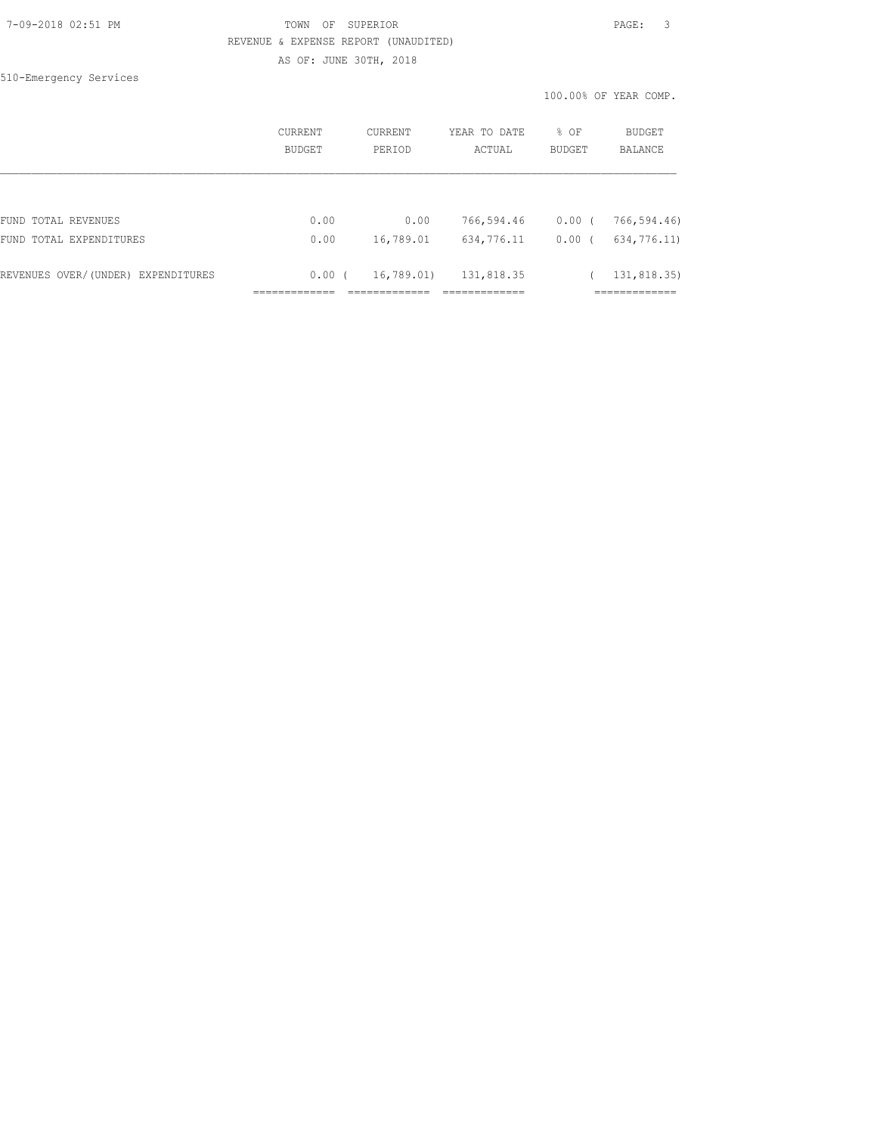510-Emergency Services

|                                    | <b>CURRENT</b><br>BUDGET | <b>CURRENT</b><br>PERIOD | YEAR TO DATE<br>ACTUAL | $8$ OF<br><b>BUDGET</b> | BUDGET<br><b>BALANCE</b> |
|------------------------------------|--------------------------|--------------------------|------------------------|-------------------------|--------------------------|
|                                    |                          |                          |                        |                         |                          |
| FUND TOTAL REVENUES                | 0.00                     | 0.00                     | 766,594.46             | $0.00$ (                | 766,594.46)              |
| FUND TOTAL EXPENDITURES            | 0.00                     | 16,789.01                | 634,776.11             | 0.00                    | 634,776.11)              |
| REVENUES OVER/(UNDER) EXPENDITURES | 0.00(                    | 16,789.01)               | 131,818.35             |                         | 131,818.35)              |
|                                    |                          |                          |                        |                         |                          |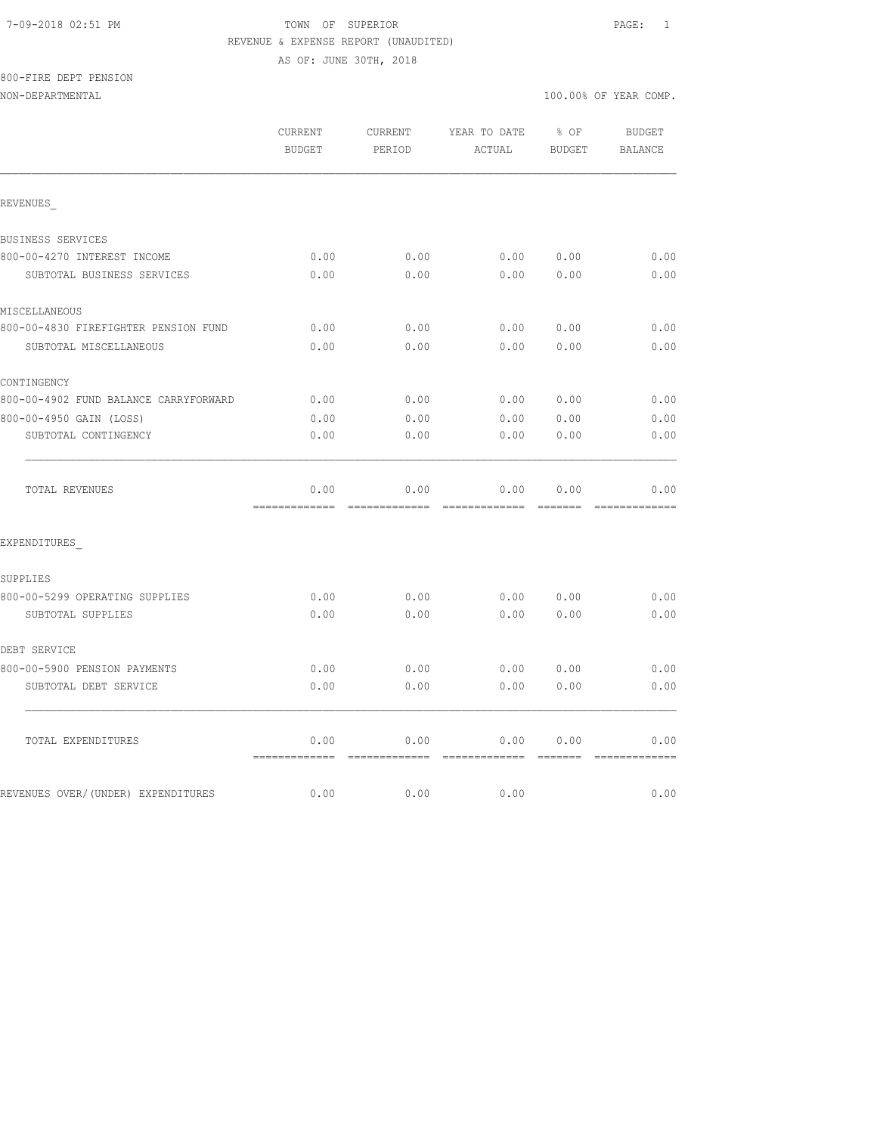#### 7-09-2018 02:51 PM TOWN OF SUPERIOR PAGE: 1 REVENUE & EXPENSE REPORT (UNAUDITED)

AS OF: JUNE 30TH, 2018

## 800-FIRE DEPT PENSION

|                                       | CURRENT<br><b>BUDGET</b> | CURRENT<br>PERIOD                                                                                                                                                                                                                                                                                                                                                                                                                                                                              | YEAR TO DATE<br>ACTUAL | % OF<br><b>BUDGET</b> | <b>BUDGET</b><br><b>BALANCE</b> |
|---------------------------------------|--------------------------|------------------------------------------------------------------------------------------------------------------------------------------------------------------------------------------------------------------------------------------------------------------------------------------------------------------------------------------------------------------------------------------------------------------------------------------------------------------------------------------------|------------------------|-----------------------|---------------------------------|
| REVENUES                              |                          |                                                                                                                                                                                                                                                                                                                                                                                                                                                                                                |                        |                       |                                 |
| BUSINESS SERVICES                     |                          |                                                                                                                                                                                                                                                                                                                                                                                                                                                                                                |                        |                       |                                 |
| 800-00-4270 INTEREST INCOME           | 0.00                     | 0.00                                                                                                                                                                                                                                                                                                                                                                                                                                                                                           | 0.00                   | 0.00                  | 0.00                            |
| SUBTOTAL BUSINESS SERVICES            | 0.00                     | 0.00                                                                                                                                                                                                                                                                                                                                                                                                                                                                                           | 0.00                   | 0.00                  | 0.00                            |
| MISCELLANEOUS                         |                          |                                                                                                                                                                                                                                                                                                                                                                                                                                                                                                |                        |                       |                                 |
| 800-00-4830 FIREFIGHTER PENSION FUND  | 0.00                     | 0.00                                                                                                                                                                                                                                                                                                                                                                                                                                                                                           | 0.00                   | 0.00                  | 0.00                            |
| SUBTOTAL MISCELLANEOUS                | 0.00                     | 0.00                                                                                                                                                                                                                                                                                                                                                                                                                                                                                           | 0.00                   | 0.00                  | 0.00                            |
| CONTINGENCY                           |                          |                                                                                                                                                                                                                                                                                                                                                                                                                                                                                                |                        |                       |                                 |
| 800-00-4902 FUND BALANCE CARRYFORWARD | 0.00                     | 0.00                                                                                                                                                                                                                                                                                                                                                                                                                                                                                           | 0.00                   | 0.00                  | 0.00                            |
| 800-00-4950 GAIN (LOSS)               | 0.00                     | 0.00                                                                                                                                                                                                                                                                                                                                                                                                                                                                                           | 0.00                   | 0.00                  | 0.00                            |
| SUBTOTAL CONTINGENCY                  | 0.00                     | 0.00                                                                                                                                                                                                                                                                                                                                                                                                                                                                                           | 0.00                   | 0.00                  | 0.00                            |
| TOTAL REVENUES                        | 0.00                     | 0.00                                                                                                                                                                                                                                                                                                                                                                                                                                                                                           | 0.00                   | 0.00                  | 0.00                            |
| EXPENDITURES                          |                          |                                                                                                                                                                                                                                                                                                                                                                                                                                                                                                |                        |                       |                                 |
| SUPPLIES                              |                          |                                                                                                                                                                                                                                                                                                                                                                                                                                                                                                |                        |                       |                                 |
| 800-00-5299 OPERATING SUPPLIES        | 0.00                     | 0.00                                                                                                                                                                                                                                                                                                                                                                                                                                                                                           | 0.00                   | 0.00                  | 0.00                            |
| SUBTOTAL SUPPLIES                     | 0.00                     | 0.00                                                                                                                                                                                                                                                                                                                                                                                                                                                                                           | 0.00                   | 0.00                  | 0.00                            |
| DEBT SERVICE                          |                          |                                                                                                                                                                                                                                                                                                                                                                                                                                                                                                |                        |                       |                                 |
| 800-00-5900 PENSION PAYMENTS          | 0.00                     | 0.00                                                                                                                                                                                                                                                                                                                                                                                                                                                                                           | 0.00                   | 0.00                  | 0.00                            |
| SUBTOTAL DEBT SERVICE                 | 0.00                     | 0.00                                                                                                                                                                                                                                                                                                                                                                                                                                                                                           | 0.00                   | 0.00                  | 0.00                            |
| TOTAL EXPENDITURES                    | 0.00<br>=============    | 0.00<br>$\begin{array}{cccccccccccccc} \multicolumn{2}{c}{} & \multicolumn{2}{c}{} & \multicolumn{2}{c}{} & \multicolumn{2}{c}{} & \multicolumn{2}{c}{} & \multicolumn{2}{c}{} & \multicolumn{2}{c}{} & \multicolumn{2}{c}{} & \multicolumn{2}{c}{} & \multicolumn{2}{c}{} & \multicolumn{2}{c}{} & \multicolumn{2}{c}{} & \multicolumn{2}{c}{} & \multicolumn{2}{c}{} & \multicolumn{2}{c}{} & \multicolumn{2}{c}{} & \multicolumn{2}{c}{} & \multicolumn{2}{c}{} & \multicolumn{2}{c}{} & \$ | 0.00<br>=============  | 0.00<br><b>BEECEE</b> | 0.00<br>=============           |
| REVENUES OVER/(UNDER) EXPENDITURES    | 0.00                     | 0.00                                                                                                                                                                                                                                                                                                                                                                                                                                                                                           | 0.00                   |                       | 0.00                            |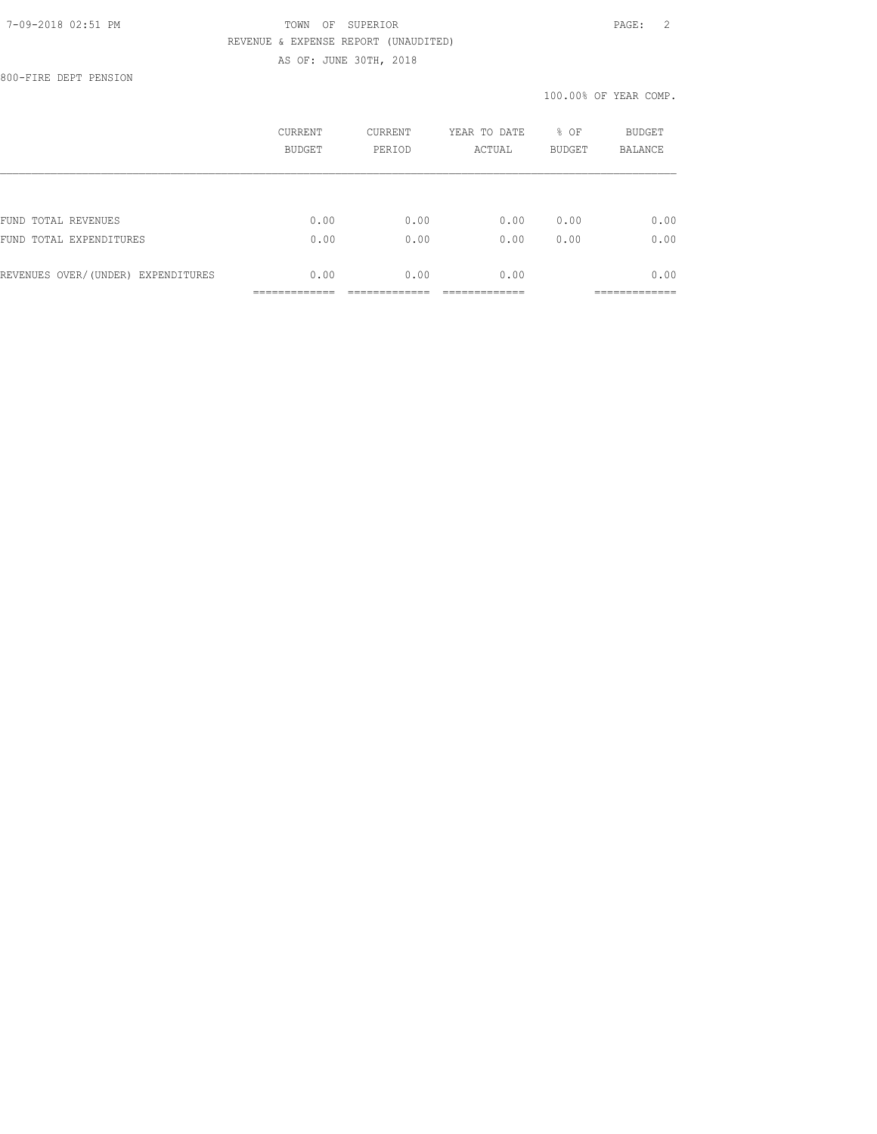800-FIRE DEPT PENSION

|                                    | CURRENT<br><b>BUDGET</b> | <b>CURRENT</b><br>PERIOD | YEAR TO DATE<br>ACTUAL | % OF<br><b>BUDGET</b> | <b>BUDGET</b><br><b>BALANCE</b> |
|------------------------------------|--------------------------|--------------------------|------------------------|-----------------------|---------------------------------|
|                                    |                          |                          |                        |                       |                                 |
| FUND TOTAL REVENUES                | 0.00                     | 0.00                     | 0.00                   | 0.00                  | 0.00                            |
| FUND TOTAL EXPENDITURES            | 0.00                     | 0.00                     | 0.00                   | 0.00                  | 0.00                            |
| REVENUES OVER/(UNDER) EXPENDITURES | 0.00                     | 0.00                     | 0.00                   |                       | 0.00                            |
|                                    |                          |                          |                        |                       |                                 |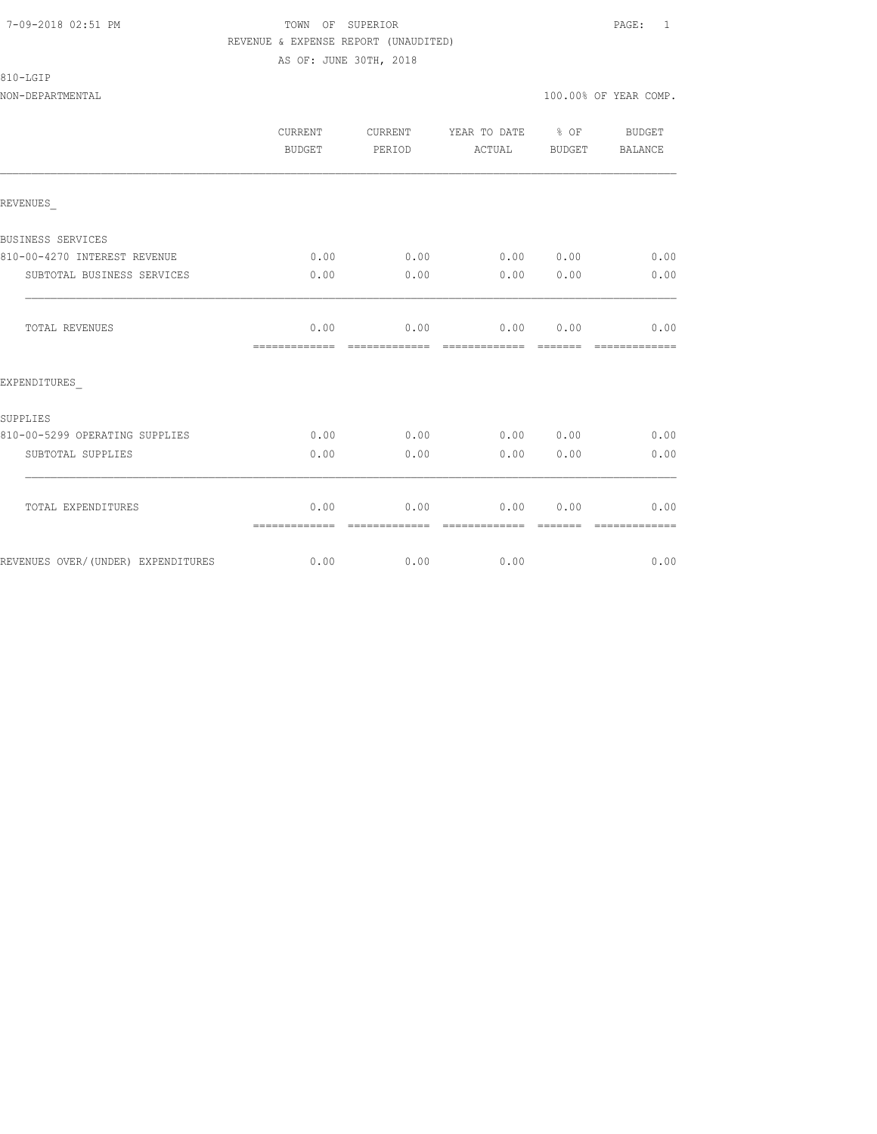#### 810-LGIP

NON-DEPARTMENTAL 100.00% OF YEAR COMP.

|                                     | CURRENT<br><b>BUDGET</b> | CURRENT<br>PERIOD      | YEAR TO DATE % OF<br>ACTUAL | BUDGET   | BUDGET<br>BALANCE     |
|-------------------------------------|--------------------------|------------------------|-----------------------------|----------|-----------------------|
| REVENUES                            |                          |                        |                             |          |                       |
| BUSINESS SERVICES                   |                          |                        |                             |          |                       |
| 810-00-4270 INTEREST REVENUE        | 0.00                     | 0.00                   | $0.00$ $0.00$ $0.00$ $0.00$ |          |                       |
| SUBTOTAL BUSINESS SERVICES          | 0.00                     | 0.00                   | $0.00$ $0.00$               |          | 0.00                  |
| TOTAL REVENUES                      | 0.00<br>=============    | 0.00<br>-------------- | 0.00 0.00                   | -------- | 0.00<br>============= |
| EXPENDITURES                        |                          |                        |                             |          |                       |
| SUPPLIES                            |                          |                        |                             |          |                       |
| 810-00-5299 OPERATING SUPPLIES      | 0.00                     | 0.00                   |                             |          | $0.00$ $0.00$ $0.00$  |
| SUBTOTAL SUPPLIES                   | 0.00                     | 0.00                   | 0.00                        | 0.00     | 0.00                  |
| TOTAL EXPENDITURES                  | 0.00<br>=============    | 0.00<br>=============  | 0.00<br>=============       | 0.00     | 0.00<br>------------- |
| REVENUES OVER/ (UNDER) EXPENDITURES |                          | $0.00$ 0.00            | 0.00                        |          | 0.00                  |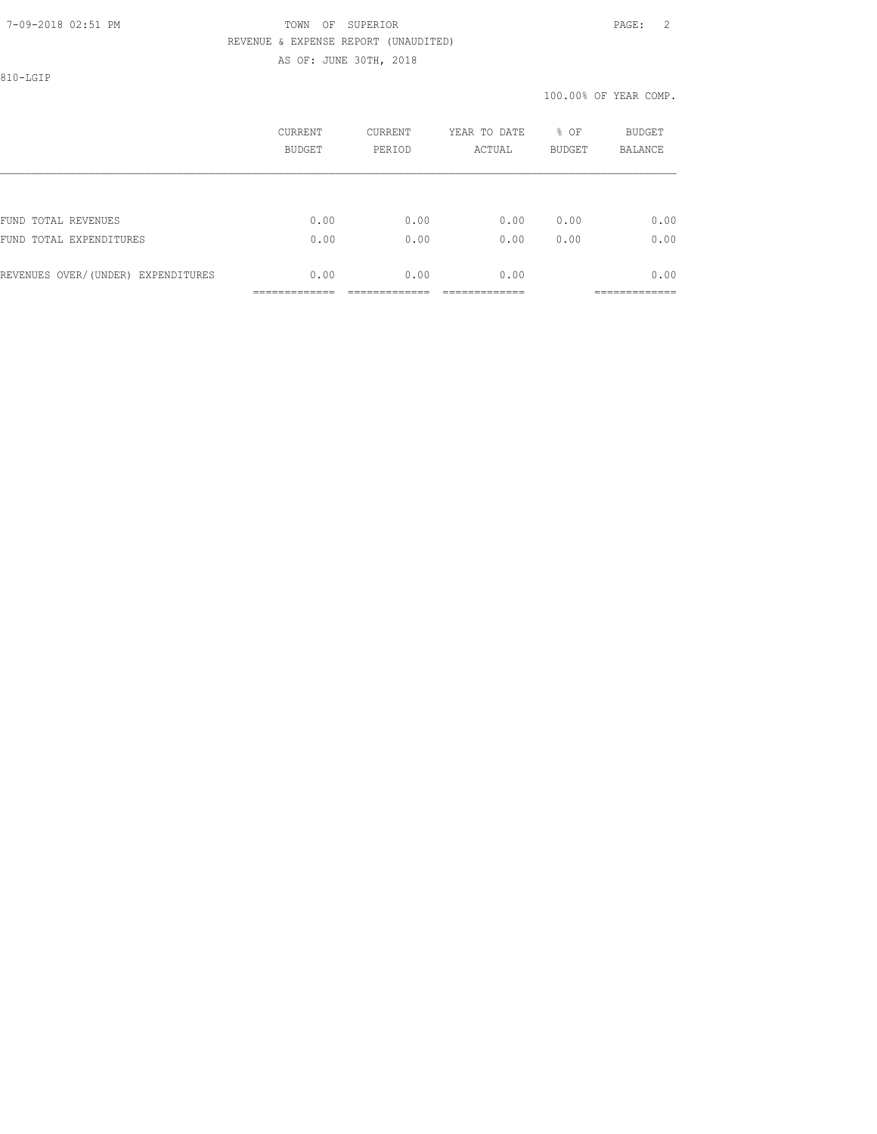810-LGIP

|                                    | CURRENT<br>BUDGET | <b>CURRENT</b><br>PERIOD | YEAR TO DATE<br>ACTUAL | % OF<br><b>BUDGET</b> | BUDGET<br><b>BALANCE</b> |
|------------------------------------|-------------------|--------------------------|------------------------|-----------------------|--------------------------|
|                                    |                   |                          |                        |                       |                          |
| FUND TOTAL REVENUES                | 0.00              | 0.00                     | 0.00                   | 0.00                  | 0.00                     |
| FUND TOTAL EXPENDITURES            | 0.00              | 0.00                     | 0.00                   | 0.00                  | 0.00                     |
| REVENUES OVER/(UNDER) EXPENDITURES | 0.00              | 0.00                     | 0.00                   |                       | 0.00                     |
|                                    |                   |                          |                        |                       |                          |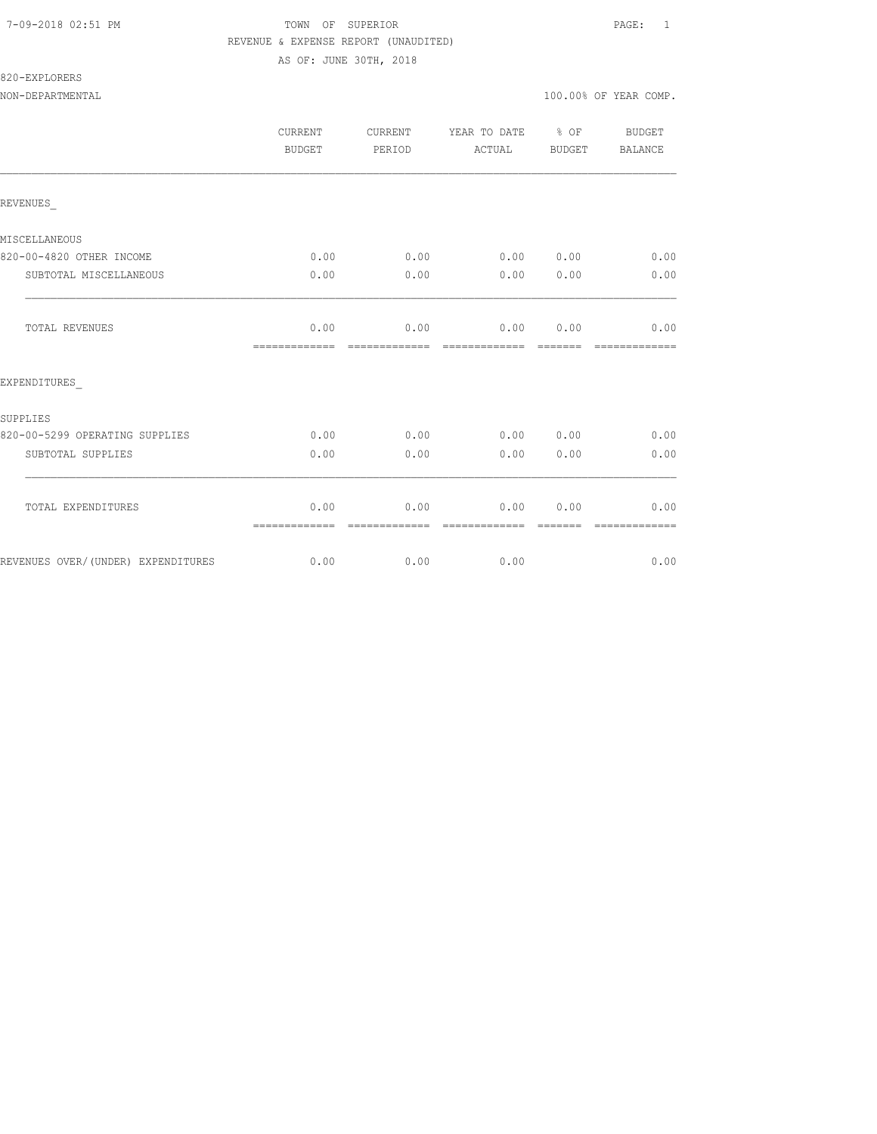#### 820-EXPLORERS

NON-DEPARTMENTAL 100.00% OF YEAR COMP.

|                                    | <b>CURRENT</b><br><b>BUDGET</b> | CURRENT<br>PERIOD     | YEAR TO DATE % OF<br>ACTUAL        | BUDGET   | <b>BUDGET</b><br>BALANCE |
|------------------------------------|---------------------------------|-----------------------|------------------------------------|----------|--------------------------|
| REVENUES                           |                                 |                       |                                    |          |                          |
| MISCELLANEOUS                      |                                 |                       |                                    |          |                          |
| 820-00-4820 OTHER INCOME           | 0.00                            |                       | $0.00$ $0.00$ $0.00$ $0.00$ $0.00$ |          |                          |
| SUBTOTAL MISCELLANEOUS             | 0.00                            | 0.00                  | 0.00                               | 0.00     | 0.00                     |
| TOTAL REVENUES                     | 0.00<br>-------------           | 0.00<br>------------- | 0.00 0.00<br>-------------         | -------- | 0.00<br>-------------    |
| EXPENDITURES                       |                                 |                       |                                    |          |                          |
| SUPPLIES                           |                                 |                       |                                    |          |                          |
| 820-00-5299 OPERATING SUPPLIES     | 0.00                            | 0.00                  | 0.00 0.00                          |          | 0.00                     |
| SUBTOTAL SUPPLIES                  | 0.00                            | 0.00                  | 0.00                               | 0.00     | 0.00                     |
| TOTAL EXPENDITURES                 | 0.00<br>=============           | 0.00                  | 0.00                               | 0.00     | 0.00                     |
| REVENUES OVER/(UNDER) EXPENDITURES |                                 | $0.00$ 0.00           | 0.00                               |          | 0.00                     |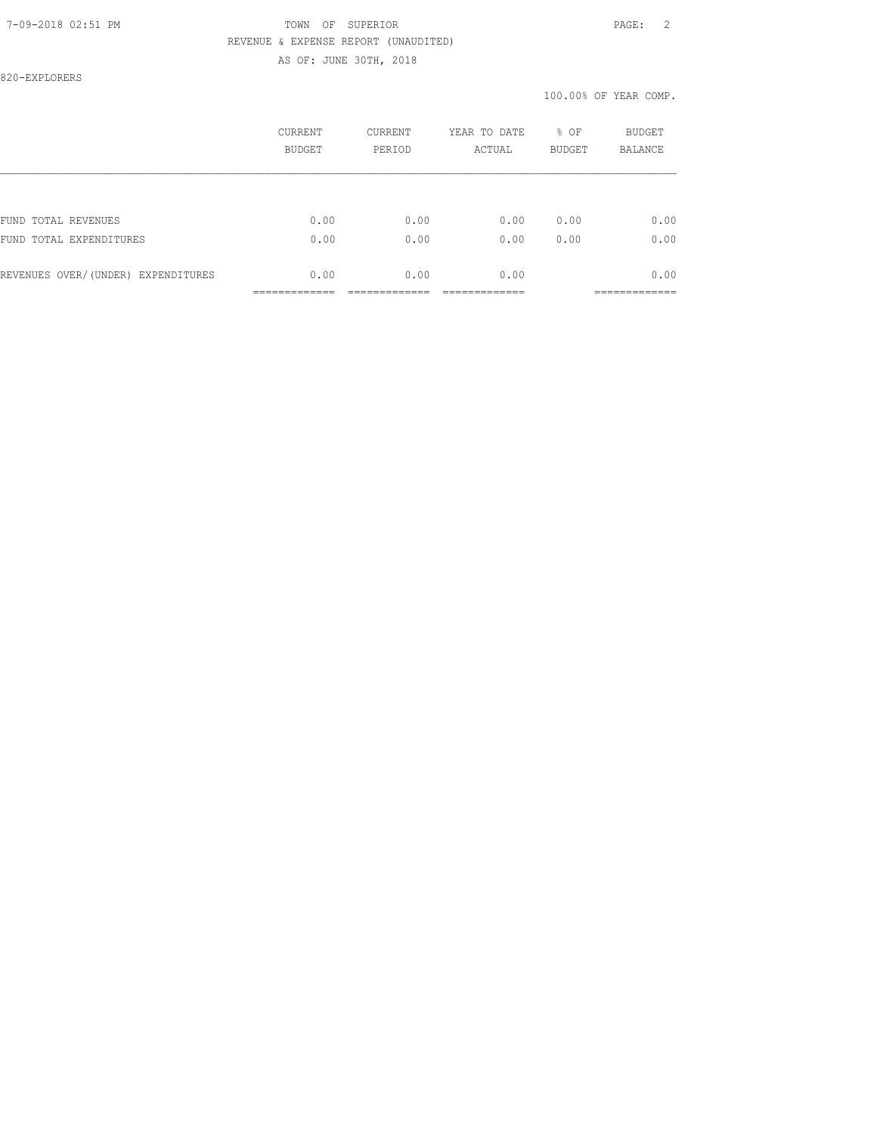#### 7-09-2018 02:51 PM TOWN OF SUPERIOR PAGE: 2 REVENUE & EXPENSE REPORT (UNAUDITED)

AS OF: JUNE 30TH, 2018

820-EXPLORERS

|                                    | CURRENT<br>BUDGET | <b>CURRENT</b><br>PERIOD | YEAR TO DATE<br>ACTUAL | % OF<br><b>BUDGET</b> | BUDGET<br><b>BALANCE</b> |
|------------------------------------|-------------------|--------------------------|------------------------|-----------------------|--------------------------|
|                                    |                   |                          |                        |                       |                          |
| FUND TOTAL REVENUES                | 0.00              | 0.00                     | 0.00                   | 0.00                  | 0.00                     |
| FUND TOTAL EXPENDITURES            | 0.00              | 0.00                     | 0.00                   | 0.00                  | 0.00                     |
| REVENUES OVER/(UNDER) EXPENDITURES | 0.00              | 0.00                     | 0.00                   |                       | 0.00                     |
|                                    |                   |                          |                        |                       |                          |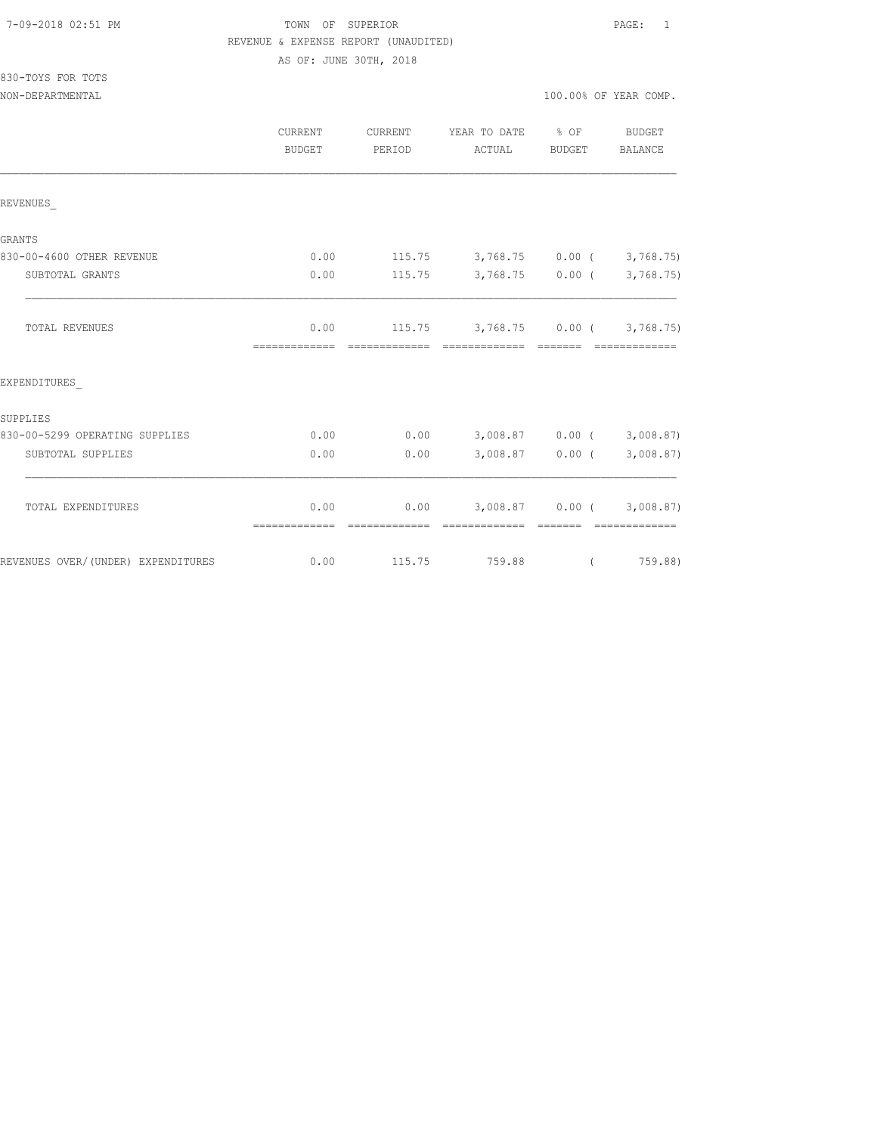### TOWN OF SUPERIOR **PAGE:** 1 REVENUE & EXPENSE REPORT (UNAUDITED)

AS OF: JUNE 30TH, 2018

| 830-TOYS FOR TOTS |  |  |
|-------------------|--|--|
|                   |  |  |

|                                    | <b>CURRENT</b><br><b>BUDGET</b> | <b>CURRENT</b><br>PERIOD | YEAR TO DATE<br>ACTUAL                                     | $8$ OF<br>BUDGET  | <b>BUDGET</b><br>BALANCE                            |
|------------------------------------|---------------------------------|--------------------------|------------------------------------------------------------|-------------------|-----------------------------------------------------|
| REVENUES                           |                                 |                          |                                                            |                   |                                                     |
| <b>GRANTS</b>                      |                                 |                          |                                                            |                   |                                                     |
| 830-00-4600 OTHER REVENUE          | 0.00                            |                          | $115.75$ $3,768.75$ $0.00$ ( $3,768.75$ )                  |                   |                                                     |
| SUBTOTAL GRANTS                    | 0.00                            | 115.75                   |                                                            | $3,768.75$ 0.00 ( | 3,768.75)                                           |
| TOTAL REVENUES                     | 0.00<br>=============           |                          | $115.75$ $3,768.75$ $0.00$ ( $3,768.75$ )<br>============= | - =======         |                                                     |
| EXPENDITURES                       |                                 |                          |                                                            |                   |                                                     |
| SUPPLIES                           |                                 |                          |                                                            |                   |                                                     |
| 830-00-5299 OPERATING SUPPLIES     | 0.00                            | 0.00                     |                                                            | $3,008.87$ 0.00 ( | 3,008.87                                            |
| SUBTOTAL SUPPLIES                  | 0.00                            | 0.00                     |                                                            | 3,008.87 0.00 (   | 3,008.87                                            |
| TOTAL EXPENDITURES                 | 0.00<br>=============           | 0.00<br>=============    | =============                                              | --------          | $3,008.87$ 0.00 ( 3,008.87)<br><b>COOSSESSESSES</b> |
| REVENUES OVER/(UNDER) EXPENDITURES | 0.00                            | 115.75                   | 759.88                                                     | $\left($          | 759.88)                                             |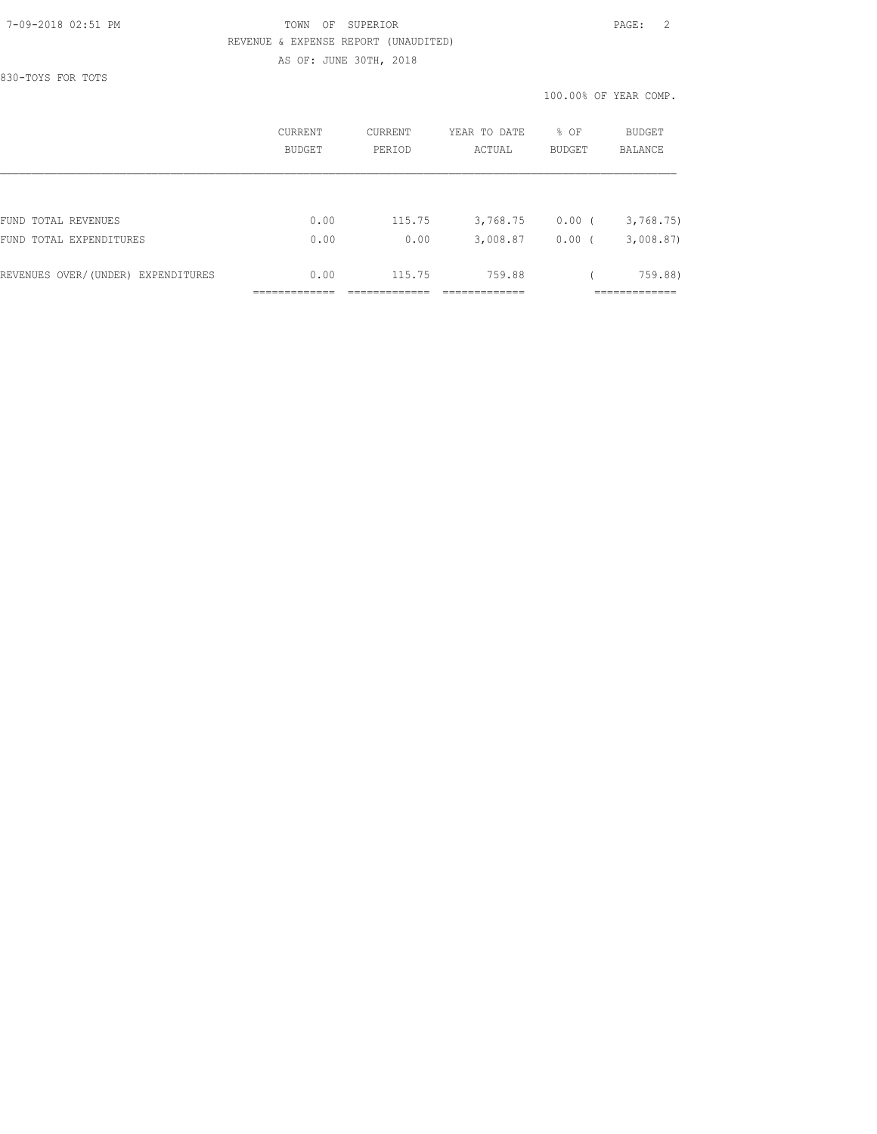830-TOYS FOR TOTS

|                                    | CURRENT<br>BUDGET | <b>CURRENT</b><br>PERIOD | YEAR TO DATE<br>ACTUAL | % OF<br><b>BUDGET</b> | <b>BUDGET</b><br>BALANCE |
|------------------------------------|-------------------|--------------------------|------------------------|-----------------------|--------------------------|
|                                    |                   |                          |                        |                       |                          |
| FUND TOTAL REVENUES                | 0.00              | 115.75                   | 3,768.75               | $0.00$ (              | 3,768.75                 |
| FUND TOTAL EXPENDITURES            | 0.00              | 0.00                     | 3,008.87               | 0.00(                 | 3,008.87                 |
| REVENUES OVER/(UNDER) EXPENDITURES | 0.00              | 115.75                   | 759.88                 |                       | 759.88)                  |
|                                    |                   |                          |                        |                       |                          |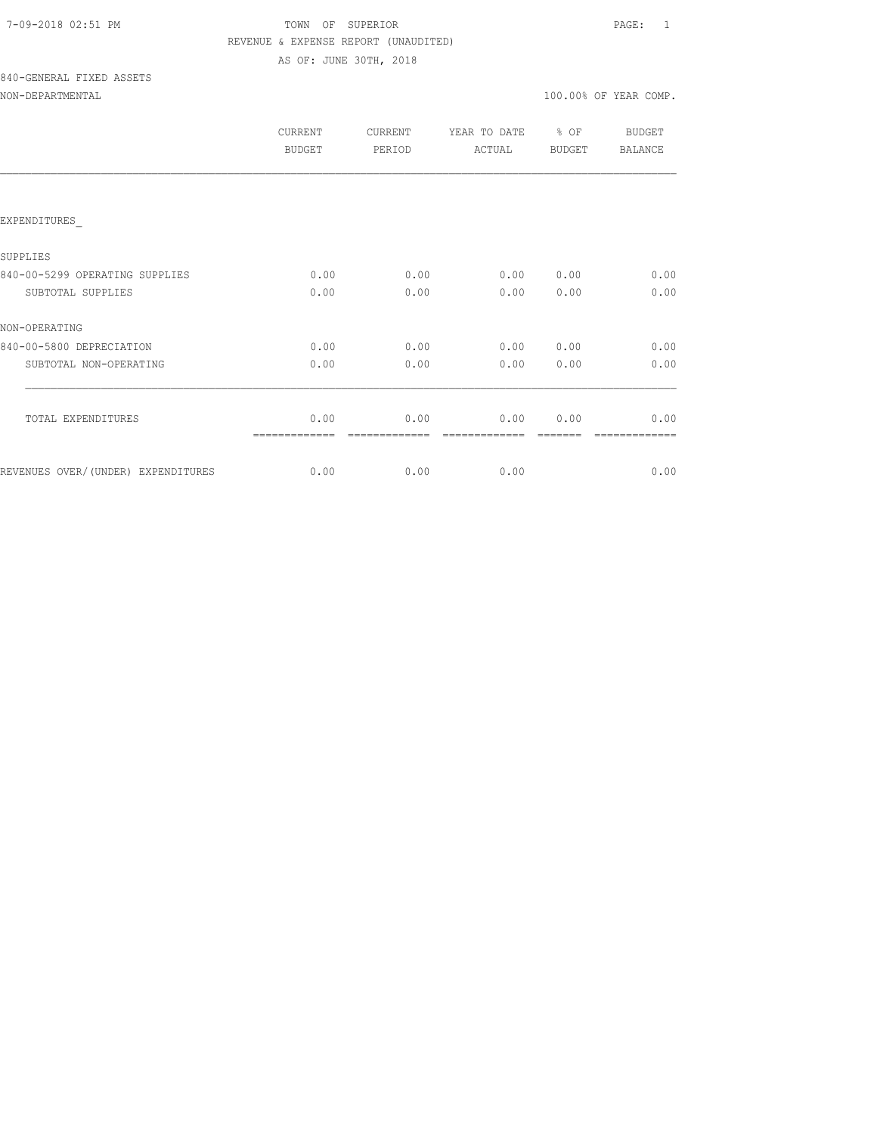| 7-09-2018 02:51 PM |  |
|--------------------|--|
|                    |  |

### TOWN OF SUPERIOR **PAGE:** 1 REVENUE & EXPENSE REPORT (UNAUDITED)

AS OF: JUNE 30TH, 2018

# 840-GENERAL FIXED ASSETS

|  |  |  | NON-DEPARTMENTAL |  |
|--|--|--|------------------|--|
|  |  |  |                  |  |

|                                     | CURRENT<br><b>BUDGET</b> | <b>CURRENT</b><br>PERIOD | YEAR TO DATE<br>ACTUAL | % OF<br><b>BUDGET</b> | BUDGET<br><b>BALANCE</b> |
|-------------------------------------|--------------------------|--------------------------|------------------------|-----------------------|--------------------------|
|                                     |                          |                          |                        |                       |                          |
| EXPENDITURES                        |                          |                          |                        |                       |                          |
| SUPPLIES                            |                          |                          |                        |                       |                          |
| 840-00-5299 OPERATING SUPPLIES      | 0.00                     | 0.00                     | 0.00                   | 0.00                  | 0.00                     |
| SUBTOTAL SUPPLIES                   | 0.00                     | 0.00                     | 0.00                   | 0.00                  | 0.00                     |
| NON-OPERATING                       |                          |                          |                        |                       |                          |
| 840-00-5800 DEPRECIATION            | 0.00                     | 0.00                     | 0.00                   | 0.00                  | 0.00                     |
| SUBTOTAL NON-OPERATING              | 0.00                     | 0.00                     | 0.00                   | 0.00                  | 0.00                     |
|                                     |                          |                          |                        |                       |                          |
| TOTAL EXPENDITURES                  | 0.00                     | 0.00                     | 0.00                   | 0.00                  | 0.00                     |
| REVENUES OVER/ (UNDER) EXPENDITURES | 0.00                     | 0.00                     | 0.00                   |                       | 0.00                     |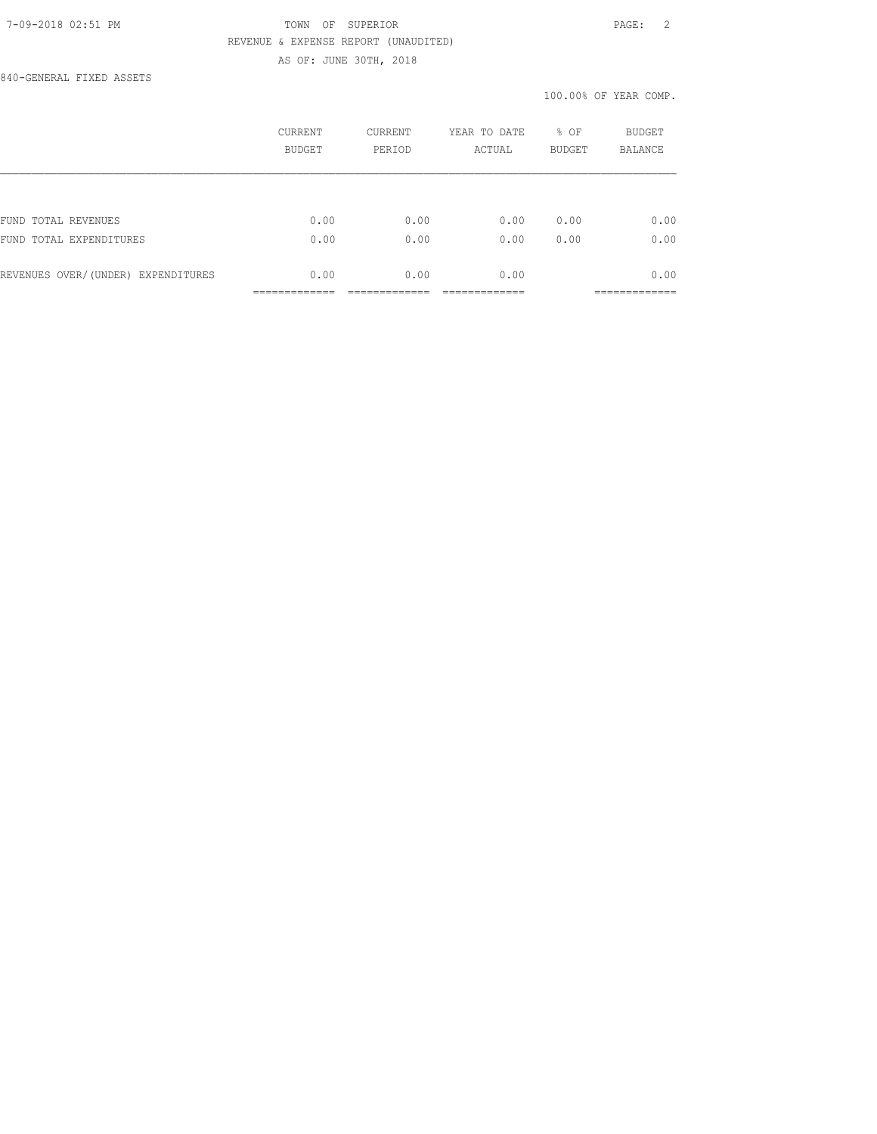840-GENERAL FIXED ASSETS

|                                    | CURRENT<br>BUDGET | CURRENT<br>PERIOD | YEAR TO DATE<br>ACTUAL | % OF<br><b>BUDGET</b> | BUDGET<br><b>BALANCE</b> |
|------------------------------------|-------------------|-------------------|------------------------|-----------------------|--------------------------|
|                                    |                   |                   |                        |                       |                          |
| FUND TOTAL REVENUES                | 0.00              | 0.00              | 0.00                   | 0.00                  | 0.00                     |
| FUND<br>TOTAL EXPENDITURES         | 0.00              | 0.00              | 0.00                   | 0.00                  | 0.00                     |
| REVENUES OVER/(UNDER) EXPENDITURES | 0.00              | 0.00              | 0.00                   |                       | 0.00                     |
|                                    |                   |                   |                        |                       | __________               |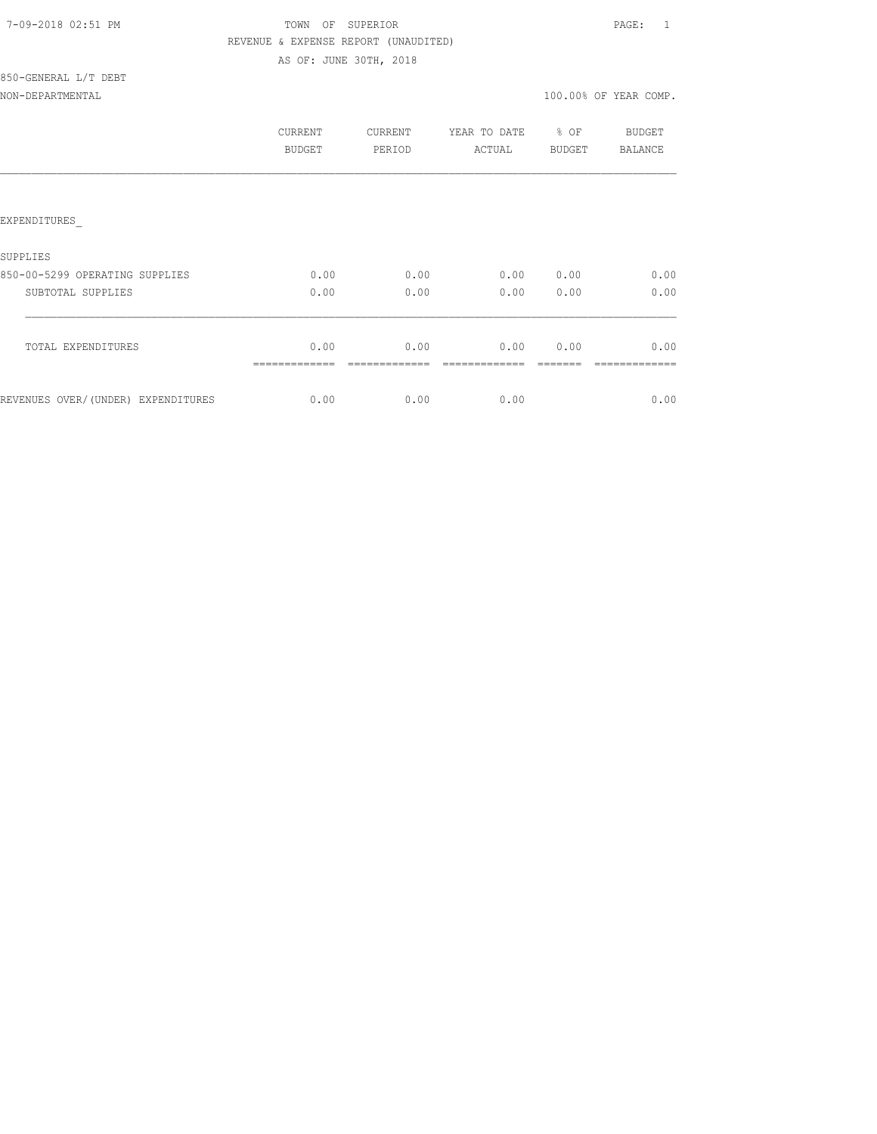| 7-09-2018 02:51 PM |  |
|--------------------|--|
|                    |  |

### TOWN OF SUPERIOR **PAGE:** 1 REVENUE & EXPENSE REPORT (UNAUDITED)

AS OF: JUNE 30TH, 2018

#### 850-GENERAL L/T DEBT NON-DEPARTMENTAL 100.00% OF YEAR COMP.

|                                    | CURRENT<br>BUDGET | <b>CURRENT</b><br>PERIOD | YEAR TO DATE % OF<br>ACTUAL | BUDGET    | <b>BUDGET</b><br>BALANCE |
|------------------------------------|-------------------|--------------------------|-----------------------------|-----------|--------------------------|
|                                    |                   |                          |                             |           |                          |
| EXPENDITURES                       |                   |                          |                             |           |                          |
| SUPPLIES                           |                   |                          |                             |           |                          |
| 850-00-5299 OPERATING SUPPLIES     | 0.00              | 0.00                     | 0.00                        | 0.00      | 0.00                     |
| SUBTOTAL SUPPLIES                  | 0.00              | 0.00                     |                             | 0.00 0.00 | 0.00                     |
|                                    |                   |                          |                             |           |                          |
| TOTAL EXPENDITURES                 | 0.00              | 0.00                     | 0.00                        | 0.00      | 0.00                     |
|                                    |                   |                          |                             |           |                          |
| REVENUES OVER/(UNDER) EXPENDITURES | 0.00              | 0.00                     | 0.00                        |           | 0.00                     |